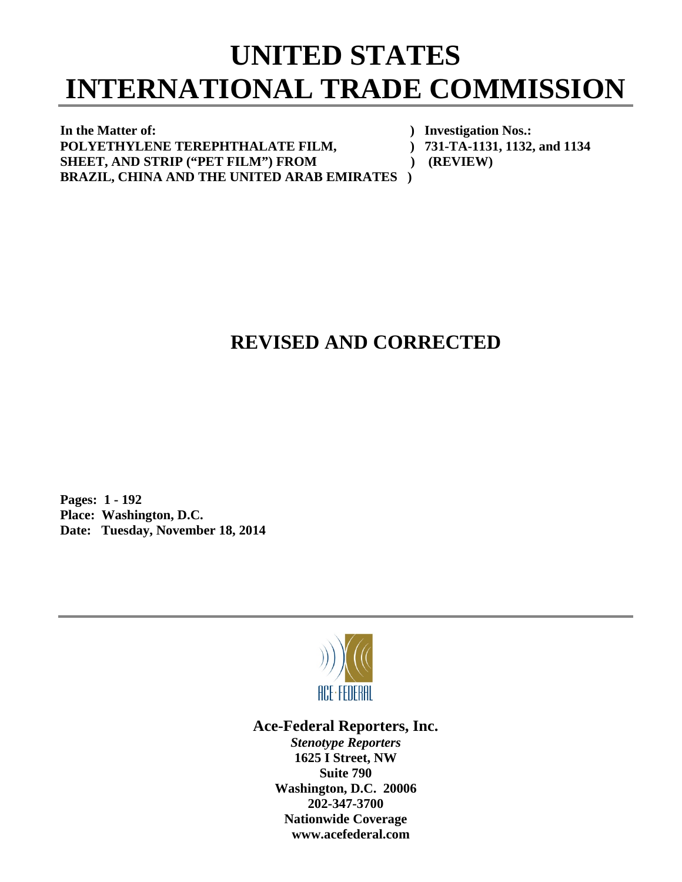## **UNITED STATES INTERNATIONAL TRADE COMMISSION**

In the Matter of: *In the Matter of: Physics Physics* **<b>***Physics Physics Physics Physics Physics Physics Physics Physics Physics Physics Physics Physics Physics P* POLYETHYLENE TEREPHTHALATE FILM,  $731-TA-1131, 1132,$  and 1134 SHEET, AND STRIP ("PET FILM") FROM  $(REVIEW)$ **BRAZIL, CHINA AND THE UNITED ARAB EMIRATES )** 

## **REVISED AND CORRECTED**

**Pages: 1 - 192 Place: Washington, D.C. Date: Tuesday, November 18, 2014** 



**Ace-Federal Reporters, Inc.** 

*Stenotype Reporters*  **1625 I Street, NW Suite 790 Washington, D.C. 20006 202-347-3700 Nationwide Coverage www.acefederal.com**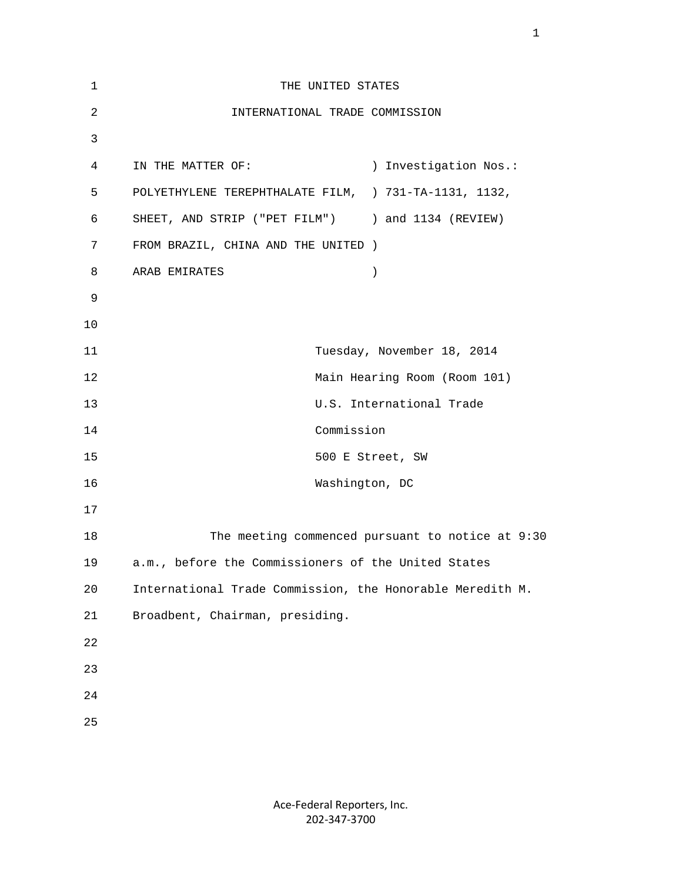| $\mathbf 1$    | THE UNITED STATES                                         |
|----------------|-----------------------------------------------------------|
| $\overline{c}$ | INTERNATIONAL TRADE COMMISSION                            |
| 3              |                                                           |
| 4              | IN THE MATTER OF:<br>) Investigation Nos.:                |
| 5              | POLYETHYLENE TEREPHTHALATE FILM, ) 731-TA-1131, 1132,     |
| 6              | SHEET, AND STRIP ("PET FILM") ) and 1134 (REVIEW)         |
| 7              | FROM BRAZIL, CHINA AND THE UNITED )                       |
| 8              | ARAB EMIRATES<br>$\lambda$                                |
| 9              |                                                           |
| 10             |                                                           |
| 11             | Tuesday, November 18, 2014                                |
| 12             | Main Hearing Room (Room 101)                              |
| 13             | U.S. International Trade                                  |
| 14             | Commission                                                |
| 15             | 500 E Street, SW                                          |
| 16             | Washington, DC                                            |
| 17             |                                                           |
| 18             | The meeting commenced pursuant to notice at 9:30          |
| 19             | a.m., before the Commissioners of the United States       |
| 20             | International Trade Commission, the Honorable Meredith M. |
| 21             | Broadbent, Chairman, presiding.                           |
| 22             |                                                           |
| 23             |                                                           |
| 24             |                                                           |
| 25             |                                                           |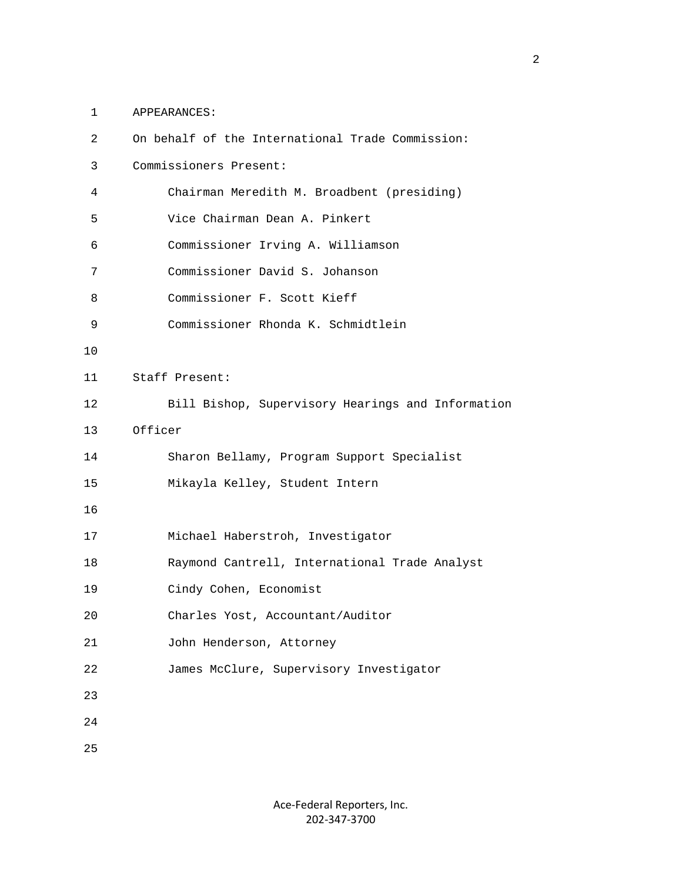1 APPEARANCES:

| 2  | On behalf of the International Trade Commission:  |
|----|---------------------------------------------------|
| 3  | Commissioners Present:                            |
| 4  | Chairman Meredith M. Broadbent (presiding)        |
| 5  | Vice Chairman Dean A. Pinkert                     |
| 6  | Commissioner Irving A. Williamson                 |
| 7  | Commissioner David S. Johanson                    |
| 8  | Commissioner F. Scott Kieff                       |
| 9  | Commissioner Rhonda K. Schmidtlein                |
| 10 |                                                   |
| 11 | Staff Present:                                    |
| 12 | Bill Bishop, Supervisory Hearings and Information |
| 13 | Officer                                           |
| 14 | Sharon Bellamy, Program Support Specialist        |
| 15 | Mikayla Kelley, Student Intern                    |
| 16 |                                                   |
| 17 | Michael Haberstroh, Investigator                  |
| 18 | Raymond Cantrell, International Trade Analyst     |
| 19 | Cindy Cohen, Economist                            |
| 20 | Charles Yost, Accountant/Auditor                  |
| 21 | John Henderson, Attorney                          |
| 22 | James McClure, Supervisory Investigator           |
| 23 |                                                   |
| 24 |                                                   |
| 25 |                                                   |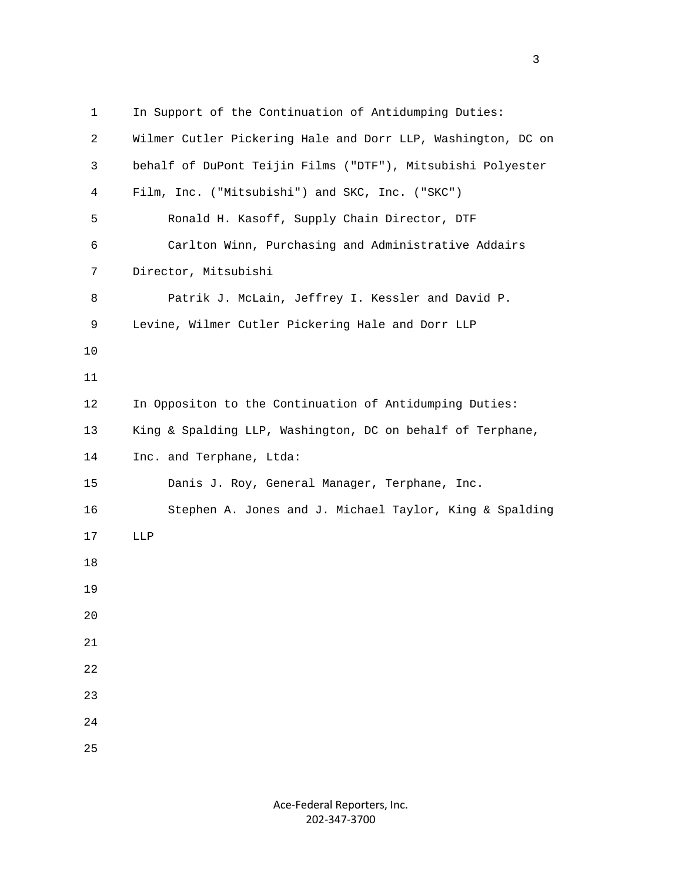1 In Support of the Continuation of Antidumping Duties: 2 Wilmer Cutler Pickering Hale and Dorr LLP, Washington, DC on 3 behalf of DuPont Teijin Films ("DTF"), Mitsubishi Polyester 4 Film, Inc. ("Mitsubishi") and SKC, Inc. ("SKC") 5 Ronald H. Kasoff, Supply Chain Director, DTF 6 Carlton Winn, Purchasing and Administrative Addairs 7 Director, Mitsubishi 8 Patrik J. McLain, Jeffrey I. Kessler and David P. 9 Levine, Wilmer Cutler Pickering Hale and Dorr LLP 10 11 12 In Oppositon to the Continuation of Antidumping Duties: 13 King & Spalding LLP, Washington, DC on behalf of Terphane, 14 Inc. and Terphane, Ltda: 15 Danis J. Roy, General Manager, Terphane, Inc. 16 Stephen A. Jones and J. Michael Taylor, King & Spalding 17 LLP 18 19 20 21 22 23 24 25

<u>3</u>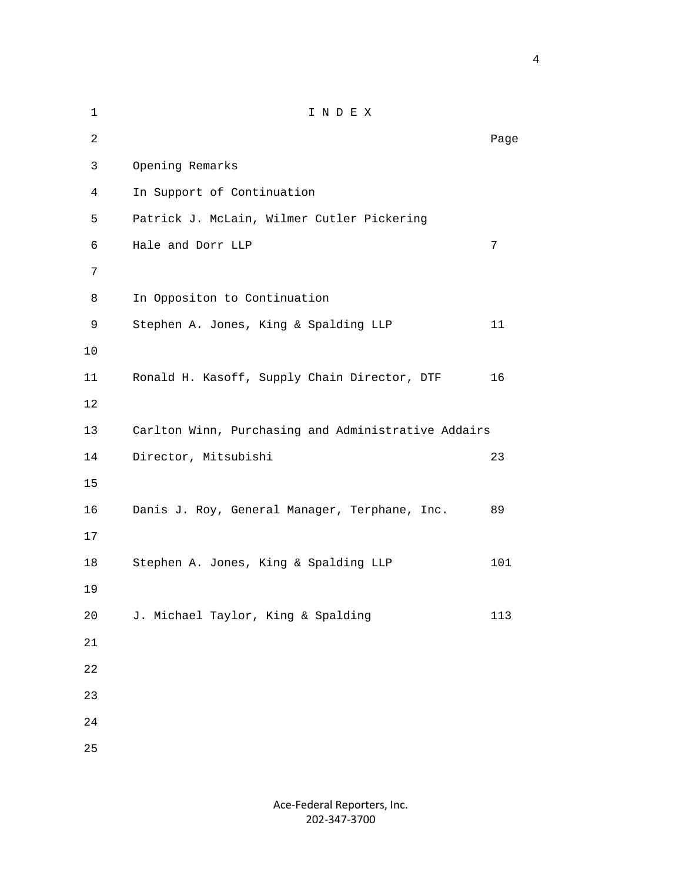1 I N D E X 2 **Page 12 Page 12 Page 12 Page 12 Page 12 Page 12 Page 12 Page 12 Page 12 Page 12 Page 12 Page 12 Page 12 Page 12 Page 12 Page 12 Page 12 Page 12 Page 12 Page 12 Page 12 Page 12** 3 Opening Remarks 4 In Support of Continuation 5 Patrick J. McLain, Wilmer Cutler Pickering 6 Hale and Dorr LLP 7 7 8 In Oppositon to Continuation 9 Stephen A. Jones, King & Spalding LLP 11 10 11 Ronald H. Kasoff, Supply Chain Director, DTF 16 12 13 Carlton Winn, Purchasing and Administrative Addairs 14 Director, Mitsubishi 23 15 16 Danis J. Roy, General Manager, Terphane, Inc. 89 17 18 Stephen A. Jones, King & Spalding LLP 101 19 20 J. Michael Taylor, King & Spalding 113 21 22 23 24 25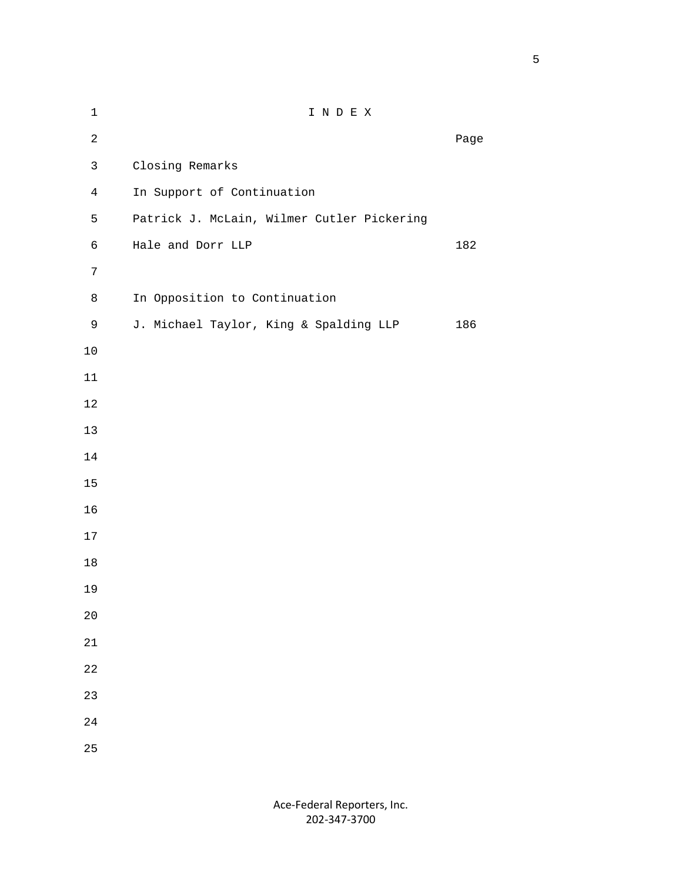$\sim$  5

| $\mathbf 1$    | INDEX                                      |      |
|----------------|--------------------------------------------|------|
| $\overline{c}$ |                                            | Page |
| $\mathsf{3}$   | Closing Remarks                            |      |
| $\overline{4}$ | In Support of Continuation                 |      |
| 5              | Patrick J. McLain, Wilmer Cutler Pickering |      |
| 6              | Hale and Dorr LLP                          | 182  |
| $\overline{7}$ |                                            |      |
| $\,8\,$        | In Opposition to Continuation              |      |
| $\mathsf 9$    | J. Michael Taylor, King & Spalding LLP     | 186  |
| $10$           |                                            |      |
| $11\,$         |                                            |      |
| 12             |                                            |      |
| 13             |                                            |      |
| 14             |                                            |      |
| $15$           |                                            |      |
| 16             |                                            |      |
| 17             |                                            |      |
| $18\,$         |                                            |      |
| 19             |                                            |      |
| 20             |                                            |      |
| $21\,$         |                                            |      |
| 22             |                                            |      |
| 23             |                                            |      |
| 24             |                                            |      |
| 25             |                                            |      |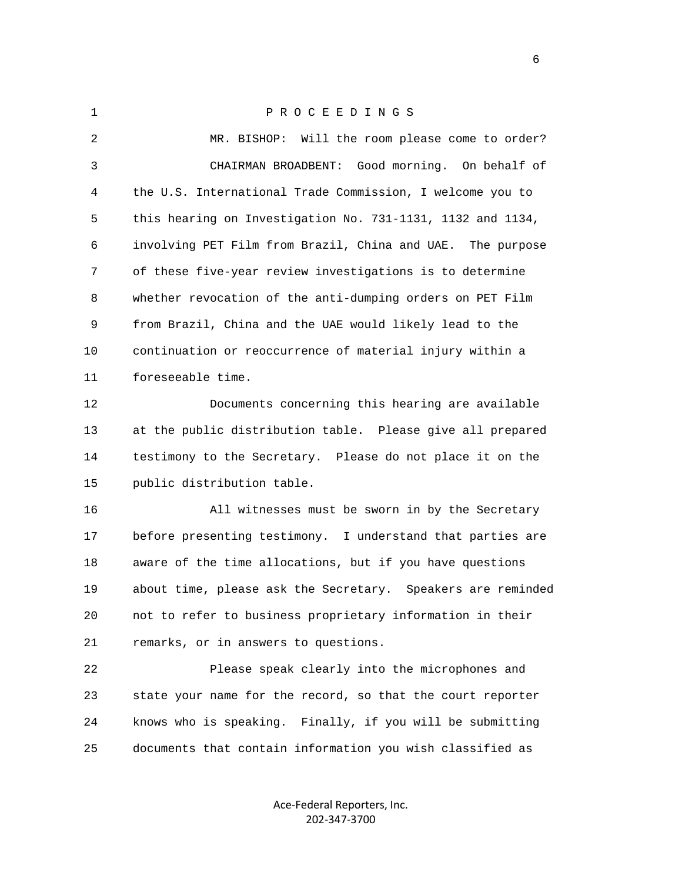1 P R O C E E D I N G S 2 MR. BISHOP: Will the room please come to order? 3 CHAIRMAN BROADBENT: Good morning. On behalf of 4 the U.S. International Trade Commission, I welcome you to 5 this hearing on Investigation No. 731-1131, 1132 and 1134, 6 involving PET Film from Brazil, China and UAE. The purpose 7 of these five-year review investigations is to determine 8 whether revocation of the anti-dumping orders on PET Film 9 from Brazil, China and the UAE would likely lead to the 10 continuation or reoccurrence of material injury within a 11 foreseeable time. 12 Documents concerning this hearing are available 13 at the public distribution table. Please give all prepared 14 testimony to the Secretary. Please do not place it on the 15 public distribution table. 16 All witnesses must be sworn in by the Secretary 17 before presenting testimony. I understand that parties are 18 aware of the time allocations, but if you have questions 19 about time, please ask the Secretary. Speakers are reminded 20 not to refer to business proprietary information in their 21 remarks, or in answers to questions. 22 Please speak clearly into the microphones and 23 state your name for the record, so that the court reporter 24 knows who is speaking. Finally, if you will be submitting 25 documents that contain information you wish classified as

> Ace‐Federal Reporters, Inc. 202‐347‐3700

 $\sim$  6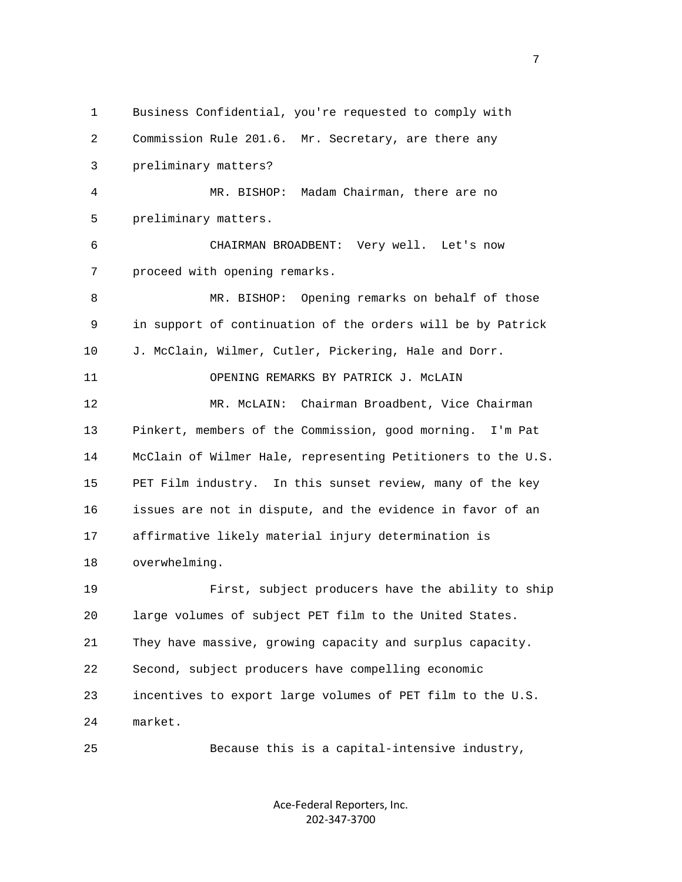1 Business Confidential, you're requested to comply with 2 Commission Rule 201.6. Mr. Secretary, are there any 3 preliminary matters? 4 MR. BISHOP: Madam Chairman, there are no 5 preliminary matters. 6 CHAIRMAN BROADBENT: Very well. Let's now 7 proceed with opening remarks. 8 MR. BISHOP: Opening remarks on behalf of those 9 in support of continuation of the orders will be by Patrick 10 J. McClain, Wilmer, Cutler, Pickering, Hale and Dorr. 11 OPENING REMARKS BY PATRICK J. McLAIN 12 MR. McLAIN: Chairman Broadbent, Vice Chairman 13 Pinkert, members of the Commission, good morning. I'm Pat 14 McClain of Wilmer Hale, representing Petitioners to the U.S. 15 PET Film industry. In this sunset review, many of the key 16 issues are not in dispute, and the evidence in favor of an 17 affirmative likely material injury determination is 18 overwhelming. 19 First, subject producers have the ability to ship 20 large volumes of subject PET film to the United States. 21 They have massive, growing capacity and surplus capacity. 22 Second, subject producers have compelling economic 23 incentives to export large volumes of PET film to the U.S. 24 market. 25 Because this is a capital-intensive industry,

> Ace‐Federal Reporters, Inc. 202‐347‐3700

<u>2003: The contract of the contract of the contract of the contract of the contract of the contract of the con</u>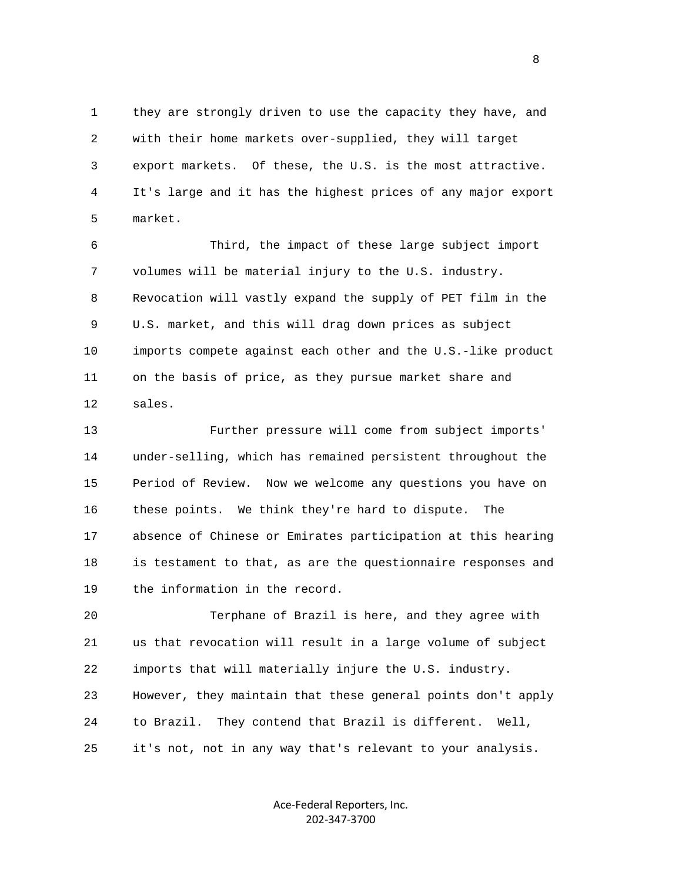1 they are strongly driven to use the capacity they have, and 2 with their home markets over-supplied, they will target 3 export markets. Of these, the U.S. is the most attractive. 4 It's large and it has the highest prices of any major export 5 market.

 6 Third, the impact of these large subject import 7 volumes will be material injury to the U.S. industry. 8 Revocation will vastly expand the supply of PET film in the 9 U.S. market, and this will drag down prices as subject 10 imports compete against each other and the U.S.-like product 11 on the basis of price, as they pursue market share and 12 sales.

 13 Further pressure will come from subject imports' 14 under-selling, which has remained persistent throughout the 15 Period of Review. Now we welcome any questions you have on 16 these points. We think they're hard to dispute. The 17 absence of Chinese or Emirates participation at this hearing 18 is testament to that, as are the questionnaire responses and 19 the information in the record.

 20 Terphane of Brazil is here, and they agree with 21 us that revocation will result in a large volume of subject 22 imports that will materially injure the U.S. industry. 23 However, they maintain that these general points don't apply 24 to Brazil. They contend that Brazil is different. Well, 25 it's not, not in any way that's relevant to your analysis.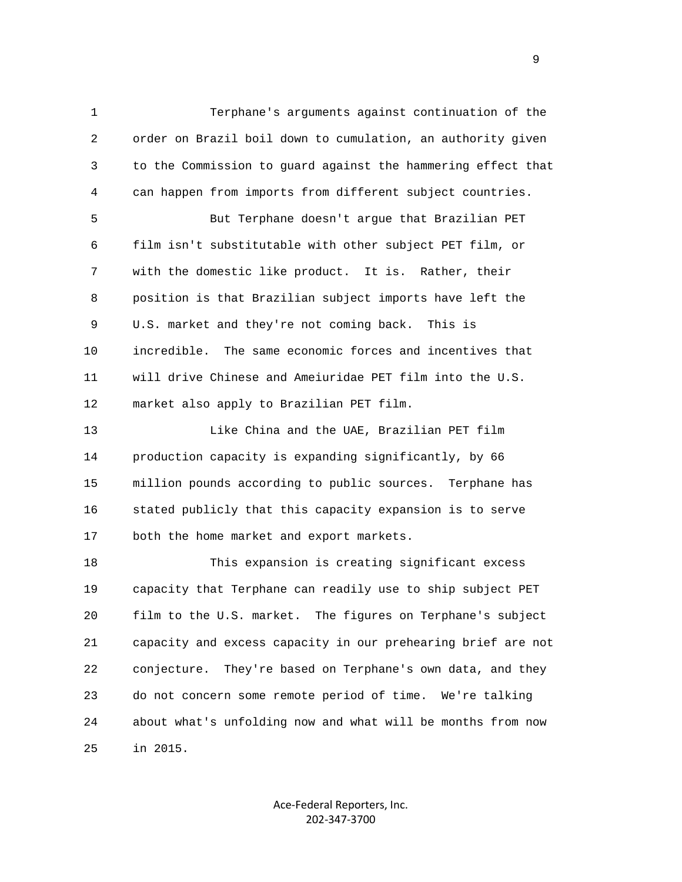1 Terphane's arguments against continuation of the 2 order on Brazil boil down to cumulation, an authority given 3 to the Commission to guard against the hammering effect that 4 can happen from imports from different subject countries.

 5 But Terphane doesn't argue that Brazilian PET 6 film isn't substitutable with other subject PET film, or 7 with the domestic like product. It is. Rather, their 8 position is that Brazilian subject imports have left the 9 U.S. market and they're not coming back. This is 10 incredible. The same economic forces and incentives that 11 will drive Chinese and Ameiuridae PET film into the U.S. 12 market also apply to Brazilian PET film.

 13 Like China and the UAE, Brazilian PET film 14 production capacity is expanding significantly, by 66 15 million pounds according to public sources. Terphane has 16 stated publicly that this capacity expansion is to serve 17 both the home market and export markets.

 18 This expansion is creating significant excess 19 capacity that Terphane can readily use to ship subject PET 20 film to the U.S. market. The figures on Terphane's subject 21 capacity and excess capacity in our prehearing brief are not 22 conjecture. They're based on Terphane's own data, and they 23 do not concern some remote period of time. We're talking 24 about what's unfolding now and what will be months from now 25 in 2015.

> Ace‐Federal Reporters, Inc. 202‐347‐3700

en de la provincia de la provincia de la provincia de la provincia de la provincia de la provincia de la provi<br>1900 : la provincia de la provincia de la provincia de la provincia de la provincia de la provincia de la prov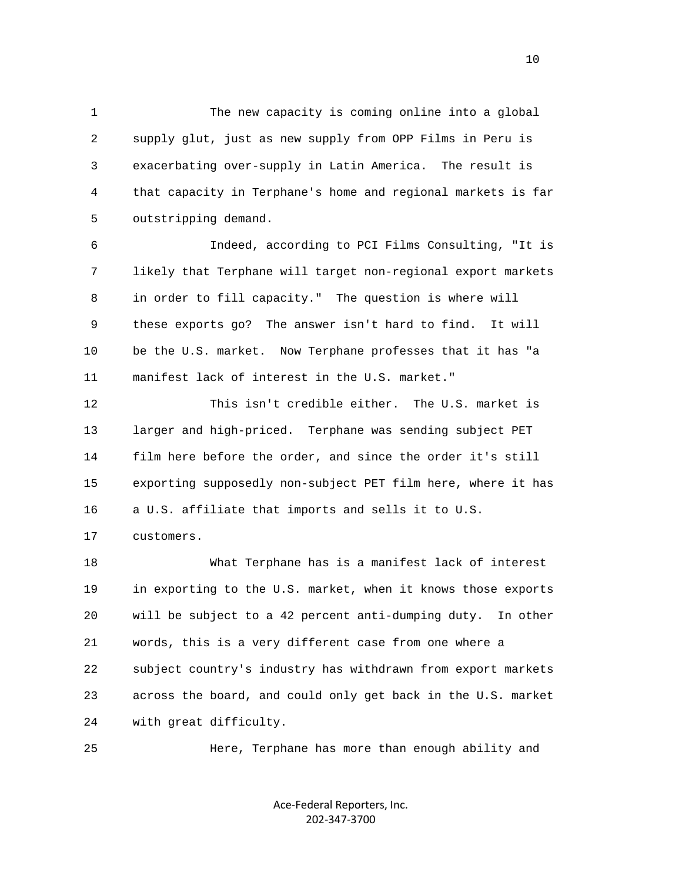1 The new capacity is coming online into a global 2 supply glut, just as new supply from OPP Films in Peru is 3 exacerbating over-supply in Latin America. The result is 4 that capacity in Terphane's home and regional markets is far 5 outstripping demand.

 6 Indeed, according to PCI Films Consulting, "It is 7 likely that Terphane will target non-regional export markets 8 in order to fill capacity." The question is where will 9 these exports go? The answer isn't hard to find. It will 10 be the U.S. market. Now Terphane professes that it has "a 11 manifest lack of interest in the U.S. market."

 12 This isn't credible either. The U.S. market is 13 larger and high-priced. Terphane was sending subject PET 14 film here before the order, and since the order it's still 15 exporting supposedly non-subject PET film here, where it has 16 a U.S. affiliate that imports and sells it to U.S. 17 customers.

 18 What Terphane has is a manifest lack of interest 19 in exporting to the U.S. market, when it knows those exports 20 will be subject to a 42 percent anti-dumping duty. In other 21 words, this is a very different case from one where a 22 subject country's industry has withdrawn from export markets 23 across the board, and could only get back in the U.S. market 24 with great difficulty.

25 Here, Terphane has more than enough ability and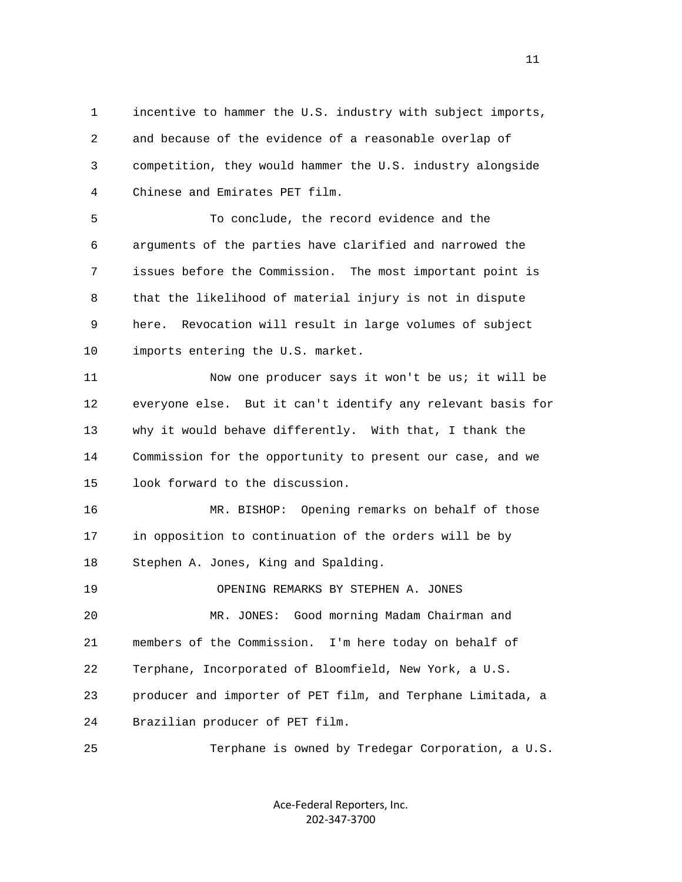1 incentive to hammer the U.S. industry with subject imports, 2 and because of the evidence of a reasonable overlap of 3 competition, they would hammer the U.S. industry alongside 4 Chinese and Emirates PET film.

 5 To conclude, the record evidence and the 6 arguments of the parties have clarified and narrowed the 7 issues before the Commission. The most important point is 8 that the likelihood of material injury is not in dispute 9 here. Revocation will result in large volumes of subject 10 imports entering the U.S. market.

 11 Now one producer says it won't be us; it will be 12 everyone else. But it can't identify any relevant basis for 13 why it would behave differently. With that, I thank the 14 Commission for the opportunity to present our case, and we 15 look forward to the discussion.

 16 MR. BISHOP: Opening remarks on behalf of those 17 in opposition to continuation of the orders will be by 18 Stephen A. Jones, King and Spalding.

 19 OPENING REMARKS BY STEPHEN A. JONES 20 MR. JONES: Good morning Madam Chairman and 21 members of the Commission. I'm here today on behalf of 22 Terphane, Incorporated of Bloomfield, New York, a U.S. 23 producer and importer of PET film, and Terphane Limitada, a 24 Brazilian producer of PET film.

25 Terphane is owned by Tredegar Corporation, a U.S.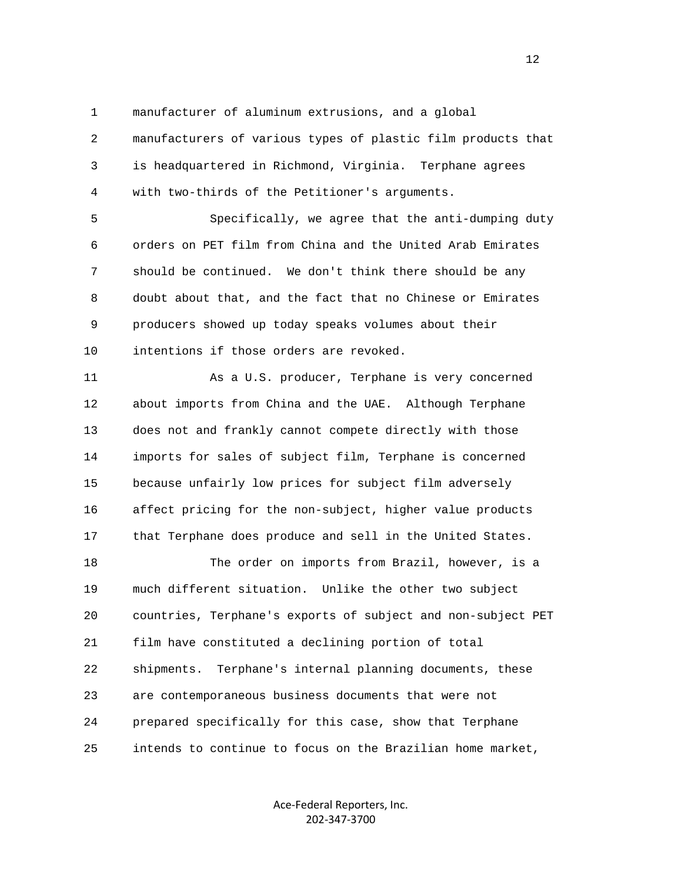1 manufacturer of aluminum extrusions, and a global

 2 manufacturers of various types of plastic film products that 3 is headquartered in Richmond, Virginia. Terphane agrees 4 with two-thirds of the Petitioner's arguments.

 5 Specifically, we agree that the anti-dumping duty 6 orders on PET film from China and the United Arab Emirates 7 should be continued. We don't think there should be any 8 doubt about that, and the fact that no Chinese or Emirates 9 producers showed up today speaks volumes about their 10 intentions if those orders are revoked.

 11 As a U.S. producer, Terphane is very concerned 12 about imports from China and the UAE. Although Terphane 13 does not and frankly cannot compete directly with those 14 imports for sales of subject film, Terphane is concerned 15 because unfairly low prices for subject film adversely 16 affect pricing for the non-subject, higher value products 17 that Terphane does produce and sell in the United States.

 18 The order on imports from Brazil, however, is a 19 much different situation. Unlike the other two subject 20 countries, Terphane's exports of subject and non-subject PET 21 film have constituted a declining portion of total 22 shipments. Terphane's internal planning documents, these 23 are contemporaneous business documents that were not 24 prepared specifically for this case, show that Terphane 25 intends to continue to focus on the Brazilian home market,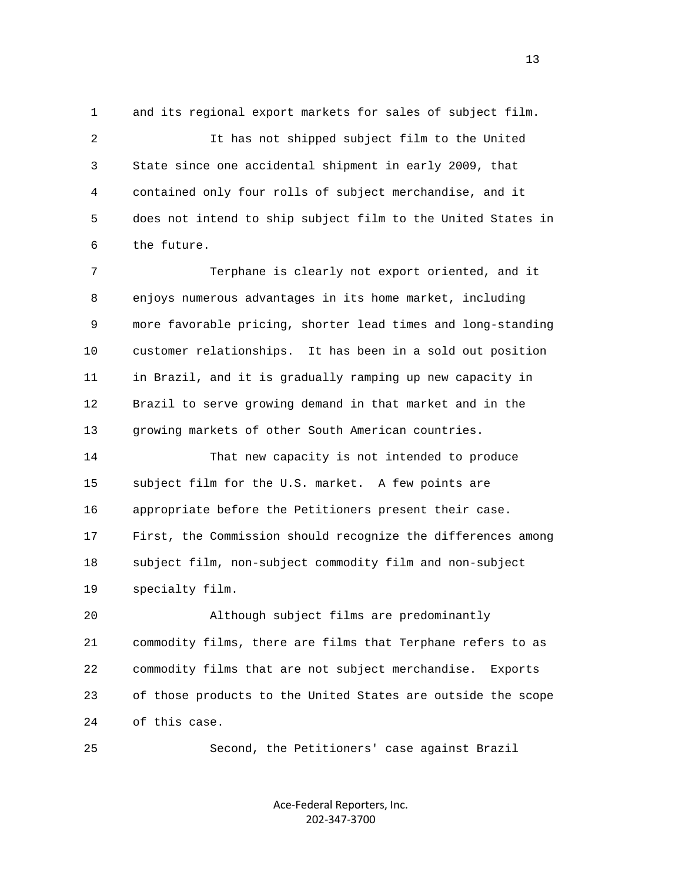1 and its regional export markets for sales of subject film. 2 It has not shipped subject film to the United 3 State since one accidental shipment in early 2009, that 4 contained only four rolls of subject merchandise, and it 5 does not intend to ship subject film to the United States in 6 the future.

 7 Terphane is clearly not export oriented, and it 8 enjoys numerous advantages in its home market, including 9 more favorable pricing, shorter lead times and long-standing 10 customer relationships. It has been in a sold out position 11 in Brazil, and it is gradually ramping up new capacity in 12 Brazil to serve growing demand in that market and in the 13 growing markets of other South American countries.

 14 That new capacity is not intended to produce 15 subject film for the U.S. market. A few points are 16 appropriate before the Petitioners present their case. 17 First, the Commission should recognize the differences among 18 subject film, non-subject commodity film and non-subject 19 specialty film.

 20 Although subject films are predominantly 21 commodity films, there are films that Terphane refers to as 22 commodity films that are not subject merchandise. Exports 23 of those products to the United States are outside the scope 24 of this case.

25 Second, the Petitioners' case against Brazil

Ace‐Federal Reporters, Inc. 202‐347‐3700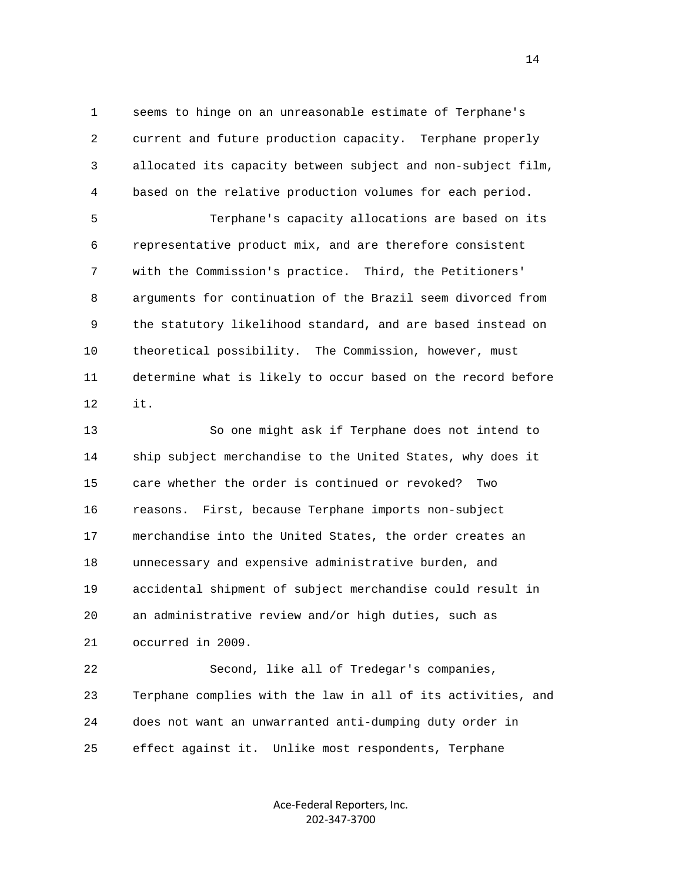1 seems to hinge on an unreasonable estimate of Terphane's 2 current and future production capacity. Terphane properly 3 allocated its capacity between subject and non-subject film, 4 based on the relative production volumes for each period. 5 Terphane's capacity allocations are based on its 6 representative product mix, and are therefore consistent 7 with the Commission's practice. Third, the Petitioners' 8 arguments for continuation of the Brazil seem divorced from 9 the statutory likelihood standard, and are based instead on

 10 theoretical possibility. The Commission, however, must 11 determine what is likely to occur based on the record before 12 it.

 13 So one might ask if Terphane does not intend to 14 ship subject merchandise to the United States, why does it 15 care whether the order is continued or revoked? Two 16 reasons. First, because Terphane imports non-subject 17 merchandise into the United States, the order creates an 18 unnecessary and expensive administrative burden, and 19 accidental shipment of subject merchandise could result in 20 an administrative review and/or high duties, such as 21 occurred in 2009.

 22 Second, like all of Tredegar's companies, 23 Terphane complies with the law in all of its activities, and 24 does not want an unwarranted anti-dumping duty order in 25 effect against it. Unlike most respondents, Terphane

> Ace‐Federal Reporters, Inc. 202‐347‐3700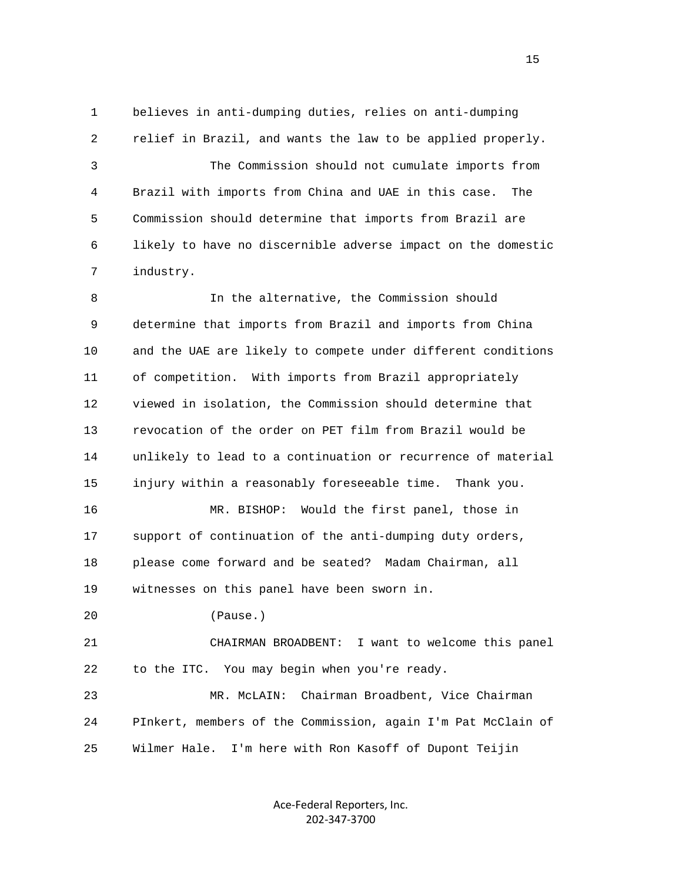1 believes in anti-dumping duties, relies on anti-dumping 2 relief in Brazil, and wants the law to be applied properly. 3 The Commission should not cumulate imports from 4 Brazil with imports from China and UAE in this case. The 5 Commission should determine that imports from Brazil are 6 likely to have no discernible adverse impact on the domestic 7 industry.

 8 In the alternative, the Commission should 9 determine that imports from Brazil and imports from China 10 and the UAE are likely to compete under different conditions 11 of competition. With imports from Brazil appropriately 12 viewed in isolation, the Commission should determine that 13 revocation of the order on PET film from Brazil would be 14 unlikely to lead to a continuation or recurrence of material 15 injury within a reasonably foreseeable time. Thank you. 16 MR. BISHOP: Would the first panel, those in 17 support of continuation of the anti-dumping duty orders, 18 please come forward and be seated? Madam Chairman, all 19 witnesses on this panel have been sworn in. 20 (Pause.) 21 CHAIRMAN BROADBENT: I want to welcome this panel 22 to the ITC. You may begin when you're ready. 23 MR. McLAIN: Chairman Broadbent, Vice Chairman 24 PInkert, members of the Commission, again I'm Pat McClain of 25 Wilmer Hale. I'm here with Ron Kasoff of Dupont Teijin

> Ace‐Federal Reporters, Inc. 202‐347‐3700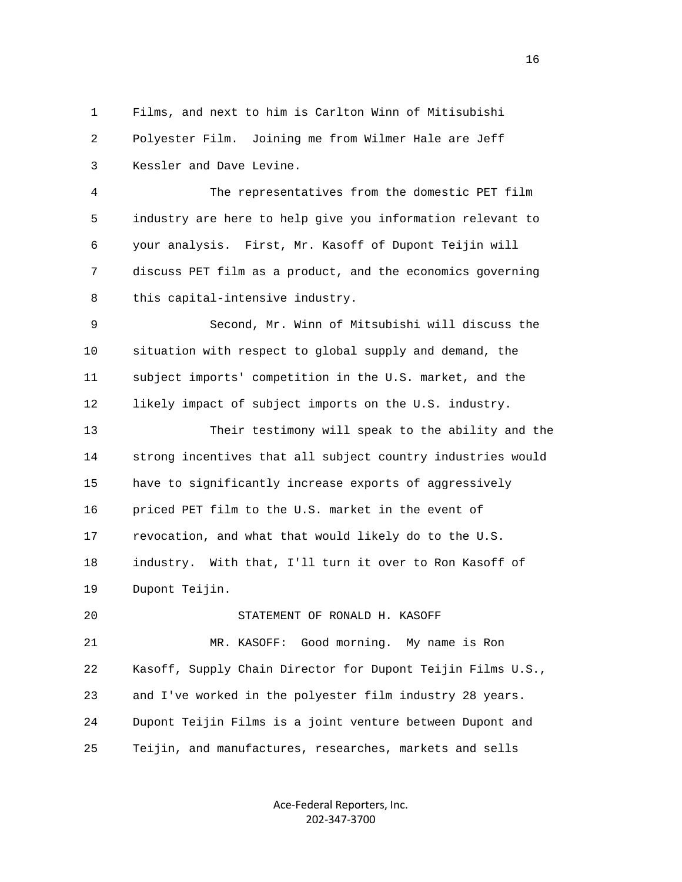1 Films, and next to him is Carlton Winn of Mitisubishi 2 Polyester Film. Joining me from Wilmer Hale are Jeff 3 Kessler and Dave Levine.

 4 The representatives from the domestic PET film 5 industry are here to help give you information relevant to 6 your analysis. First, Mr. Kasoff of Dupont Teijin will 7 discuss PET film as a product, and the economics governing 8 this capital-intensive industry.

 9 Second, Mr. Winn of Mitsubishi will discuss the 10 situation with respect to global supply and demand, the 11 subject imports' competition in the U.S. market, and the 12 likely impact of subject imports on the U.S. industry.

 13 Their testimony will speak to the ability and the 14 strong incentives that all subject country industries would 15 have to significantly increase exports of aggressively 16 priced PET film to the U.S. market in the event of 17 revocation, and what that would likely do to the U.S. 18 industry. With that, I'll turn it over to Ron Kasoff of 19 Dupont Teijin.

 21 MR. KASOFF: Good morning. My name is Ron 22 Kasoff, Supply Chain Director for Dupont Teijin Films U.S., 23 and I've worked in the polyester film industry 28 years. 24 Dupont Teijin Films is a joint venture between Dupont and 25 Teijin, and manufactures, researches, markets and sells

20 STATEMENT OF RONALD H. KASOFF

Ace‐Federal Reporters, Inc. 202‐347‐3700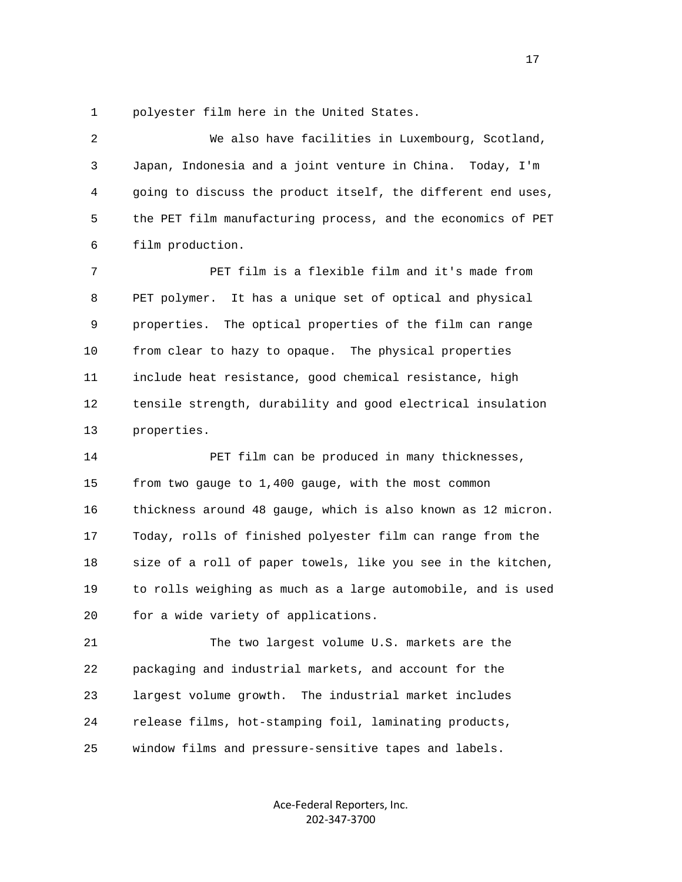1 polyester film here in the United States.

 2 We also have facilities in Luxembourg, Scotland, 3 Japan, Indonesia and a joint venture in China. Today, I'm 4 going to discuss the product itself, the different end uses, 5 the PET film manufacturing process, and the economics of PET 6 film production. 7 PET film is a flexible film and it's made from 8 PET polymer. It has a unique set of optical and physical 9 properties. The optical properties of the film can range 10 from clear to hazy to opaque. The physical properties 11 include heat resistance, good chemical resistance, high 12 tensile strength, durability and good electrical insulation

13 properties.

 14 PET film can be produced in many thicknesses, 15 from two gauge to 1,400 gauge, with the most common 16 thickness around 48 gauge, which is also known as 12 micron. 17 Today, rolls of finished polyester film can range from the 18 size of a roll of paper towels, like you see in the kitchen, 19 to rolls weighing as much as a large automobile, and is used 20 for a wide variety of applications.

 21 The two largest volume U.S. markets are the 22 packaging and industrial markets, and account for the 23 largest volume growth. The industrial market includes 24 release films, hot-stamping foil, laminating products, 25 window films and pressure-sensitive tapes and labels.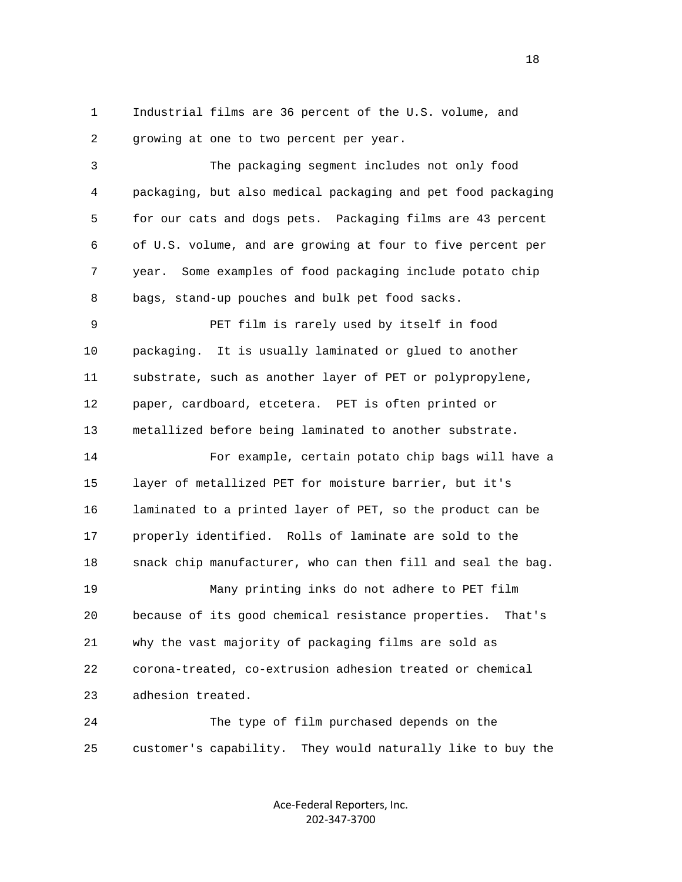1 Industrial films are 36 percent of the U.S. volume, and 2 growing at one to two percent per year.

 3 The packaging segment includes not only food 4 packaging, but also medical packaging and pet food packaging 5 for our cats and dogs pets. Packaging films are 43 percent 6 of U.S. volume, and are growing at four to five percent per 7 year. Some examples of food packaging include potato chip 8 bags, stand-up pouches and bulk pet food sacks.

 9 PET film is rarely used by itself in food 10 packaging. It is usually laminated or glued to another 11 substrate, such as another layer of PET or polypropylene, 12 paper, cardboard, etcetera. PET is often printed or 13 metallized before being laminated to another substrate.

 14 For example, certain potato chip bags will have a 15 layer of metallized PET for moisture barrier, but it's 16 laminated to a printed layer of PET, so the product can be 17 properly identified. Rolls of laminate are sold to the 18 snack chip manufacturer, who can then fill and seal the bag. 19 Many printing inks do not adhere to PET film 20 because of its good chemical resistance properties. That's 21 why the vast majority of packaging films are sold as 22 corona-treated, co-extrusion adhesion treated or chemical 23 adhesion treated.

 24 The type of film purchased depends on the 25 customer's capability. They would naturally like to buy the

> Ace‐Federal Reporters, Inc. 202‐347‐3700

n 18 ann an 18 an t-Iomraid ann an 18 an t-Iomraid ann an 18 an t-Iomraid ann an 18 an t-Iomraid ann an 18 an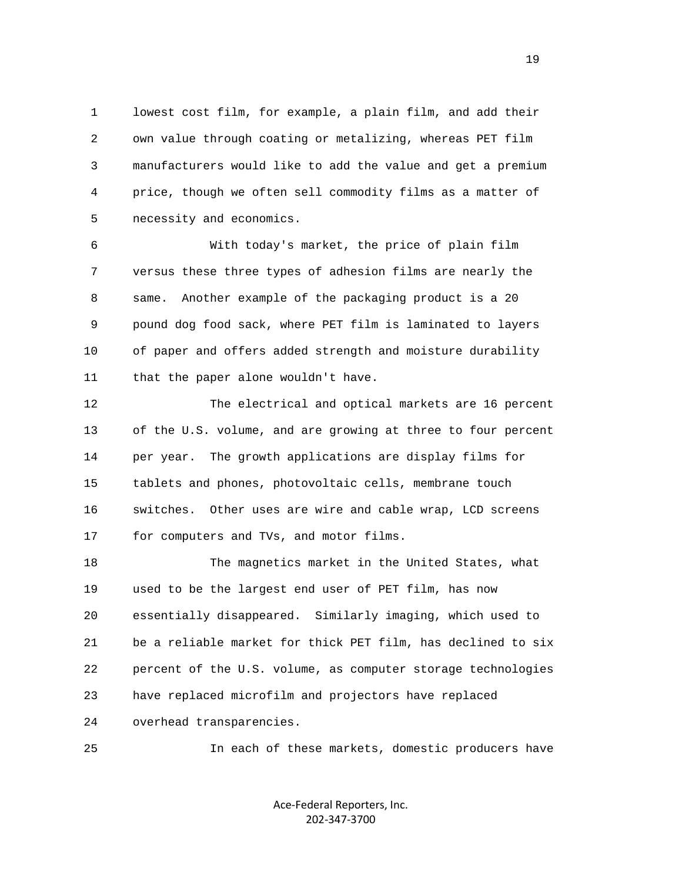1 lowest cost film, for example, a plain film, and add their 2 own value through coating or metalizing, whereas PET film 3 manufacturers would like to add the value and get a premium 4 price, though we often sell commodity films as a matter of 5 necessity and economics.

 6 With today's market, the price of plain film 7 versus these three types of adhesion films are nearly the 8 same. Another example of the packaging product is a 20 9 pound dog food sack, where PET film is laminated to layers 10 of paper and offers added strength and moisture durability 11 that the paper alone wouldn't have.

 12 The electrical and optical markets are 16 percent 13 of the U.S. volume, and are growing at three to four percent 14 per year. The growth applications are display films for 15 tablets and phones, photovoltaic cells, membrane touch 16 switches. Other uses are wire and cable wrap, LCD screens 17 for computers and TVs, and motor films.

 18 The magnetics market in the United States, what 19 used to be the largest end user of PET film, has now 20 essentially disappeared. Similarly imaging, which used to 21 be a reliable market for thick PET film, has declined to six 22 percent of the U.S. volume, as computer storage technologies 23 have replaced microfilm and projectors have replaced 24 overhead transparencies.

25 In each of these markets, domestic producers have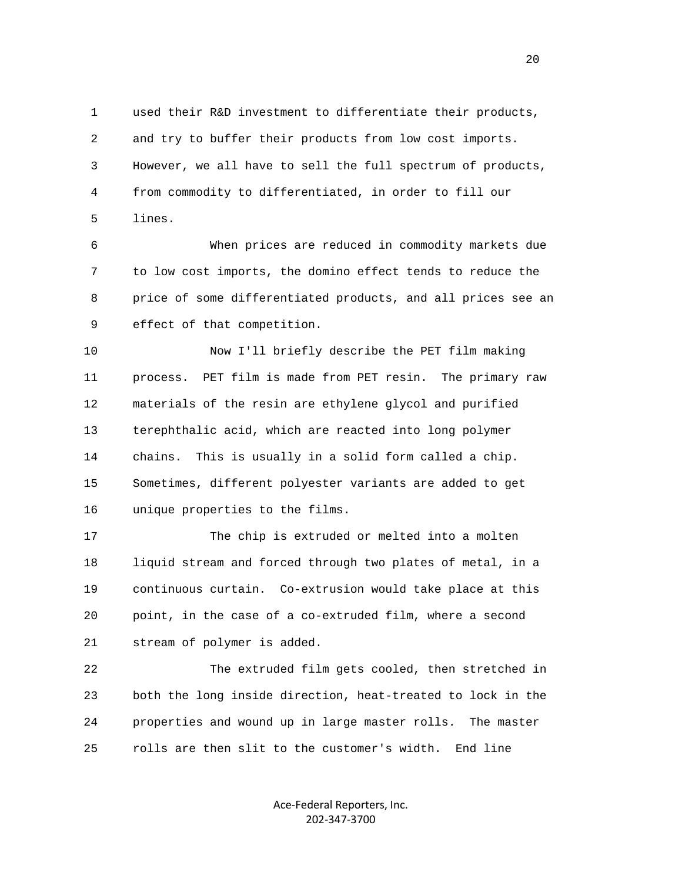1 used their R&D investment to differentiate their products, 2 and try to buffer their products from low cost imports. 3 However, we all have to sell the full spectrum of products, 4 from commodity to differentiated, in order to fill our 5 lines.

 6 When prices are reduced in commodity markets due 7 to low cost imports, the domino effect tends to reduce the 8 price of some differentiated products, and all prices see an 9 effect of that competition.

 10 Now I'll briefly describe the PET film making 11 process. PET film is made from PET resin. The primary raw 12 materials of the resin are ethylene glycol and purified 13 terephthalic acid, which are reacted into long polymer 14 chains. This is usually in a solid form called a chip. 15 Sometimes, different polyester variants are added to get 16 unique properties to the films.

 17 The chip is extruded or melted into a molten 18 liquid stream and forced through two plates of metal, in a 19 continuous curtain. Co-extrusion would take place at this 20 point, in the case of a co-extruded film, where a second 21 stream of polymer is added.

 22 The extruded film gets cooled, then stretched in 23 both the long inside direction, heat-treated to lock in the 24 properties and wound up in large master rolls. The master 25 rolls are then slit to the customer's width. End line

> Ace‐Federal Reporters, Inc. 202‐347‐3700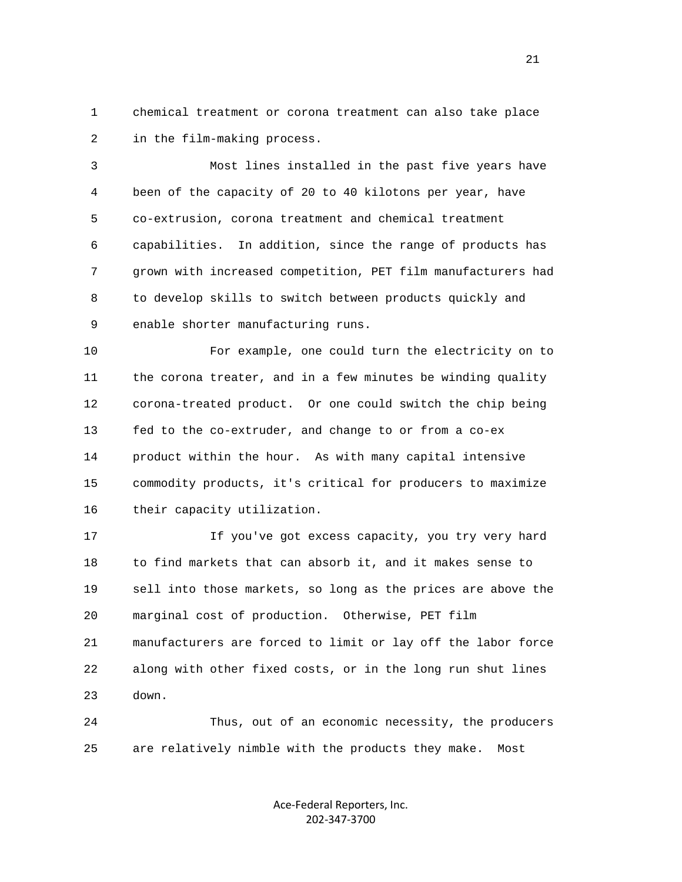1 chemical treatment or corona treatment can also take place 2 in the film-making process.

 3 Most lines installed in the past five years have 4 been of the capacity of 20 to 40 kilotons per year, have 5 co-extrusion, corona treatment and chemical treatment 6 capabilities. In addition, since the range of products has 7 grown with increased competition, PET film manufacturers had 8 to develop skills to switch between products quickly and 9 enable shorter manufacturing runs.

 10 For example, one could turn the electricity on to 11 the corona treater, and in a few minutes be winding quality 12 corona-treated product. Or one could switch the chip being 13 fed to the co-extruder, and change to or from a co-ex 14 product within the hour. As with many capital intensive 15 commodity products, it's critical for producers to maximize 16 their capacity utilization.

 17 If you've got excess capacity, you try very hard 18 to find markets that can absorb it, and it makes sense to 19 sell into those markets, so long as the prices are above the 20 marginal cost of production. Otherwise, PET film 21 manufacturers are forced to limit or lay off the labor force 22 along with other fixed costs, or in the long run shut lines 23 down.

 24 Thus, out of an economic necessity, the producers 25 are relatively nimble with the products they make. Most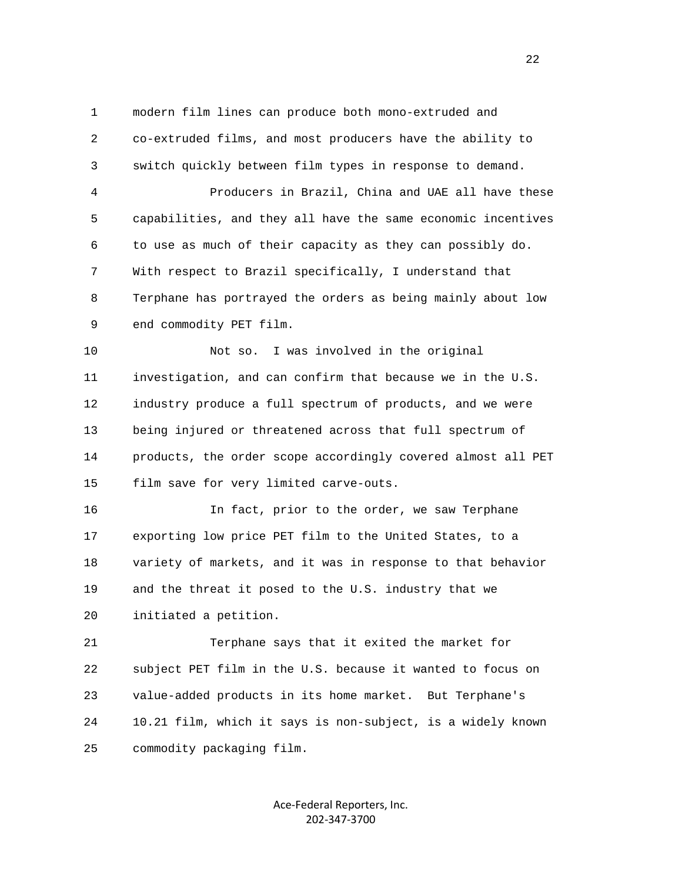1 modern film lines can produce both mono-extruded and 2 co-extruded films, and most producers have the ability to 3 switch quickly between film types in response to demand. 4 Producers in Brazil, China and UAE all have these 5 capabilities, and they all have the same economic incentives 6 to use as much of their capacity as they can possibly do. 7 With respect to Brazil specifically, I understand that 8 Terphane has portrayed the orders as being mainly about low 9 end commodity PET film. 10 Not so. I was involved in the original 11 investigation, and can confirm that because we in the U.S. 12 industry produce a full spectrum of products, and we were 13 being injured or threatened across that full spectrum of 14 products, the order scope accordingly covered almost all PET 15 film save for very limited carve-outs. 16 In fact, prior to the order, we saw Terphane 17 exporting low price PET film to the United States, to a 18 variety of markets, and it was in response to that behavior 19 and the threat it posed to the U.S. industry that we 20 initiated a petition.

 21 Terphane says that it exited the market for 22 subject PET film in the U.S. because it wanted to focus on 23 value-added products in its home market. But Terphane's 24 10.21 film, which it says is non-subject, is a widely known 25 commodity packaging film.

> Ace‐Federal Reporters, Inc. 202‐347‐3700

22 a set of the state of the state of the state of the state of the state of the state of the state of the state of the state of the state of the state of the state of the state of the state of the state of the state of th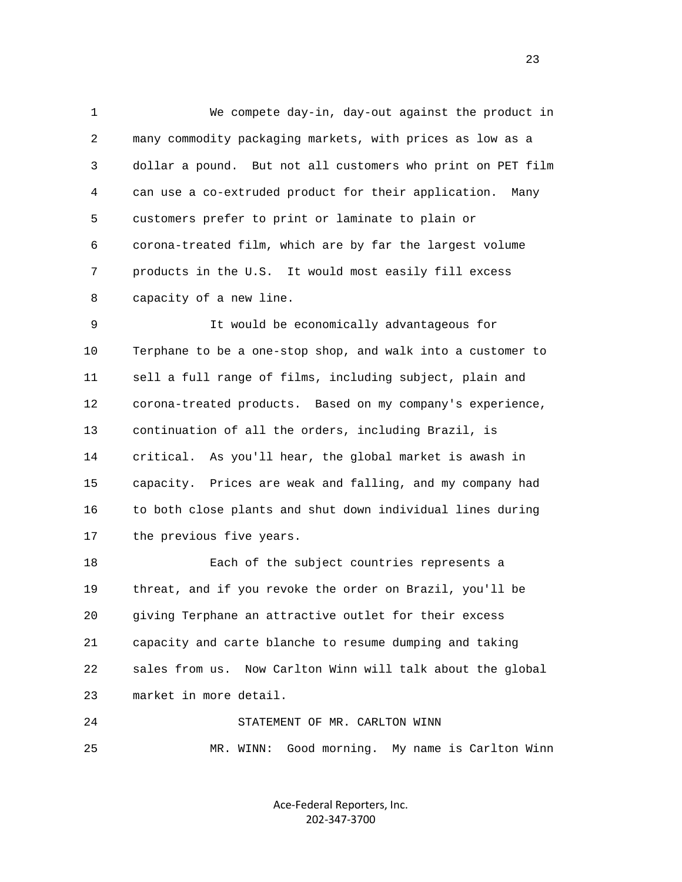1 We compete day-in, day-out against the product in 2 many commodity packaging markets, with prices as low as a 3 dollar a pound. But not all customers who print on PET film 4 can use a co-extruded product for their application. Many 5 customers prefer to print or laminate to plain or 6 corona-treated film, which are by far the largest volume 7 products in the U.S. It would most easily fill excess 8 capacity of a new line.

 9 It would be economically advantageous for 10 Terphane to be a one-stop shop, and walk into a customer to 11 sell a full range of films, including subject, plain and 12 corona-treated products. Based on my company's experience, 13 continuation of all the orders, including Brazil, is 14 critical. As you'll hear, the global market is awash in 15 capacity. Prices are weak and falling, and my company had 16 to both close plants and shut down individual lines during 17 the previous five years.

 18 Each of the subject countries represents a 19 threat, and if you revoke the order on Brazil, you'll be 20 giving Terphane an attractive outlet for their excess 21 capacity and carte blanche to resume dumping and taking 22 sales from us. Now Carlton Winn will talk about the global 23 market in more detail.

 24 STATEMENT OF MR. CARLTON WINN 25 MR. WINN: Good morning. My name is Carlton Winn

> Ace‐Federal Reporters, Inc. 202‐347‐3700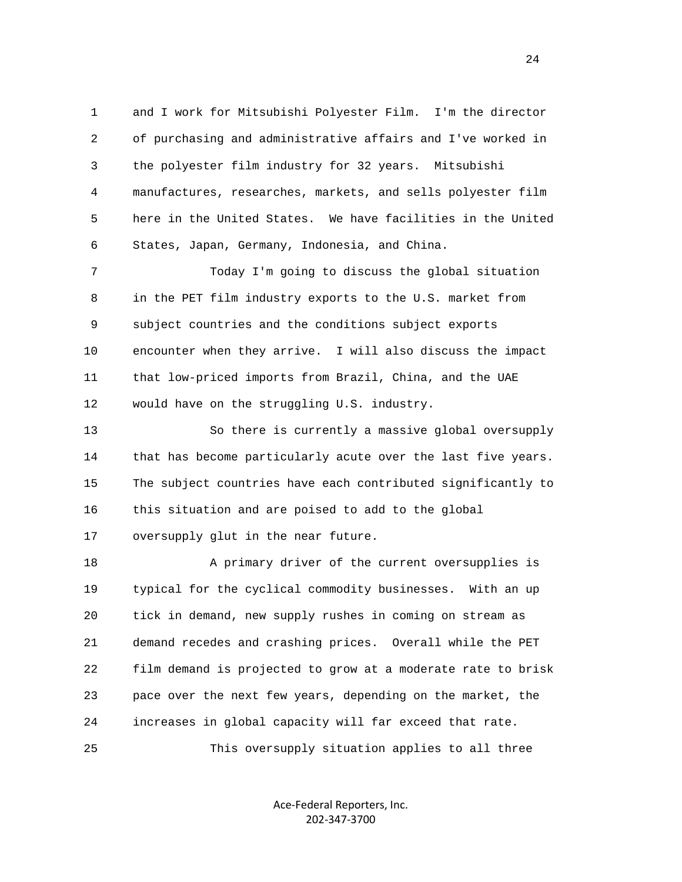1 and I work for Mitsubishi Polyester Film. I'm the director 2 of purchasing and administrative affairs and I've worked in 3 the polyester film industry for 32 years. Mitsubishi 4 manufactures, researches, markets, and sells polyester film 5 here in the United States. We have facilities in the United 6 States, Japan, Germany, Indonesia, and China.

 7 Today I'm going to discuss the global situation 8 in the PET film industry exports to the U.S. market from 9 subject countries and the conditions subject exports 10 encounter when they arrive. I will also discuss the impact 11 that low-priced imports from Brazil, China, and the UAE 12 would have on the struggling U.S. industry.

 13 So there is currently a massive global oversupply 14 that has become particularly acute over the last five years. 15 The subject countries have each contributed significantly to 16 this situation and are poised to add to the global 17 oversupply glut in the near future.

18 A primary driver of the current oversupplies is 19 typical for the cyclical commodity businesses. With an up 20 tick in demand, new supply rushes in coming on stream as 21 demand recedes and crashing prices. Overall while the PET 22 film demand is projected to grow at a moderate rate to brisk 23 pace over the next few years, depending on the market, the 24 increases in global capacity will far exceed that rate. 25 This oversupply situation applies to all three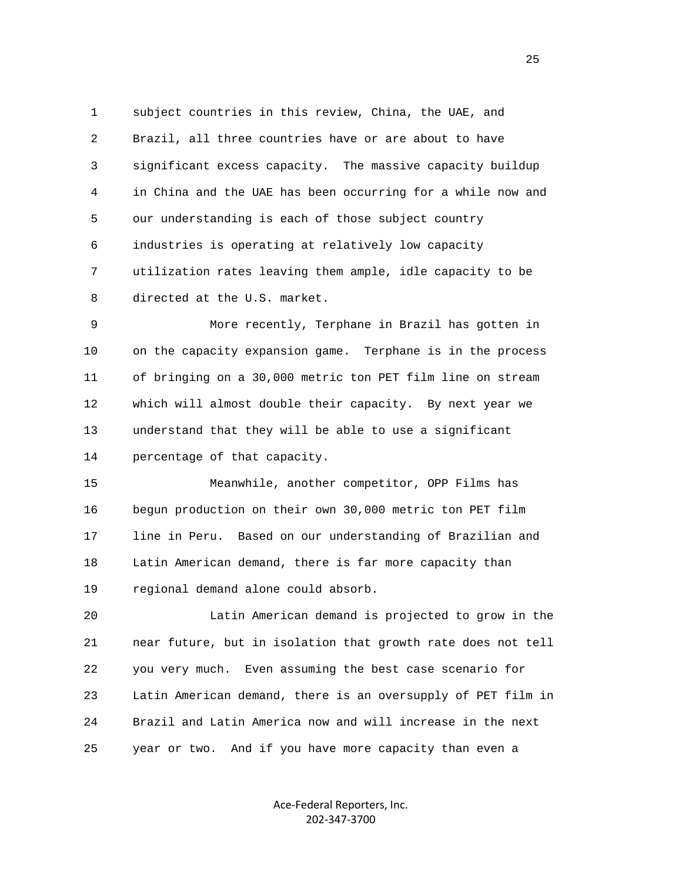1 subject countries in this review, China, the UAE, and 2 Brazil, all three countries have or are about to have 3 significant excess capacity. The massive capacity buildup 4 in China and the UAE has been occurring for a while now and 5 our understanding is each of those subject country 6 industries is operating at relatively low capacity 7 utilization rates leaving them ample, idle capacity to be 8 directed at the U.S. market.

 9 More recently, Terphane in Brazil has gotten in 10 on the capacity expansion game. Terphane is in the process 11 of bringing on a 30,000 metric ton PET film line on stream 12 which will almost double their capacity. By next year we 13 understand that they will be able to use a significant 14 percentage of that capacity.

 15 Meanwhile, another competitor, OPP Films has 16 begun production on their own 30,000 metric ton PET film 17 line in Peru. Based on our understanding of Brazilian and 18 Latin American demand, there is far more capacity than 19 regional demand alone could absorb.

 20 Latin American demand is projected to grow in the 21 near future, but in isolation that growth rate does not tell 22 you very much. Even assuming the best case scenario for 23 Latin American demand, there is an oversupply of PET film in 24 Brazil and Latin America now and will increase in the next 25 year or two. And if you have more capacity than even a

> Ace‐Federal Reporters, Inc. 202‐347‐3700

25 and 25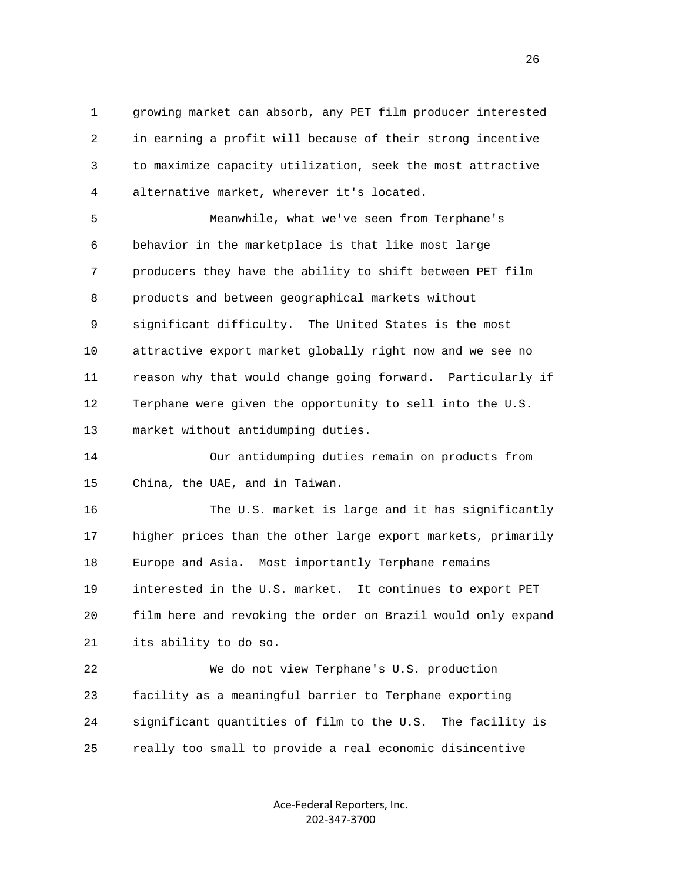1 growing market can absorb, any PET film producer interested 2 in earning a profit will because of their strong incentive 3 to maximize capacity utilization, seek the most attractive 4 alternative market, wherever it's located.

 5 Meanwhile, what we've seen from Terphane's 6 behavior in the marketplace is that like most large 7 producers they have the ability to shift between PET film 8 products and between geographical markets without 9 significant difficulty. The United States is the most 10 attractive export market globally right now and we see no 11 reason why that would change going forward. Particularly if 12 Terphane were given the opportunity to sell into the U.S. 13 market without antidumping duties.

 14 Our antidumping duties remain on products from 15 China, the UAE, and in Taiwan.

 16 The U.S. market is large and it has significantly 17 higher prices than the other large export markets, primarily 18 Europe and Asia. Most importantly Terphane remains 19 interested in the U.S. market. It continues to export PET 20 film here and revoking the order on Brazil would only expand 21 its ability to do so.

 22 We do not view Terphane's U.S. production 23 facility as a meaningful barrier to Terphane exporting 24 significant quantities of film to the U.S. The facility is 25 really too small to provide a real economic disincentive

> Ace‐Federal Reporters, Inc. 202‐347‐3700

<u>26</u>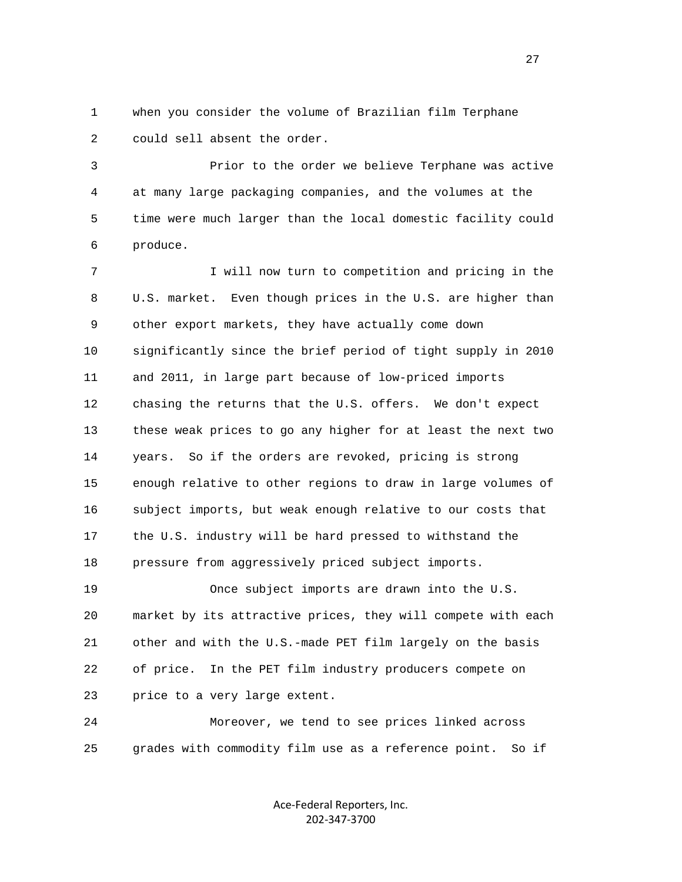1 when you consider the volume of Brazilian film Terphane 2 could sell absent the order.

 3 Prior to the order we believe Terphane was active 4 at many large packaging companies, and the volumes at the 5 time were much larger than the local domestic facility could 6 produce.

 7 I will now turn to competition and pricing in the 8 U.S. market. Even though prices in the U.S. are higher than 9 other export markets, they have actually come down 10 significantly since the brief period of tight supply in 2010 11 and 2011, in large part because of low-priced imports 12 chasing the returns that the U.S. offers. We don't expect 13 these weak prices to go any higher for at least the next two 14 years. So if the orders are revoked, pricing is strong 15 enough relative to other regions to draw in large volumes of 16 subject imports, but weak enough relative to our costs that 17 the U.S. industry will be hard pressed to withstand the 18 pressure from aggressively priced subject imports. 19 Once subject imports are drawn into the U.S. 20 market by its attractive prices, they will compete with each 21 other and with the U.S.-made PET film largely on the basis 22 of price. In the PET film industry producers compete on 23 price to a very large extent.

 24 Moreover, we tend to see prices linked across 25 grades with commodity film use as a reference point. So if

> Ace‐Federal Reporters, Inc. 202‐347‐3700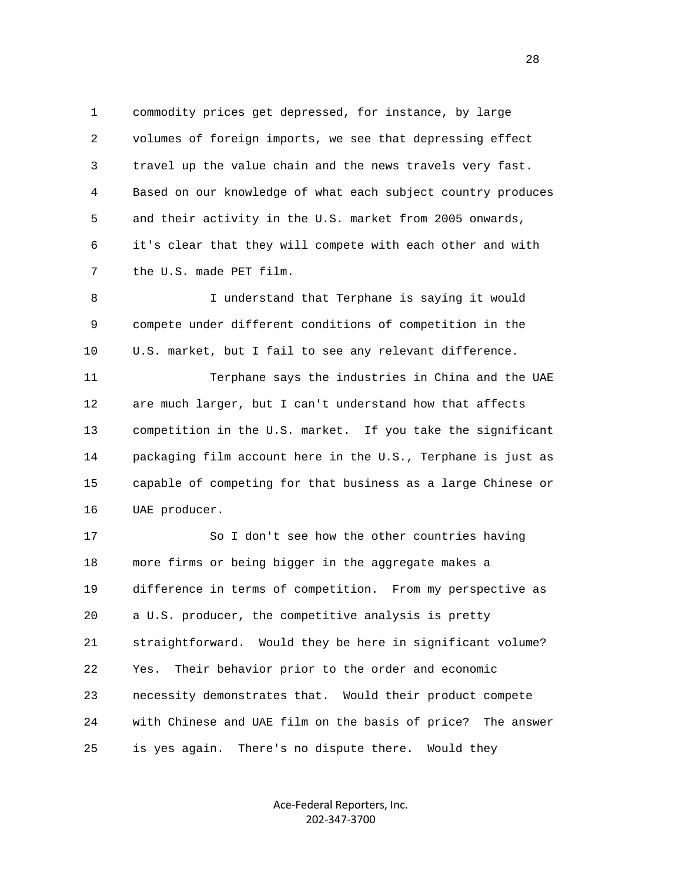1 commodity prices get depressed, for instance, by large 2 volumes of foreign imports, we see that depressing effect 3 travel up the value chain and the news travels very fast. 4 Based on our knowledge of what each subject country produces 5 and their activity in the U.S. market from 2005 onwards, 6 it's clear that they will compete with each other and with 7 the U.S. made PET film.

 8 I understand that Terphane is saying it would 9 compete under different conditions of competition in the 10 U.S. market, but I fail to see any relevant difference.

 11 Terphane says the industries in China and the UAE 12 are much larger, but I can't understand how that affects 13 competition in the U.S. market. If you take the significant 14 packaging film account here in the U.S., Terphane is just as 15 capable of competing for that business as a large Chinese or 16 UAE producer.

17 So I don't see how the other countries having 18 more firms or being bigger in the aggregate makes a 19 difference in terms of competition. From my perspective as 20 a U.S. producer, the competitive analysis is pretty 21 straightforward. Would they be here in significant volume? 22 Yes. Their behavior prior to the order and economic 23 necessity demonstrates that. Would their product compete 24 with Chinese and UAE film on the basis of price? The answer 25 is yes again. There's no dispute there. Would they

> Ace‐Federal Reporters, Inc. 202‐347‐3700

28 and 28 and 28 and 28 and 28 and 28 and 28 and 28 and 28 and 28 and 28 and 28 and 28 and 28 and 28 and 28 and 28 and 28 and 28 and 28 and 28 and 28 and 28 and 28 and 28 and 28 and 28 and 28 and 28 and 28 and 28 and 28 an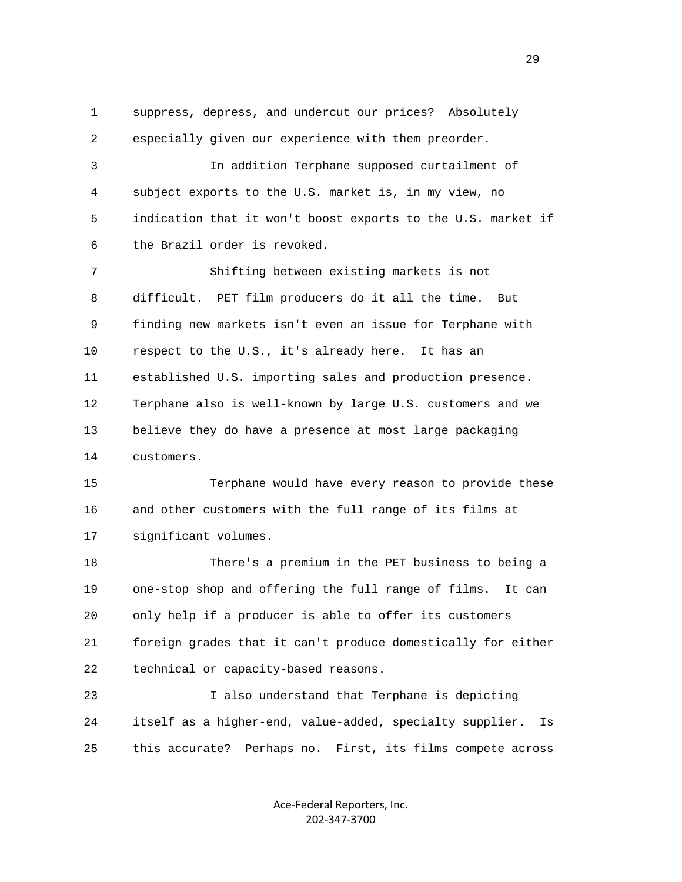1 suppress, depress, and undercut our prices? Absolutely 2 especially given our experience with them preorder. 3 In addition Terphane supposed curtailment of 4 subject exports to the U.S. market is, in my view, no 5 indication that it won't boost exports to the U.S. market if 6 the Brazil order is revoked. 7 Shifting between existing markets is not 8 difficult. PET film producers do it all the time. But 9 finding new markets isn't even an issue for Terphane with 10 respect to the U.S., it's already here. It has an 11 established U.S. importing sales and production presence. 12 Terphane also is well-known by large U.S. customers and we 13 believe they do have a presence at most large packaging 14 customers. 15 Terphane would have every reason to provide these 16 and other customers with the full range of its films at 17 significant volumes. 18 There's a premium in the PET business to being a 19 one-stop shop and offering the full range of films. It can 20 only help if a producer is able to offer its customers 21 foreign grades that it can't produce domestically for either 22 technical or capacity-based reasons. 23 I also understand that Terphane is depicting 24 itself as a higher-end, value-added, specialty supplier. Is 25 this accurate? Perhaps no. First, its films compete across

> Ace‐Federal Reporters, Inc. 202‐347‐3700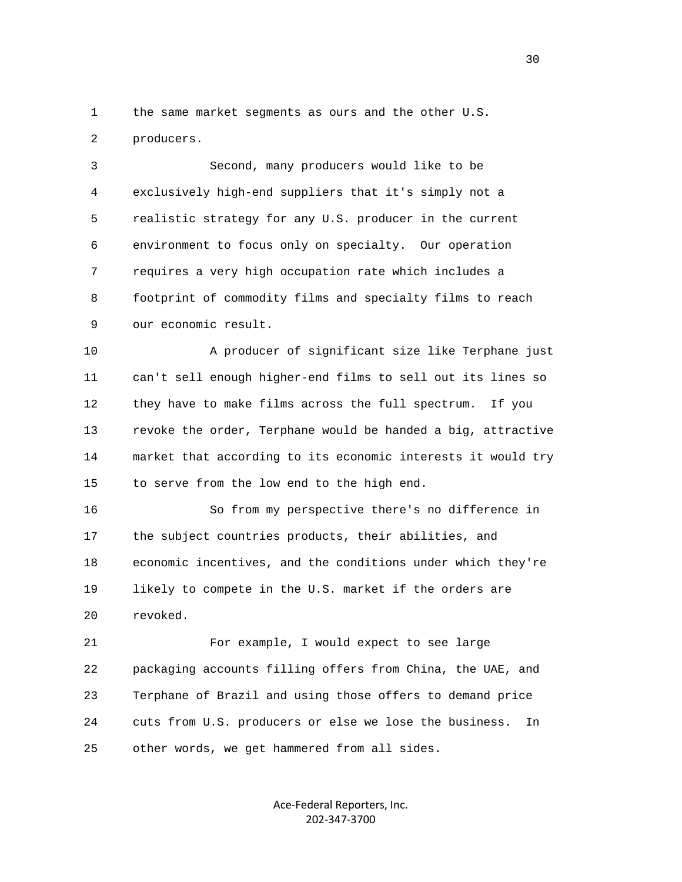1 the same market segments as ours and the other U.S. 2 producers.

 3 Second, many producers would like to be 4 exclusively high-end suppliers that it's simply not a 5 realistic strategy for any U.S. producer in the current 6 environment to focus only on specialty. Our operation 7 requires a very high occupation rate which includes a 8 footprint of commodity films and specialty films to reach 9 our economic result.

 10 A producer of significant size like Terphane just 11 can't sell enough higher-end films to sell out its lines so 12 they have to make films across the full spectrum. If you 13 revoke the order, Terphane would be handed a big, attractive 14 market that according to its economic interests it would try 15 to serve from the low end to the high end.

 16 So from my perspective there's no difference in 17 the subject countries products, their abilities, and 18 economic incentives, and the conditions under which they're 19 likely to compete in the U.S. market if the orders are 20 revoked.

 21 For example, I would expect to see large 22 packaging accounts filling offers from China, the UAE, and 23 Terphane of Brazil and using those offers to demand price 24 cuts from U.S. producers or else we lose the business. In 25 other words, we get hammered from all sides.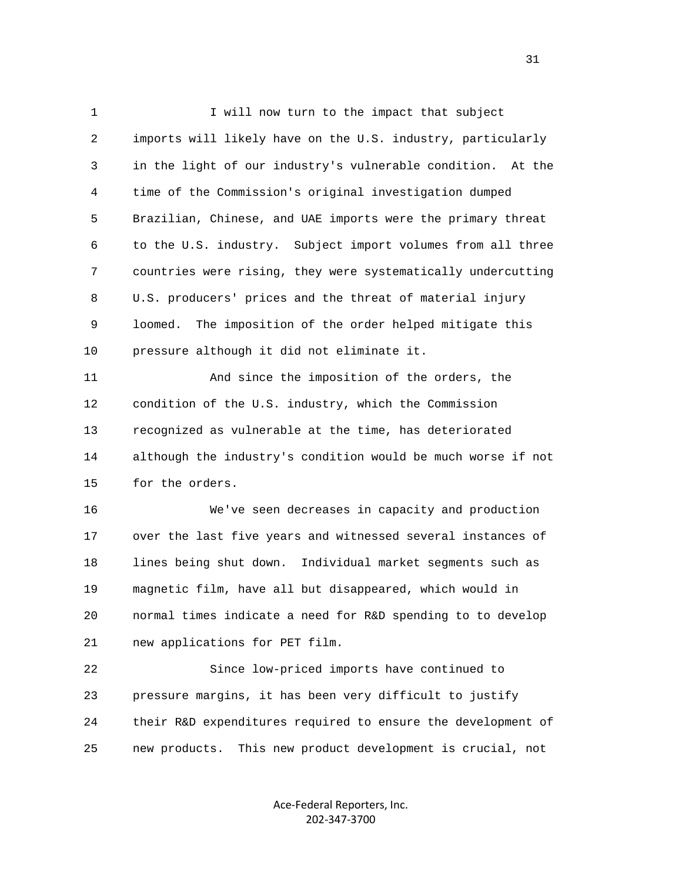1 I will now turn to the impact that subject 2 imports will likely have on the U.S. industry, particularly 3 in the light of our industry's vulnerable condition. At the 4 time of the Commission's original investigation dumped 5 Brazilian, Chinese, and UAE imports were the primary threat 6 to the U.S. industry. Subject import volumes from all three 7 countries were rising, they were systematically undercutting 8 U.S. producers' prices and the threat of material injury 9 loomed. The imposition of the order helped mitigate this 10 pressure although it did not eliminate it. 11 And since the imposition of the orders, the 12 condition of the U.S. industry, which the Commission 13 recognized as vulnerable at the time, has deteriorated 14 although the industry's condition would be much worse if not 15 for the orders. 16 We've seen decreases in capacity and production 17 over the last five years and witnessed several instances of 18 lines being shut down. Individual market segments such as 19 magnetic film, have all but disappeared, which would in 20 normal times indicate a need for R&D spending to to develop 21 new applications for PET film. 22 Since low-priced imports have continued to

 23 pressure margins, it has been very difficult to justify 24 their R&D expenditures required to ensure the development of 25 new products. This new product development is crucial, not

> Ace‐Federal Reporters, Inc. 202‐347‐3700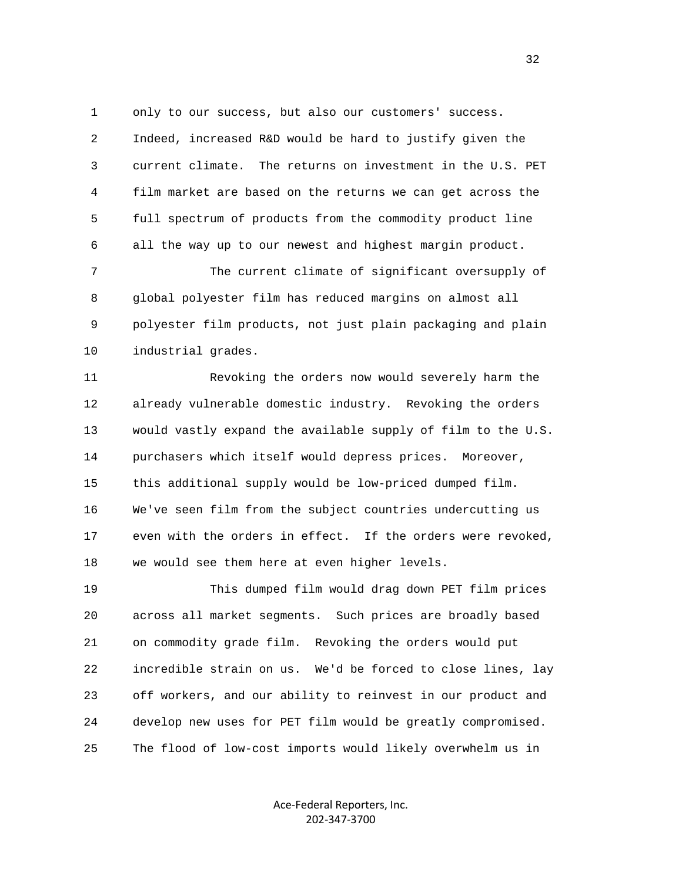1 only to our success, but also our customers' success.

 2 Indeed, increased R&D would be hard to justify given the 3 current climate. The returns on investment in the U.S. PET 4 film market are based on the returns we can get across the 5 full spectrum of products from the commodity product line 6 all the way up to our newest and highest margin product.

 7 The current climate of significant oversupply of 8 global polyester film has reduced margins on almost all 9 polyester film products, not just plain packaging and plain 10 industrial grades.

 11 Revoking the orders now would severely harm the 12 already vulnerable domestic industry. Revoking the orders 13 would vastly expand the available supply of film to the U.S. 14 purchasers which itself would depress prices. Moreover, 15 this additional supply would be low-priced dumped film. 16 We've seen film from the subject countries undercutting us 17 even with the orders in effect. If the orders were revoked, 18 we would see them here at even higher levels.

 19 This dumped film would drag down PET film prices 20 across all market segments. Such prices are broadly based 21 on commodity grade film. Revoking the orders would put 22 incredible strain on us. We'd be forced to close lines, lay 23 off workers, and our ability to reinvest in our product and 24 develop new uses for PET film would be greatly compromised. 25 The flood of low-cost imports would likely overwhelm us in

> Ace‐Federal Reporters, Inc. 202‐347‐3700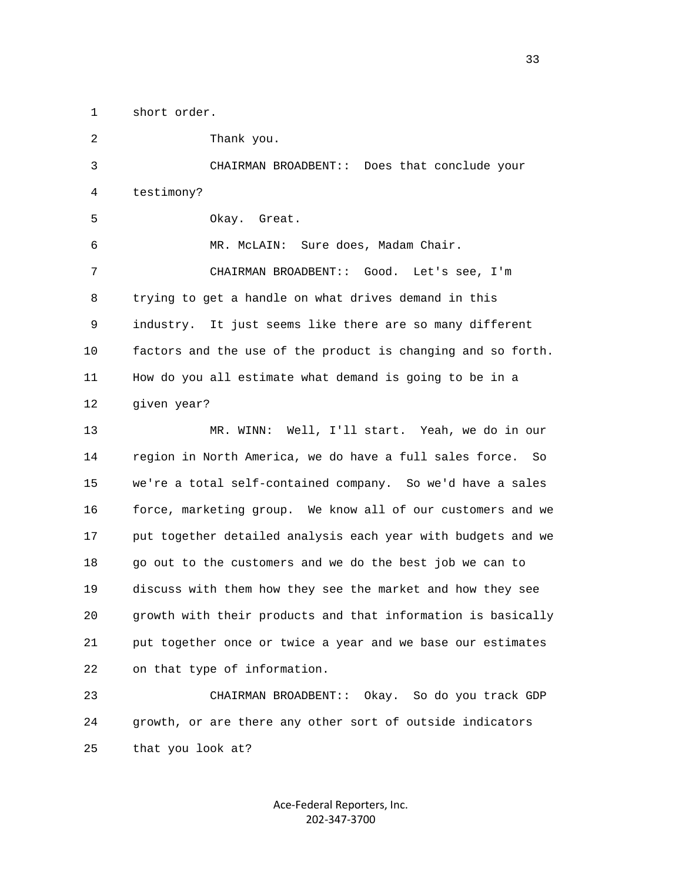1 short order.

 2 Thank you. 3 CHAIRMAN BROADBENT:: Does that conclude your 4 testimony? 5 Okay. Great. 6 MR. McLAIN: Sure does, Madam Chair. 7 CHAIRMAN BROADBENT:: Good. Let's see, I'm 8 trying to get a handle on what drives demand in this 9 industry. It just seems like there are so many different 10 factors and the use of the product is changing and so forth. 11 How do you all estimate what demand is going to be in a 12 given year? 13 MR. WINN: Well, I'll start. Yeah, we do in our 14 region in North America, we do have a full sales force. So 15 we're a total self-contained company. So we'd have a sales 16 force, marketing group. We know all of our customers and we 17 put together detailed analysis each year with budgets and we 18 go out to the customers and we do the best job we can to

 19 discuss with them how they see the market and how they see 20 growth with their products and that information is basically 21 put together once or twice a year and we base our estimates 22 on that type of information.

 23 CHAIRMAN BROADBENT:: Okay. So do you track GDP 24 growth, or are there any other sort of outside indicators 25 that you look at?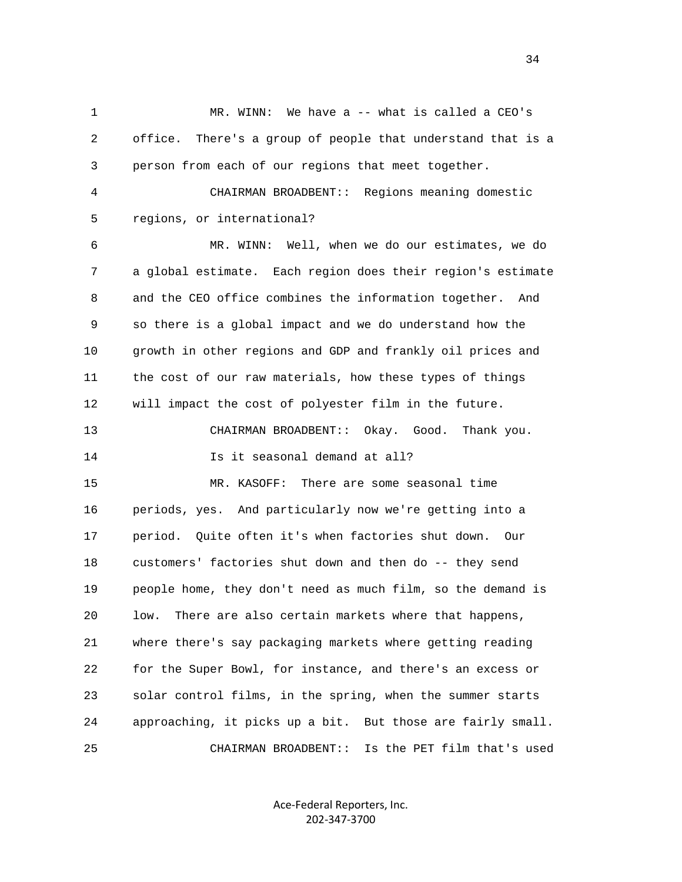1 MR. WINN: We have a -- what is called a CEO's 2 office. There's a group of people that understand that is a 3 person from each of our regions that meet together. 4 CHAIRMAN BROADBENT:: Regions meaning domestic 5 regions, or international? 6 MR. WINN: Well, when we do our estimates, we do 7 a global estimate. Each region does their region's estimate 8 and the CEO office combines the information together. And 9 so there is a global impact and we do understand how the 10 growth in other regions and GDP and frankly oil prices and 11 the cost of our raw materials, how these types of things 12 will impact the cost of polyester film in the future. 13 CHAIRMAN BROADBENT:: Okay. Good. Thank you. 14 **Is it seasonal demand at all?**  15 MR. KASOFF: There are some seasonal time 16 periods, yes. And particularly now we're getting into a 17 period. Quite often it's when factories shut down. Our 18 customers' factories shut down and then do -- they send 19 people home, they don't need as much film, so the demand is 20 low. There are also certain markets where that happens, 21 where there's say packaging markets where getting reading 22 for the Super Bowl, for instance, and there's an excess or 23 solar control films, in the spring, when the summer starts 24 approaching, it picks up a bit. But those are fairly small. 25 CHAIRMAN BROADBENT:: Is the PET film that's used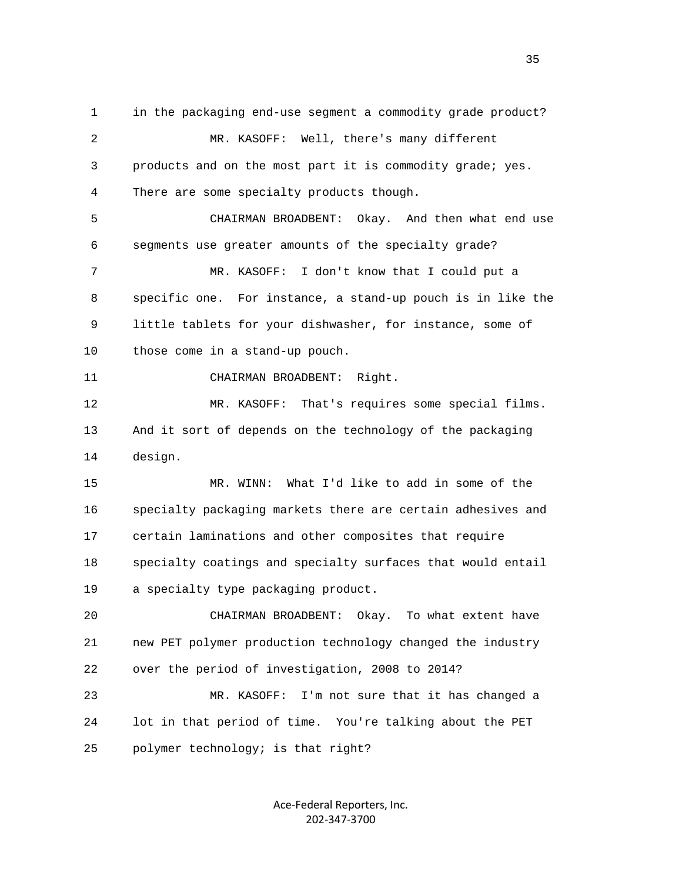1 in the packaging end-use segment a commodity grade product? 2 MR. KASOFF: Well, there's many different 3 products and on the most part it is commodity grade; yes. 4 There are some specialty products though. 5 CHAIRMAN BROADBENT: Okay. And then what end use 6 segments use greater amounts of the specialty grade? 7 MR. KASOFF: I don't know that I could put a 8 specific one. For instance, a stand-up pouch is in like the 9 little tablets for your dishwasher, for instance, some of 10 those come in a stand-up pouch. 11 CHAIRMAN BROADBENT: Right. 12 MR. KASOFF: That's requires some special films. 13 And it sort of depends on the technology of the packaging 14 design. 15 MR. WINN: What I'd like to add in some of the 16 specialty packaging markets there are certain adhesives and 17 certain laminations and other composites that require 18 specialty coatings and specialty surfaces that would entail 19 a specialty type packaging product. 20 CHAIRMAN BROADBENT: Okay. To what extent have 21 new PET polymer production technology changed the industry 22 over the period of investigation, 2008 to 2014? 23 MR. KASOFF: I'm not sure that it has changed a 24 lot in that period of time. You're talking about the PET 25 polymer technology; is that right?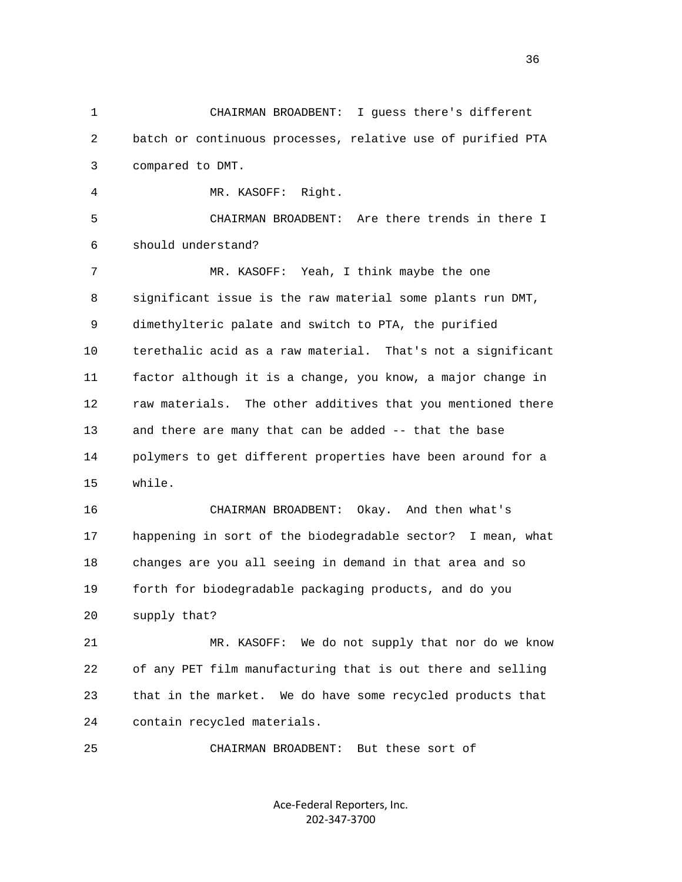1 CHAIRMAN BROADBENT: I guess there's different 2 batch or continuous processes, relative use of purified PTA 3 compared to DMT. 4 MR. KASOFF: Right. 5 CHAIRMAN BROADBENT: Are there trends in there I 6 should understand? 7 MR. KASOFF: Yeah, I think maybe the one 8 significant issue is the raw material some plants run DMT, 9 dimethylteric palate and switch to PTA, the purified 10 terethalic acid as a raw material. That's not a significant 11 factor although it is a change, you know, a major change in 12 raw materials. The other additives that you mentioned there 13 and there are many that can be added -- that the base 14 polymers to get different properties have been around for a 15 while. 16 CHAIRMAN BROADBENT: Okay. And then what's 17 happening in sort of the biodegradable sector? I mean, what 18 changes are you all seeing in demand in that area and so 19 forth for biodegradable packaging products, and do you 20 supply that? 21 MR. KASOFF: We do not supply that nor do we know 22 of any PET film manufacturing that is out there and selling 23 that in the market. We do have some recycled products that 24 contain recycled materials. 25 CHAIRMAN BROADBENT: But these sort of

> Ace‐Federal Reporters, Inc. 202‐347‐3700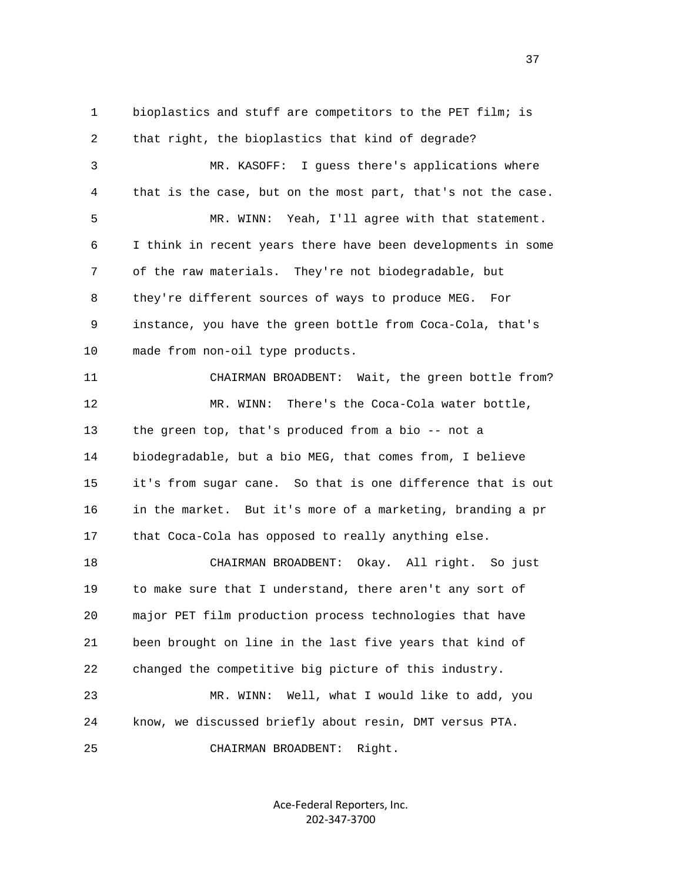1 bioplastics and stuff are competitors to the PET film; is 2 that right, the bioplastics that kind of degrade? 3 MR. KASOFF: I guess there's applications where 4 that is the case, but on the most part, that's not the case. 5 MR. WINN: Yeah, I'll agree with that statement. 6 I think in recent years there have been developments in some 7 of the raw materials. They're not biodegradable, but 8 they're different sources of ways to produce MEG. For 9 instance, you have the green bottle from Coca-Cola, that's 10 made from non-oil type products. 11 CHAIRMAN BROADBENT: Wait, the green bottle from? 12 MR. WINN: There's the Coca-Cola water bottle, 13 the green top, that's produced from a bio -- not a 14 biodegradable, but a bio MEG, that comes from, I believe 15 it's from sugar cane. So that is one difference that is out 16 in the market. But it's more of a marketing, branding a pr 17 that Coca-Cola has opposed to really anything else. 18 CHAIRMAN BROADBENT: Okay. All right. So just 19 to make sure that I understand, there aren't any sort of 20 major PET film production process technologies that have 21 been brought on line in the last five years that kind of 22 changed the competitive big picture of this industry. 23 MR. WINN: Well, what I would like to add, you 24 know, we discussed briefly about resin, DMT versus PTA. 25 CHAIRMAN BROADBENT: Right.

> Ace‐Federal Reporters, Inc. 202‐347‐3700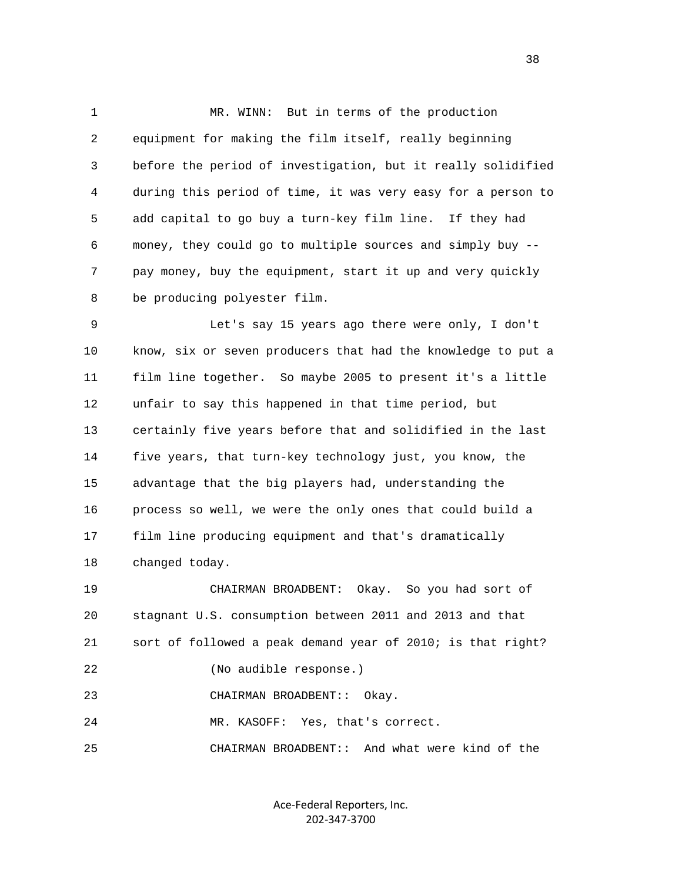1 MR. WINN: But in terms of the production 2 equipment for making the film itself, really beginning 3 before the period of investigation, but it really solidified 4 during this period of time, it was very easy for a person to 5 add capital to go buy a turn-key film line. If they had 6 money, they could go to multiple sources and simply buy -- 7 pay money, buy the equipment, start it up and very quickly 8 be producing polyester film.

 9 Let's say 15 years ago there were only, I don't 10 know, six or seven producers that had the knowledge to put a 11 film line together. So maybe 2005 to present it's a little 12 unfair to say this happened in that time period, but 13 certainly five years before that and solidified in the last 14 five years, that turn-key technology just, you know, the 15 advantage that the big players had, understanding the 16 process so well, we were the only ones that could build a 17 film line producing equipment and that's dramatically 18 changed today.

 19 CHAIRMAN BROADBENT: Okay. So you had sort of 20 stagnant U.S. consumption between 2011 and 2013 and that 21 sort of followed a peak demand year of 2010; is that right? 22 (No audible response.) 23 CHAIRMAN BROADBENT:: Okay.

24 MR. KASOFF: Yes, that's correct.

25 CHAIRMAN BROADBENT:: And what were kind of the

Ace‐Federal Reporters, Inc. 202‐347‐3700

and the state of the state of the state of the state of the state of the state of the state of the state of the state of the state of the state of the state of the state of the state of the state of the state of the state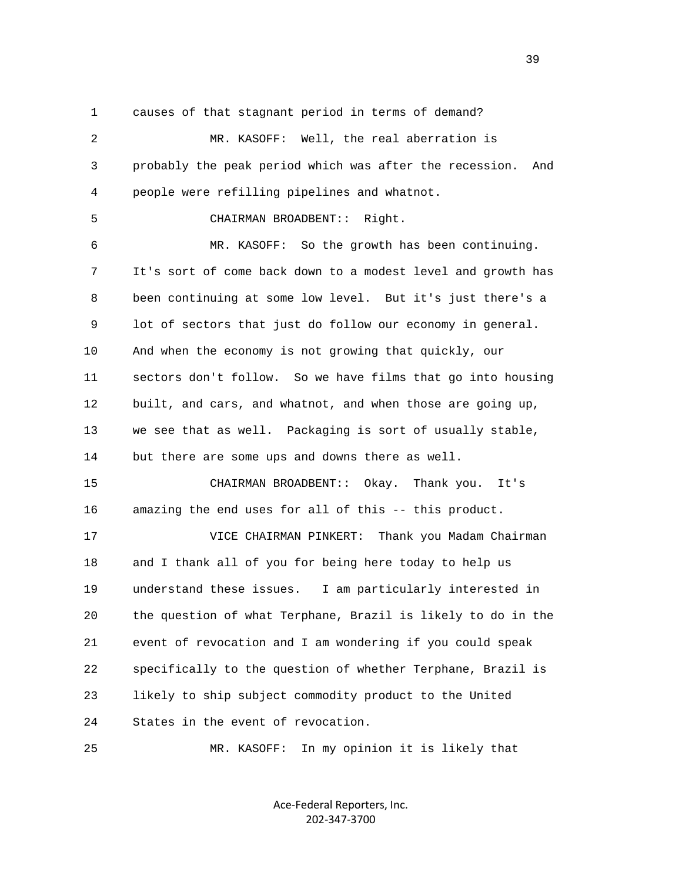1 causes of that stagnant period in terms of demand?

 2 MR. KASOFF: Well, the real aberration is 3 probably the peak period which was after the recession. And 4 people were refilling pipelines and whatnot. 5 CHAIRMAN BROADBENT:: Right. 6 MR. KASOFF: So the growth has been continuing. 7 It's sort of come back down to a modest level and growth has 8 been continuing at some low level. But it's just there's a 9 lot of sectors that just do follow our economy in general. 10 And when the economy is not growing that quickly, our 11 sectors don't follow. So we have films that go into housing 12 built, and cars, and whatnot, and when those are going up, 13 we see that as well. Packaging is sort of usually stable, 14 but there are some ups and downs there as well. 15 CHAIRMAN BROADBENT:: Okay. Thank you. It's 16 amazing the end uses for all of this -- this product. 17 VICE CHAIRMAN PINKERT: Thank you Madam Chairman 18 and I thank all of you for being here today to help us 19 understand these issues. I am particularly interested in 20 the question of what Terphane, Brazil is likely to do in the 21 event of revocation and I am wondering if you could speak 22 specifically to the question of whether Terphane, Brazil is 23 likely to ship subject commodity product to the United 24 States in the event of revocation. 25 MR. KASOFF: In my opinion it is likely that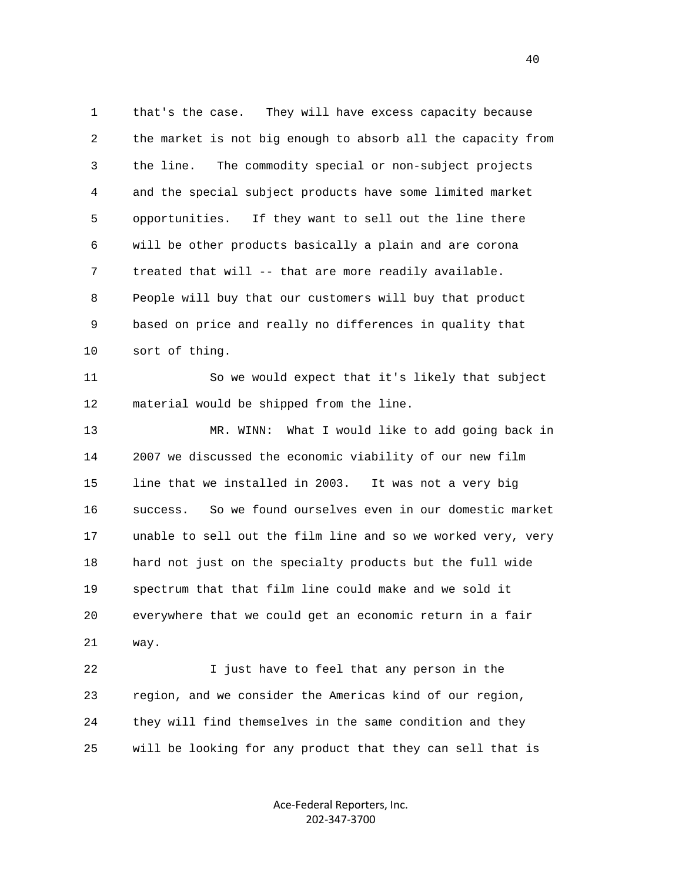1 that's the case. They will have excess capacity because 2 the market is not big enough to absorb all the capacity from 3 the line. The commodity special or non-subject projects 4 and the special subject products have some limited market 5 opportunities. If they want to sell out the line there 6 will be other products basically a plain and are corona 7 treated that will -- that are more readily available. 8 People will buy that our customers will buy that product 9 based on price and really no differences in quality that 10 sort of thing. 11 So we would expect that it's likely that subject 12 material would be shipped from the line. 13 MR. WINN: What I would like to add going back in 14 2007 we discussed the economic viability of our new film 15 line that we installed in 2003. It was not a very big 16 success. So we found ourselves even in our domestic market 17 unable to sell out the film line and so we worked very, very 18 hard not just on the specialty products but the full wide 19 spectrum that that film line could make and we sold it 20 everywhere that we could get an economic return in a fair 21 way. 22 I just have to feel that any person in the 23 region, and we consider the Americas kind of our region,

Ace‐Federal Reporters, Inc. 202‐347‐3700

24 they will find themselves in the same condition and they

25 will be looking for any product that they can sell that is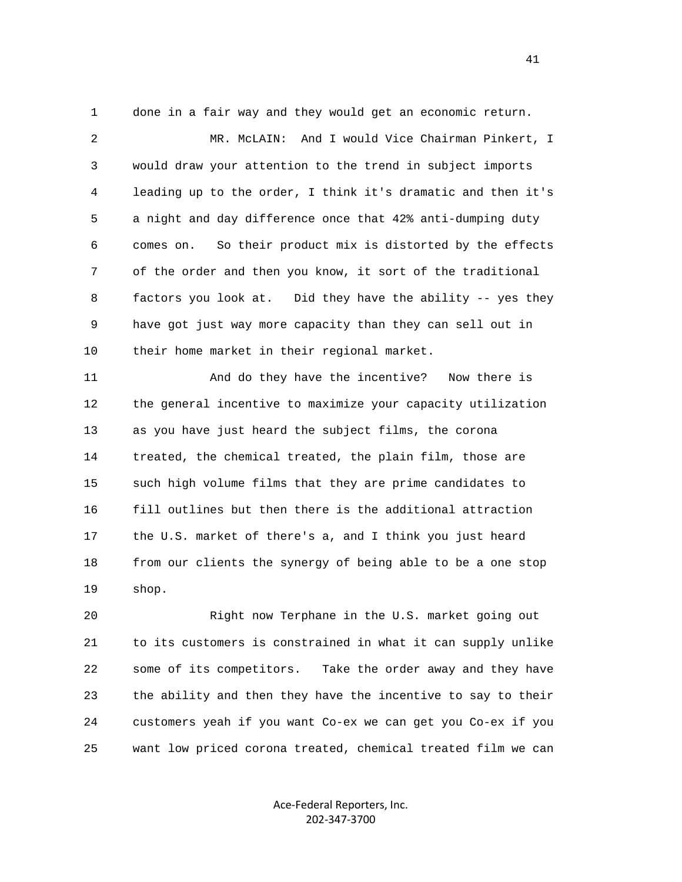1 done in a fair way and they would get an economic return. 2 MR. McLAIN: And I would Vice Chairman Pinkert, I 3 would draw your attention to the trend in subject imports 4 leading up to the order, I think it's dramatic and then it's 5 a night and day difference once that 42% anti-dumping duty 6 comes on. So their product mix is distorted by the effects 7 of the order and then you know, it sort of the traditional 8 factors you look at. Did they have the ability -- yes they 9 have got just way more capacity than they can sell out in 10 their home market in their regional market. 11 And do they have the incentive? Now there is

 12 the general incentive to maximize your capacity utilization 13 as you have just heard the subject films, the corona 14 treated, the chemical treated, the plain film, those are 15 such high volume films that they are prime candidates to 16 fill outlines but then there is the additional attraction 17 the U.S. market of there's a, and I think you just heard 18 from our clients the synergy of being able to be a one stop 19 shop.

 20 Right now Terphane in the U.S. market going out 21 to its customers is constrained in what it can supply unlike 22 some of its competitors. Take the order away and they have 23 the ability and then they have the incentive to say to their 24 customers yeah if you want Co-ex we can get you Co-ex if you 25 want low priced corona treated, chemical treated film we can

> Ace‐Federal Reporters, Inc. 202‐347‐3700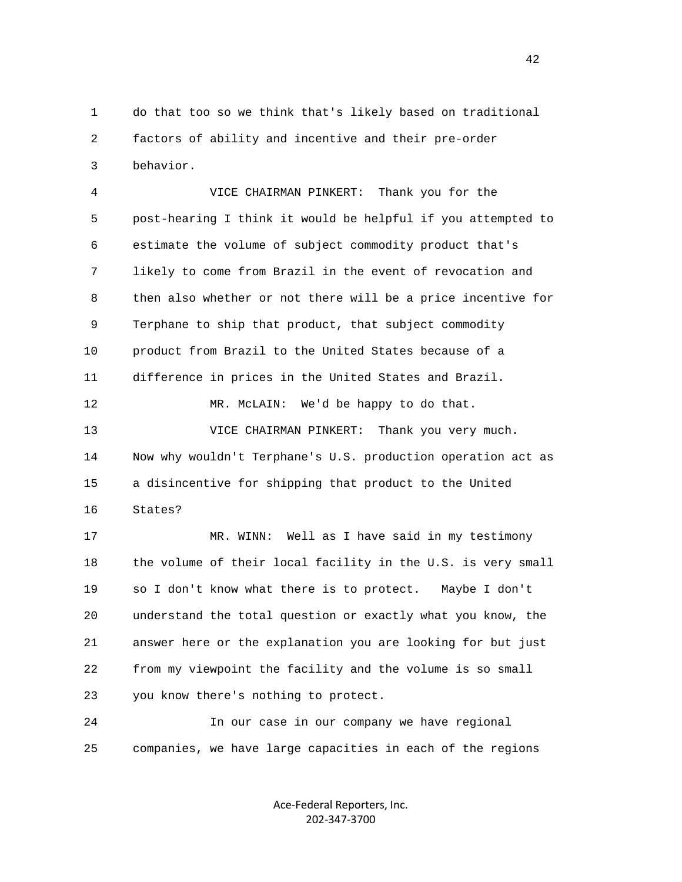1 do that too so we think that's likely based on traditional 2 factors of ability and incentive and their pre-order 3 behavior.

 4 VICE CHAIRMAN PINKERT: Thank you for the 5 post-hearing I think it would be helpful if you attempted to 6 estimate the volume of subject commodity product that's 7 likely to come from Brazil in the event of revocation and 8 then also whether or not there will be a price incentive for 9 Terphane to ship that product, that subject commodity 10 product from Brazil to the United States because of a 11 difference in prices in the United States and Brazil. 12 MR. McLAIN: We'd be happy to do that. 13 VICE CHAIRMAN PINKERT: Thank you very much. 14 Now why wouldn't Terphane's U.S. production operation act as

 15 a disincentive for shipping that product to the United 16 States?

 17 MR. WINN: Well as I have said in my testimony 18 the volume of their local facility in the U.S. is very small 19 so I don't know what there is to protect. Maybe I don't 20 understand the total question or exactly what you know, the 21 answer here or the explanation you are looking for but just 22 from my viewpoint the facility and the volume is so small 23 you know there's nothing to protect.

 24 In our case in our company we have regional 25 companies, we have large capacities in each of the regions

> Ace‐Federal Reporters, Inc. 202‐347‐3700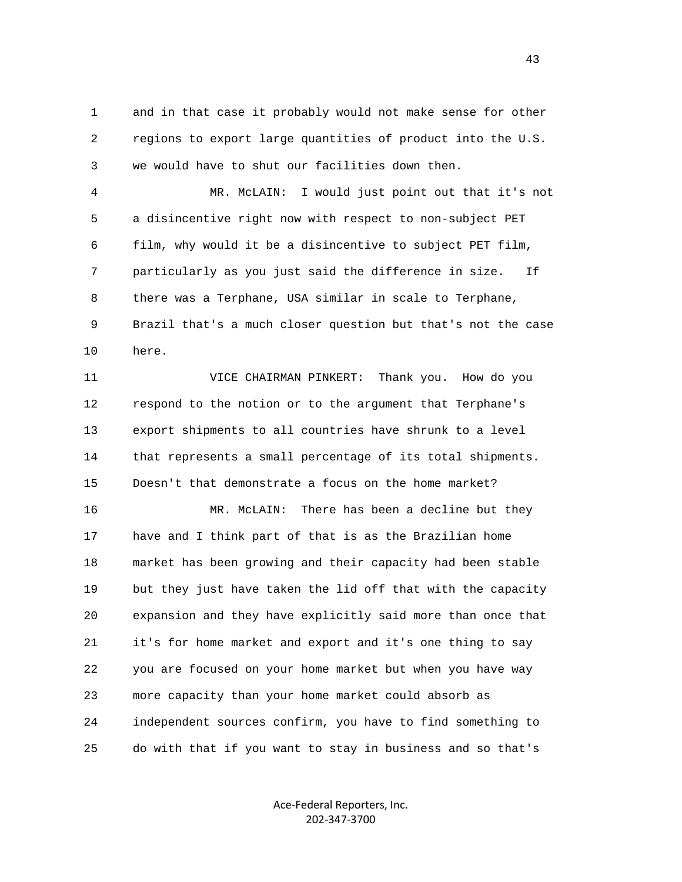1 and in that case it probably would not make sense for other 2 regions to export large quantities of product into the U.S. 3 we would have to shut our facilities down then.

 4 MR. McLAIN: I would just point out that it's not 5 a disincentive right now with respect to non-subject PET 6 film, why would it be a disincentive to subject PET film, 7 particularly as you just said the difference in size. If 8 there was a Terphane, USA similar in scale to Terphane, 9 Brazil that's a much closer question but that's not the case 10 here.

 11 VICE CHAIRMAN PINKERT: Thank you. How do you 12 respond to the notion or to the argument that Terphane's 13 export shipments to all countries have shrunk to a level 14 that represents a small percentage of its total shipments. 15 Doesn't that demonstrate a focus on the home market?

 16 MR. McLAIN: There has been a decline but they 17 have and I think part of that is as the Brazilian home 18 market has been growing and their capacity had been stable 19 but they just have taken the lid off that with the capacity 20 expansion and they have explicitly said more than once that 21 it's for home market and export and it's one thing to say 22 you are focused on your home market but when you have way 23 more capacity than your home market could absorb as 24 independent sources confirm, you have to find something to 25 do with that if you want to stay in business and so that's

> Ace‐Federal Reporters, Inc. 202‐347‐3700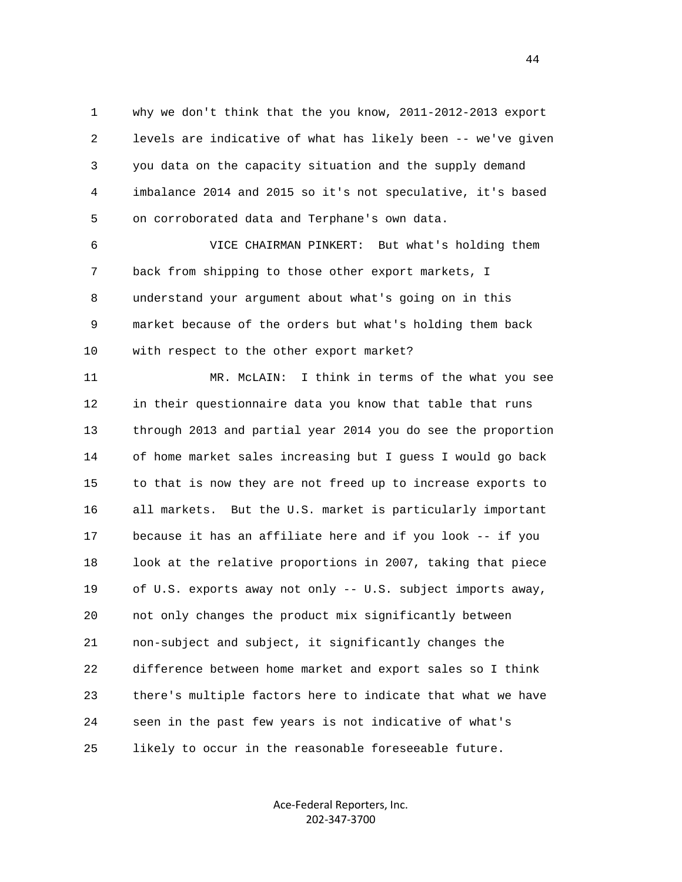1 why we don't think that the you know, 2011-2012-2013 export 2 levels are indicative of what has likely been -- we've given 3 you data on the capacity situation and the supply demand 4 imbalance 2014 and 2015 so it's not speculative, it's based 5 on corroborated data and Terphane's own data.

 6 VICE CHAIRMAN PINKERT: But what's holding them 7 back from shipping to those other export markets, I 8 understand your argument about what's going on in this 9 market because of the orders but what's holding them back 10 with respect to the other export market?

 11 MR. McLAIN: I think in terms of the what you see 12 in their questionnaire data you know that table that runs 13 through 2013 and partial year 2014 you do see the proportion 14 of home market sales increasing but I guess I would go back 15 to that is now they are not freed up to increase exports to 16 all markets. But the U.S. market is particularly important 17 because it has an affiliate here and if you look -- if you 18 look at the relative proportions in 2007, taking that piece 19 of U.S. exports away not only -- U.S. subject imports away, 20 not only changes the product mix significantly between 21 non-subject and subject, it significantly changes the 22 difference between home market and export sales so I think 23 there's multiple factors here to indicate that what we have 24 seen in the past few years is not indicative of what's 25 likely to occur in the reasonable foreseeable future.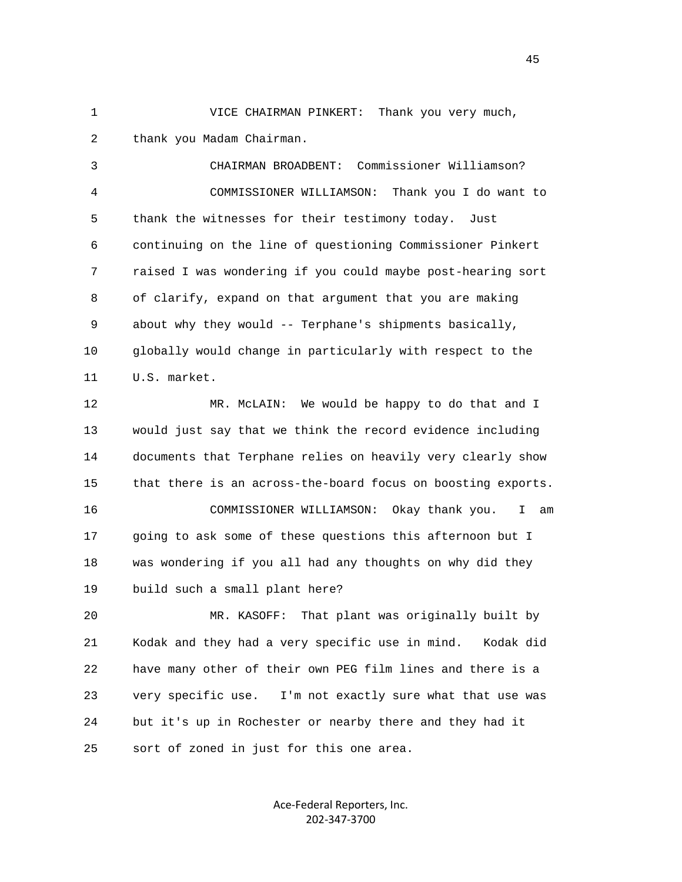1 VICE CHAIRMAN PINKERT: Thank you very much, 2 thank you Madam Chairman.

 3 CHAIRMAN BROADBENT: Commissioner Williamson? 4 COMMISSIONER WILLIAMSON: Thank you I do want to 5 thank the witnesses for their testimony today. Just 6 continuing on the line of questioning Commissioner Pinkert 7 raised I was wondering if you could maybe post-hearing sort 8 of clarify, expand on that argument that you are making 9 about why they would -- Terphane's shipments basically, 10 globally would change in particularly with respect to the 11 U.S. market.

 12 MR. McLAIN: We would be happy to do that and I 13 would just say that we think the record evidence including 14 documents that Terphane relies on heavily very clearly show 15 that there is an across-the-board focus on boosting exports. 16 COMMISSIONER WILLIAMSON: Okay thank you. I am 17 going to ask some of these questions this afternoon but I 18 was wondering if you all had any thoughts on why did they 19 build such a small plant here?

 20 MR. KASOFF: That plant was originally built by 21 Kodak and they had a very specific use in mind. Kodak did 22 have many other of their own PEG film lines and there is a 23 very specific use. I'm not exactly sure what that use was 24 but it's up in Rochester or nearby there and they had it 25 sort of zoned in just for this one area.

> Ace‐Federal Reporters, Inc. 202‐347‐3700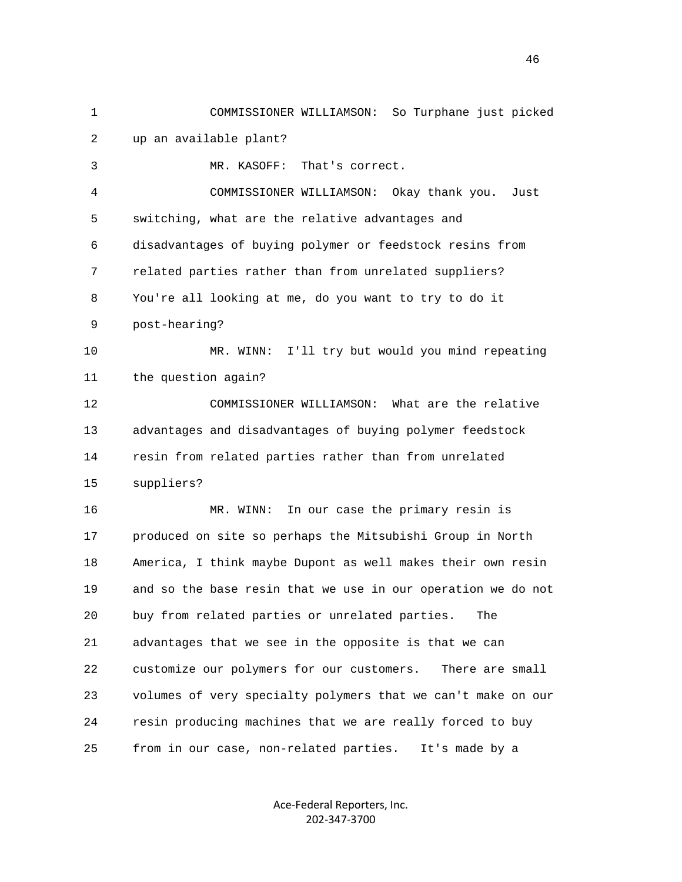1 COMMISSIONER WILLIAMSON: So Turphane just picked 2 up an available plant? 3 MR. KASOFF: That's correct. 4 COMMISSIONER WILLIAMSON: Okay thank you. Just 5 switching, what are the relative advantages and 6 disadvantages of buying polymer or feedstock resins from 7 related parties rather than from unrelated suppliers? 8 You're all looking at me, do you want to try to do it 9 post-hearing? 10 MR. WINN: I'll try but would you mind repeating 11 the question again? 12 COMMISSIONER WILLIAMSON: What are the relative 13 advantages and disadvantages of buying polymer feedstock 14 resin from related parties rather than from unrelated 15 suppliers? 16 MR. WINN: In our case the primary resin is 17 produced on site so perhaps the Mitsubishi Group in North 18 America, I think maybe Dupont as well makes their own resin 19 and so the base resin that we use in our operation we do not 20 buy from related parties or unrelated parties. The 21 advantages that we see in the opposite is that we can 22 customize our polymers for our customers. There are small 23 volumes of very specialty polymers that we can't make on our 24 resin producing machines that we are really forced to buy 25 from in our case, non-related parties. It's made by a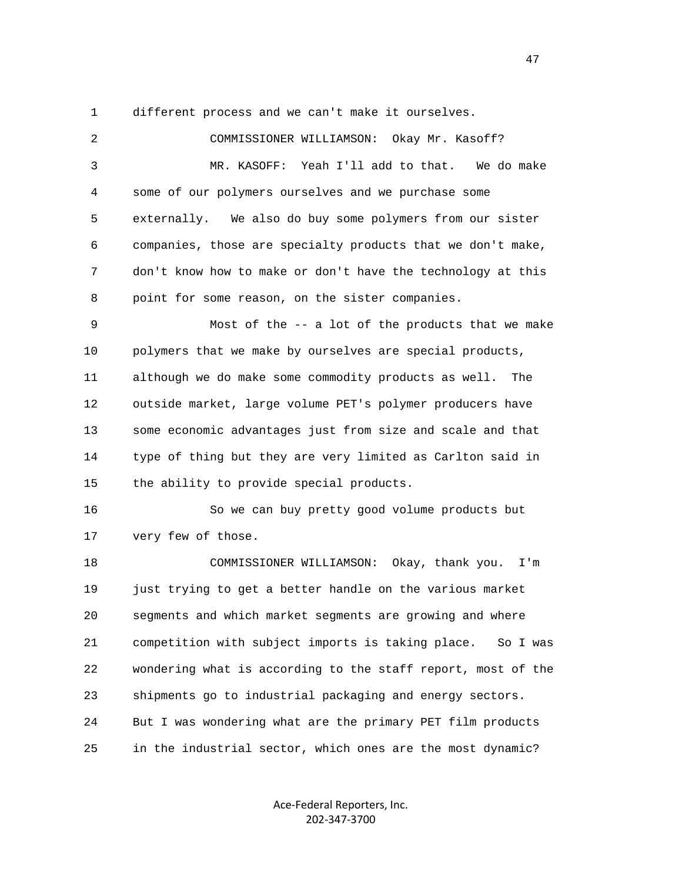1 different process and we can't make it ourselves.

 2 COMMISSIONER WILLIAMSON: Okay Mr. Kasoff? 3 MR. KASOFF: Yeah I'll add to that. We do make 4 some of our polymers ourselves and we purchase some 5 externally. We also do buy some polymers from our sister 6 companies, those are specialty products that we don't make, 7 don't know how to make or don't have the technology at this 8 point for some reason, on the sister companies. 9 Most of the -- a lot of the products that we make 10 polymers that we make by ourselves are special products, 11 although we do make some commodity products as well. The 12 outside market, large volume PET's polymer producers have 13 some economic advantages just from size and scale and that 14 type of thing but they are very limited as Carlton said in 15 the ability to provide special products. 16 So we can buy pretty good volume products but 17 very few of those. 18 COMMISSIONER WILLIAMSON: Okay, thank you. I'm 19 just trying to get a better handle on the various market 20 segments and which market segments are growing and where 21 competition with subject imports is taking place. So I was 22 wondering what is according to the staff report, most of the 23 shipments go to industrial packaging and energy sectors. 24 But I was wondering what are the primary PET film products 25 in the industrial sector, which ones are the most dynamic?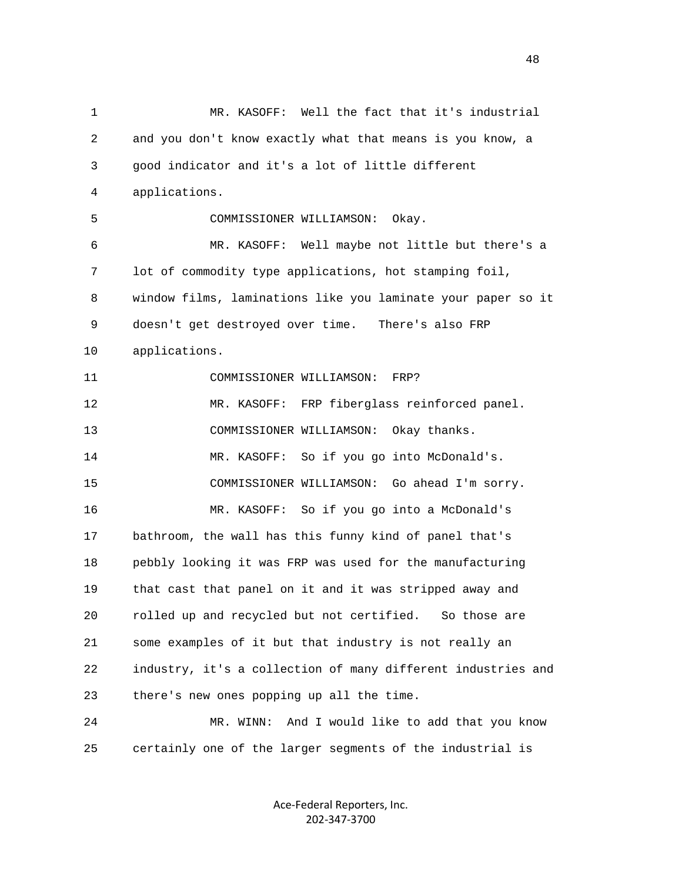1 MR. KASOFF: Well the fact that it's industrial 2 and you don't know exactly what that means is you know, a 3 good indicator and it's a lot of little different 4 applications. 5 COMMISSIONER WILLIAMSON: Okay. 6 MR. KASOFF: Well maybe not little but there's a 7 lot of commodity type applications, hot stamping foil, 8 window films, laminations like you laminate your paper so it 9 doesn't get destroyed over time. There's also FRP 10 applications. 11 COMMISSIONER WILLIAMSON: FRP? 12 MR. KASOFF: FRP fiberglass reinforced panel. 13 COMMISSIONER WILLIAMSON: Okay thanks. 14 MR. KASOFF: So if you go into McDonald's. 15 COMMISSIONER WILLIAMSON: Go ahead I'm sorry. 16 MR. KASOFF: So if you go into a McDonald's 17 bathroom, the wall has this funny kind of panel that's 18 pebbly looking it was FRP was used for the manufacturing 19 that cast that panel on it and it was stripped away and 20 rolled up and recycled but not certified. So those are 21 some examples of it but that industry is not really an 22 industry, it's a collection of many different industries and 23 there's new ones popping up all the time. 24 MR. WINN: And I would like to add that you know 25 certainly one of the larger segments of the industrial is

> Ace‐Federal Reporters, Inc. 202‐347‐3700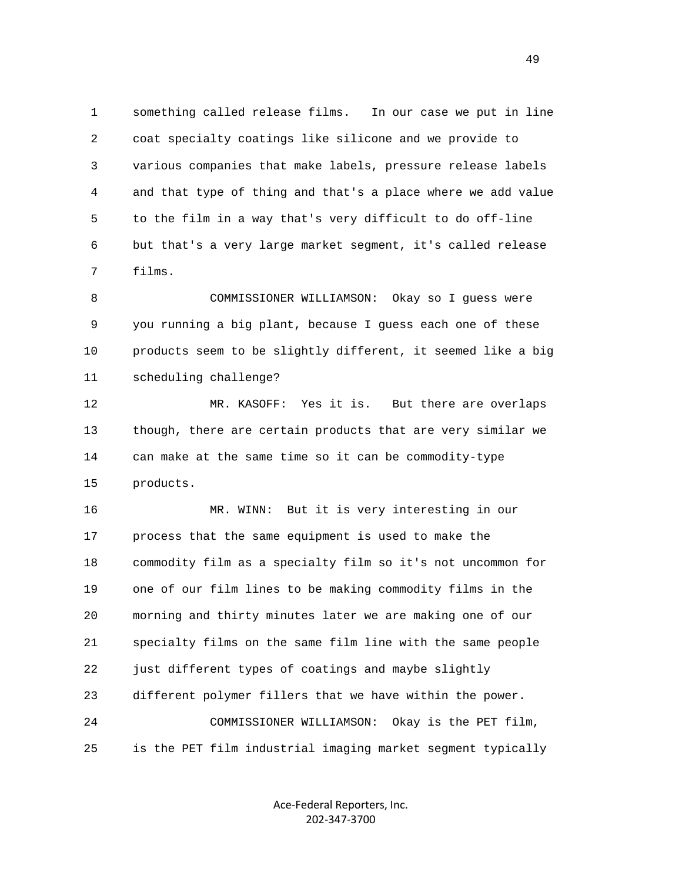1 something called release films. In our case we put in line 2 coat specialty coatings like silicone and we provide to 3 various companies that make labels, pressure release labels 4 and that type of thing and that's a place where we add value 5 to the film in a way that's very difficult to do off-line 6 but that's a very large market segment, it's called release 7 films.

 8 COMMISSIONER WILLIAMSON: Okay so I guess were 9 you running a big plant, because I guess each one of these 10 products seem to be slightly different, it seemed like a big 11 scheduling challenge?

 12 MR. KASOFF: Yes it is. But there are overlaps 13 though, there are certain products that are very similar we 14 can make at the same time so it can be commodity-type 15 products.

 16 MR. WINN: But it is very interesting in our 17 process that the same equipment is used to make the 18 commodity film as a specialty film so it's not uncommon for 19 one of our film lines to be making commodity films in the 20 morning and thirty minutes later we are making one of our 21 specialty films on the same film line with the same people 22 just different types of coatings and maybe slightly 23 different polymer fillers that we have within the power. 24 COMMISSIONER WILLIAMSON: Okay is the PET film, 25 is the PET film industrial imaging market segment typically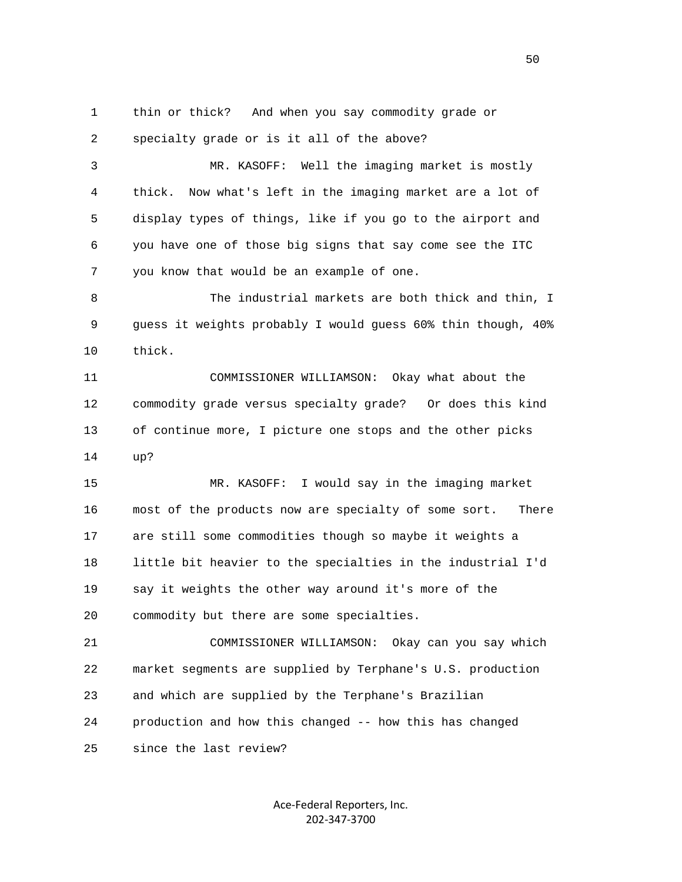1 thin or thick? And when you say commodity grade or 2 specialty grade or is it all of the above? 3 MR. KASOFF: Well the imaging market is mostly 4 thick. Now what's left in the imaging market are a lot of

 5 display types of things, like if you go to the airport and 6 you have one of those big signs that say come see the ITC 7 you know that would be an example of one.

8 The industrial markets are both thick and thin, I 9 guess it weights probably I would guess 60% thin though, 40% 10 thick.

 11 COMMISSIONER WILLIAMSON: Okay what about the 12 commodity grade versus specialty grade? Or does this kind 13 of continue more, I picture one stops and the other picks 14 up?

 15 MR. KASOFF: I would say in the imaging market 16 most of the products now are specialty of some sort. There 17 are still some commodities though so maybe it weights a 18 little bit heavier to the specialties in the industrial I'd 19 say it weights the other way around it's more of the 20 commodity but there are some specialties.

 21 COMMISSIONER WILLIAMSON: Okay can you say which 22 market segments are supplied by Terphane's U.S. production 23 and which are supplied by the Terphane's Brazilian 24 production and how this changed -- how this has changed 25 since the last review?

> Ace‐Federal Reporters, Inc. 202‐347‐3700

 $50<sub>50</sub>$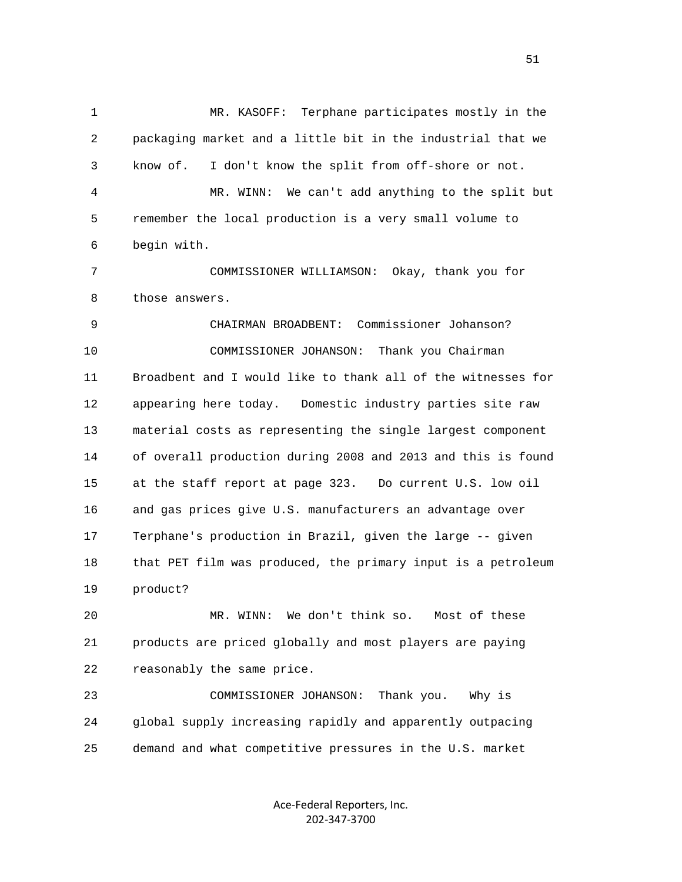1 MR. KASOFF: Terphane participates mostly in the 2 packaging market and a little bit in the industrial that we 3 know of. I don't know the split from off-shore or not. 4 MR. WINN: We can't add anything to the split but 5 remember the local production is a very small volume to 6 begin with. 7 COMMISSIONER WILLIAMSON: Okay, thank you for 8 those answers. 9 CHAIRMAN BROADBENT: Commissioner Johanson? 10 COMMISSIONER JOHANSON: Thank you Chairman 11 Broadbent and I would like to thank all of the witnesses for 12 appearing here today. Domestic industry parties site raw 13 material costs as representing the single largest component 14 of overall production during 2008 and 2013 and this is found 15 at the staff report at page 323. Do current U.S. low oil 16 and gas prices give U.S. manufacturers an advantage over 17 Terphane's production in Brazil, given the large -- given 18 that PET film was produced, the primary input is a petroleum 19 product?

 20 MR. WINN: We don't think so. Most of these 21 products are priced globally and most players are paying 22 reasonably the same price.

 23 COMMISSIONER JOHANSON: Thank you. Why is 24 global supply increasing rapidly and apparently outpacing 25 demand and what competitive pressures in the U.S. market

> Ace‐Federal Reporters, Inc. 202‐347‐3700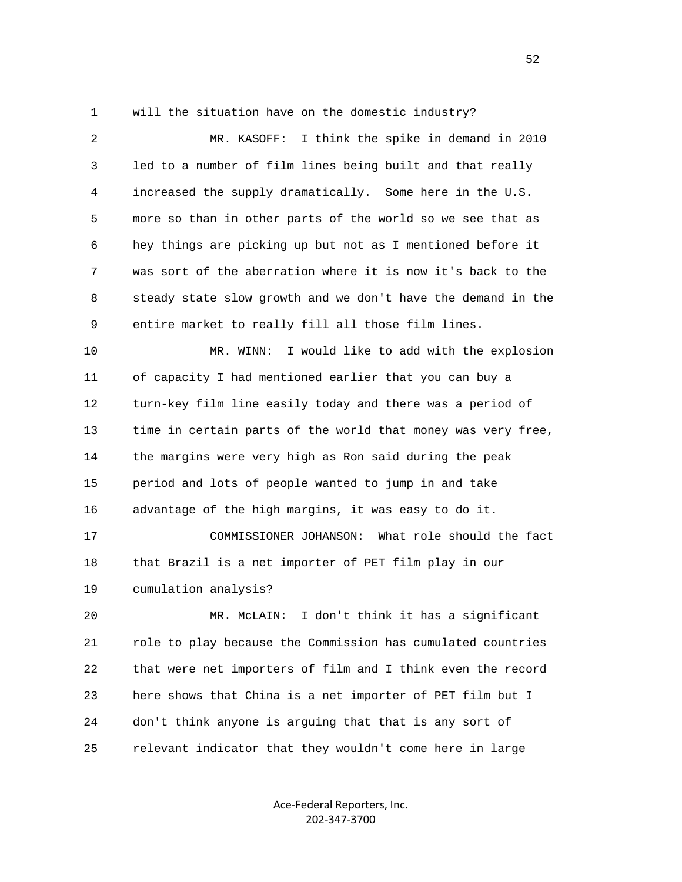|  |  |  | will the situation have on the domestic industry? |  |  |  |  |  |
|--|--|--|---------------------------------------------------|--|--|--|--|--|
|--|--|--|---------------------------------------------------|--|--|--|--|--|

 2 MR. KASOFF: I think the spike in demand in 2010 3 led to a number of film lines being built and that really 4 increased the supply dramatically. Some here in the U.S. 5 more so than in other parts of the world so we see that as 6 hey things are picking up but not as I mentioned before it 7 was sort of the aberration where it is now it's back to the 8 steady state slow growth and we don't have the demand in the 9 entire market to really fill all those film lines.

 10 MR. WINN: I would like to add with the explosion 11 of capacity I had mentioned earlier that you can buy a 12 turn-key film line easily today and there was a period of 13 time in certain parts of the world that money was very free, 14 the margins were very high as Ron said during the peak 15 period and lots of people wanted to jump in and take 16 advantage of the high margins, it was easy to do it.

 17 COMMISSIONER JOHANSON: What role should the fact 18 that Brazil is a net importer of PET film play in our 19 cumulation analysis?

 20 MR. McLAIN: I don't think it has a significant 21 role to play because the Commission has cumulated countries 22 that were net importers of film and I think even the record 23 here shows that China is a net importer of PET film but I 24 don't think anyone is arguing that that is any sort of 25 relevant indicator that they wouldn't come here in large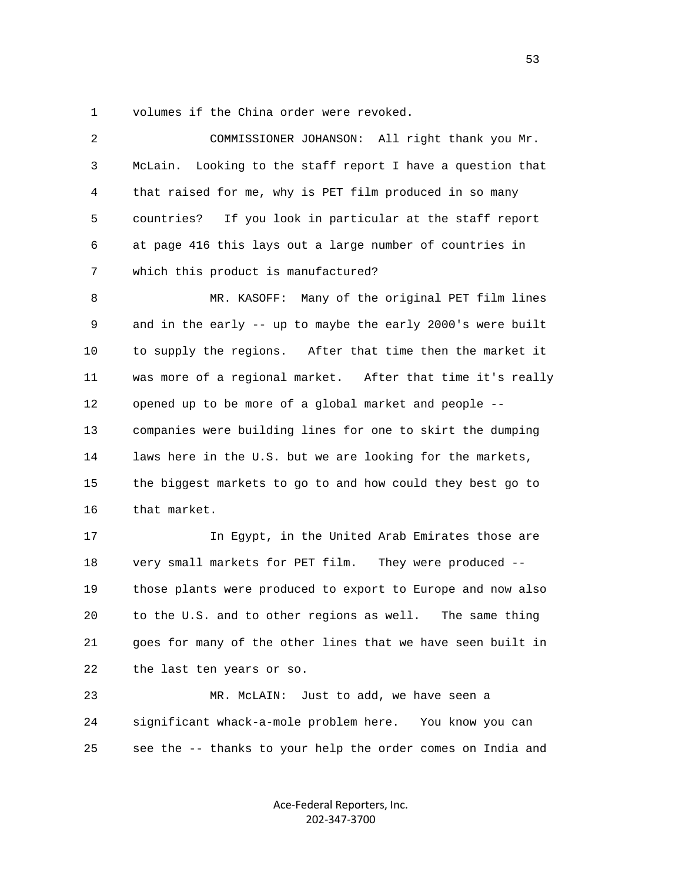1 volumes if the China order were revoked.

| 2            | COMMISSIONER JOHANSON: All right thank you Mr.                |
|--------------|---------------------------------------------------------------|
| $\mathsf{3}$ | McLain.<br>Looking to the staff report I have a question that |
| 4            | that raised for me, why is PET film produced in so many       |
| 5            | If you look in particular at the staff report<br>countries?   |
| 6            | at page 416 this lays out a large number of countries in      |
| 7            | which this product is manufactured?                           |
| 8            | MR. KASOFF: Many of the original PET film lines               |
| 9            | and in the early -- up to maybe the early 2000's were built   |
| 10           | to supply the regions. After that time then the market it     |
| 11           | was more of a regional market. After that time it's really    |
| 12           | opened up to be more of a global market and people --         |
| 13           | companies were building lines for one to skirt the dumping    |
| 14           | laws here in the U.S. but we are looking for the markets,     |
| 15           | the biggest markets to go to and how could they best go to    |
| 16           | that market.                                                  |
| 17           | In Egypt, in the United Arab Emirates those are               |
| 18           | very small markets for PET film.<br>They were produced $-$    |
| 19           | those plants were produced to export to Europe and now also   |
| 20           | to the U.S. and to other regions as well. The same thing      |
| 21           | goes for many of the other lines that we have seen built in   |
| 22           | the last ten years or so.                                     |
| 23           | MR. McLAIN: Just to add, we have seen a                       |

 24 significant whack-a-mole problem here. You know you can 25 see the -- thanks to your help the order comes on India and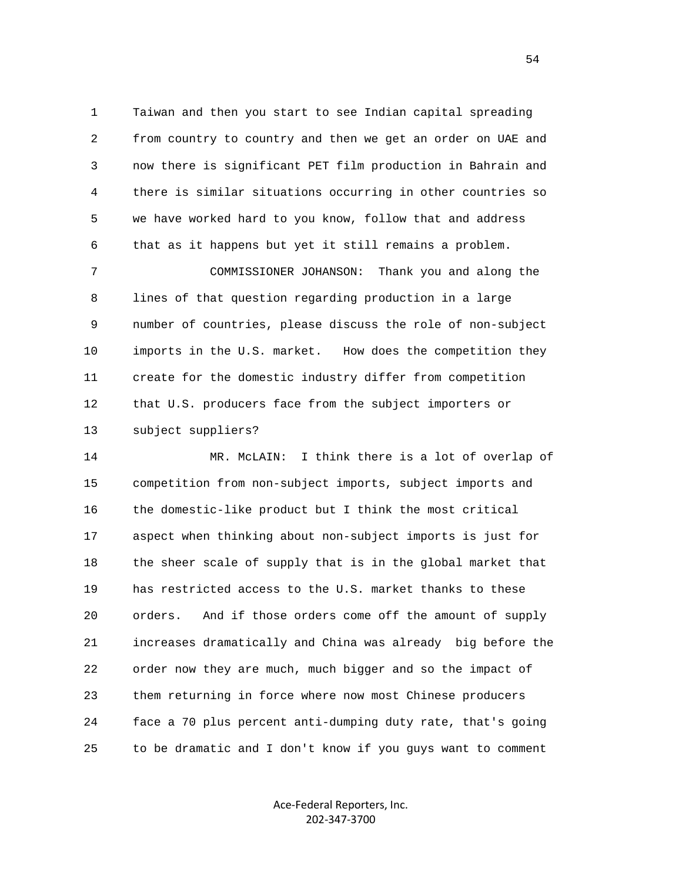1 Taiwan and then you start to see Indian capital spreading 2 from country to country and then we get an order on UAE and 3 now there is significant PET film production in Bahrain and 4 there is similar situations occurring in other countries so 5 we have worked hard to you know, follow that and address 6 that as it happens but yet it still remains a problem.

 7 COMMISSIONER JOHANSON: Thank you and along the 8 lines of that question regarding production in a large 9 number of countries, please discuss the role of non-subject 10 imports in the U.S. market. How does the competition they 11 create for the domestic industry differ from competition 12 that U.S. producers face from the subject importers or 13 subject suppliers?

 14 MR. McLAIN: I think there is a lot of overlap of 15 competition from non-subject imports, subject imports and 16 the domestic-like product but I think the most critical 17 aspect when thinking about non-subject imports is just for 18 the sheer scale of supply that is in the global market that 19 has restricted access to the U.S. market thanks to these 20 orders. And if those orders come off the amount of supply 21 increases dramatically and China was already big before the 22 order now they are much, much bigger and so the impact of 23 them returning in force where now most Chinese producers 24 face a 70 plus percent anti-dumping duty rate, that's going 25 to be dramatic and I don't know if you guys want to comment

> Ace‐Federal Reporters, Inc. 202‐347‐3700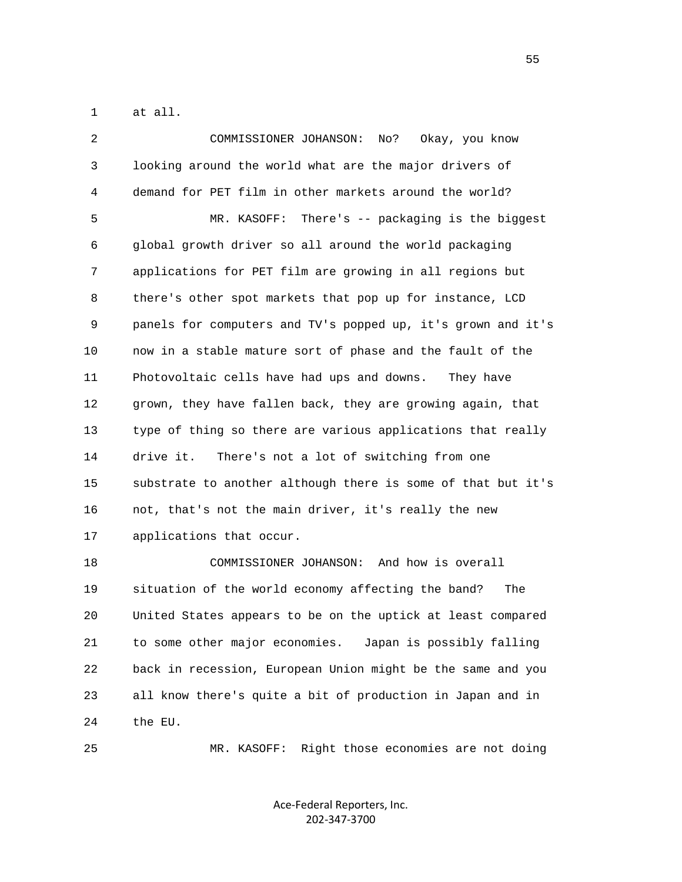1 at all.

| 2  | COMMISSIONER JOHANSON:<br>Okay, you know<br>No?              |
|----|--------------------------------------------------------------|
| 3  | looking around the world what are the major drivers of       |
| 4  | demand for PET film in other markets around the world?       |
| 5  | There's -- packaging is the biggest<br>MR. KASOFF:           |
| 6  | global growth driver so all around the world packaging       |
| 7  | applications for PET film are growing in all regions but     |
| 8  | there's other spot markets that pop up for instance, LCD     |
| 9  | panels for computers and TV's popped up, it's grown and it's |
| 10 | now in a stable mature sort of phase and the fault of the    |
| 11 | Photovoltaic cells have had ups and downs.<br>They have      |
| 12 | grown, they have fallen back, they are growing again, that   |
| 13 | type of thing so there are various applications that really  |
| 14 | There's not a lot of switching from one<br>drive it.         |
| 15 | substrate to another although there is some of that but it's |
| 16 | not, that's not the main driver, it's really the new         |
| 17 | applications that occur.                                     |
| 18 | And how is overall<br>COMMISSIONER JOHANSON:                 |
| 19 | situation of the world economy affecting the band?<br>The    |
| 20 | United States appears to be on the uptick at least compared  |
| 21 | to some other major economies.<br>Japan is possibly falling  |
| 22 | back in recession, European Union might be the same and you  |
| 23 | all know there's quite a bit of production in Japan and in   |
| 24 | the EU.                                                      |
| 25 | MR. KASOFF: Right those economies are not doing              |

Ace‐Federal Reporters, Inc. 202‐347‐3700

 $\sim$  55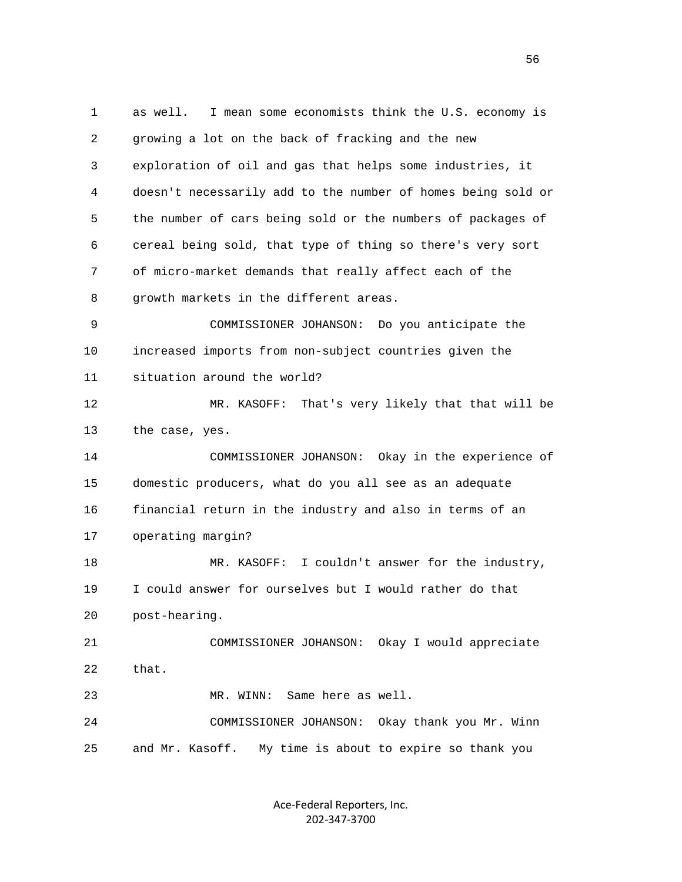1 as well. I mean some economists think the U.S. economy is 2 growing a lot on the back of fracking and the new 3 exploration of oil and gas that helps some industries, it 4 doesn't necessarily add to the number of homes being sold or 5 the number of cars being sold or the numbers of packages of 6 cereal being sold, that type of thing so there's very sort 7 of micro-market demands that really affect each of the 8 growth markets in the different areas. 9 COMMISSIONER JOHANSON: Do you anticipate the 10 increased imports from non-subject countries given the 11 situation around the world? 12 MR. KASOFF: That's very likely that that will be 13 the case, yes. 14 COMMISSIONER JOHANSON: Okay in the experience of 15 domestic producers, what do you all see as an adequate 16 financial return in the industry and also in terms of an 17 operating margin? 18 MR. KASOFF: I couldn't answer for the industry, 19 I could answer for ourselves but I would rather do that 20 post-hearing. 21 COMMISSIONER JOHANSON: Okay I would appreciate 22 that. 23 MR. WINN: Same here as well. 24 COMMISSIONER JOHANSON: Okay thank you Mr. Winn 25 and Mr. Kasoff. My time is about to expire so thank you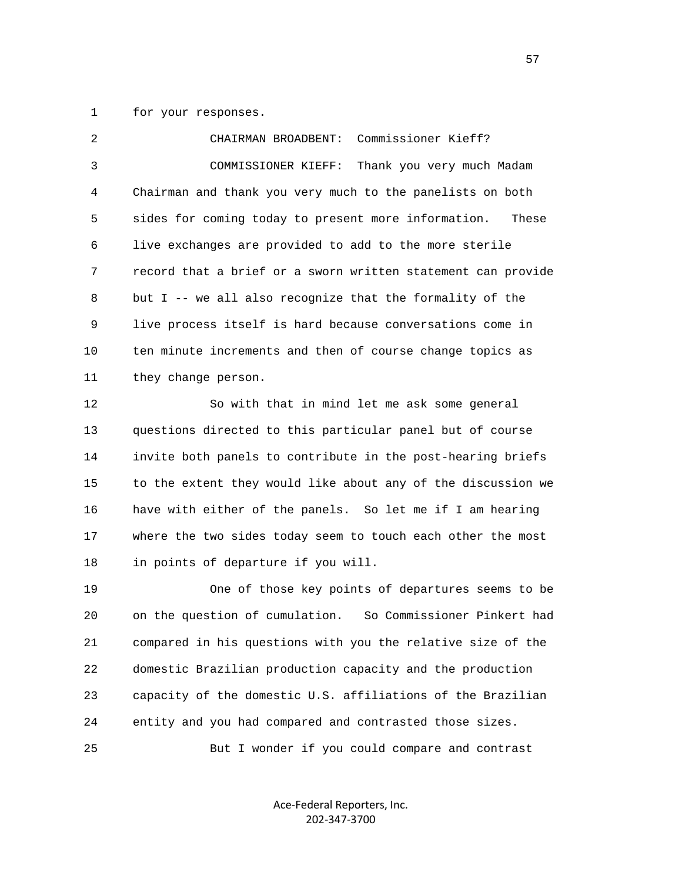1 for your responses.

| 2  | CHAIRMAN BROADBENT:<br>Commissioner Kieff?                   |
|----|--------------------------------------------------------------|
| 3  | Thank you very much Madam<br>COMMISSIONER KIEFF:             |
| 4  | Chairman and thank you very much to the panelists on both    |
| 5  | sides for coming today to present more information.<br>These |
| 6  | live exchanges are provided to add to the more sterile       |
| 7  | record that a brief or a sworn written statement can provide |
| 8  | but I -- we all also recognize that the formality of the     |
| 9  | live process itself is hard because conversations come in    |
| 10 | ten minute increments and then of course change topics as    |
| 11 | they change person.                                          |
| 12 | So with that in mind let me ask some general                 |
| 13 | questions directed to this particular panel but of course    |
| 14 | invite both panels to contribute in the post-hearing briefs  |
| 15 | to the extent they would like about any of the discussion we |
| 16 | have with either of the panels. So let me if I am hearing    |
| 17 | where the two sides today seem to touch each other the most  |
| 18 | in points of departure if you will.                          |
| 19 | One of those key points of departures seems to be            |
| 20 | on the question of cumulation. So Commissioner Pinkert had   |
| 21 | compared in his questions with you the relative size of the  |
| 22 | domestic Brazilian production capacity and the production    |

 23 capacity of the domestic U.S. affiliations of the Brazilian 24 entity and you had compared and contrasted those sizes.

25 But I wonder if you could compare and contrast

Ace‐Federal Reporters, Inc. 202‐347‐3700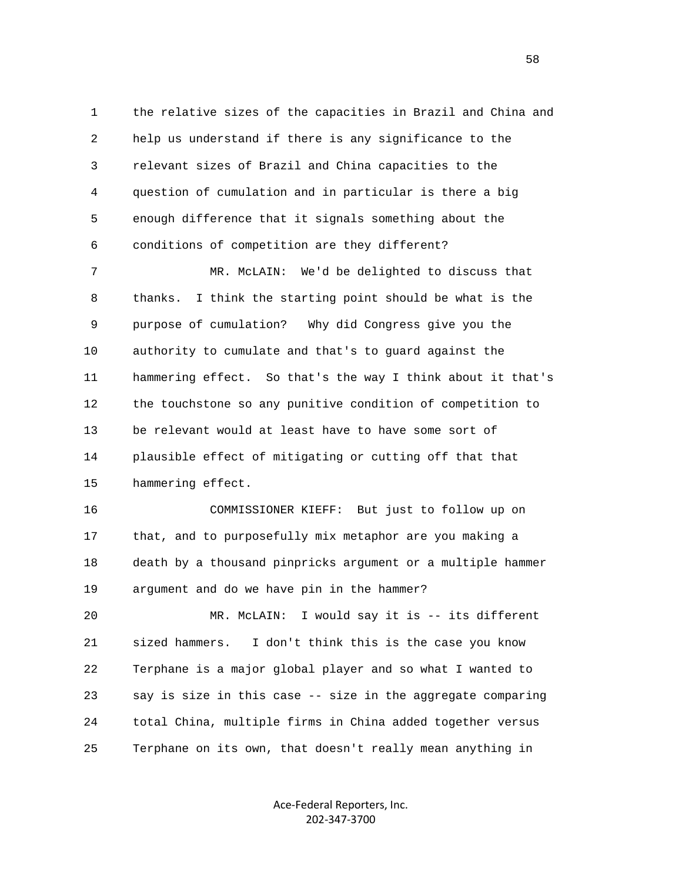1 the relative sizes of the capacities in Brazil and China and 2 help us understand if there is any significance to the 3 relevant sizes of Brazil and China capacities to the 4 question of cumulation and in particular is there a big 5 enough difference that it signals something about the 6 conditions of competition are they different?

 7 MR. McLAIN: We'd be delighted to discuss that 8 thanks. I think the starting point should be what is the 9 purpose of cumulation? Why did Congress give you the 10 authority to cumulate and that's to guard against the 11 hammering effect. So that's the way I think about it that's 12 the touchstone so any punitive condition of competition to 13 be relevant would at least have to have some sort of 14 plausible effect of mitigating or cutting off that that 15 hammering effect.

 16 COMMISSIONER KIEFF: But just to follow up on 17 that, and to purposefully mix metaphor are you making a 18 death by a thousand pinpricks argument or a multiple hammer 19 argument and do we have pin in the hammer?

 20 MR. McLAIN: I would say it is -- its different 21 sized hammers. I don't think this is the case you know 22 Terphane is a major global player and so what I wanted to 23 say is size in this case -- size in the aggregate comparing 24 total China, multiple firms in China added together versus 25 Terphane on its own, that doesn't really mean anything in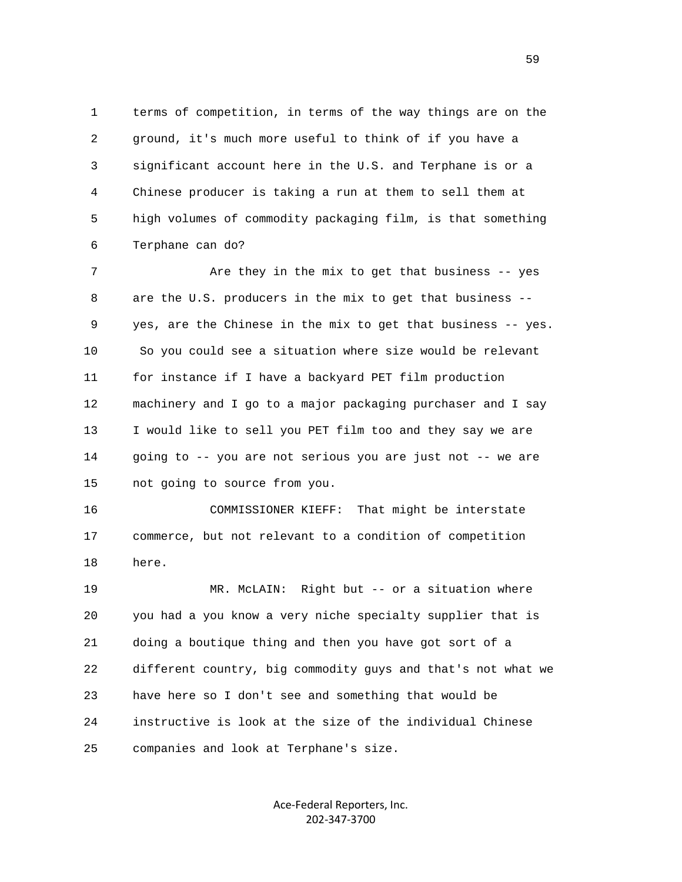1 terms of competition, in terms of the way things are on the 2 ground, it's much more useful to think of if you have a 3 significant account here in the U.S. and Terphane is or a 4 Chinese producer is taking a run at them to sell them at 5 high volumes of commodity packaging film, is that something 6 Terphane can do?

7 Are they in the mix to get that business -- yes 8 are the U.S. producers in the mix to get that business -- 9 yes, are the Chinese in the mix to get that business -- yes. 10 So you could see a situation where size would be relevant 11 for instance if I have a backyard PET film production 12 machinery and I go to a major packaging purchaser and I say 13 I would like to sell you PET film too and they say we are 14 going to -- you are not serious you are just not -- we are 15 not going to source from you.

 16 COMMISSIONER KIEFF: That might be interstate 17 commerce, but not relevant to a condition of competition 18 here.

 19 MR. McLAIN: Right but -- or a situation where 20 you had a you know a very niche specialty supplier that is 21 doing a boutique thing and then you have got sort of a 22 different country, big commodity guys and that's not what we 23 have here so I don't see and something that would be 24 instructive is look at the size of the individual Chinese 25 companies and look at Terphane's size.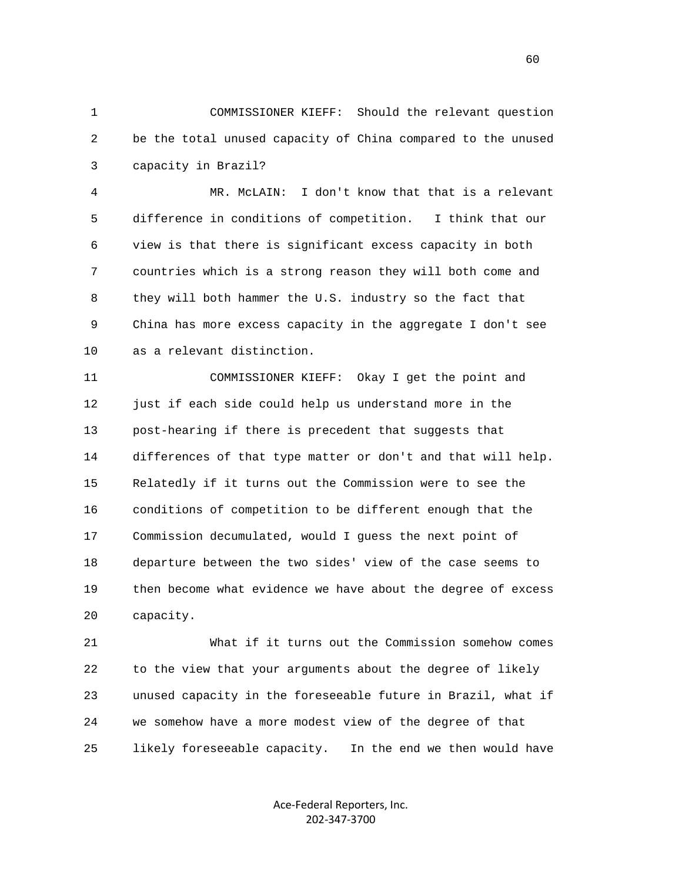1 COMMISSIONER KIEFF: Should the relevant question 2 be the total unused capacity of China compared to the unused 3 capacity in Brazil?

 4 MR. McLAIN: I don't know that that is a relevant 5 difference in conditions of competition. I think that our 6 view is that there is significant excess capacity in both 7 countries which is a strong reason they will both come and 8 they will both hammer the U.S. industry so the fact that 9 China has more excess capacity in the aggregate I don't see 10 as a relevant distinction.

 11 COMMISSIONER KIEFF: Okay I get the point and 12 just if each side could help us understand more in the 13 post-hearing if there is precedent that suggests that 14 differences of that type matter or don't and that will help. 15 Relatedly if it turns out the Commission were to see the 16 conditions of competition to be different enough that the 17 Commission decumulated, would I guess the next point of 18 departure between the two sides' view of the case seems to 19 then become what evidence we have about the degree of excess 20 capacity.

 21 What if it turns out the Commission somehow comes 22 to the view that your arguments about the degree of likely 23 unused capacity in the foreseeable future in Brazil, what if 24 we somehow have a more modest view of the degree of that 25 likely foreseeable capacity. In the end we then would have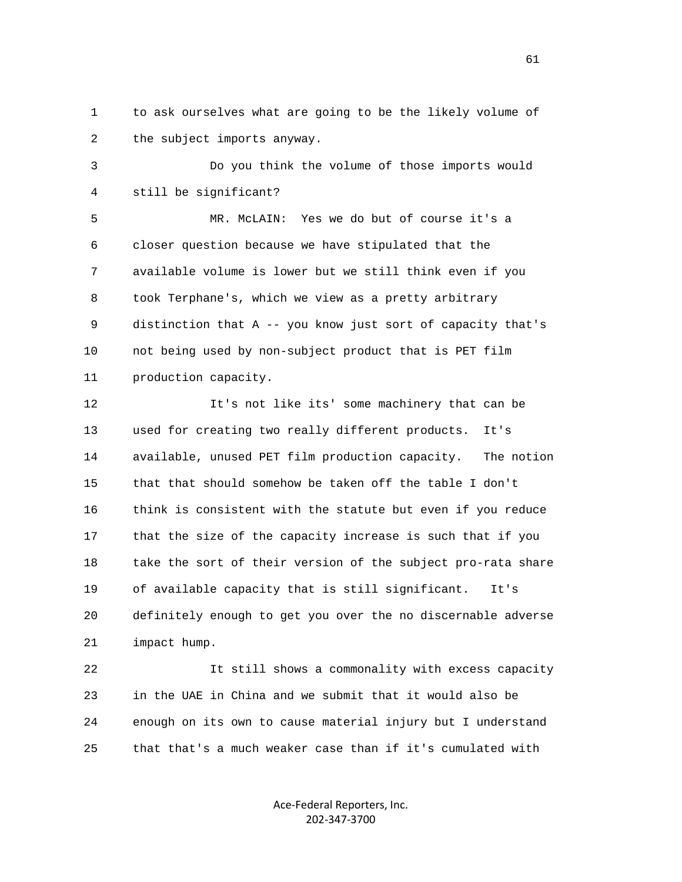1 to ask ourselves what are going to be the likely volume of 2 the subject imports anyway.

 3 Do you think the volume of those imports would 4 still be significant?

 5 MR. McLAIN: Yes we do but of course it's a 6 closer question because we have stipulated that the 7 available volume is lower but we still think even if you 8 took Terphane's, which we view as a pretty arbitrary 9 distinction that A -- you know just sort of capacity that's 10 not being used by non-subject product that is PET film 11 production capacity.

12 It's not like its' some machinery that can be 13 used for creating two really different products. It's 14 available, unused PET film production capacity. The notion 15 that that should somehow be taken off the table I don't 16 think is consistent with the statute but even if you reduce 17 that the size of the capacity increase is such that if you 18 take the sort of their version of the subject pro-rata share 19 of available capacity that is still significant. It's 20 definitely enough to get you over the no discernable adverse 21 impact hump.

 22 It still shows a commonality with excess capacity 23 in the UAE in China and we submit that it would also be 24 enough on its own to cause material injury but I understand 25 that that's a much weaker case than if it's cumulated with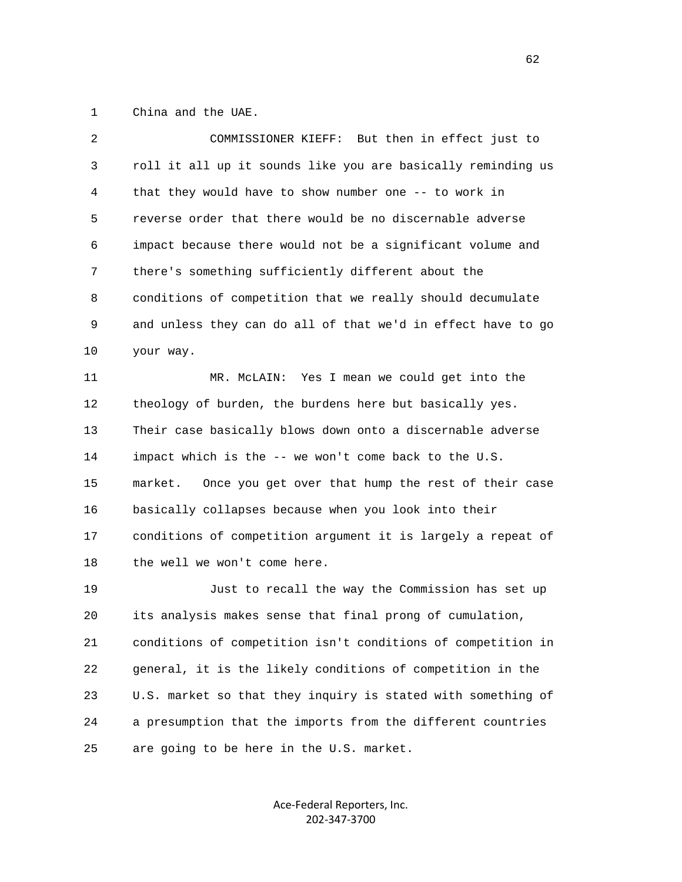1 China and the UAE.

| 2  | COMMISSIONER KIEFF: But then in effect just to                |
|----|---------------------------------------------------------------|
| 3  | roll it all up it sounds like you are basically reminding us  |
| 4  | that they would have to show number one -- to work in         |
| 5  | reverse order that there would be no discernable adverse      |
| 6  | impact because there would not be a significant volume and    |
| 7  | there's something sufficiently different about the            |
| 8  | conditions of competition that we really should decumulate    |
| 9  | and unless they can do all of that we'd in effect have to go  |
| 10 | your way.                                                     |
| 11 | MR. McLAIN: Yes I mean we could get into the                  |
| 12 | theology of burden, the burdens here but basically yes.       |
| 13 | Their case basically blows down onto a discernable adverse    |
| 14 | impact which is the -- we won't come back to the U.S.         |
| 15 | market.<br>Once you get over that hump the rest of their case |
| 16 | basically collapses because when you look into their          |
| 17 | conditions of competition argument it is largely a repeat of  |
| 18 | the well we won't come here.                                  |
| 19 | Just to recall the way the Commission has set up              |
| 20 | its analysis makes sense that final prong of cumulation,      |
| 21 | conditions of competition isn't conditions of competition in  |
| 22 | general, it is the likely conditions of competition in the    |
| 23 | U.S. market so that they inquiry is stated with something of  |
| 24 | a presumption that the imports from the different countries   |
| 25 | are going to be here in the U.S. market.                      |
|    |                                                               |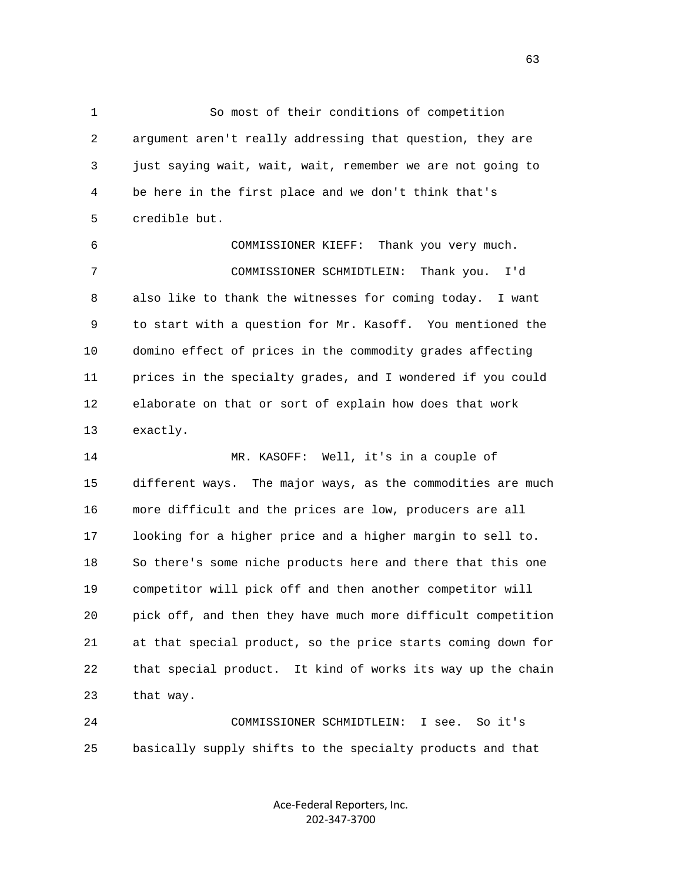1 So most of their conditions of competition 2 argument aren't really addressing that question, they are 3 just saying wait, wait, wait, remember we are not going to 4 be here in the first place and we don't think that's 5 credible but.

 6 COMMISSIONER KIEFF: Thank you very much. 7 COMMISSIONER SCHMIDTLEIN: Thank you. I'd 8 also like to thank the witnesses for coming today. I want 9 to start with a question for Mr. Kasoff. You mentioned the 10 domino effect of prices in the commodity grades affecting 11 prices in the specialty grades, and I wondered if you could 12 elaborate on that or sort of explain how does that work 13 exactly.

 14 MR. KASOFF: Well, it's in a couple of 15 different ways. The major ways, as the commodities are much 16 more difficult and the prices are low, producers are all 17 looking for a higher price and a higher margin to sell to. 18 So there's some niche products here and there that this one 19 competitor will pick off and then another competitor will 20 pick off, and then they have much more difficult competition 21 at that special product, so the price starts coming down for 22 that special product. It kind of works its way up the chain 23 that way.

 24 COMMISSIONER SCHMIDTLEIN: I see. So it's 25 basically supply shifts to the specialty products and that

> Ace‐Federal Reporters, Inc. 202‐347‐3700

 $\sim$  63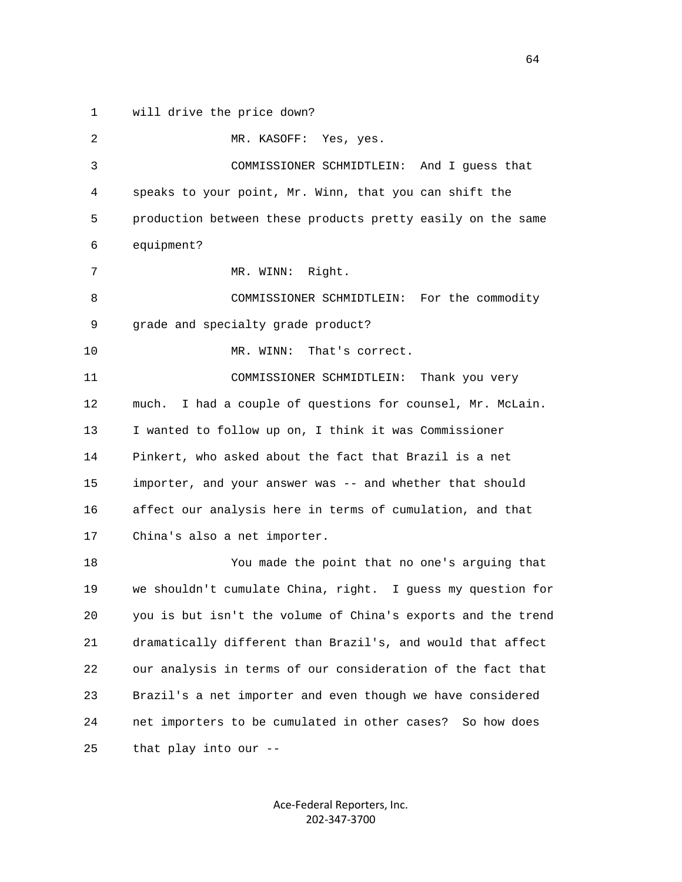1 will drive the price down?

 2 MR. KASOFF: Yes, yes. 3 COMMISSIONER SCHMIDTLEIN: And I guess that 4 speaks to your point, Mr. Winn, that you can shift the 5 production between these products pretty easily on the same 6 equipment? 7 MR. WINN: Right. 8 COMMISSIONER SCHMIDTLEIN: For the commodity 9 grade and specialty grade product? 10 MR. WINN: That's correct. 11 COMMISSIONER SCHMIDTLEIN: Thank you very 12 much. I had a couple of questions for counsel, Mr. McLain. 13 I wanted to follow up on, I think it was Commissioner 14 Pinkert, who asked about the fact that Brazil is a net 15 importer, and your answer was -- and whether that should 16 affect our analysis here in terms of cumulation, and that 17 China's also a net importer. 18 You made the point that no one's arguing that 19 we shouldn't cumulate China, right. I guess my question for 20 you is but isn't the volume of China's exports and the trend 21 dramatically different than Brazil's, and would that affect 22 our analysis in terms of our consideration of the fact that 23 Brazil's a net importer and even though we have considered 24 net importers to be cumulated in other cases? So how does 25 that play into our --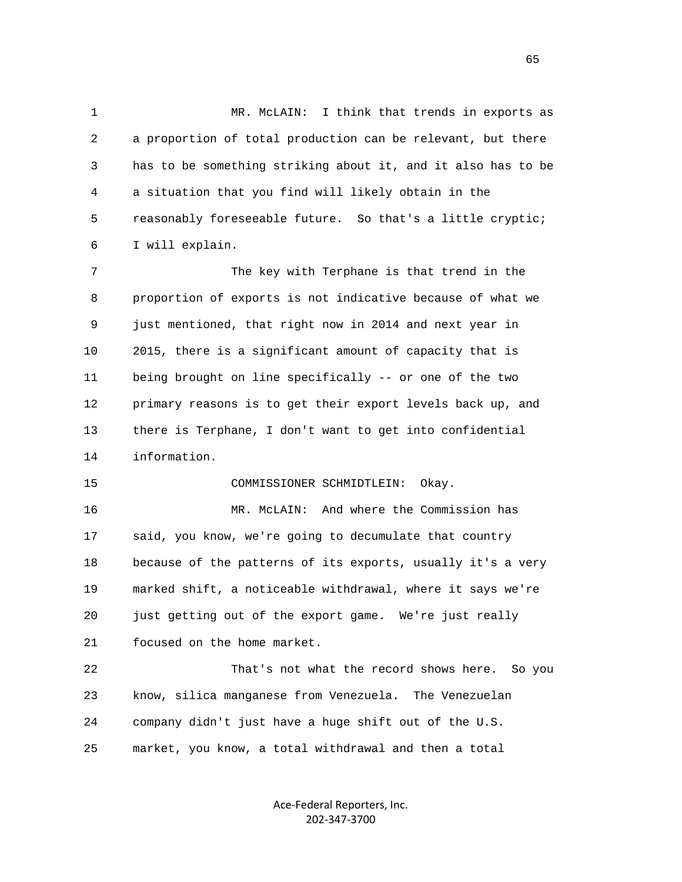1 MR. McLAIN: I think that trends in exports as 2 a proportion of total production can be relevant, but there 3 has to be something striking about it, and it also has to be 4 a situation that you find will likely obtain in the 5 reasonably foreseeable future. So that's a little cryptic; 6 I will explain.

 7 The key with Terphane is that trend in the 8 proportion of exports is not indicative because of what we 9 just mentioned, that right now in 2014 and next year in 10 2015, there is a significant amount of capacity that is 11 being brought on line specifically -- or one of the two 12 primary reasons is to get their export levels back up, and 13 there is Terphane, I don't want to get into confidential 14 information.

15 COMMISSIONER SCHMIDTLEIN: Okay.

 16 MR. McLAIN: And where the Commission has 17 said, you know, we're going to decumulate that country 18 because of the patterns of its exports, usually it's a very 19 marked shift, a noticeable withdrawal, where it says we're 20 just getting out of the export game. We're just really 21 focused on the home market.

 22 That's not what the record shows here. So you 23 know, silica manganese from Venezuela. The Venezuelan 24 company didn't just have a huge shift out of the U.S. 25 market, you know, a total withdrawal and then a total

> Ace‐Federal Reporters, Inc. 202‐347‐3700

 $\sim$  65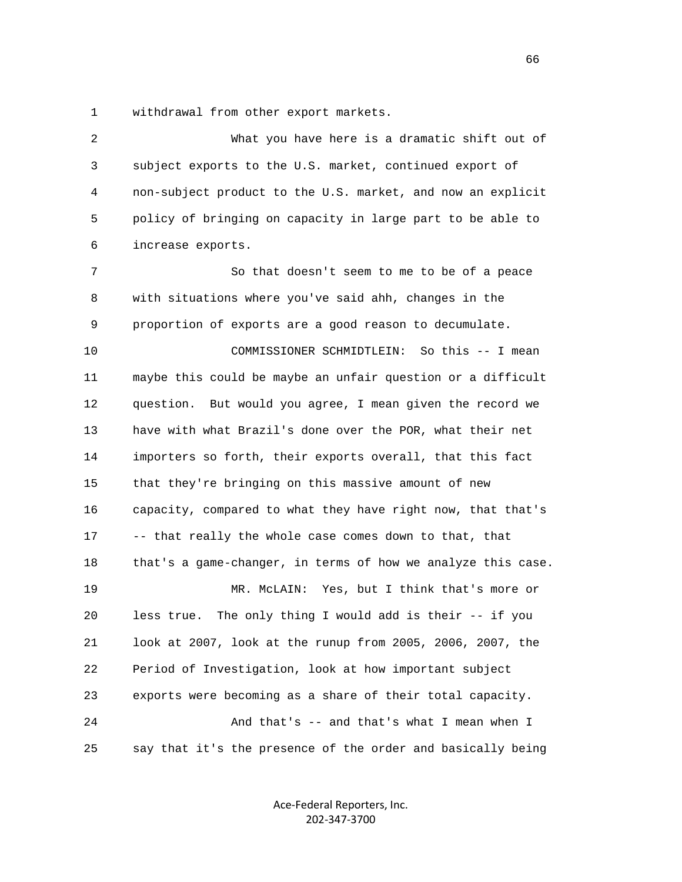1 withdrawal from other export markets.

| 2  | What you have here is a dramatic shift out of                |
|----|--------------------------------------------------------------|
| 3  | subject exports to the U.S. market, continued export of      |
| 4  | non-subject product to the U.S. market, and now an explicit  |
| 5  | policy of bringing on capacity in large part to be able to   |
| 6  | increase exports.                                            |
| 7  | So that doesn't seem to me to be of a peace                  |
| 8  | with situations where you've said ahh, changes in the        |
| 9  | proportion of exports are a good reason to decumulate.       |
| 10 | COMMISSIONER SCHMIDTLEIN: So this -- I mean                  |
| 11 | maybe this could be maybe an unfair question or a difficult  |
| 12 | question. But would you agree, I mean given the record we    |
| 13 | have with what Brazil's done over the POR, what their net    |
| 14 | importers so forth, their exports overall, that this fact    |
| 15 | that they're bringing on this massive amount of new          |
| 16 | capacity, compared to what they have right now, that that's  |
| 17 | -- that really the whole case comes down to that, that       |
| 18 | that's a game-changer, in terms of how we analyze this case. |
| 19 | MR. McLAIN: Yes, but I think that's more or                  |
| 20 | The only thing I would add is their -- if you<br>less true.  |
| 21 | look at 2007, look at the runup from 2005, 2006, 2007, the   |
| 22 | Period of Investigation, look at how important subject       |
| 23 | exports were becoming as a share of their total capacity.    |
| 24 | And that's -- and that's what I mean when I                  |
| 25 | say that it's the presence of the order and basically being  |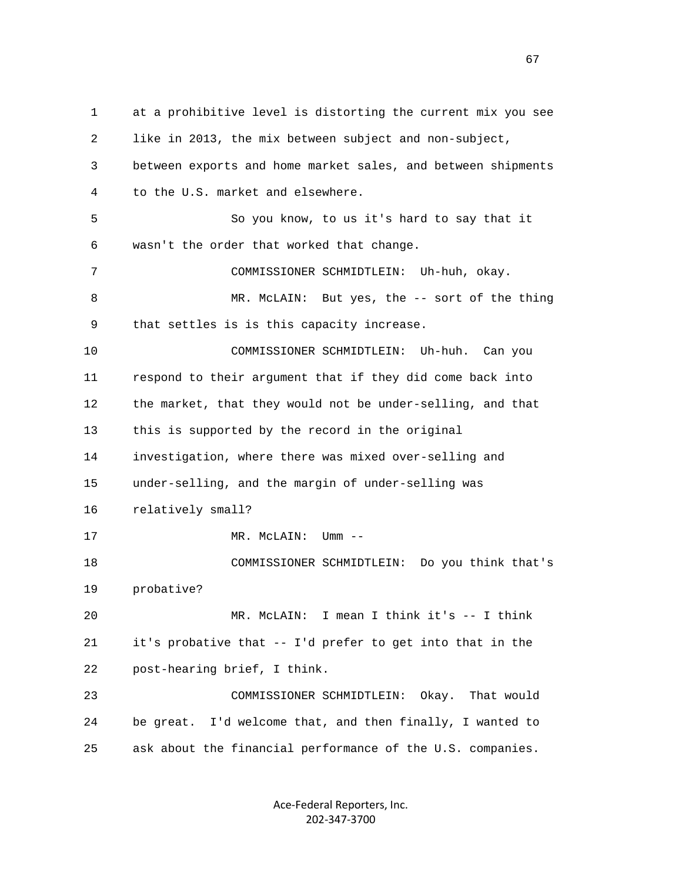1 at a prohibitive level is distorting the current mix you see 2 like in 2013, the mix between subject and non-subject, 3 between exports and home market sales, and between shipments 4 to the U.S. market and elsewhere. 5 So you know, to us it's hard to say that it 6 wasn't the order that worked that change. 7 COMMISSIONER SCHMIDTLEIN: Uh-huh, okay. 8 MR. McLAIN: But yes, the -- sort of the thing 9 that settles is is this capacity increase. 10 COMMISSIONER SCHMIDTLEIN: Uh-huh. Can you 11 respond to their argument that if they did come back into 12 the market, that they would not be under-selling, and that 13 this is supported by the record in the original 14 investigation, where there was mixed over-selling and 15 under-selling, and the margin of under-selling was 16 relatively small? 17 MR. McLAIN: Umm -- 18 COMMISSIONER SCHMIDTLEIN: Do you think that's 19 probative? 20 MR. McLAIN: I mean I think it's -- I think 21 it's probative that -- I'd prefer to get into that in the 22 post-hearing brief, I think. 23 COMMISSIONER SCHMIDTLEIN: Okay. That would 24 be great. I'd welcome that, and then finally, I wanted to 25 ask about the financial performance of the U.S. companies.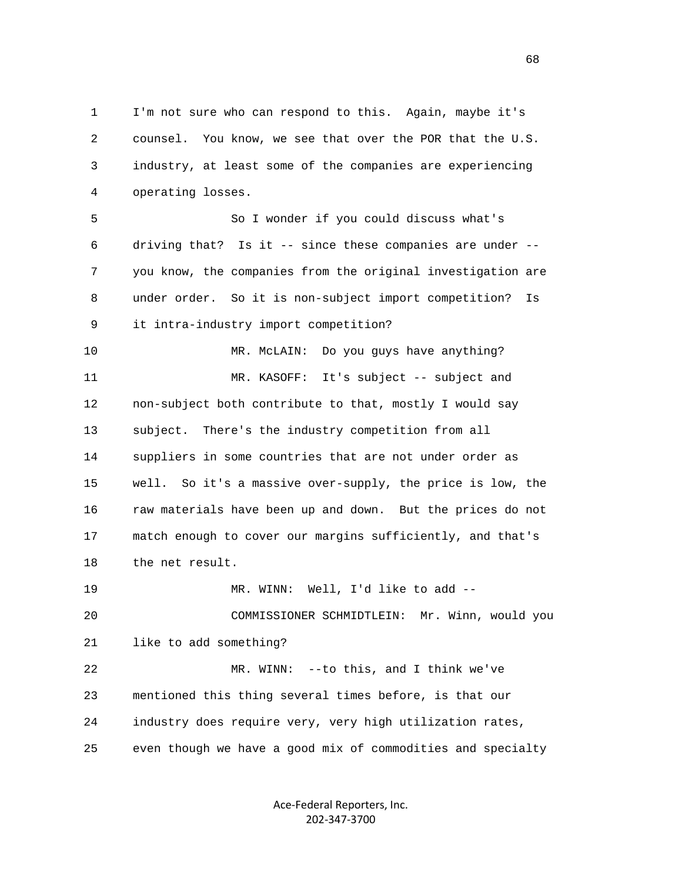1 I'm not sure who can respond to this. Again, maybe it's 2 counsel. You know, we see that over the POR that the U.S. 3 industry, at least some of the companies are experiencing 4 operating losses. 5 So I wonder if you could discuss what's 6 driving that? Is it -- since these companies are under -- 7 you know, the companies from the original investigation are 8 under order. So it is non-subject import competition? Is 9 it intra-industry import competition? 10 MR. McLAIN: Do you guys have anything? 11 MR. KASOFF: It's subject -- subject and 12 non-subject both contribute to that, mostly I would say 13 subject. There's the industry competition from all 14 suppliers in some countries that are not under order as 15 well. So it's a massive over-supply, the price is low, the 16 raw materials have been up and down. But the prices do not 17 match enough to cover our margins sufficiently, and that's 18 the net result. 19 MR. WINN: Well, I'd like to add -- 20 COMMISSIONER SCHMIDTLEIN: Mr. Winn, would you 21 like to add something? 22 MR. WINN: --to this, and I think we've 23 mentioned this thing several times before, is that our 24 industry does require very, very high utilization rates, 25 even though we have a good mix of commodities and specialty

> Ace‐Federal Reporters, Inc. 202‐347‐3700

 $\sim$  68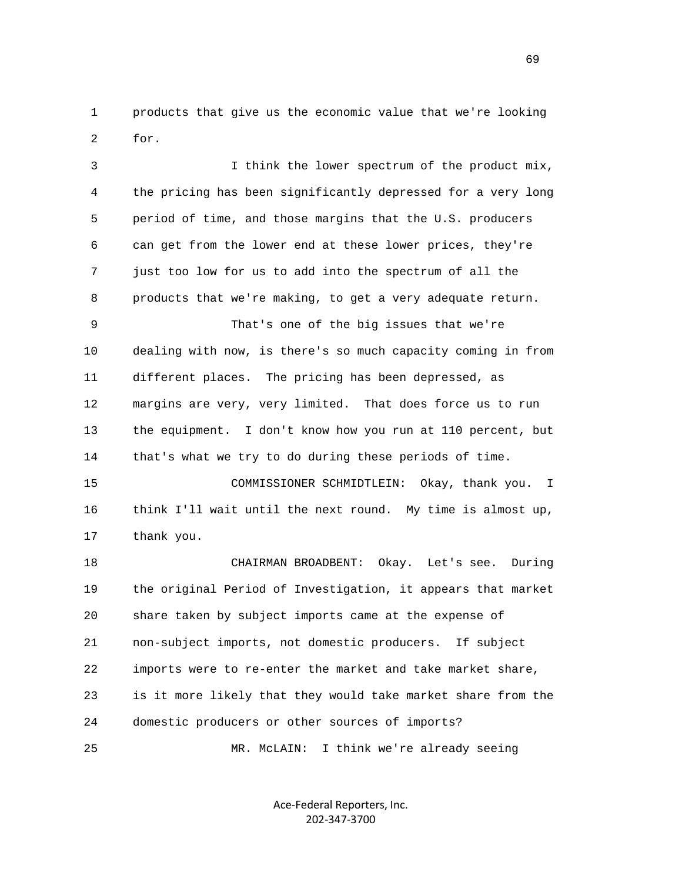1 products that give us the economic value that we're looking 2 for.

 3 I think the lower spectrum of the product mix, 4 the pricing has been significantly depressed for a very long 5 period of time, and those margins that the U.S. producers 6 can get from the lower end at these lower prices, they're 7 just too low for us to add into the spectrum of all the 8 products that we're making, to get a very adequate return. 9 That's one of the big issues that we're 10 dealing with now, is there's so much capacity coming in from 11 different places. The pricing has been depressed, as 12 margins are very, very limited. That does force us to run 13 the equipment. I don't know how you run at 110 percent, but 14 that's what we try to do during these periods of time. 15 COMMISSIONER SCHMIDTLEIN: Okay, thank you. I 16 think I'll wait until the next round. My time is almost up, 17 thank you. 18 CHAIRMAN BROADBENT: Okay. Let's see. During 19 the original Period of Investigation, it appears that market 20 share taken by subject imports came at the expense of 21 non-subject imports, not domestic producers. If subject 22 imports were to re-enter the market and take market share, 23 is it more likely that they would take market share from the

24 domestic producers or other sources of imports?

25 MR. McLAIN: I think we're already seeing

Ace‐Federal Reporters, Inc. 202‐347‐3700

 $\sim$  69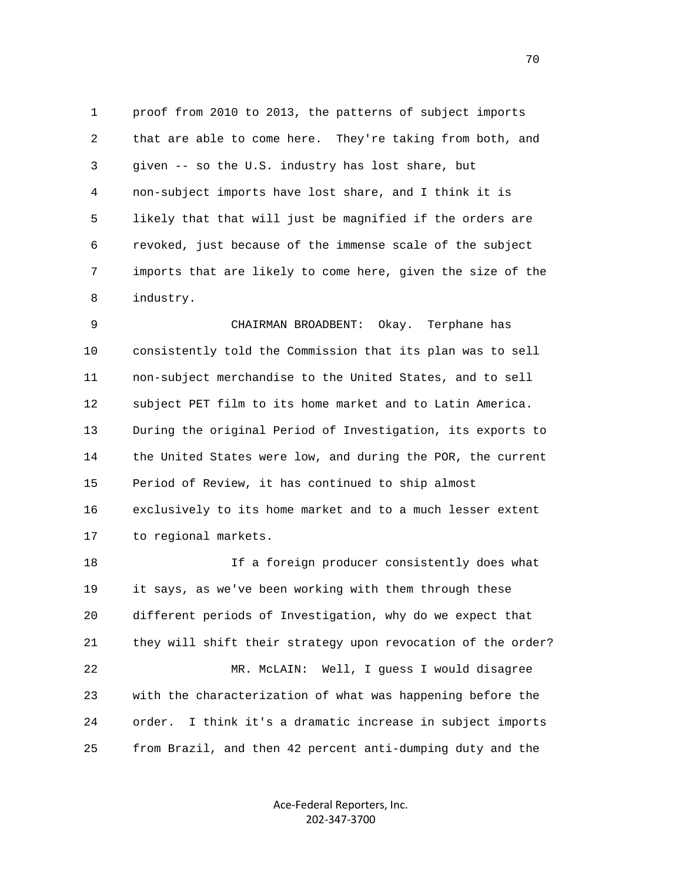1 proof from 2010 to 2013, the patterns of subject imports 2 that are able to come here. They're taking from both, and 3 given -- so the U.S. industry has lost share, but 4 non-subject imports have lost share, and I think it is 5 likely that that will just be magnified if the orders are 6 revoked, just because of the immense scale of the subject 7 imports that are likely to come here, given the size of the 8 industry.

 9 CHAIRMAN BROADBENT: Okay. Terphane has 10 consistently told the Commission that its plan was to sell 11 non-subject merchandise to the United States, and to sell 12 subject PET film to its home market and to Latin America. 13 During the original Period of Investigation, its exports to 14 the United States were low, and during the POR, the current 15 Period of Review, it has continued to ship almost 16 exclusively to its home market and to a much lesser extent 17 to regional markets.

 18 If a foreign producer consistently does what 19 it says, as we've been working with them through these 20 different periods of Investigation, why do we expect that 21 they will shift their strategy upon revocation of the order? 22 MR. McLAIN: Well, I guess I would disagree 23 with the characterization of what was happening before the 24 order. I think it's a dramatic increase in subject imports 25 from Brazil, and then 42 percent anti-dumping duty and the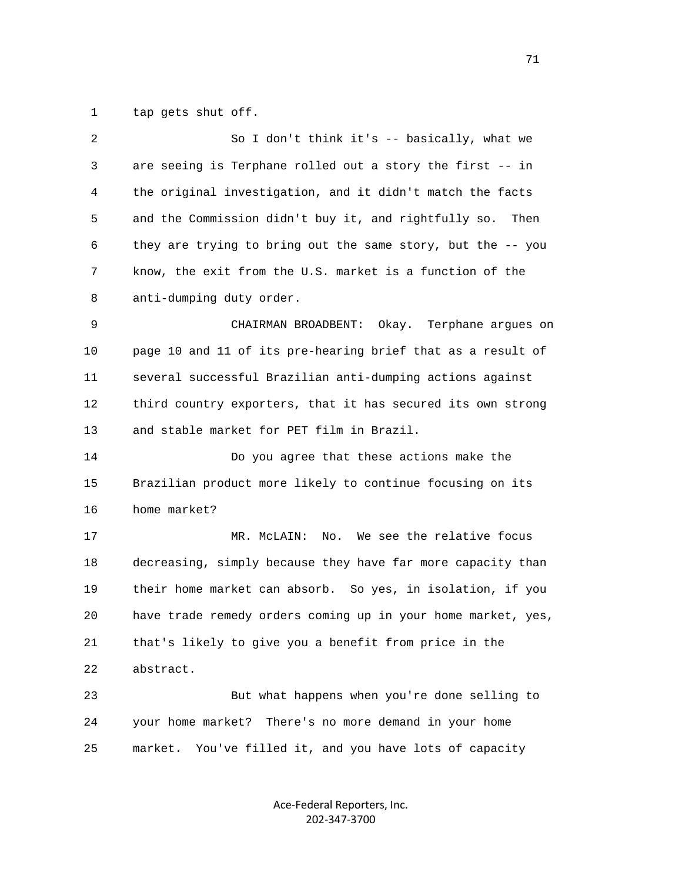1 tap gets shut off.

| $\overline{2}$ | So I don't think it's -- basically, what we                  |
|----------------|--------------------------------------------------------------|
| 3              | are seeing is Terphane rolled out a story the first -- in    |
| 4              | the original investigation, and it didn't match the facts    |
| 5              | and the Commission didn't buy it, and rightfully so.<br>Then |
| 6              | they are trying to bring out the same story, but the -- you  |
| 7              | know, the exit from the U.S. market is a function of the     |
| 8              | anti-dumping duty order.                                     |
| 9              | CHAIRMAN BROADBENT:<br>Okay. Terphane argues on              |
| 10             | page 10 and 11 of its pre-hearing brief that as a result of  |
| 11             | several successful Brazilian anti-dumping actions against    |
| 12             | third country exporters, that it has secured its own strong  |
| 13             | and stable market for PET film in Brazil.                    |
| 14             | Do you agree that these actions make the                     |
| 15             | Brazilian product more likely to continue focusing on its    |
| 16             | home market?                                                 |
| 17             | We see the relative focus<br>MR. MCLAIN:<br>No.              |
| 18             | decreasing, simply because they have far more capacity than  |
| 19             | their home market can absorb. So yes, in isolation, if you   |
| 20             | have trade remedy orders coming up in your home market, yes, |
|                |                                                              |
| 21             | that's likely to give you a benefit from price in the        |
| 22             | abstract.                                                    |
| 23             | But what happens when you're done selling to                 |
| 24             | your home market?<br>There's no more demand in your home     |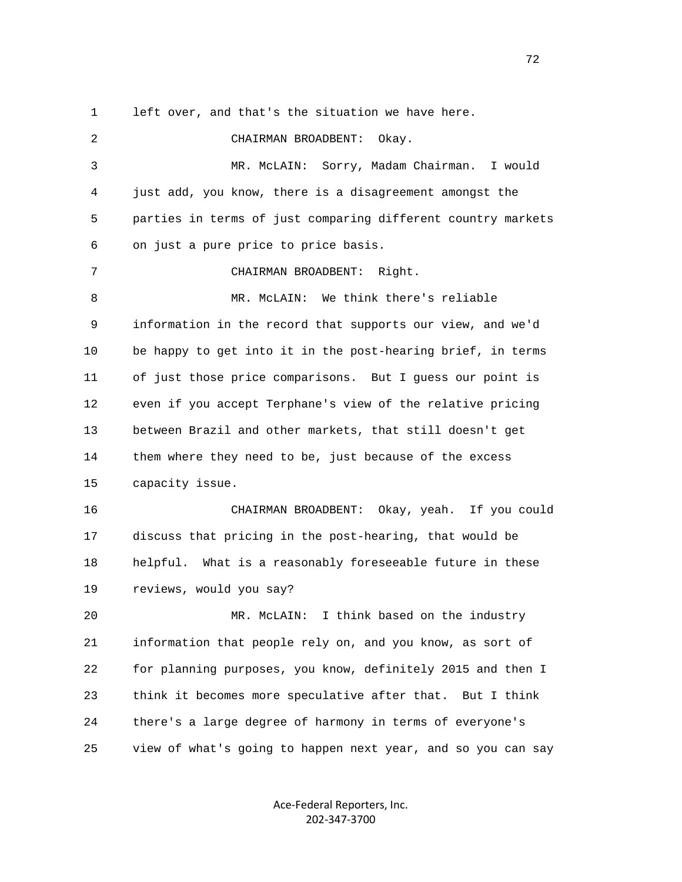1 left over, and that's the situation we have here.

 2 CHAIRMAN BROADBENT: Okay. 3 MR. McLAIN: Sorry, Madam Chairman. I would 4 just add, you know, there is a disagreement amongst the 5 parties in terms of just comparing different country markets 6 on just a pure price to price basis. 7 CHAIRMAN BROADBENT: Right. 8 MR. McLAIN: We think there's reliable 9 information in the record that supports our view, and we'd 10 be happy to get into it in the post-hearing brief, in terms 11 of just those price comparisons. But I guess our point is 12 even if you accept Terphane's view of the relative pricing 13 between Brazil and other markets, that still doesn't get 14 them where they need to be, just because of the excess 15 capacity issue. 16 CHAIRMAN BROADBENT: Okay, yeah. If you could 17 discuss that pricing in the post-hearing, that would be 18 helpful. What is a reasonably foreseeable future in these 19 reviews, would you say? 20 MR. McLAIN: I think based on the industry 21 information that people rely on, and you know, as sort of 22 for planning purposes, you know, definitely 2015 and then I 23 think it becomes more speculative after that. But I think 24 there's a large degree of harmony in terms of everyone's 25 view of what's going to happen next year, and so you can say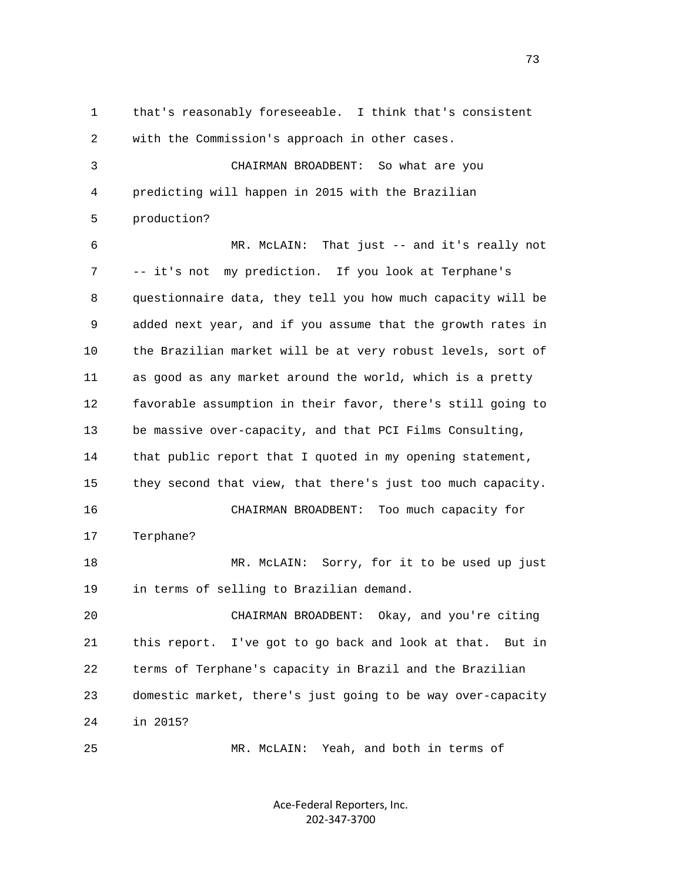1 that's reasonably foreseeable. I think that's consistent 2 with the Commission's approach in other cases. 3 CHAIRMAN BROADBENT: So what are you 4 predicting will happen in 2015 with the Brazilian 5 production? 6 MR. McLAIN: That just -- and it's really not 7 -- it's not my prediction. If you look at Terphane's 8 questionnaire data, they tell you how much capacity will be 9 added next year, and if you assume that the growth rates in 10 the Brazilian market will be at very robust levels, sort of 11 as good as any market around the world, which is a pretty 12 favorable assumption in their favor, there's still going to 13 be massive over-capacity, and that PCI Films Consulting, 14 that public report that I quoted in my opening statement, 15 they second that view, that there's just too much capacity. 16 CHAIRMAN BROADBENT: Too much capacity for 17 Terphane? 18 MR. McLAIN: Sorry, for it to be used up just 19 in terms of selling to Brazilian demand. 20 CHAIRMAN BROADBENT: Okay, and you're citing 21 this report. I've got to go back and look at that. But in 22 terms of Terphane's capacity in Brazil and the Brazilian 23 domestic market, there's just going to be way over-capacity 24 in 2015? 25 MR. McLAIN: Yeah, and both in terms of

> Ace‐Federal Reporters, Inc. 202‐347‐3700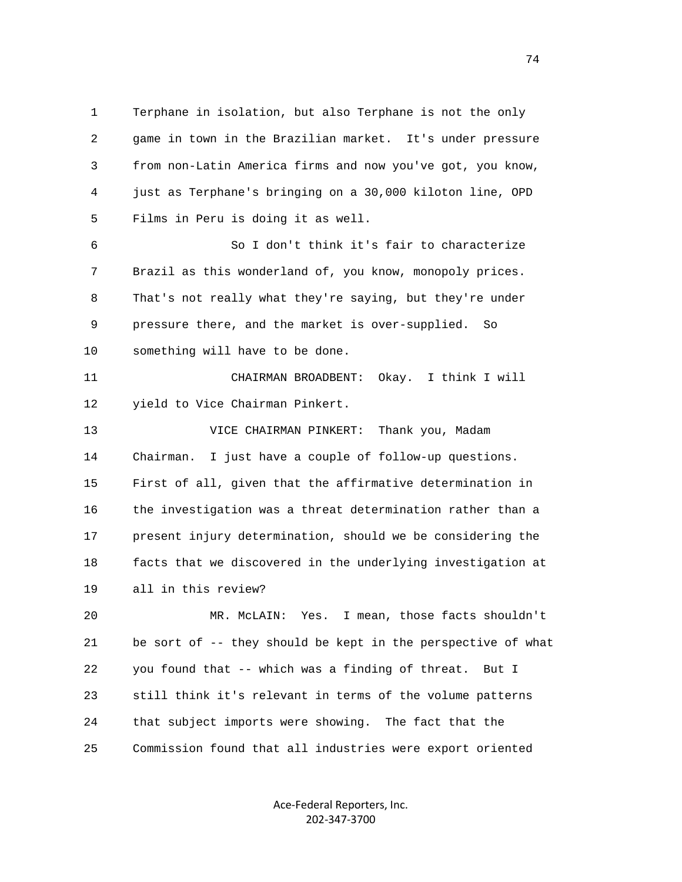1 Terphane in isolation, but also Terphane is not the only 2 game in town in the Brazilian market. It's under pressure 3 from non-Latin America firms and now you've got, you know, 4 just as Terphane's bringing on a 30,000 kiloton line, OPD 5 Films in Peru is doing it as well. 6 So I don't think it's fair to characterize 7 Brazil as this wonderland of, you know, monopoly prices. 8 That's not really what they're saying, but they're under 9 pressure there, and the market is over-supplied. So 10 something will have to be done. 11 CHAIRMAN BROADBENT: Okay. I think I will 12 yield to Vice Chairman Pinkert. 13 VICE CHAIRMAN PINKERT: Thank you, Madam 14 Chairman. I just have a couple of follow-up questions. 15 First of all, given that the affirmative determination in 16 the investigation was a threat determination rather than a 17 present injury determination, should we be considering the 18 facts that we discovered in the underlying investigation at 19 all in this review? 20 MR. McLAIN: Yes. I mean, those facts shouldn't

 21 be sort of -- they should be kept in the perspective of what 22 you found that -- which was a finding of threat. But I 23 still think it's relevant in terms of the volume patterns 24 that subject imports were showing. The fact that the 25 Commission found that all industries were export oriented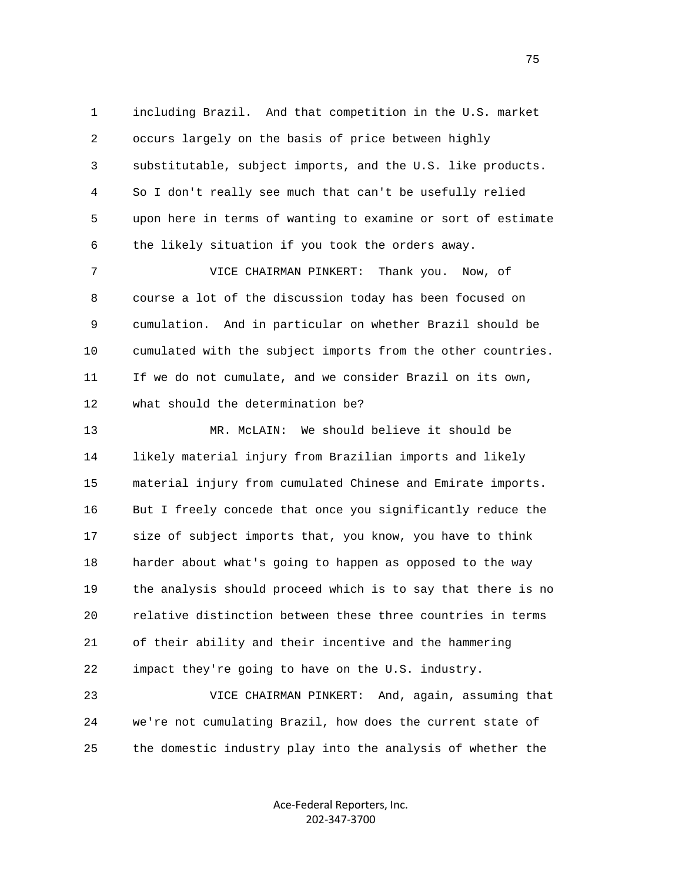1 including Brazil. And that competition in the U.S. market 2 occurs largely on the basis of price between highly 3 substitutable, subject imports, and the U.S. like products. 4 So I don't really see much that can't be usefully relied 5 upon here in terms of wanting to examine or sort of estimate 6 the likely situation if you took the orders away.

 7 VICE CHAIRMAN PINKERT: Thank you. Now, of 8 course a lot of the discussion today has been focused on 9 cumulation. And in particular on whether Brazil should be 10 cumulated with the subject imports from the other countries. 11 If we do not cumulate, and we consider Brazil on its own, 12 what should the determination be?

 13 MR. McLAIN: We should believe it should be 14 likely material injury from Brazilian imports and likely 15 material injury from cumulated Chinese and Emirate imports. 16 But I freely concede that once you significantly reduce the 17 size of subject imports that, you know, you have to think 18 harder about what's going to happen as opposed to the way 19 the analysis should proceed which is to say that there is no 20 relative distinction between these three countries in terms 21 of their ability and their incentive and the hammering 22 impact they're going to have on the U.S. industry.

 23 VICE CHAIRMAN PINKERT: And, again, assuming that 24 we're not cumulating Brazil, how does the current state of 25 the domestic industry play into the analysis of whether the

> Ace‐Federal Reporters, Inc. 202‐347‐3700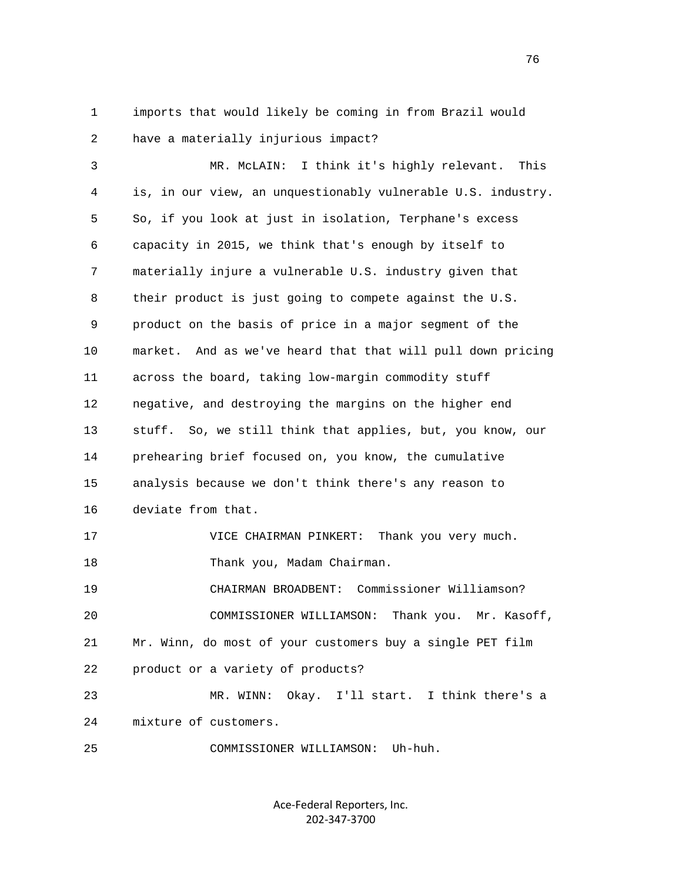1 imports that would likely be coming in from Brazil would 2 have a materially injurious impact?

 3 MR. McLAIN: I think it's highly relevant. This 4 is, in our view, an unquestionably vulnerable U.S. industry. 5 So, if you look at just in isolation, Terphane's excess 6 capacity in 2015, we think that's enough by itself to 7 materially injure a vulnerable U.S. industry given that 8 their product is just going to compete against the U.S. 9 product on the basis of price in a major segment of the 10 market. And as we've heard that that will pull down pricing 11 across the board, taking low-margin commodity stuff 12 negative, and destroying the margins on the higher end 13 stuff. So, we still think that applies, but, you know, our 14 prehearing brief focused on, you know, the cumulative 15 analysis because we don't think there's any reason to 16 deviate from that. 17 VICE CHAIRMAN PINKERT: Thank you very much. 18 Thank you, Madam Chairman. 19 CHAIRMAN BROADBENT: Commissioner Williamson? 20 COMMISSIONER WILLIAMSON: Thank you. Mr. Kasoff, 21 Mr. Winn, do most of your customers buy a single PET film 22 product or a variety of products? 23 MR. WINN: Okay. I'll start. I think there's a 24 mixture of customers.

25 COMMISSIONER WILLIAMSON: Uh-huh.

Ace‐Federal Reporters, Inc. 202‐347‐3700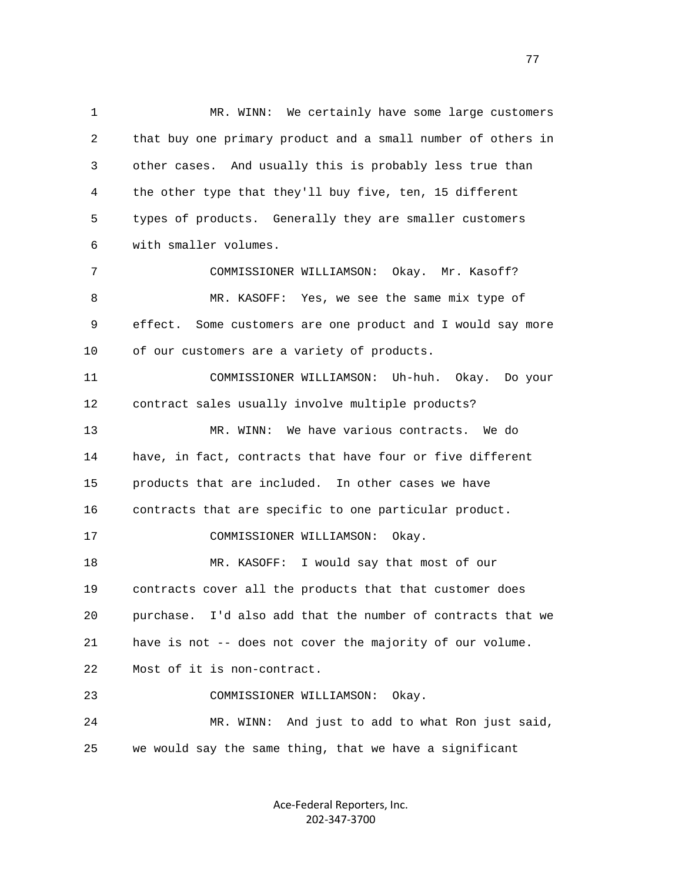1 MR. WINN: We certainly have some large customers 2 that buy one primary product and a small number of others in 3 other cases. And usually this is probably less true than 4 the other type that they'll buy five, ten, 15 different 5 types of products. Generally they are smaller customers 6 with smaller volumes. 7 COMMISSIONER WILLIAMSON: Okay. Mr. Kasoff? 8 MR. KASOFF: Yes, we see the same mix type of 9 effect. Some customers are one product and I would say more 10 of our customers are a variety of products. 11 COMMISSIONER WILLIAMSON: Uh-huh. Okay. Do your 12 contract sales usually involve multiple products? 13 MR. WINN: We have various contracts. We do 14 have, in fact, contracts that have four or five different 15 products that are included. In other cases we have 16 contracts that are specific to one particular product. 17 COMMISSIONER WILLIAMSON: Okay. 18 MR. KASOFF: I would say that most of our 19 contracts cover all the products that that customer does 20 purchase. I'd also add that the number of contracts that we 21 have is not -- does not cover the majority of our volume. 22 Most of it is non-contract. 23 COMMISSIONER WILLIAMSON: Okay. 24 MR. WINN: And just to add to what Ron just said, 25 we would say the same thing, that we have a significant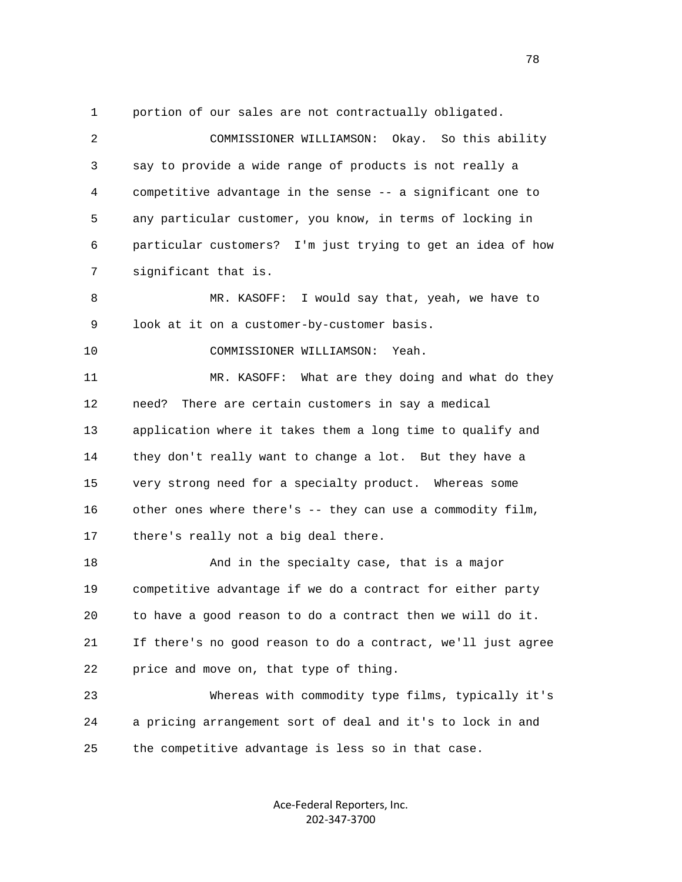1 portion of our sales are not contractually obligated.

 2 COMMISSIONER WILLIAMSON: Okay. So this ability 3 say to provide a wide range of products is not really a 4 competitive advantage in the sense -- a significant one to 5 any particular customer, you know, in terms of locking in 6 particular customers? I'm just trying to get an idea of how 7 significant that is. 8 MR. KASOFF: I would say that, yeah, we have to 9 look at it on a customer-by-customer basis. 10 COMMISSIONER WILLIAMSON: Yeah. 11 MR. KASOFF: What are they doing and what do they 12 need? There are certain customers in say a medical 13 application where it takes them a long time to qualify and 14 they don't really want to change a lot. But they have a 15 very strong need for a specialty product. Whereas some 16 other ones where there's -- they can use a commodity film, 17 there's really not a big deal there. 18 And in the specialty case, that is a major 19 competitive advantage if we do a contract for either party 20 to have a good reason to do a contract then we will do it. 21 If there's no good reason to do a contract, we'll just agree 22 price and move on, that type of thing. 23 Whereas with commodity type films, typically it's 24 a pricing arrangement sort of deal and it's to lock in and 25 the competitive advantage is less so in that case.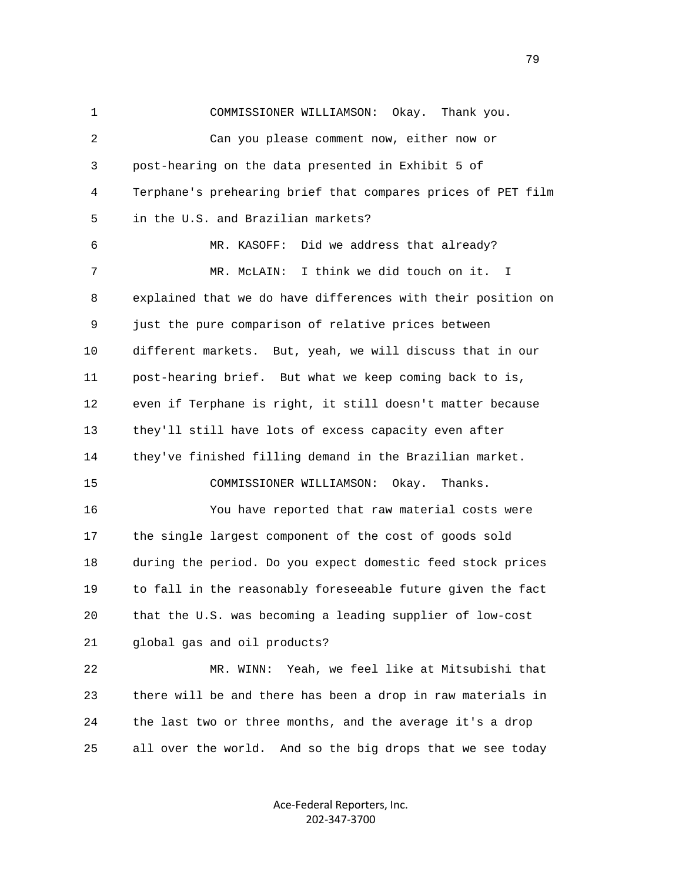1 COMMISSIONER WILLIAMSON: Okay. Thank you. 2 Can you please comment now, either now or 3 post-hearing on the data presented in Exhibit 5 of 4 Terphane's prehearing brief that compares prices of PET film 5 in the U.S. and Brazilian markets? 6 MR. KASOFF: Did we address that already? 7 MR. McLAIN: I think we did touch on it. I 8 explained that we do have differences with their position on 9 just the pure comparison of relative prices between 10 different markets. But, yeah, we will discuss that in our 11 post-hearing brief. But what we keep coming back to is, 12 even if Terphane is right, it still doesn't matter because 13 they'll still have lots of excess capacity even after 14 they've finished filling demand in the Brazilian market. 15 COMMISSIONER WILLIAMSON: Okay. Thanks. 16 You have reported that raw material costs were 17 the single largest component of the cost of goods sold 18 during the period. Do you expect domestic feed stock prices 19 to fall in the reasonably foreseeable future given the fact 20 that the U.S. was becoming a leading supplier of low-cost 21 global gas and oil products? 22 MR. WINN: Yeah, we feel like at Mitsubishi that 23 there will be and there has been a drop in raw materials in 24 the last two or three months, and the average it's a drop 25 all over the world. And so the big drops that we see today

> Ace‐Federal Reporters, Inc. 202‐347‐3700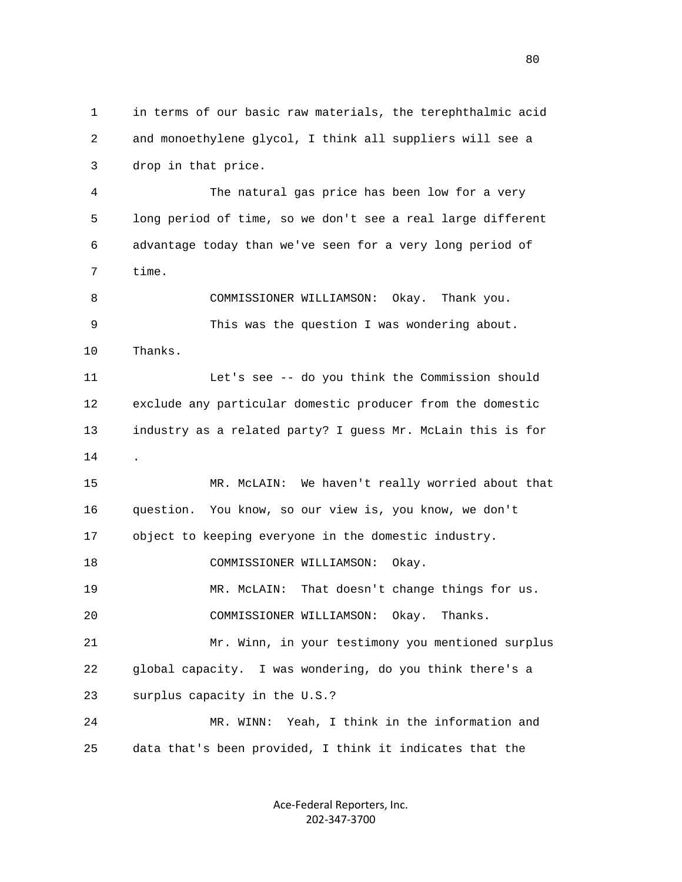1 in terms of our basic raw materials, the terephthalmic acid 2 and monoethylene glycol, I think all suppliers will see a 3 drop in that price. 4 The natural gas price has been low for a very 5 long period of time, so we don't see a real large different 6 advantage today than we've seen for a very long period of 7 time. 8 COMMISSIONER WILLIAMSON: Okay. Thank you. 9 This was the question I was wondering about. 10 Thanks. 11 Let's see -- do you think the Commission should 12 exclude any particular domestic producer from the domestic 13 industry as a related party? I guess Mr. McLain this is for 14 . 15 MR. McLAIN: We haven't really worried about that 16 question. You know, so our view is, you know, we don't 17 object to keeping everyone in the domestic industry. 18 COMMISSIONER WILLIAMSON: Okay. 19 MR. McLAIN: That doesn't change things for us. 20 COMMISSIONER WILLIAMSON: Okay. Thanks. 21 Mr. Winn, in your testimony you mentioned surplus 22 global capacity. I was wondering, do you think there's a 23 surplus capacity in the U.S.? 24 MR. WINN: Yeah, I think in the information and 25 data that's been provided, I think it indicates that the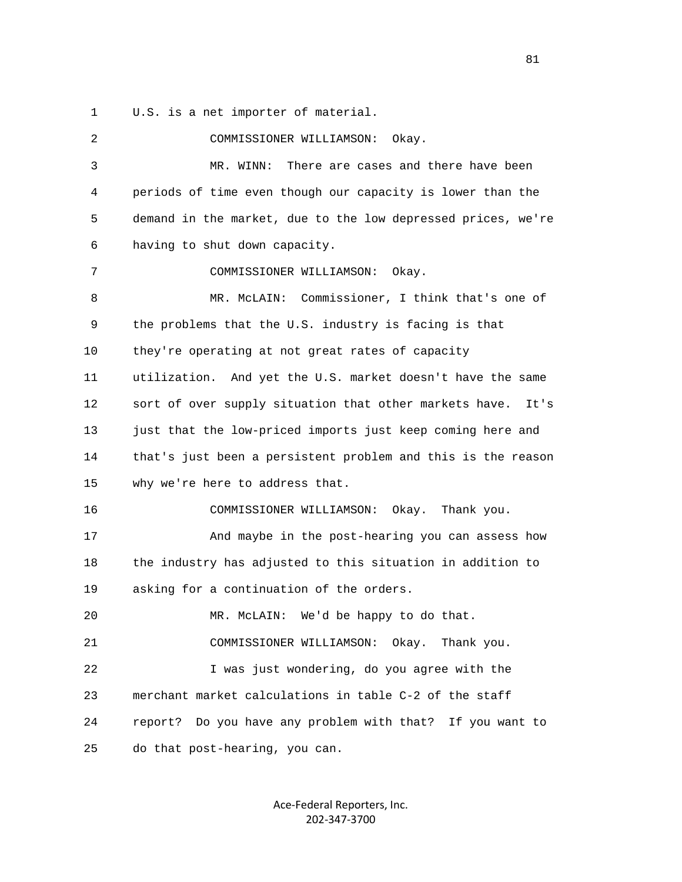1 U.S. is a net importer of material.

 2 COMMISSIONER WILLIAMSON: Okay. 3 MR. WINN: There are cases and there have been 4 periods of time even though our capacity is lower than the 5 demand in the market, due to the low depressed prices, we're 6 having to shut down capacity. 7 COMMISSIONER WILLIAMSON: Okay. 8 MR. McLAIN: Commissioner, I think that's one of 9 the problems that the U.S. industry is facing is that 10 they're operating at not great rates of capacity 11 utilization. And yet the U.S. market doesn't have the same 12 sort of over supply situation that other markets have. It's 13 just that the low-priced imports just keep coming here and 14 that's just been a persistent problem and this is the reason 15 why we're here to address that. 16 COMMISSIONER WILLIAMSON: Okay. Thank you. 17 And maybe in the post-hearing you can assess how 18 the industry has adjusted to this situation in addition to 19 asking for a continuation of the orders. 20 MR. McLAIN: We'd be happy to do that. 21 COMMISSIONER WILLIAMSON: Okay. Thank you. 22 I was just wondering, do you agree with the 23 merchant market calculations in table C-2 of the staff 24 report? Do you have any problem with that? If you want to 25 do that post-hearing, you can.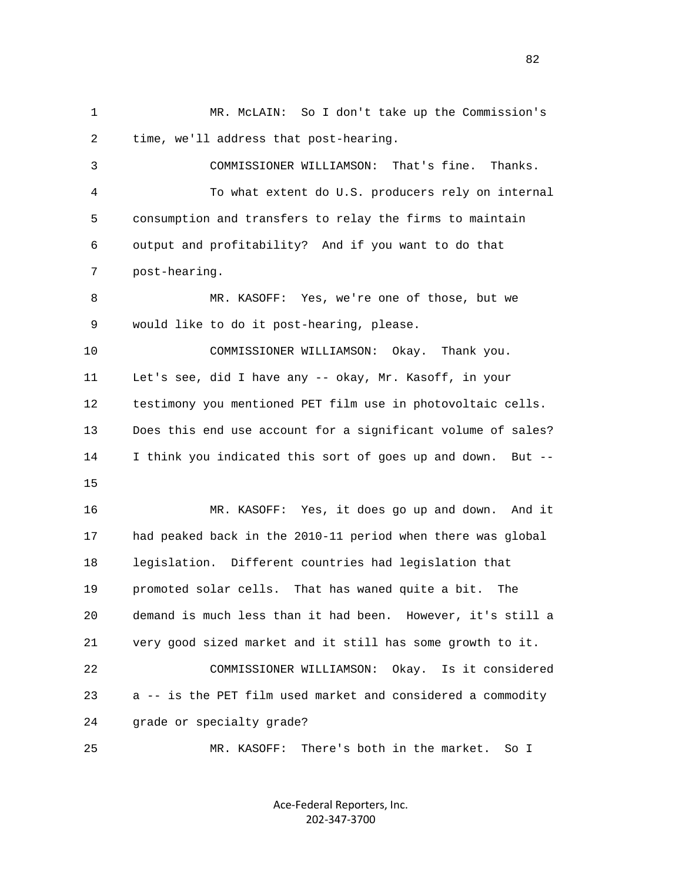1 MR. McLAIN: So I don't take up the Commission's 2 time, we'll address that post-hearing. 3 COMMISSIONER WILLIAMSON: That's fine. Thanks. 4 To what extent do U.S. producers rely on internal 5 consumption and transfers to relay the firms to maintain 6 output and profitability? And if you want to do that 7 post-hearing. 8 MR. KASOFF: Yes, we're one of those, but we 9 would like to do it post-hearing, please. 10 COMMISSIONER WILLIAMSON: Okay. Thank you. 11 Let's see, did I have any -- okay, Mr. Kasoff, in your 12 testimony you mentioned PET film use in photovoltaic cells. 13 Does this end use account for a significant volume of sales? 14 I think you indicated this sort of goes up and down. But -- 15 16 MR. KASOFF: Yes, it does go up and down. And it 17 had peaked back in the 2010-11 period when there was global 18 legislation. Different countries had legislation that 19 promoted solar cells. That has waned quite a bit. The 20 demand is much less than it had been. However, it's still a 21 very good sized market and it still has some growth to it. 22 COMMISSIONER WILLIAMSON: Okay. Is it considered 23 a -- is the PET film used market and considered a commodity 24 grade or specialty grade? 25 MR. KASOFF: There's both in the market. So I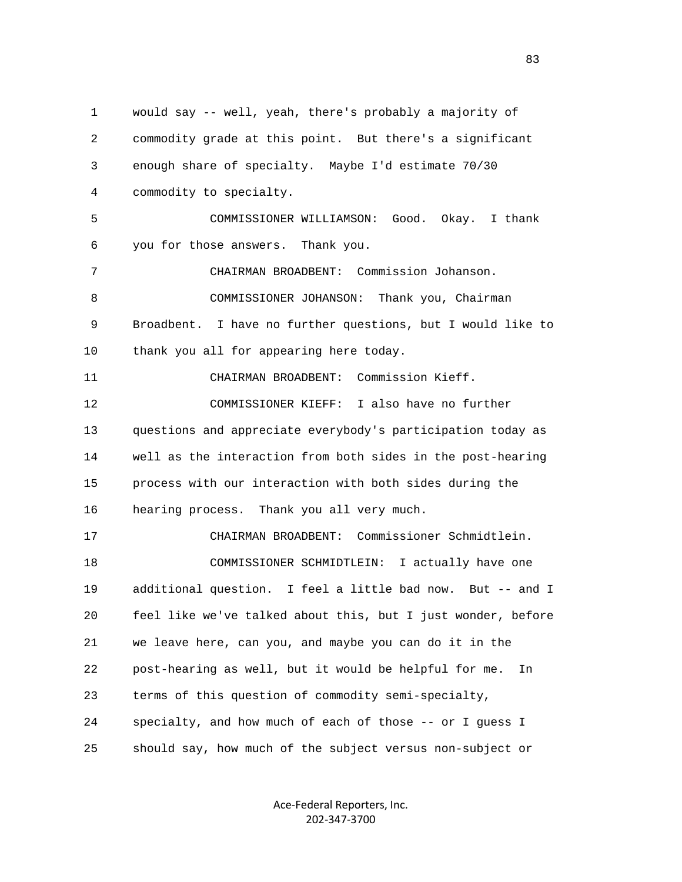1 would say -- well, yeah, there's probably a majority of 2 commodity grade at this point. But there's a significant 3 enough share of specialty. Maybe I'd estimate 70/30 4 commodity to specialty. 5 COMMISSIONER WILLIAMSON: Good. Okay. I thank 6 you for those answers. Thank you. 7 CHAIRMAN BROADBENT: Commission Johanson. 8 COMMISSIONER JOHANSON: Thank you, Chairman 9 Broadbent. I have no further questions, but I would like to 10 thank you all for appearing here today. 11 CHAIRMAN BROADBENT: Commission Kieff. 12 COMMISSIONER KIEFF: I also have no further 13 questions and appreciate everybody's participation today as 14 well as the interaction from both sides in the post-hearing 15 process with our interaction with both sides during the 16 hearing process. Thank you all very much. 17 CHAIRMAN BROADBENT: Commissioner Schmidtlein. 18 COMMISSIONER SCHMIDTLEIN: I actually have one 19 additional question. I feel a little bad now. But -- and I 20 feel like we've talked about this, but I just wonder, before 21 we leave here, can you, and maybe you can do it in the 22 post-hearing as well, but it would be helpful for me. In 23 terms of this question of commodity semi-specialty, 24 specialty, and how much of each of those -- or I guess I 25 should say, how much of the subject versus non-subject or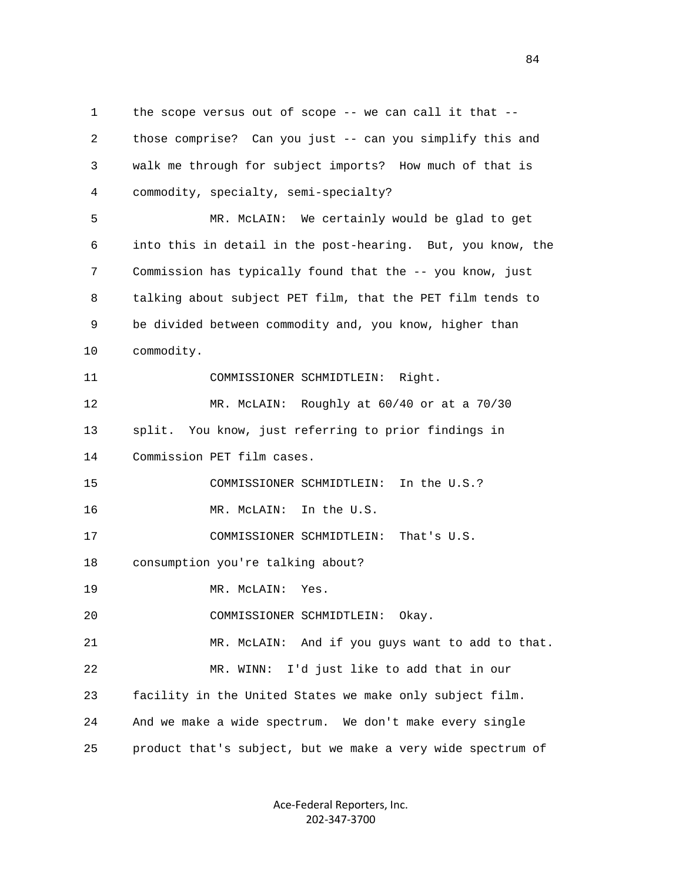1 the scope versus out of scope -- we can call it that -- 2 those comprise? Can you just -- can you simplify this and 3 walk me through for subject imports? How much of that is 4 commodity, specialty, semi-specialty? 5 MR. McLAIN: We certainly would be glad to get 6 into this in detail in the post-hearing. But, you know, the 7 Commission has typically found that the -- you know, just 8 talking about subject PET film, that the PET film tends to 9 be divided between commodity and, you know, higher than 10 commodity. 11 COMMISSIONER SCHMIDTLEIN: Right. 12 MR. McLAIN: Roughly at 60/40 or at a 70/30 13 split. You know, just referring to prior findings in 14 Commission PET film cases. 15 COMMISSIONER SCHMIDTLEIN: In the U.S.? 16 MR. McLAIN: In the U.S. 17 COMMISSIONER SCHMIDTLEIN: That's U.S. 18 consumption you're talking about? 19 MR. McLAIN: Yes. 20 COMMISSIONER SCHMIDTLEIN: Okay. 21 MR. McLAIN: And if you guys want to add to that. 22 MR. WINN: I'd just like to add that in our 23 facility in the United States we make only subject film. 24 And we make a wide spectrum. We don't make every single 25 product that's subject, but we make a very wide spectrum of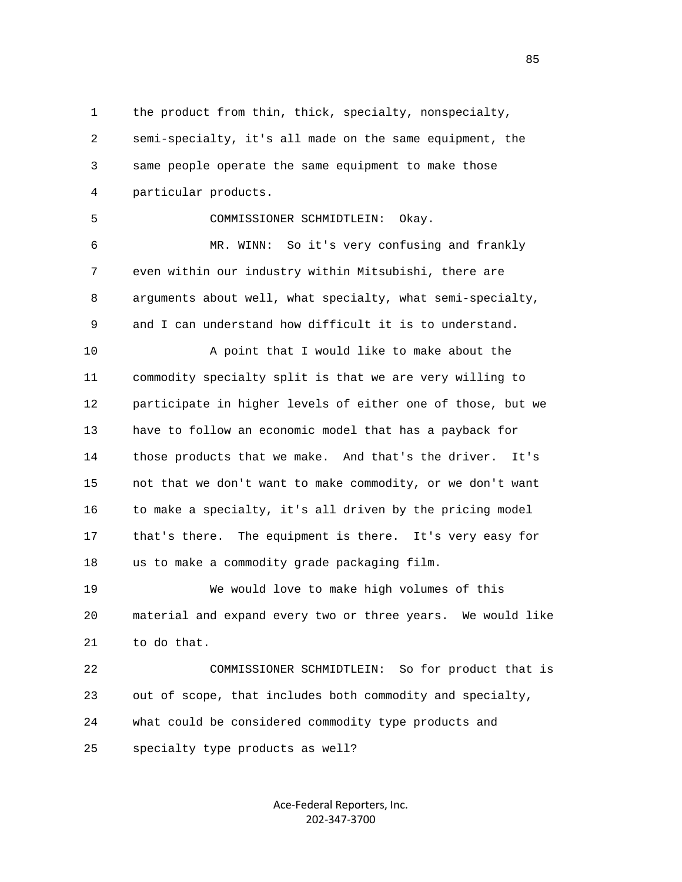1 the product from thin, thick, specialty, nonspecialty, 2 semi-specialty, it's all made on the same equipment, the 3 same people operate the same equipment to make those 4 particular products. 5 COMMISSIONER SCHMIDTLEIN: Okay. 6 MR. WINN: So it's very confusing and frankly 7 even within our industry within Mitsubishi, there are 8 arguments about well, what specialty, what semi-specialty, 9 and I can understand how difficult it is to understand. 10 A point that I would like to make about the 11 commodity specialty split is that we are very willing to 12 participate in higher levels of either one of those, but we 13 have to follow an economic model that has a payback for 14 those products that we make. And that's the driver. It's 15 not that we don't want to make commodity, or we don't want 16 to make a specialty, it's all driven by the pricing model 17 that's there. The equipment is there. It's very easy for 18 us to make a commodity grade packaging film. 19 We would love to make high volumes of this 20 material and expand every two or three years. We would like 21 to do that. 22 COMMISSIONER SCHMIDTLEIN: So for product that is 23 out of scope, that includes both commodity and specialty, 24 what could be considered commodity type products and 25 specialty type products as well?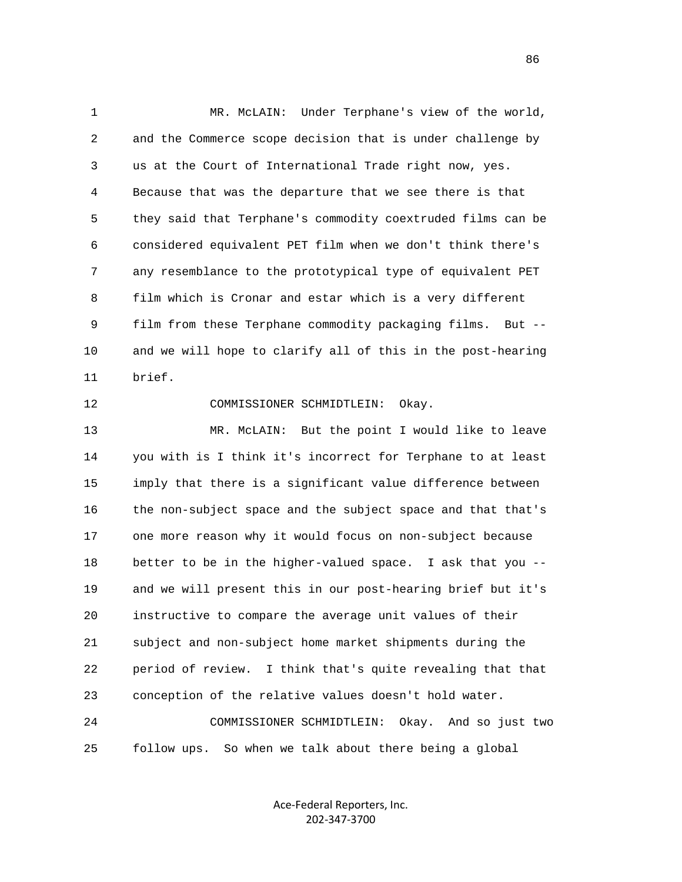1 MR. McLAIN: Under Terphane's view of the world, 2 and the Commerce scope decision that is under challenge by 3 us at the Court of International Trade right now, yes. 4 Because that was the departure that we see there is that 5 they said that Terphane's commodity coextruded films can be 6 considered equivalent PET film when we don't think there's 7 any resemblance to the prototypical type of equivalent PET 8 film which is Cronar and estar which is a very different 9 film from these Terphane commodity packaging films. But -- 10 and we will hope to clarify all of this in the post-hearing 11 brief.

12 COMMISSIONER SCHMIDTLEIN: Okay.

 13 MR. McLAIN: But the point I would like to leave 14 you with is I think it's incorrect for Terphane to at least 15 imply that there is a significant value difference between 16 the non-subject space and the subject space and that that's 17 one more reason why it would focus on non-subject because 18 better to be in the higher-valued space. I ask that you -- 19 and we will present this in our post-hearing brief but it's 20 instructive to compare the average unit values of their 21 subject and non-subject home market shipments during the 22 period of review. I think that's quite revealing that that 23 conception of the relative values doesn't hold water.

 24 COMMISSIONER SCHMIDTLEIN: Okay. And so just two 25 follow ups. So when we talk about there being a global

> Ace‐Federal Reporters, Inc. 202‐347‐3700

<u>86 and 2001 and 2002 and 2003 and 2003 and 2003 and 2003 and 2003 and 2003 and 2003 and 2003 and 2003 and 200</u>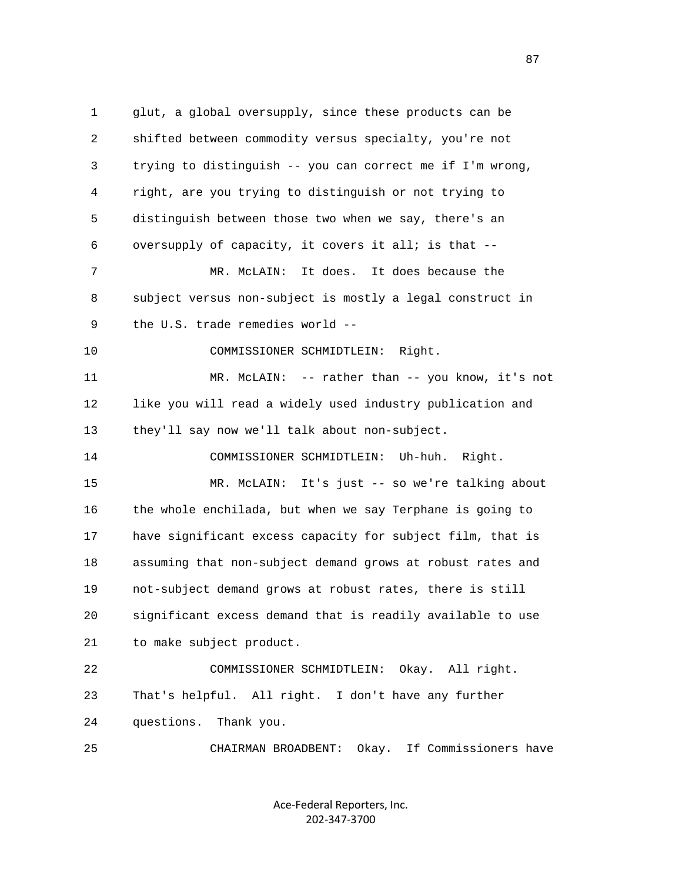1 glut, a global oversupply, since these products can be 2 shifted between commodity versus specialty, you're not 3 trying to distinguish -- you can correct me if I'm wrong, 4 right, are you trying to distinguish or not trying to 5 distinguish between those two when we say, there's an 6 oversupply of capacity, it covers it all; is that -- 7 MR. McLAIN: It does. It does because the 8 subject versus non-subject is mostly a legal construct in 9 the U.S. trade remedies world -- 10 COMMISSIONER SCHMIDTLEIN: Right. 11 MR. McLAIN: -- rather than -- you know, it's not 12 like you will read a widely used industry publication and 13 they'll say now we'll talk about non-subject. 14 COMMISSIONER SCHMIDTLEIN: Uh-huh. Right. 15 MR. McLAIN: It's just -- so we're talking about 16 the whole enchilada, but when we say Terphane is going to 17 have significant excess capacity for subject film, that is 18 assuming that non-subject demand grows at robust rates and 19 not-subject demand grows at robust rates, there is still 20 significant excess demand that is readily available to use 21 to make subject product. 22 COMMISSIONER SCHMIDTLEIN: Okay. All right. 23 That's helpful. All right. I don't have any further 24 questions. Thank you. 25 CHAIRMAN BROADBENT: Okay. If Commissioners have

> Ace‐Federal Reporters, Inc. 202‐347‐3700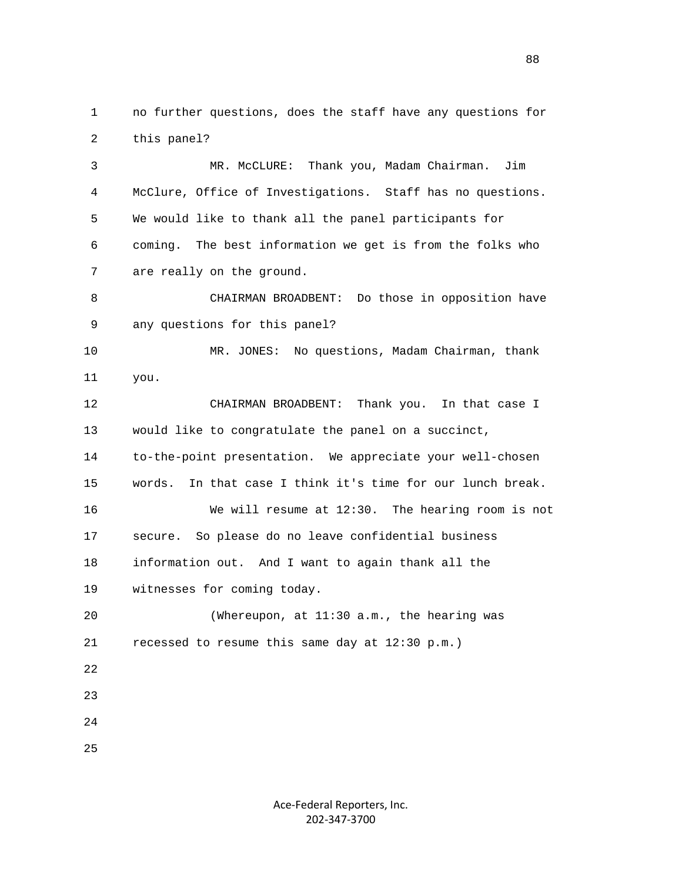1 no further questions, does the staff have any questions for 2 this panel?

 3 MR. McCLURE: Thank you, Madam Chairman. Jim 4 McClure, Office of Investigations. Staff has no questions. 5 We would like to thank all the panel participants for 6 coming. The best information we get is from the folks who 7 are really on the ground.

 8 CHAIRMAN BROADBENT: Do those in opposition have 9 any questions for this panel?

 10 MR. JONES: No questions, Madam Chairman, thank 11 you.

 12 CHAIRMAN BROADBENT: Thank you. In that case I 13 would like to congratulate the panel on a succinct, 14 to-the-point presentation. We appreciate your well-chosen 15 words. In that case I think it's time for our lunch break. 16 We will resume at 12:30. The hearing room is not 17 secure. So please do no leave confidential business 18 information out. And I want to again thank all the 19 witnesses for coming today. 20 (Whereupon, at 11:30 a.m., the hearing was

21 recessed to resume this same day at 12:30 p.m.)

- 22
- 23
- 24
- 25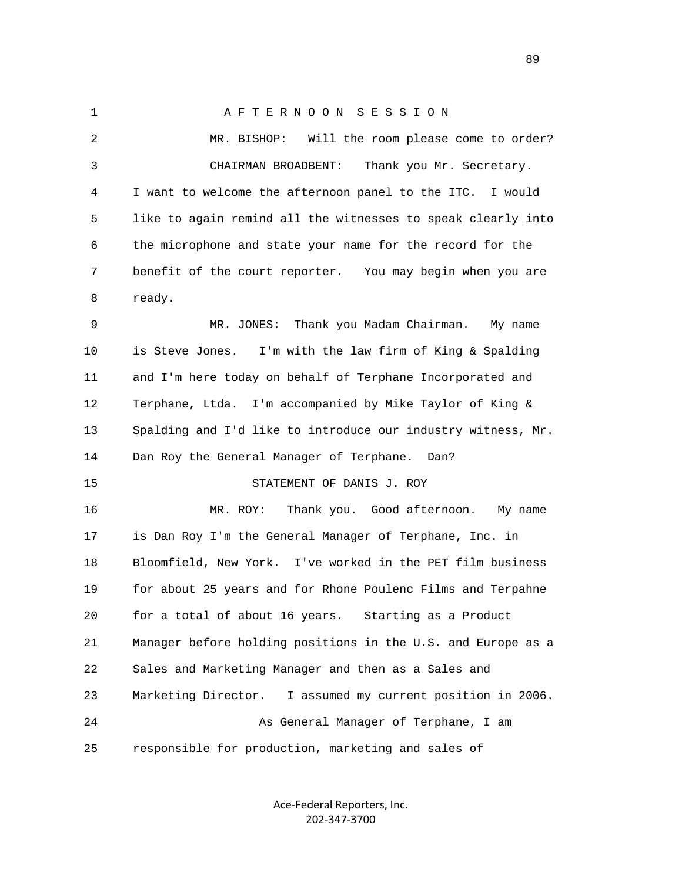1 A F T E R N O O N S E S S I O N 2 MR. BISHOP: Will the room please come to order? 3 CHAIRMAN BROADBENT: Thank you Mr. Secretary. 4 I want to welcome the afternoon panel to the ITC. I would 5 like to again remind all the witnesses to speak clearly into 6 the microphone and state your name for the record for the 7 benefit of the court reporter. You may begin when you are 8 ready. 9 MR. JONES: Thank you Madam Chairman. My name 10 is Steve Jones. I'm with the law firm of King & Spalding 11 and I'm here today on behalf of Terphane Incorporated and 12 Terphane, Ltda. I'm accompanied by Mike Taylor of King & 13 Spalding and I'd like to introduce our industry witness, Mr. 14 Dan Roy the General Manager of Terphane. Dan? 15 STATEMENT OF DANIS J. ROY 16 MR. ROY: Thank you. Good afternoon. My name 17 is Dan Roy I'm the General Manager of Terphane, Inc. in 18 Bloomfield, New York. I've worked in the PET film business 19 for about 25 years and for Rhone Poulenc Films and Terpahne 20 for a total of about 16 years. Starting as a Product 21 Manager before holding positions in the U.S. and Europe as a 22 Sales and Marketing Manager and then as a Sales and 23 Marketing Director. I assumed my current position in 2006. 24 As General Manager of Terphane, I am 25 responsible for production, marketing and sales of

> Ace‐Federal Reporters, Inc. 202‐347‐3700

89 and the state of the state of the state of the state of the state of the state of the state of the state of the state of the state of the state of the state of the state of the state of the state of the state of the sta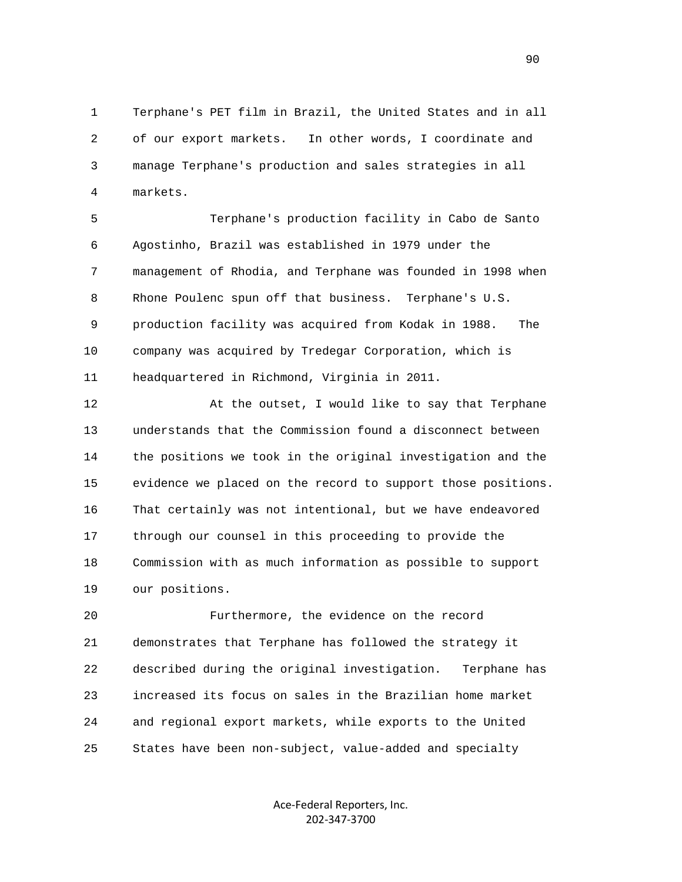1 Terphane's PET film in Brazil, the United States and in all 2 of our export markets. In other words, I coordinate and 3 manage Terphane's production and sales strategies in all 4 markets.

 5 Terphane's production facility in Cabo de Santo 6 Agostinho, Brazil was established in 1979 under the 7 management of Rhodia, and Terphane was founded in 1998 when 8 Rhone Poulenc spun off that business. Terphane's U.S. 9 production facility was acquired from Kodak in 1988. The 10 company was acquired by Tredegar Corporation, which is 11 headquartered in Richmond, Virginia in 2011.

12 At the outset, I would like to say that Terphane 13 understands that the Commission found a disconnect between 14 the positions we took in the original investigation and the 15 evidence we placed on the record to support those positions. 16 That certainly was not intentional, but we have endeavored 17 through our counsel in this proceeding to provide the 18 Commission with as much information as possible to support 19 our positions.

 20 Furthermore, the evidence on the record 21 demonstrates that Terphane has followed the strategy it 22 described during the original investigation. Terphane has 23 increased its focus on sales in the Brazilian home market 24 and regional export markets, while exports to the United 25 States have been non-subject, value-added and specialty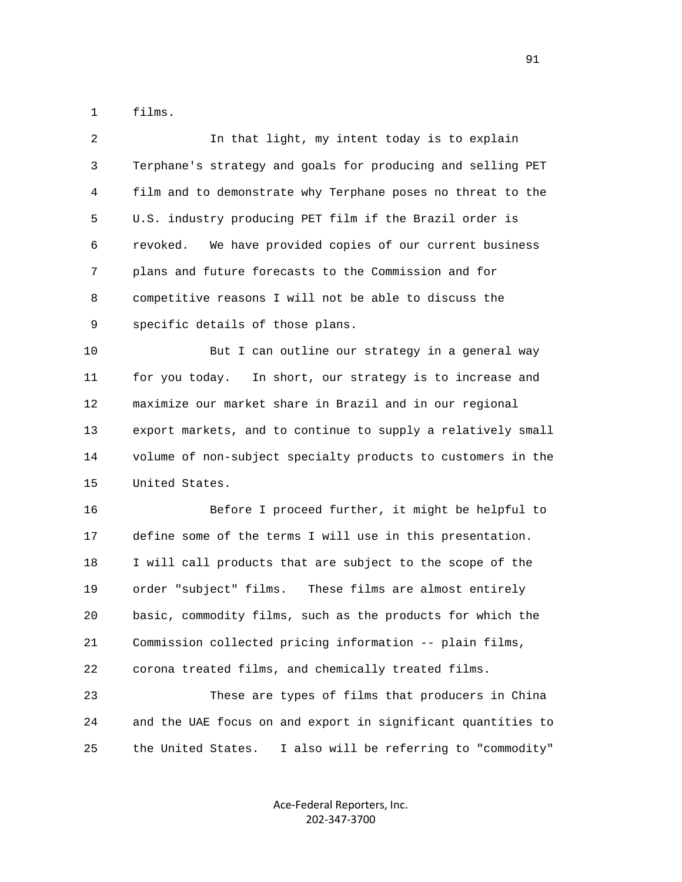1 films.

 2 In that light, my intent today is to explain 3 Terphane's strategy and goals for producing and selling PET 4 film and to demonstrate why Terphane poses no threat to the 5 U.S. industry producing PET film if the Brazil order is 6 revoked. We have provided copies of our current business 7 plans and future forecasts to the Commission and for 8 competitive reasons I will not be able to discuss the 9 specific details of those plans. 10 But I can outline our strategy in a general way

 11 for you today. In short, our strategy is to increase and 12 maximize our market share in Brazil and in our regional 13 export markets, and to continue to supply a relatively small 14 volume of non-subject specialty products to customers in the 15 United States.

 16 Before I proceed further, it might be helpful to 17 define some of the terms I will use in this presentation. 18 I will call products that are subject to the scope of the 19 order "subject" films. These films are almost entirely 20 basic, commodity films, such as the products for which the 21 Commission collected pricing information -- plain films, 22 corona treated films, and chemically treated films.

 23 These are types of films that producers in China 24 and the UAE focus on and export in significant quantities to 25 the United States. I also will be referring to "commodity"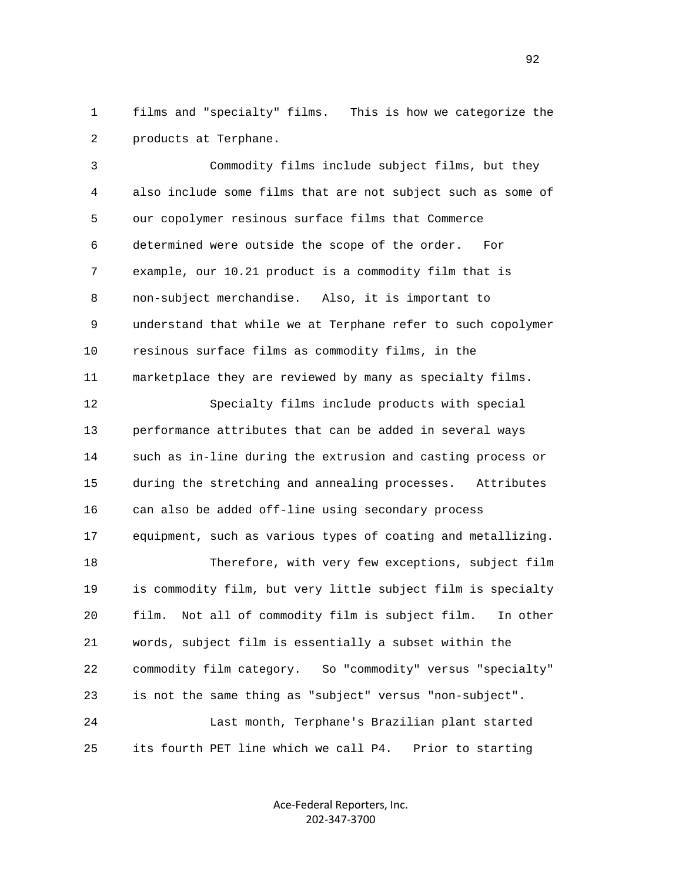1 films and "specialty" films. This is how we categorize the 2 products at Terphane.

 3 Commodity films include subject films, but they 4 also include some films that are not subject such as some of 5 our copolymer resinous surface films that Commerce 6 determined were outside the scope of the order. For 7 example, our 10.21 product is a commodity film that is 8 non-subject merchandise. Also, it is important to 9 understand that while we at Terphane refer to such copolymer 10 resinous surface films as commodity films, in the 11 marketplace they are reviewed by many as specialty films. 12 Specialty films include products with special 13 performance attributes that can be added in several ways 14 such as in-line during the extrusion and casting process or 15 during the stretching and annealing processes. Attributes

 16 can also be added off-line using secondary process 17 equipment, such as various types of coating and metallizing. 18 Therefore, with very few exceptions, subject film 19 is commodity film, but very little subject film is specialty 20 film. Not all of commodity film is subject film. In other 21 words, subject film is essentially a subset within the 22 commodity film category. So "commodity" versus "specialty" 23 is not the same thing as "subject" versus "non-subject". 24 Last month, Terphane's Brazilian plant started 25 its fourth PET line which we call P4. Prior to starting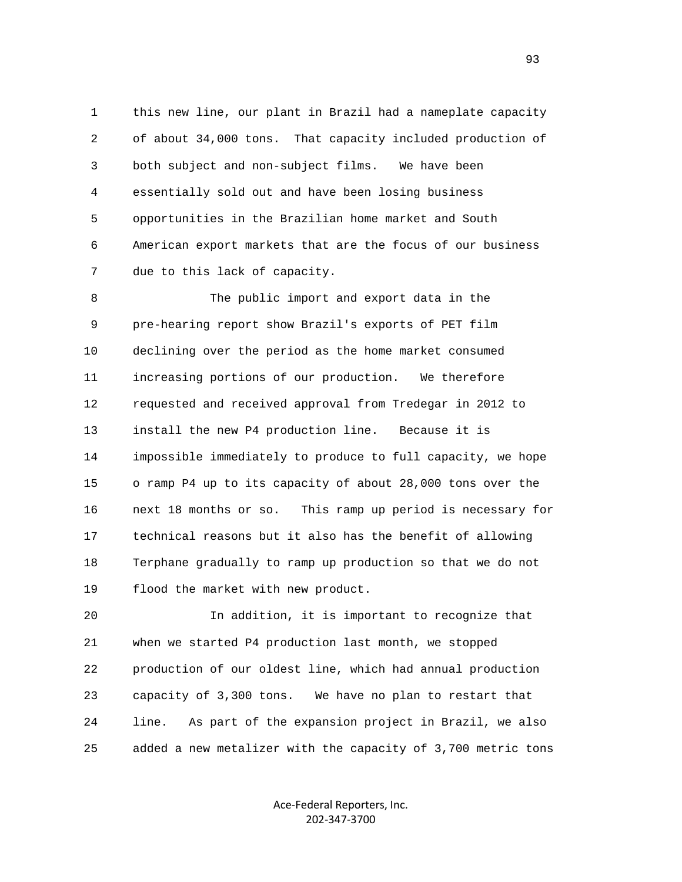1 this new line, our plant in Brazil had a nameplate capacity 2 of about 34,000 tons. That capacity included production of 3 both subject and non-subject films. We have been 4 essentially sold out and have been losing business 5 opportunities in the Brazilian home market and South 6 American export markets that are the focus of our business 7 due to this lack of capacity.

 8 The public import and export data in the 9 pre-hearing report show Brazil's exports of PET film 10 declining over the period as the home market consumed 11 increasing portions of our production. We therefore 12 requested and received approval from Tredegar in 2012 to 13 install the new P4 production line. Because it is 14 impossible immediately to produce to full capacity, we hope 15 o ramp P4 up to its capacity of about 28,000 tons over the 16 next 18 months or so. This ramp up period is necessary for 17 technical reasons but it also has the benefit of allowing 18 Terphane gradually to ramp up production so that we do not 19 flood the market with new product.

 20 In addition, it is important to recognize that 21 when we started P4 production last month, we stopped 22 production of our oldest line, which had annual production 23 capacity of 3,300 tons. We have no plan to restart that 24 line. As part of the expansion project in Brazil, we also 25 added a new metalizer with the capacity of 3,700 metric tons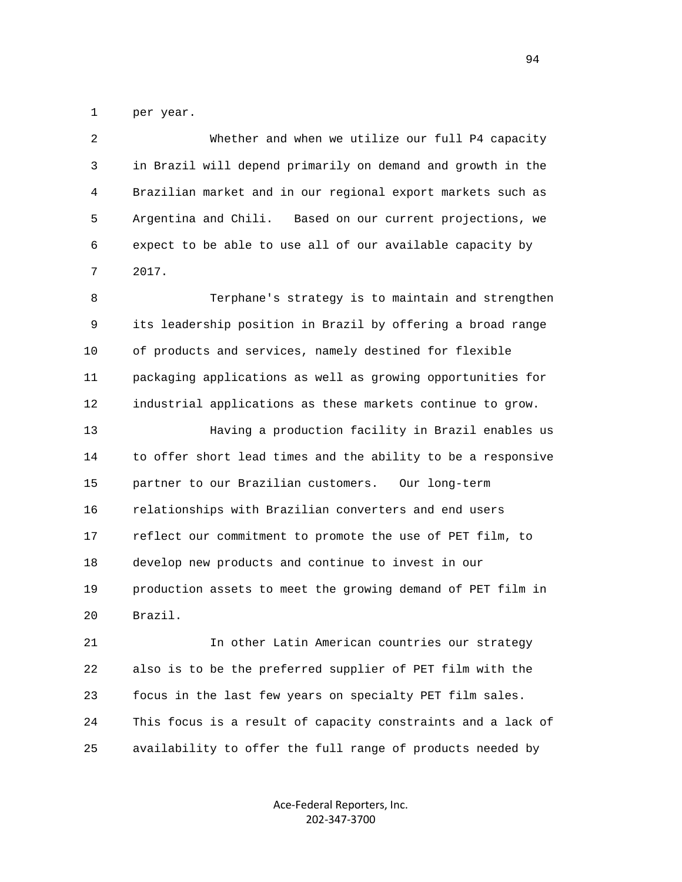1 per year.

| $\overline{2}$ | Whether and when we utilize our full P4 capacity             |
|----------------|--------------------------------------------------------------|
| 3              | in Brazil will depend primarily on demand and growth in the  |
| 4              | Brazilian market and in our regional export markets such as  |
| 5              | Argentina and Chili. Based on our current projections, we    |
| 6              | expect to be able to use all of our available capacity by    |
| 7              | 2017.                                                        |
| 8              | Terphane's strategy is to maintain and strengthen            |
| 9              | its leadership position in Brazil by offering a broad range  |
| 10             | of products and services, namely destined for flexible       |
| 11             | packaging applications as well as growing opportunities for  |
| 12             | industrial applications as these markets continue to grow.   |
| 13             | Having a production facility in Brazil enables us            |
| 14             | to offer short lead times and the ability to be a responsive |
| 15             | partner to our Brazilian customers. Our long-term            |
| 16             | relationships with Brazilian converters and end users        |
| 17             | reflect our commitment to promote the use of PET film, to    |
| 18             | develop new products and continue to invest in our           |
| 19             | production assets to meet the growing demand of PET film in  |
| 20             | Brazil.                                                      |
| 21             | In other Latin American countries our strategy               |
| 22             | also is to be the preferred supplier of PET film with the    |
| 23             | focus in the last few years on specialty PET film sales.     |
| 24             | This focus is a result of capacity constraints and a lack of |
| 25             | availability to offer the full range of products needed by   |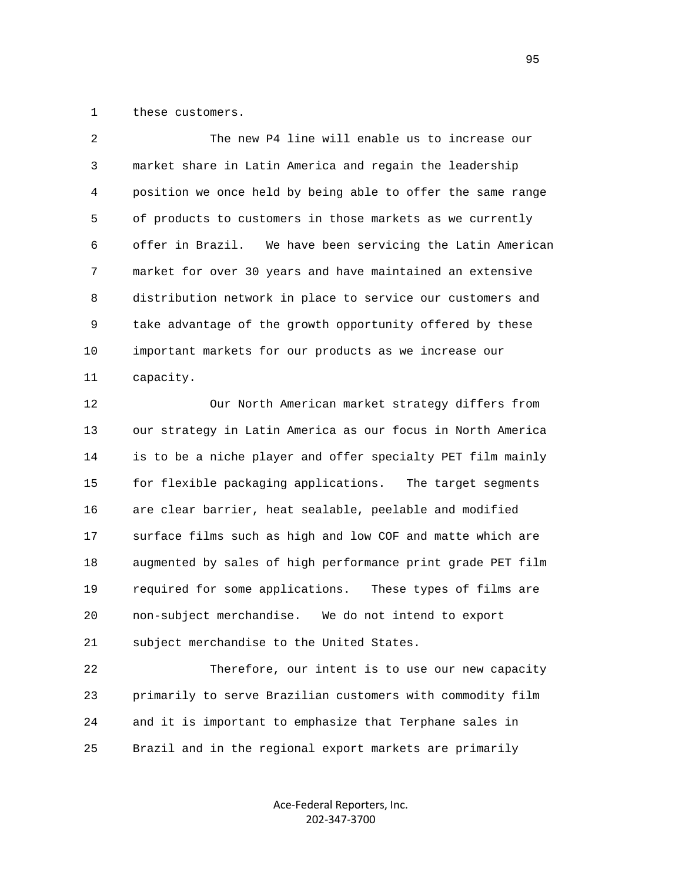1 these customers.

| 2  | The new P4 line will enable us to increase our              |
|----|-------------------------------------------------------------|
| 3  | market share in Latin America and regain the leadership     |
| 4  | position we once held by being able to offer the same range |
| 5  | of products to customers in those markets as we currently   |
| 6  | offer in Brazil. We have been servicing the Latin American  |
| 7  | market for over 30 years and have maintained an extensive   |
| 8  | distribution network in place to service our customers and  |
| 9  | take advantage of the growth opportunity offered by these   |
| 10 | important markets for our products as we increase our       |
| 11 | capacity.                                                   |
| 12 | Our North American market strategy differs from             |
|    |                                                             |

 13 our strategy in Latin America as our focus in North America 14 is to be a niche player and offer specialty PET film mainly 15 for flexible packaging applications. The target segments 16 are clear barrier, heat sealable, peelable and modified 17 surface films such as high and low COF and matte which are 18 augmented by sales of high performance print grade PET film 19 required for some applications. These types of films are 20 non-subject merchandise. We do not intend to export 21 subject merchandise to the United States.

 22 Therefore, our intent is to use our new capacity 23 primarily to serve Brazilian customers with commodity film 24 and it is important to emphasize that Terphane sales in 25 Brazil and in the regional export markets are primarily

> Ace‐Federal Reporters, Inc. 202‐347‐3700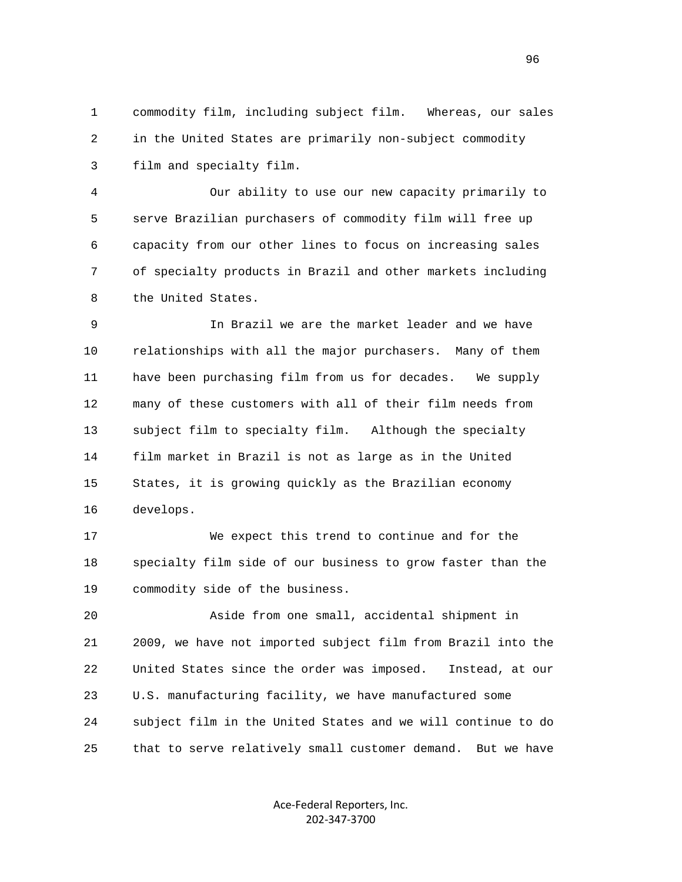1 commodity film, including subject film. Whereas, our sales 2 in the United States are primarily non-subject commodity 3 film and specialty film.

 4 Our ability to use our new capacity primarily to 5 serve Brazilian purchasers of commodity film will free up 6 capacity from our other lines to focus on increasing sales 7 of specialty products in Brazil and other markets including 8 the United States.

 9 In Brazil we are the market leader and we have 10 relationships with all the major purchasers. Many of them 11 have been purchasing film from us for decades. We supply 12 many of these customers with all of their film needs from 13 subject film to specialty film. Although the specialty 14 film market in Brazil is not as large as in the United 15 States, it is growing quickly as the Brazilian economy 16 develops.

 17 We expect this trend to continue and for the 18 specialty film side of our business to grow faster than the 19 commodity side of the business.

 20 Aside from one small, accidental shipment in 21 2009, we have not imported subject film from Brazil into the 22 United States since the order was imposed. Instead, at our 23 U.S. manufacturing facility, we have manufactured some 24 subject film in the United States and we will continue to do 25 that to serve relatively small customer demand. But we have

> Ace‐Federal Reporters, Inc. 202‐347‐3700

<u>96</u>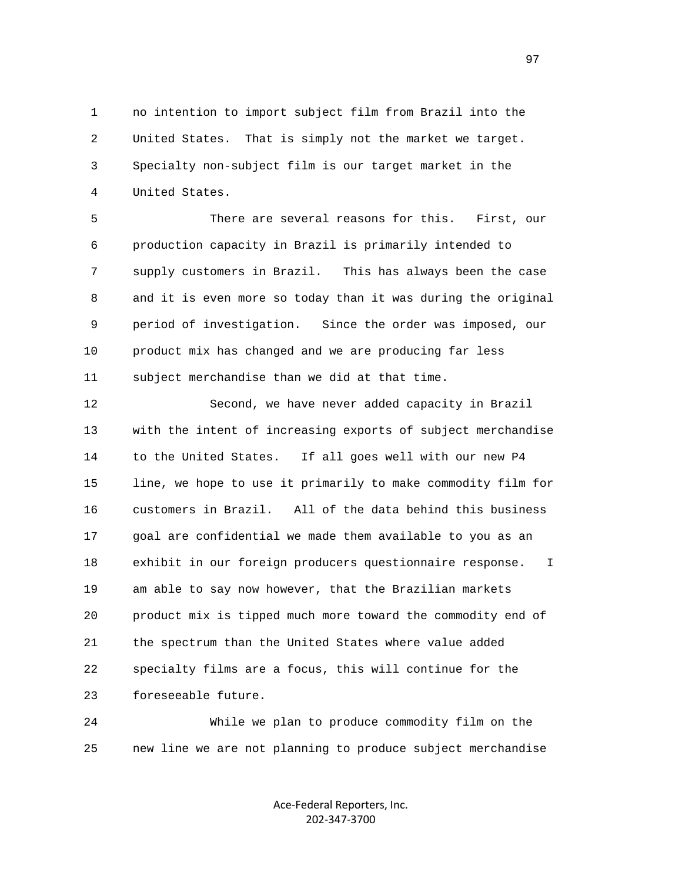1 no intention to import subject film from Brazil into the 2 United States. That is simply not the market we target. 3 Specialty non-subject film is our target market in the 4 United States.

 5 There are several reasons for this. First, our 6 production capacity in Brazil is primarily intended to 7 supply customers in Brazil. This has always been the case 8 and it is even more so today than it was during the original 9 period of investigation. Since the order was imposed, our 10 product mix has changed and we are producing far less 11 subject merchandise than we did at that time.

 12 Second, we have never added capacity in Brazil 13 with the intent of increasing exports of subject merchandise 14 to the United States. If all goes well with our new P4 15 line, we hope to use it primarily to make commodity film for 16 customers in Brazil. All of the data behind this business 17 goal are confidential we made them available to you as an 18 exhibit in our foreign producers questionnaire response. I 19 am able to say now however, that the Brazilian markets 20 product mix is tipped much more toward the commodity end of 21 the spectrum than the United States where value added 22 specialty films are a focus, this will continue for the 23 foreseeable future.

 24 While we plan to produce commodity film on the 25 new line we are not planning to produce subject merchandise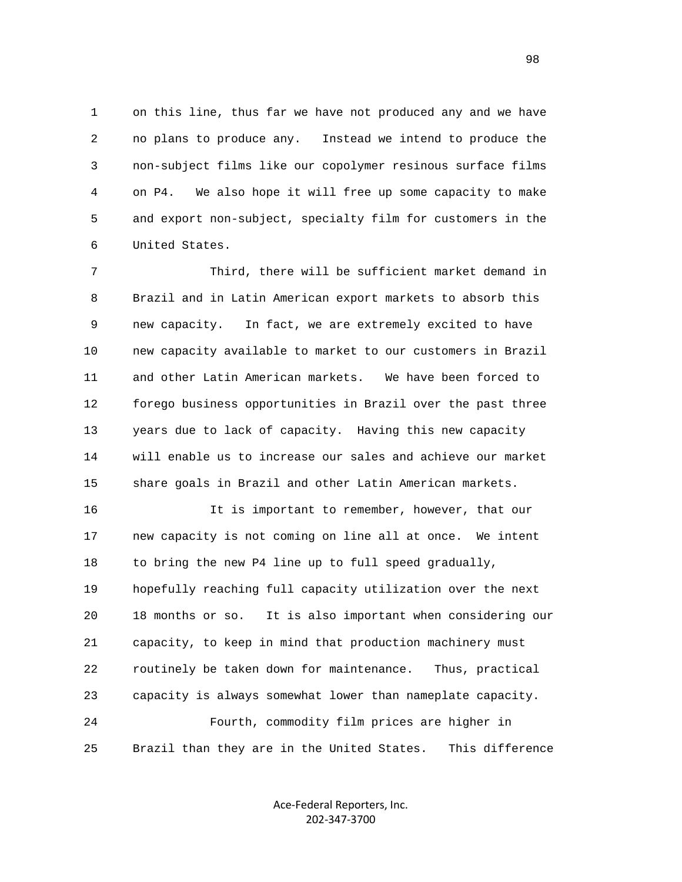1 on this line, thus far we have not produced any and we have 2 no plans to produce any. Instead we intend to produce the 3 non-subject films like our copolymer resinous surface films 4 on P4. We also hope it will free up some capacity to make 5 and export non-subject, specialty film for customers in the 6 United States.

 7 Third, there will be sufficient market demand in 8 Brazil and in Latin American export markets to absorb this 9 new capacity. In fact, we are extremely excited to have 10 new capacity available to market to our customers in Brazil 11 and other Latin American markets. We have been forced to 12 forego business opportunities in Brazil over the past three 13 years due to lack of capacity. Having this new capacity 14 will enable us to increase our sales and achieve our market 15 share goals in Brazil and other Latin American markets.

 16 It is important to remember, however, that our 17 new capacity is not coming on line all at once. We intent 18 to bring the new P4 line up to full speed gradually, 19 hopefully reaching full capacity utilization over the next 20 18 months or so. It is also important when considering our 21 capacity, to keep in mind that production machinery must 22 routinely be taken down for maintenance. Thus, practical 23 capacity is always somewhat lower than nameplate capacity. 24 Fourth, commodity film prices are higher in 25 Brazil than they are in the United States. This difference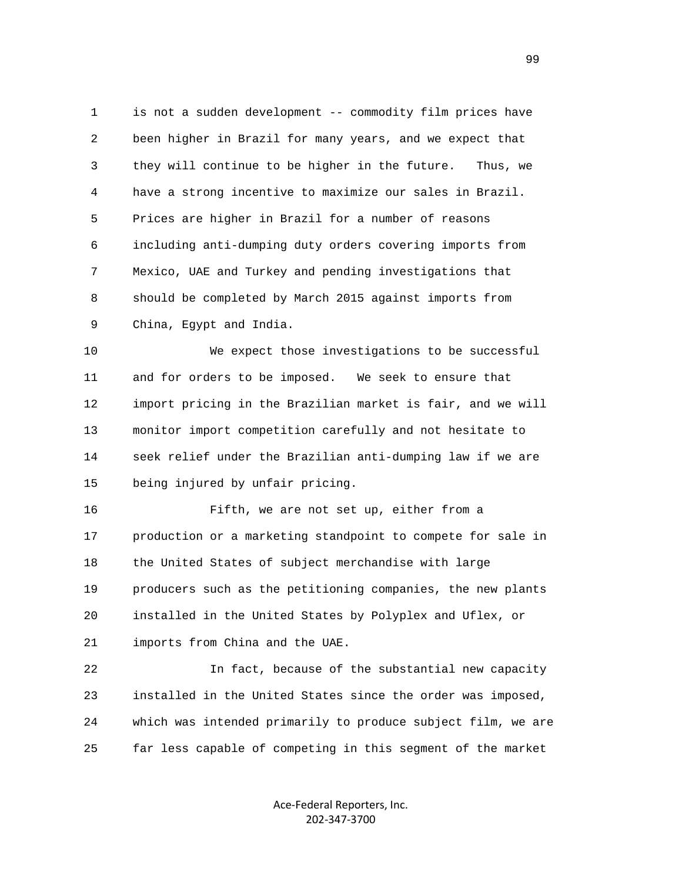1 is not a sudden development -- commodity film prices have 2 been higher in Brazil for many years, and we expect that 3 they will continue to be higher in the future. Thus, we 4 have a strong incentive to maximize our sales in Brazil. 5 Prices are higher in Brazil for a number of reasons 6 including anti-dumping duty orders covering imports from 7 Mexico, UAE and Turkey and pending investigations that 8 should be completed by March 2015 against imports from 9 China, Egypt and India.

 10 We expect those investigations to be successful 11 and for orders to be imposed. We seek to ensure that 12 import pricing in the Brazilian market is fair, and we will 13 monitor import competition carefully and not hesitate to 14 seek relief under the Brazilian anti-dumping law if we are 15 being injured by unfair pricing.

 16 Fifth, we are not set up, either from a 17 production or a marketing standpoint to compete for sale in 18 the United States of subject merchandise with large 19 producers such as the petitioning companies, the new plants 20 installed in the United States by Polyplex and Uflex, or 21 imports from China and the UAE.

 22 In fact, because of the substantial new capacity 23 installed in the United States since the order was imposed, 24 which was intended primarily to produce subject film, we are 25 far less capable of competing in this segment of the market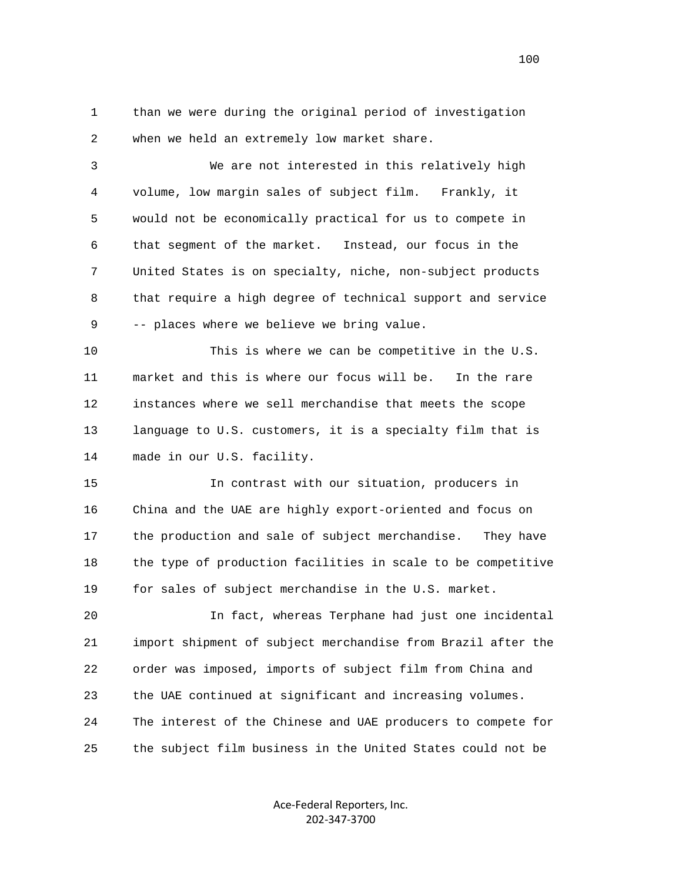1 than we were during the original period of investigation 2 when we held an extremely low market share.

 3 We are not interested in this relatively high 4 volume, low margin sales of subject film. Frankly, it 5 would not be economically practical for us to compete in 6 that segment of the market. Instead, our focus in the 7 United States is on specialty, niche, non-subject products 8 that require a high degree of technical support and service 9 -- places where we believe we bring value.

 10 This is where we can be competitive in the U.S. 11 market and this is where our focus will be. In the rare 12 instances where we sell merchandise that meets the scope 13 language to U.S. customers, it is a specialty film that is 14 made in our U.S. facility.

 15 In contrast with our situation, producers in 16 China and the UAE are highly export-oriented and focus on 17 the production and sale of subject merchandise. They have 18 the type of production facilities in scale to be competitive 19 for sales of subject merchandise in the U.S. market.

 20 In fact, whereas Terphane had just one incidental 21 import shipment of subject merchandise from Brazil after the 22 order was imposed, imports of subject film from China and 23 the UAE continued at significant and increasing volumes. 24 The interest of the Chinese and UAE producers to compete for 25 the subject film business in the United States could not be

> Ace‐Federal Reporters, Inc. 202‐347‐3700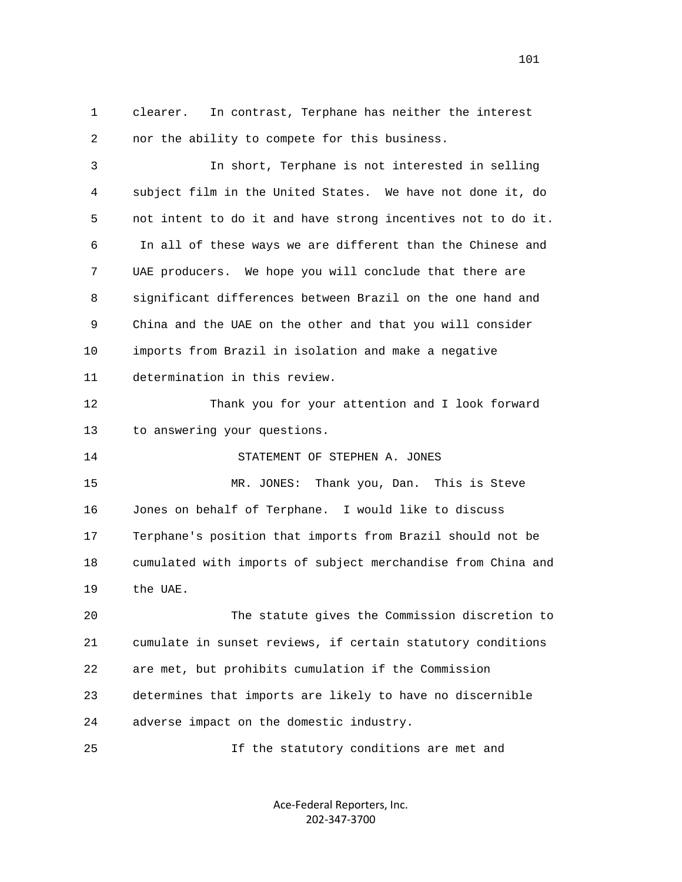1 clearer. In contrast, Terphane has neither the interest 2 nor the ability to compete for this business.

 3 In short, Terphane is not interested in selling 4 subject film in the United States. We have not done it, do 5 not intent to do it and have strong incentives not to do it. 6 In all of these ways we are different than the Chinese and 7 UAE producers. We hope you will conclude that there are 8 significant differences between Brazil on the one hand and 9 China and the UAE on the other and that you will consider 10 imports from Brazil in isolation and make a negative 11 determination in this review.

 12 Thank you for your attention and I look forward 13 to answering your questions.

14 STATEMENT OF STEPHEN A. JONES

 15 MR. JONES: Thank you, Dan. This is Steve 16 Jones on behalf of Terphane. I would like to discuss 17 Terphane's position that imports from Brazil should not be 18 cumulated with imports of subject merchandise from China and 19 the UAE.

 20 The statute gives the Commission discretion to 21 cumulate in sunset reviews, if certain statutory conditions 22 are met, but prohibits cumulation if the Commission 23 determines that imports are likely to have no discernible 24 adverse impact on the domestic industry.

25 If the statutory conditions are met and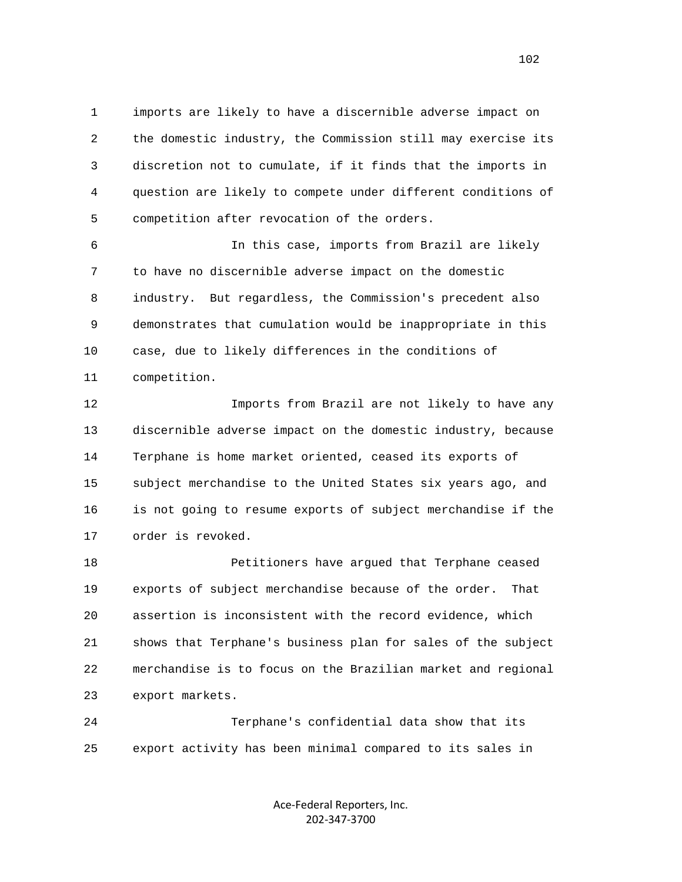1 imports are likely to have a discernible adverse impact on 2 the domestic industry, the Commission still may exercise its 3 discretion not to cumulate, if it finds that the imports in 4 question are likely to compete under different conditions of 5 competition after revocation of the orders.

 6 In this case, imports from Brazil are likely 7 to have no discernible adverse impact on the domestic 8 industry. But regardless, the Commission's precedent also 9 demonstrates that cumulation would be inappropriate in this 10 case, due to likely differences in the conditions of 11 competition.

 12 Imports from Brazil are not likely to have any 13 discernible adverse impact on the domestic industry, because 14 Terphane is home market oriented, ceased its exports of 15 subject merchandise to the United States six years ago, and 16 is not going to resume exports of subject merchandise if the 17 order is revoked.

 18 Petitioners have argued that Terphane ceased 19 exports of subject merchandise because of the order. That 20 assertion is inconsistent with the record evidence, which 21 shows that Terphane's business plan for sales of the subject 22 merchandise is to focus on the Brazilian market and regional 23 export markets.

 24 Terphane's confidential data show that its 25 export activity has been minimal compared to its sales in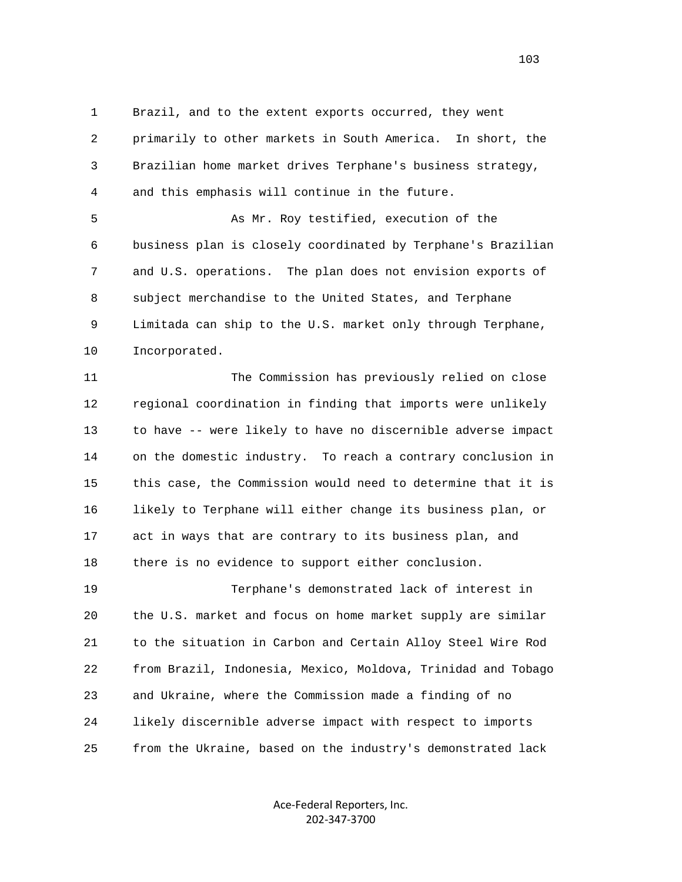1 Brazil, and to the extent exports occurred, they went 2 primarily to other markets in South America. In short, the 3 Brazilian home market drives Terphane's business strategy, 4 and this emphasis will continue in the future.

 5 As Mr. Roy testified, execution of the 6 business plan is closely coordinated by Terphane's Brazilian 7 and U.S. operations. The plan does not envision exports of 8 subject merchandise to the United States, and Terphane 9 Limitada can ship to the U.S. market only through Terphane, 10 Incorporated.

 11 The Commission has previously relied on close 12 regional coordination in finding that imports were unlikely 13 to have -- were likely to have no discernible adverse impact 14 on the domestic industry. To reach a contrary conclusion in 15 this case, the Commission would need to determine that it is 16 likely to Terphane will either change its business plan, or 17 act in ways that are contrary to its business plan, and 18 there is no evidence to support either conclusion.

 19 Terphane's demonstrated lack of interest in 20 the U.S. market and focus on home market supply are similar 21 to the situation in Carbon and Certain Alloy Steel Wire Rod 22 from Brazil, Indonesia, Mexico, Moldova, Trinidad and Tobago 23 and Ukraine, where the Commission made a finding of no 24 likely discernible adverse impact with respect to imports 25 from the Ukraine, based on the industry's demonstrated lack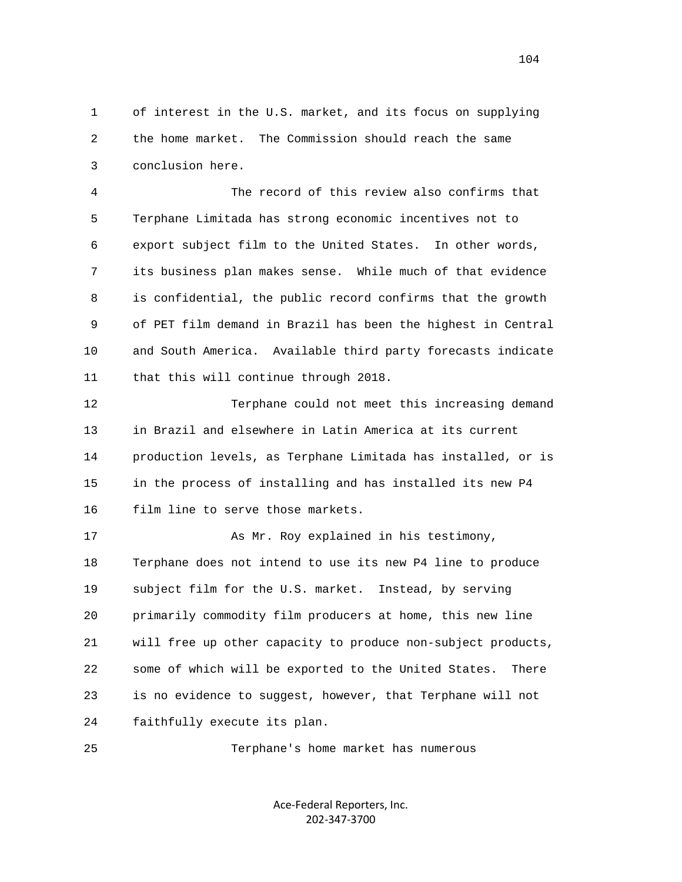1 of interest in the U.S. market, and its focus on supplying 2 the home market. The Commission should reach the same 3 conclusion here.

 4 The record of this review also confirms that 5 Terphane Limitada has strong economic incentives not to 6 export subject film to the United States. In other words, 7 its business plan makes sense. While much of that evidence 8 is confidential, the public record confirms that the growth 9 of PET film demand in Brazil has been the highest in Central 10 and South America. Available third party forecasts indicate 11 that this will continue through 2018.

 12 Terphane could not meet this increasing demand 13 in Brazil and elsewhere in Latin America at its current 14 production levels, as Terphane Limitada has installed, or is 15 in the process of installing and has installed its new P4 16 film line to serve those markets.

 17 As Mr. Roy explained in his testimony, 18 Terphane does not intend to use its new P4 line to produce 19 subject film for the U.S. market. Instead, by serving 20 primarily commodity film producers at home, this new line 21 will free up other capacity to produce non-subject products, 22 some of which will be exported to the United States. There 23 is no evidence to suggest, however, that Terphane will not 24 faithfully execute its plan.

25 Terphane's home market has numerous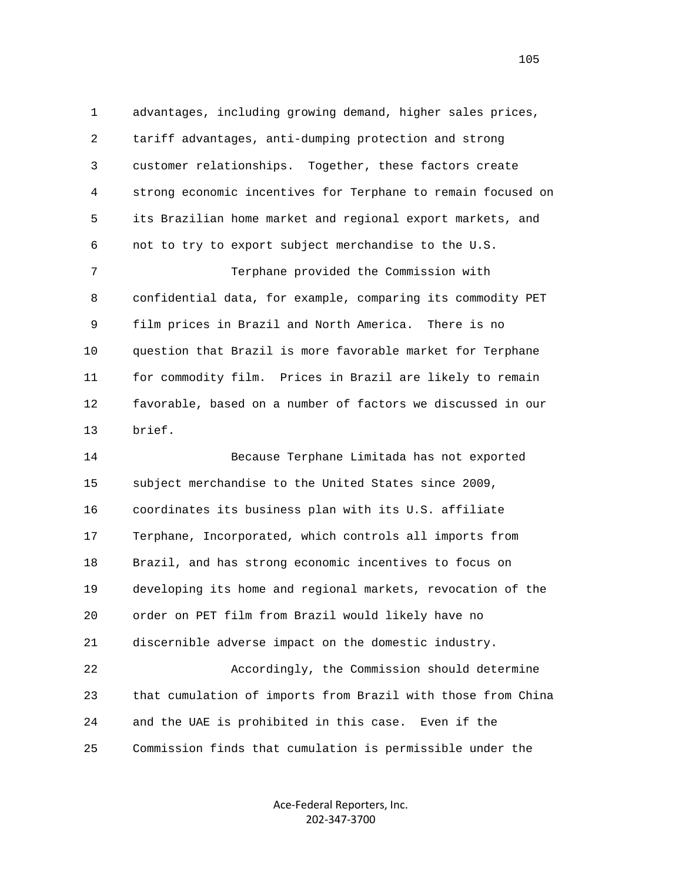1 advantages, including growing demand, higher sales prices, 2 tariff advantages, anti-dumping protection and strong 3 customer relationships. Together, these factors create 4 strong economic incentives for Terphane to remain focused on 5 its Brazilian home market and regional export markets, and 6 not to try to export subject merchandise to the U.S. 7 Terphane provided the Commission with

 8 confidential data, for example, comparing its commodity PET 9 film prices in Brazil and North America. There is no 10 question that Brazil is more favorable market for Terphane 11 for commodity film. Prices in Brazil are likely to remain 12 favorable, based on a number of factors we discussed in our 13 brief.

 14 Because Terphane Limitada has not exported 15 subject merchandise to the United States since 2009, 16 coordinates its business plan with its U.S. affiliate 17 Terphane, Incorporated, which controls all imports from 18 Brazil, and has strong economic incentives to focus on 19 developing its home and regional markets, revocation of the 20 order on PET film from Brazil would likely have no 21 discernible adverse impact on the domestic industry. 22 Accordingly, the Commission should determine 23 that cumulation of imports from Brazil with those from China 24 and the UAE is prohibited in this case. Even if the 25 Commission finds that cumulation is permissible under the

> Ace‐Federal Reporters, Inc. 202‐347‐3700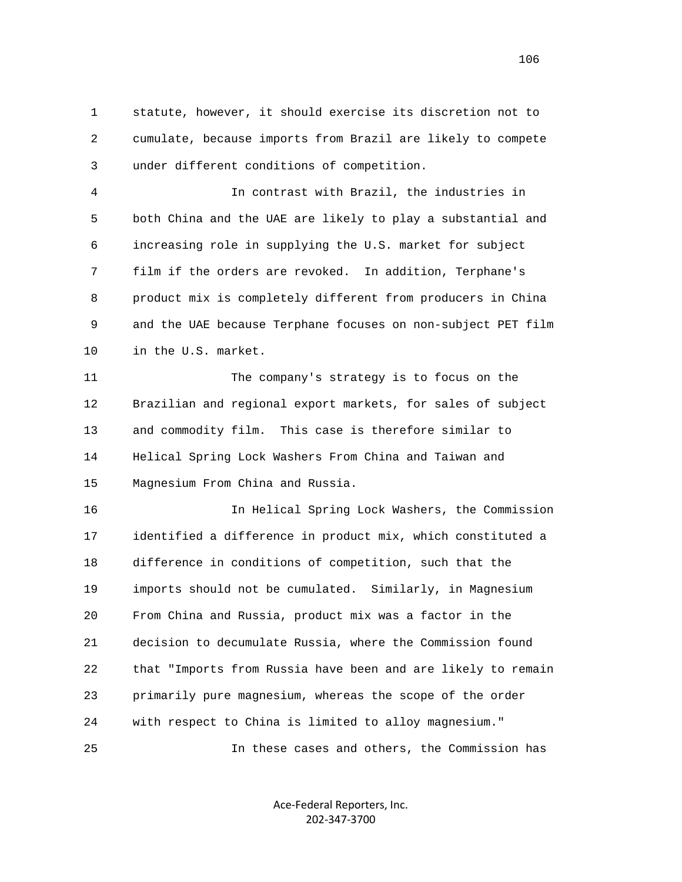1 statute, however, it should exercise its discretion not to 2 cumulate, because imports from Brazil are likely to compete 3 under different conditions of competition.

 4 In contrast with Brazil, the industries in 5 both China and the UAE are likely to play a substantial and 6 increasing role in supplying the U.S. market for subject 7 film if the orders are revoked. In addition, Terphane's 8 product mix is completely different from producers in China 9 and the UAE because Terphane focuses on non-subject PET film 10 in the U.S. market.

 11 The company's strategy is to focus on the 12 Brazilian and regional export markets, for sales of subject 13 and commodity film. This case is therefore similar to 14 Helical Spring Lock Washers From China and Taiwan and 15 Magnesium From China and Russia.

 16 In Helical Spring Lock Washers, the Commission 17 identified a difference in product mix, which constituted a 18 difference in conditions of competition, such that the 19 imports should not be cumulated. Similarly, in Magnesium 20 From China and Russia, product mix was a factor in the 21 decision to decumulate Russia, where the Commission found 22 that "Imports from Russia have been and are likely to remain 23 primarily pure magnesium, whereas the scope of the order 24 with respect to China is limited to alloy magnesium." 25 In these cases and others, the Commission has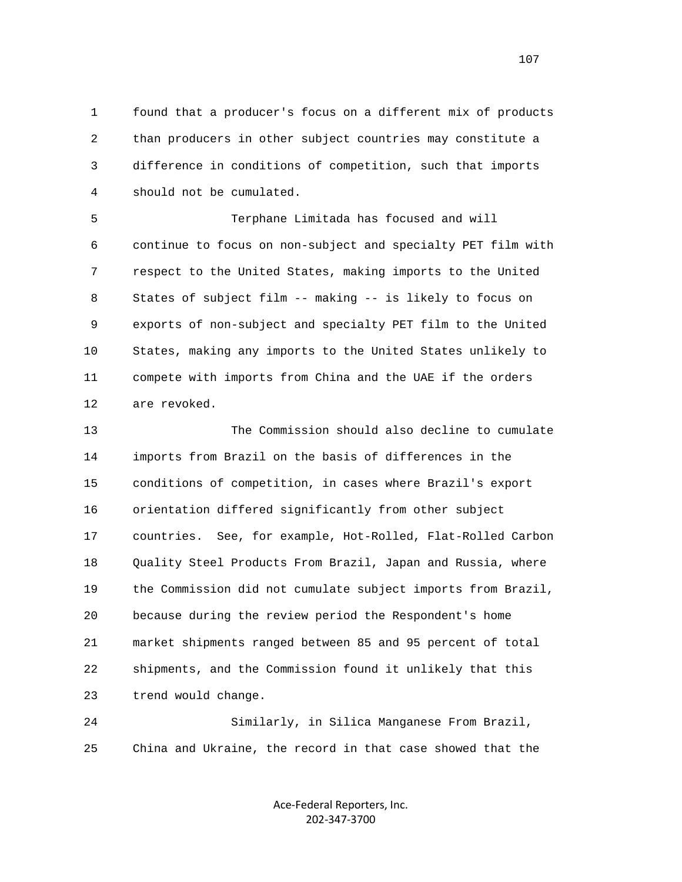1 found that a producer's focus on a different mix of products 2 than producers in other subject countries may constitute a 3 difference in conditions of competition, such that imports 4 should not be cumulated.

 5 Terphane Limitada has focused and will 6 continue to focus on non-subject and specialty PET film with 7 respect to the United States, making imports to the United 8 States of subject film -- making -- is likely to focus on 9 exports of non-subject and specialty PET film to the United 10 States, making any imports to the United States unlikely to 11 compete with imports from China and the UAE if the orders 12 are revoked.

 13 The Commission should also decline to cumulate 14 imports from Brazil on the basis of differences in the 15 conditions of competition, in cases where Brazil's export 16 orientation differed significantly from other subject 17 countries. See, for example, Hot-Rolled, Flat-Rolled Carbon 18 Quality Steel Products From Brazil, Japan and Russia, where 19 the Commission did not cumulate subject imports from Brazil, 20 because during the review period the Respondent's home 21 market shipments ranged between 85 and 95 percent of total 22 shipments, and the Commission found it unlikely that this 23 trend would change.

 24 Similarly, in Silica Manganese From Brazil, 25 China and Ukraine, the record in that case showed that the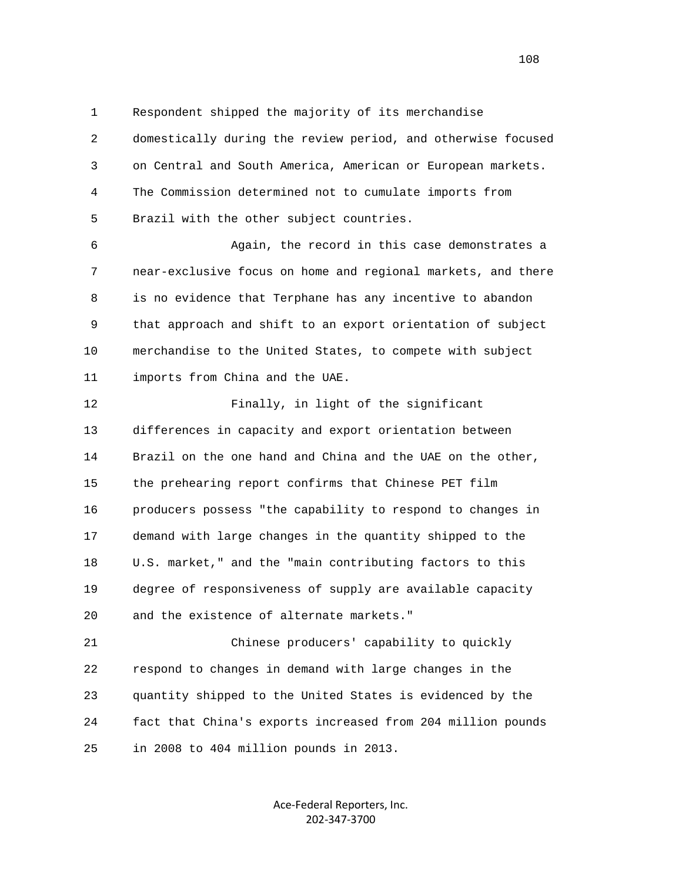1 Respondent shipped the majority of its merchandise

 2 domestically during the review period, and otherwise focused 3 on Central and South America, American or European markets. 4 The Commission determined not to cumulate imports from 5 Brazil with the other subject countries.

 6 Again, the record in this case demonstrates a 7 near-exclusive focus on home and regional markets, and there 8 is no evidence that Terphane has any incentive to abandon 9 that approach and shift to an export orientation of subject 10 merchandise to the United States, to compete with subject 11 imports from China and the UAE.

 12 Finally, in light of the significant 13 differences in capacity and export orientation between 14 Brazil on the one hand and China and the UAE on the other, 15 the prehearing report confirms that Chinese PET film 16 producers possess "the capability to respond to changes in 17 demand with large changes in the quantity shipped to the 18 U.S. market," and the "main contributing factors to this 19 degree of responsiveness of supply are available capacity 20 and the existence of alternate markets."

 21 Chinese producers' capability to quickly 22 respond to changes in demand with large changes in the 23 quantity shipped to the United States is evidenced by the 24 fact that China's exports increased from 204 million pounds 25 in 2008 to 404 million pounds in 2013.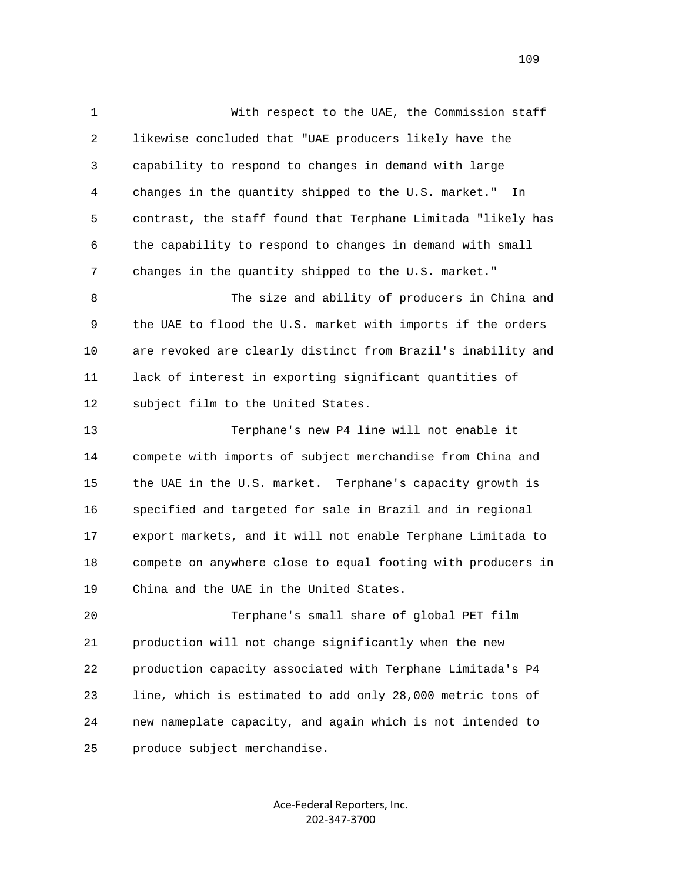1 With respect to the UAE, the Commission staff 2 likewise concluded that "UAE producers likely have the 3 capability to respond to changes in demand with large 4 changes in the quantity shipped to the U.S. market." In 5 contrast, the staff found that Terphane Limitada "likely has 6 the capability to respond to changes in demand with small 7 changes in the quantity shipped to the U.S. market." 8 The size and ability of producers in China and 9 the UAE to flood the U.S. market with imports if the orders 10 are revoked are clearly distinct from Brazil's inability and 11 lack of interest in exporting significant quantities of 12 subject film to the United States. 13 Terphane's new P4 line will not enable it 14 compete with imports of subject merchandise from China and 15 the UAE in the U.S. market. Terphane's capacity growth is 16 specified and targeted for sale in Brazil and in regional 17 export markets, and it will not enable Terphane Limitada to 18 compete on anywhere close to equal footing with producers in 19 China and the UAE in the United States. 20 Terphane's small share of global PET film 21 production will not change significantly when the new 22 production capacity associated with Terphane Limitada's P4 23 line, which is estimated to add only 28,000 metric tons of 24 new nameplate capacity, and again which is not intended to

25 produce subject merchandise.

Ace‐Federal Reporters, Inc. 202‐347‐3700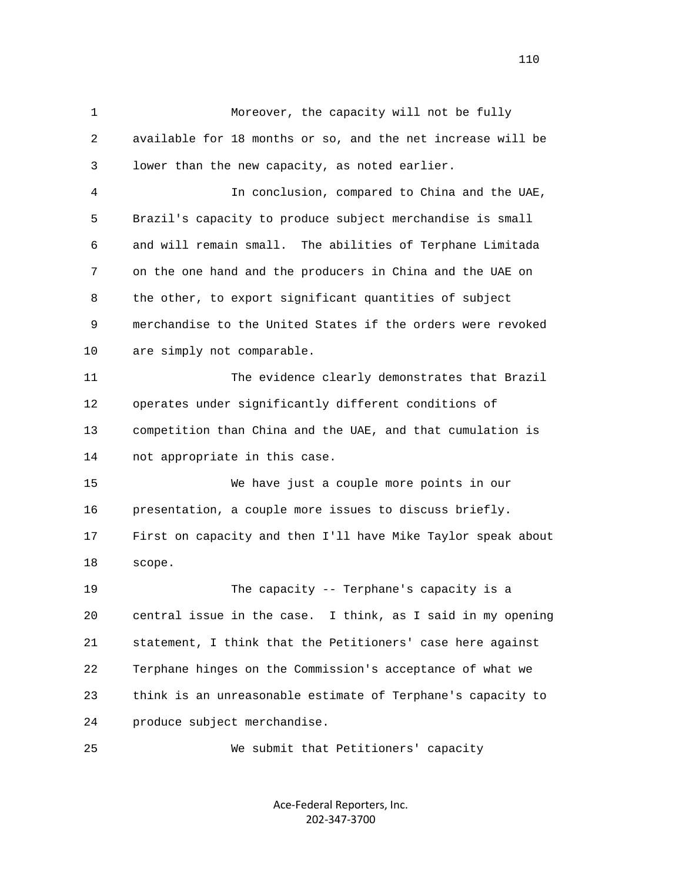1 Moreover, the capacity will not be fully 2 available for 18 months or so, and the net increase will be 3 lower than the new capacity, as noted earlier. 4 In conclusion, compared to China and the UAE, 5 Brazil's capacity to produce subject merchandise is small 6 and will remain small. The abilities of Terphane Limitada 7 on the one hand and the producers in China and the UAE on 8 the other, to export significant quantities of subject 9 merchandise to the United States if the orders were revoked 10 are simply not comparable. 11 The evidence clearly demonstrates that Brazil 12 operates under significantly different conditions of 13 competition than China and the UAE, and that cumulation is 14 not appropriate in this case. 15 We have just a couple more points in our 16 presentation, a couple more issues to discuss briefly. 17 First on capacity and then I'll have Mike Taylor speak about 18 scope. 19 The capacity -- Terphane's capacity is a 20 central issue in the case. I think, as I said in my opening 21 statement, I think that the Petitioners' case here against 22 Terphane hinges on the Commission's acceptance of what we 23 think is an unreasonable estimate of Terphane's capacity to 24 produce subject merchandise. 25 We submit that Petitioners' capacity

> Ace‐Federal Reporters, Inc. 202‐347‐3700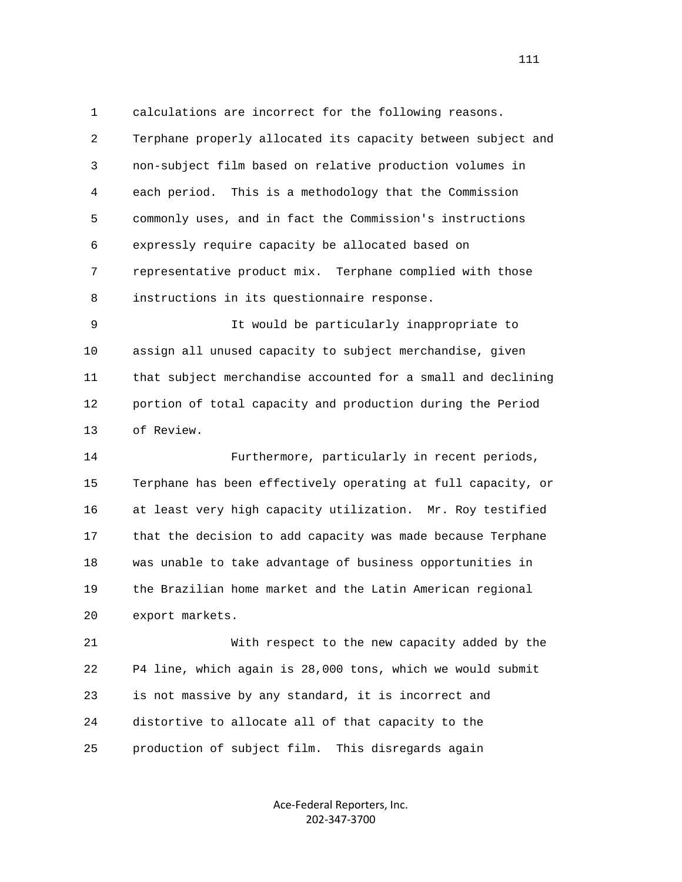1 calculations are incorrect for the following reasons. 2 Terphane properly allocated its capacity between subject and 3 non-subject film based on relative production volumes in 4 each period. This is a methodology that the Commission 5 commonly uses, and in fact the Commission's instructions 6 expressly require capacity be allocated based on 7 representative product mix. Terphane complied with those 8 instructions in its questionnaire response.

 9 It would be particularly inappropriate to 10 assign all unused capacity to subject merchandise, given 11 that subject merchandise accounted for a small and declining 12 portion of total capacity and production during the Period 13 of Review.

 14 Furthermore, particularly in recent periods, 15 Terphane has been effectively operating at full capacity, or 16 at least very high capacity utilization. Mr. Roy testified 17 that the decision to add capacity was made because Terphane 18 was unable to take advantage of business opportunities in 19 the Brazilian home market and the Latin American regional 20 export markets.

 21 With respect to the new capacity added by the 22 P4 line, which again is 28,000 tons, which we would submit 23 is not massive by any standard, it is incorrect and 24 distortive to allocate all of that capacity to the 25 production of subject film. This disregards again

> Ace‐Federal Reporters, Inc. 202‐347‐3700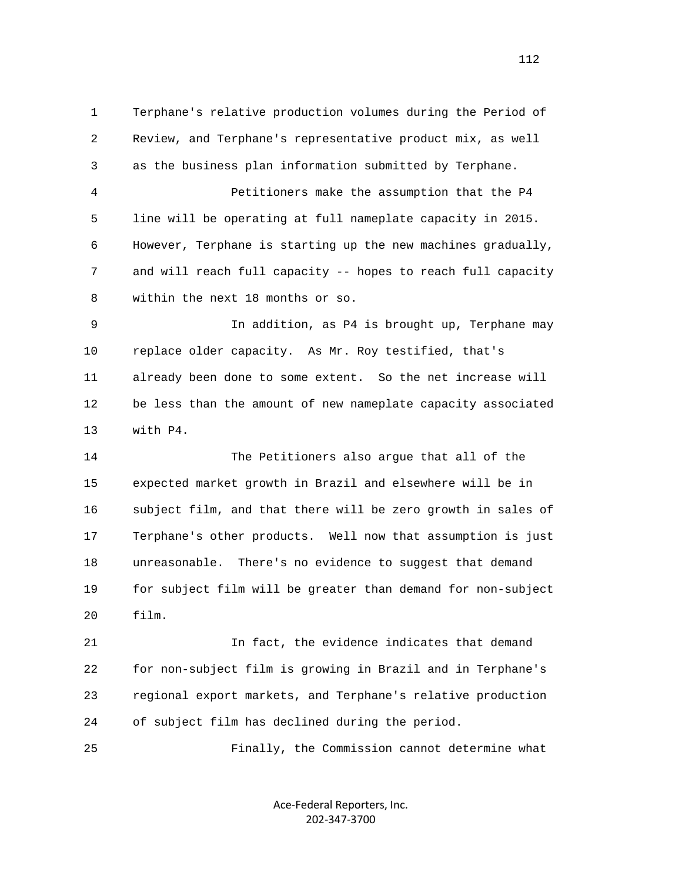1 Terphane's relative production volumes during the Period of 2 Review, and Terphane's representative product mix, as well 3 as the business plan information submitted by Terphane. 4 Petitioners make the assumption that the P4 5 line will be operating at full nameplate capacity in 2015. 6 However, Terphane is starting up the new machines gradually, 7 and will reach full capacity -- hopes to reach full capacity 8 within the next 18 months or so. 9 In addition, as P4 is brought up, Terphane may 10 replace older capacity. As Mr. Roy testified, that's 11 already been done to some extent. So the net increase will 12 be less than the amount of new nameplate capacity associated 13 with P4. 14 The Petitioners also argue that all of the 15 expected market growth in Brazil and elsewhere will be in 16 subject film, and that there will be zero growth in sales of 17 Terphane's other products. Well now that assumption is just 18 unreasonable. There's no evidence to suggest that demand 19 for subject film will be greater than demand for non-subject 20 film. 21 In fact, the evidence indicates that demand

 22 for non-subject film is growing in Brazil and in Terphane's 23 regional export markets, and Terphane's relative production 24 of subject film has declined during the period.

25 Finally, the Commission cannot determine what

Ace‐Federal Reporters, Inc. 202‐347‐3700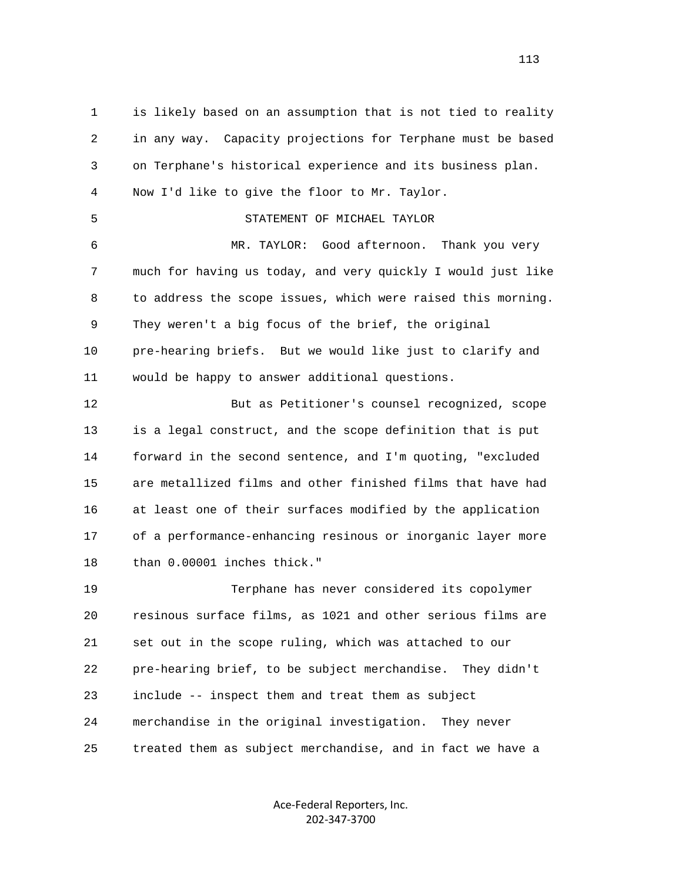1 is likely based on an assumption that is not tied to reality 2 in any way. Capacity projections for Terphane must be based 3 on Terphane's historical experience and its business plan. 4 Now I'd like to give the floor to Mr. Taylor. 5 STATEMENT OF MICHAEL TAYLOR 6 MR. TAYLOR: Good afternoon. Thank you very 7 much for having us today, and very quickly I would just like 8 to address the scope issues, which were raised this morning. 9 They weren't a big focus of the brief, the original 10 pre-hearing briefs. But we would like just to clarify and 11 would be happy to answer additional questions. 12 But as Petitioner's counsel recognized, scope 13 is a legal construct, and the scope definition that is put 14 forward in the second sentence, and I'm quoting, "excluded 15 are metallized films and other finished films that have had 16 at least one of their surfaces modified by the application 17 of a performance-enhancing resinous or inorganic layer more 18 than 0.00001 inches thick." 19 Terphane has never considered its copolymer 20 resinous surface films, as 1021 and other serious films are 21 set out in the scope ruling, which was attached to our 22 pre-hearing brief, to be subject merchandise. They didn't 23 include -- inspect them and treat them as subject 24 merchandise in the original investigation. They never

25 treated them as subject merchandise, and in fact we have a

Ace‐Federal Reporters, Inc. 202‐347‐3700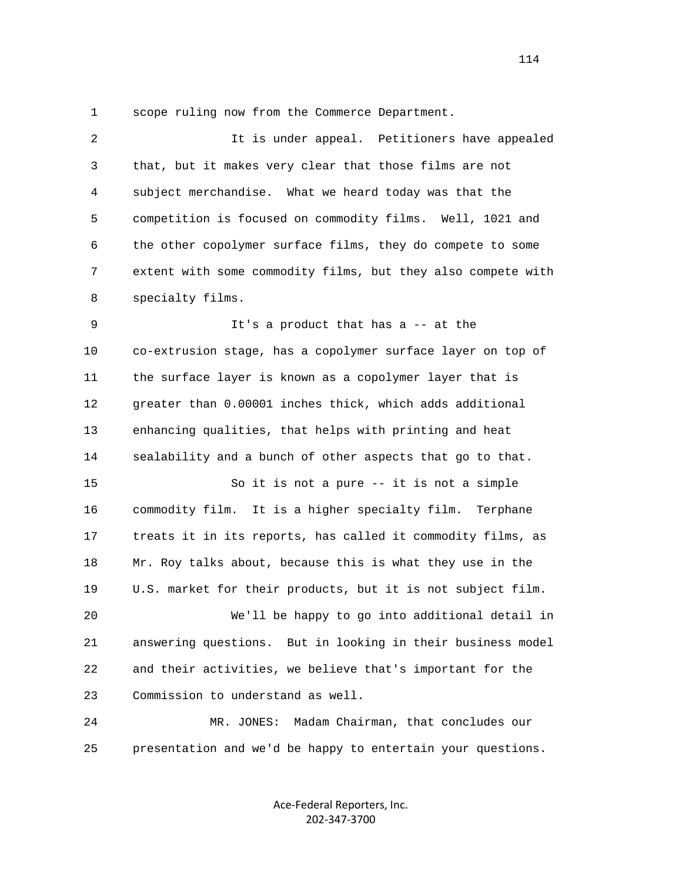1 scope ruling now from the Commerce Department.

| that, but it makes very clear that those films are not<br>subject merchandise. What we heard today was that the<br>competition is focused on commodity films. Well, 1021 and<br>the other copolymer surface films, they do compete to some |
|--------------------------------------------------------------------------------------------------------------------------------------------------------------------------------------------------------------------------------------------|
|                                                                                                                                                                                                                                            |
|                                                                                                                                                                                                                                            |
|                                                                                                                                                                                                                                            |
|                                                                                                                                                                                                                                            |
| extent with some commodity films, but they also compete with                                                                                                                                                                               |
|                                                                                                                                                                                                                                            |
|                                                                                                                                                                                                                                            |
| co-extrusion stage, has a copolymer surface layer on top of                                                                                                                                                                                |
| the surface layer is known as a copolymer layer that is                                                                                                                                                                                    |
| greater than 0.00001 inches thick, which adds additional                                                                                                                                                                                   |
| enhancing qualities, that helps with printing and heat                                                                                                                                                                                     |
| sealability and a bunch of other aspects that go to that.                                                                                                                                                                                  |
| So it is not a pure -- it is not a simple                                                                                                                                                                                                  |
| Terphane                                                                                                                                                                                                                                   |
| treats it in its reports, has called it commodity films, as                                                                                                                                                                                |
| Mr. Roy talks about, because this is what they use in the                                                                                                                                                                                  |
| U.S. market for their products, but it is not subject film.                                                                                                                                                                                |
| We'll be happy to go into additional detail in                                                                                                                                                                                             |
| answering questions. But in looking in their business model                                                                                                                                                                                |
| and their activities, we believe that's important for the                                                                                                                                                                                  |
|                                                                                                                                                                                                                                            |
| Madam Chairman, that concludes our                                                                                                                                                                                                         |
| presentation and we'd be happy to entertain your questions.                                                                                                                                                                                |
|                                                                                                                                                                                                                                            |

Ace‐Federal Reporters, Inc. 202‐347‐3700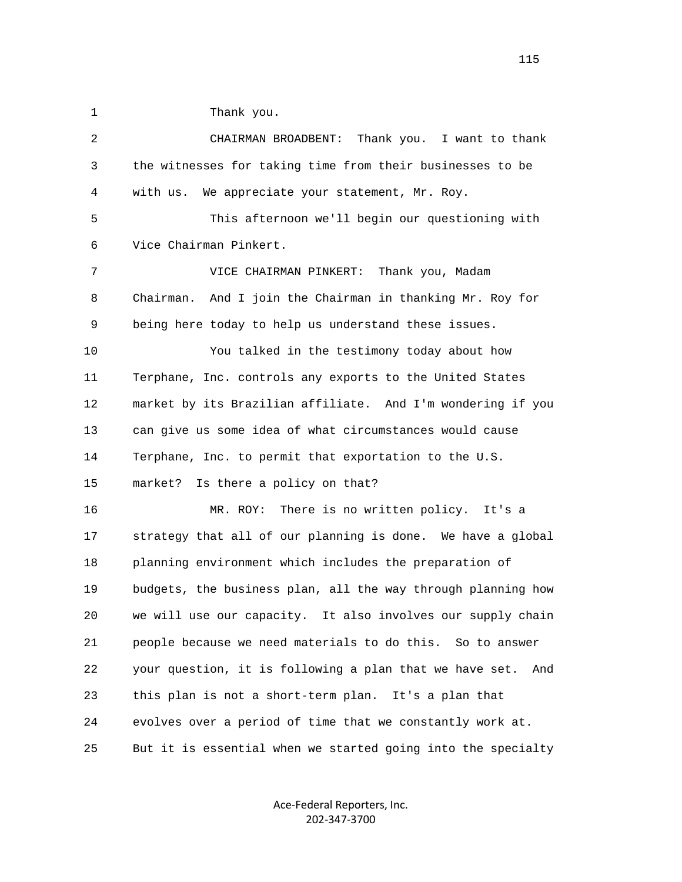1 Thank you. 2 CHAIRMAN BROADBENT: Thank you. I want to thank 3 the witnesses for taking time from their businesses to be 4 with us. We appreciate your statement, Mr. Roy. 5 This afternoon we'll begin our questioning with 6 Vice Chairman Pinkert. 7 VICE CHAIRMAN PINKERT: Thank you, Madam 8 Chairman. And I join the Chairman in thanking Mr. Roy for 9 being here today to help us understand these issues. 10 You talked in the testimony today about how 11 Terphane, Inc. controls any exports to the United States 12 market by its Brazilian affiliate. And I'm wondering if you 13 can give us some idea of what circumstances would cause 14 Terphane, Inc. to permit that exportation to the U.S. 15 market? Is there a policy on that? 16 MR. ROY: There is no written policy. It's a 17 strategy that all of our planning is done. We have a global 18 planning environment which includes the preparation of 19 budgets, the business plan, all the way through planning how 20 we will use our capacity. It also involves our supply chain 21 people because we need materials to do this. So to answer 22 your question, it is following a plan that we have set. And 23 this plan is not a short-term plan. It's a plan that 24 evolves over a period of time that we constantly work at. 25 But it is essential when we started going into the specialty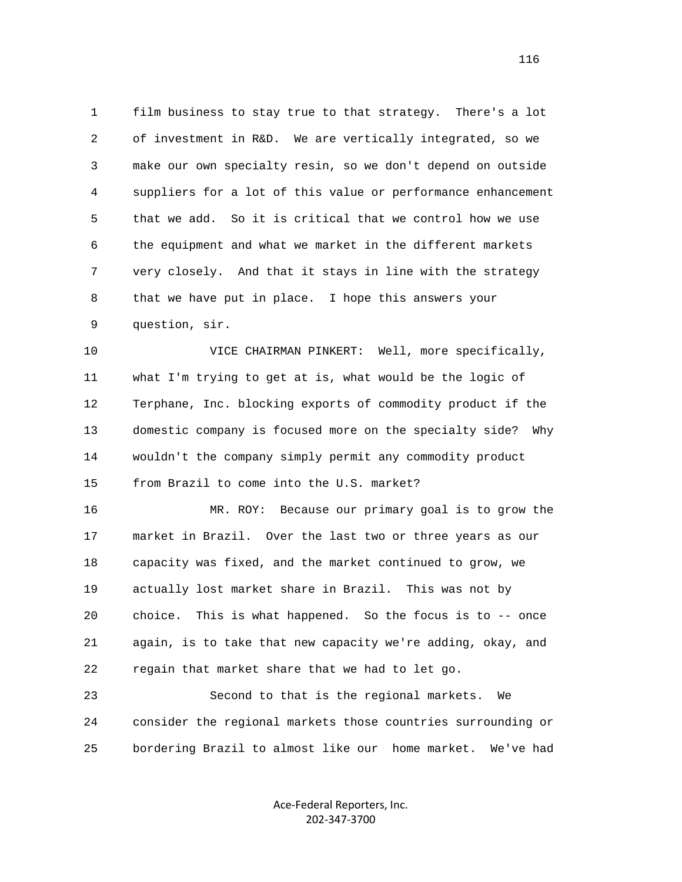1 film business to stay true to that strategy. There's a lot 2 of investment in R&D. We are vertically integrated, so we 3 make our own specialty resin, so we don't depend on outside 4 suppliers for a lot of this value or performance enhancement 5 that we add. So it is critical that we control how we use 6 the equipment and what we market in the different markets 7 very closely. And that it stays in line with the strategy 8 that we have put in place. I hope this answers your 9 question, sir.

 10 VICE CHAIRMAN PINKERT: Well, more specifically, 11 what I'm trying to get at is, what would be the logic of 12 Terphane, Inc. blocking exports of commodity product if the 13 domestic company is focused more on the specialty side? Why 14 wouldn't the company simply permit any commodity product 15 from Brazil to come into the U.S. market?

 16 MR. ROY: Because our primary goal is to grow the 17 market in Brazil. Over the last two or three years as our 18 capacity was fixed, and the market continued to grow, we 19 actually lost market share in Brazil. This was not by 20 choice. This is what happened. So the focus is to -- once 21 again, is to take that new capacity we're adding, okay, and 22 regain that market share that we had to let go.

 23 Second to that is the regional markets. We 24 consider the regional markets those countries surrounding or 25 bordering Brazil to almost like our home market. We've had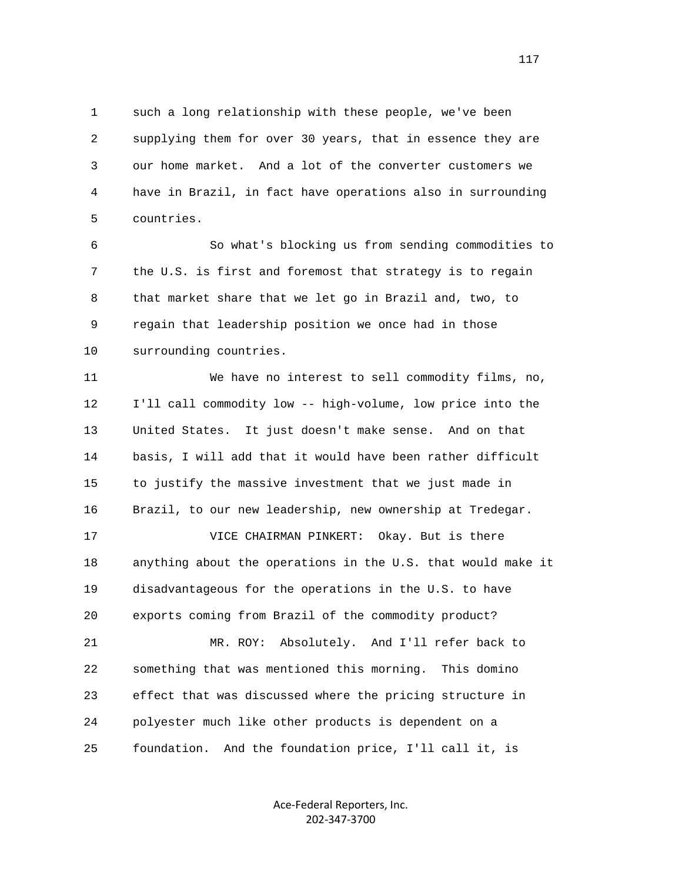1 such a long relationship with these people, we've been 2 supplying them for over 30 years, that in essence they are 3 our home market. And a lot of the converter customers we 4 have in Brazil, in fact have operations also in surrounding 5 countries.

 6 So what's blocking us from sending commodities to 7 the U.S. is first and foremost that strategy is to regain 8 that market share that we let go in Brazil and, two, to 9 regain that leadership position we once had in those 10 surrounding countries.

 11 We have no interest to sell commodity films, no, 12 I'll call commodity low -- high-volume, low price into the 13 United States. It just doesn't make sense. And on that 14 basis, I will add that it would have been rather difficult 15 to justify the massive investment that we just made in 16 Brazil, to our new leadership, new ownership at Tredegar.

 17 VICE CHAIRMAN PINKERT: Okay. But is there 18 anything about the operations in the U.S. that would make it 19 disadvantageous for the operations in the U.S. to have 20 exports coming from Brazil of the commodity product? 21 MR. ROY: Absolutely. And I'll refer back to

 22 something that was mentioned this morning. This domino 23 effect that was discussed where the pricing structure in 24 polyester much like other products is dependent on a 25 foundation. And the foundation price, I'll call it, is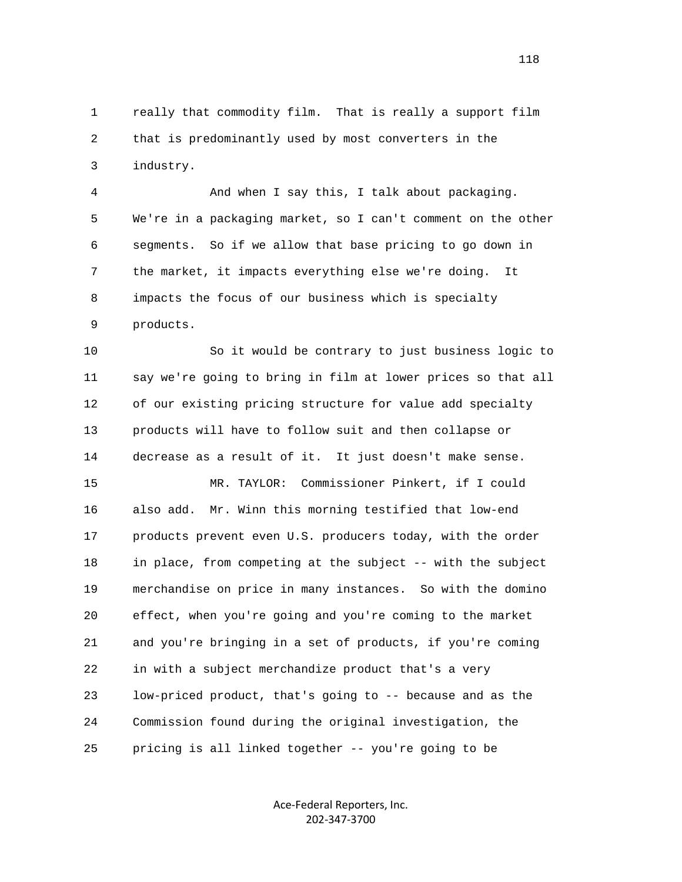1 really that commodity film. That is really a support film 2 that is predominantly used by most converters in the 3 industry.

 4 And when I say this, I talk about packaging. 5 We're in a packaging market, so I can't comment on the other 6 segments. So if we allow that base pricing to go down in 7 the market, it impacts everything else we're doing. It 8 impacts the focus of our business which is specialty 9 products.

 10 So it would be contrary to just business logic to 11 say we're going to bring in film at lower prices so that all 12 of our existing pricing structure for value add specialty 13 products will have to follow suit and then collapse or 14 decrease as a result of it. It just doesn't make sense. 15 MR. TAYLOR: Commissioner Pinkert, if I could 16 also add. Mr. Winn this morning testified that low-end 17 products prevent even U.S. producers today, with the order 18 in place, from competing at the subject -- with the subject 19 merchandise on price in many instances. So with the domino 20 effect, when you're going and you're coming to the market 21 and you're bringing in a set of products, if you're coming 22 in with a subject merchandize product that's a very 23 low-priced product, that's going to -- because and as the 24 Commission found during the original investigation, the 25 pricing is all linked together -- you're going to be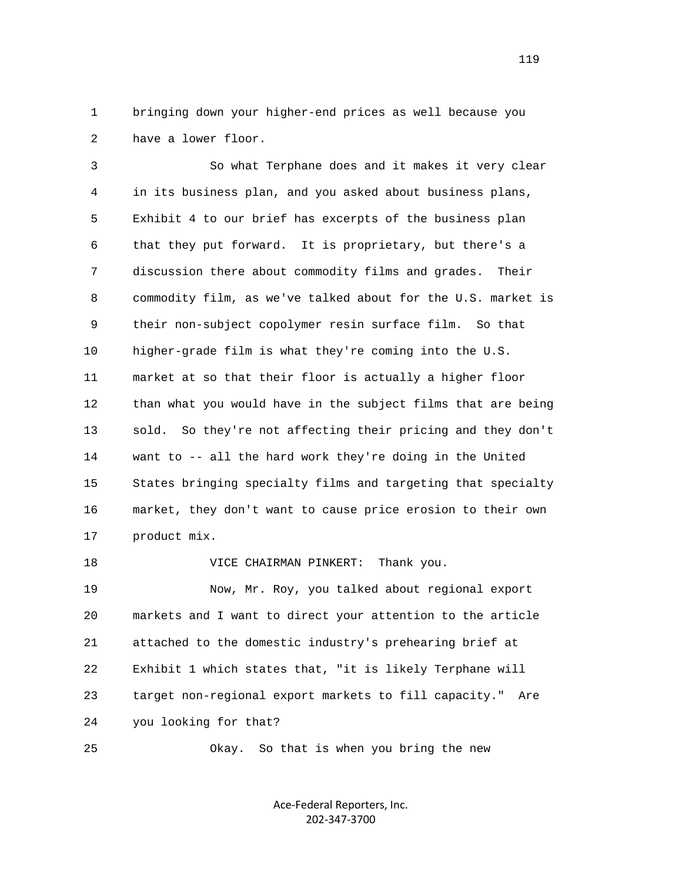1 bringing down your higher-end prices as well because you 2 have a lower floor.

 3 So what Terphane does and it makes it very clear 4 in its business plan, and you asked about business plans, 5 Exhibit 4 to our brief has excerpts of the business plan 6 that they put forward. It is proprietary, but there's a 7 discussion there about commodity films and grades. Their 8 commodity film, as we've talked about for the U.S. market is 9 their non-subject copolymer resin surface film. So that 10 higher-grade film is what they're coming into the U.S. 11 market at so that their floor is actually a higher floor 12 than what you would have in the subject films that are being 13 sold. So they're not affecting their pricing and they don't 14 want to -- all the hard work they're doing in the United 15 States bringing specialty films and targeting that specialty 16 market, they don't want to cause price erosion to their own 17 product mix.

 18 VICE CHAIRMAN PINKERT: Thank you. 19 Now, Mr. Roy, you talked about regional export 20 markets and I want to direct your attention to the article 21 attached to the domestic industry's prehearing brief at 22 Exhibit 1 which states that, "it is likely Terphane will 23 target non-regional export markets to fill capacity." Are 24 you looking for that?

25 Okay. So that is when you bring the new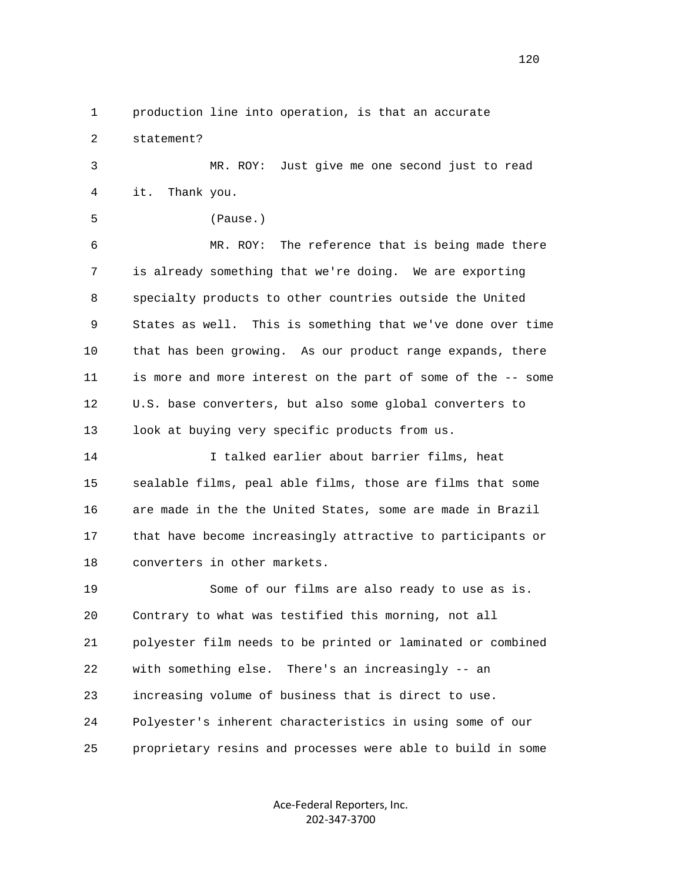1 production line into operation, is that an accurate

2 statement?

 3 MR. ROY: Just give me one second just to read 4 it. Thank you.

5 (Pause.)

 6 MR. ROY: The reference that is being made there 7 is already something that we're doing. We are exporting 8 specialty products to other countries outside the United 9 States as well. This is something that we've done over time 10 that has been growing. As our product range expands, there 11 is more and more interest on the part of some of the -- some 12 U.S. base converters, but also some global converters to 13 look at buying very specific products from us.

 14 I talked earlier about barrier films, heat 15 sealable films, peal able films, those are films that some 16 are made in the the United States, some are made in Brazil 17 that have become increasingly attractive to participants or 18 converters in other markets.

 19 Some of our films are also ready to use as is. 20 Contrary to what was testified this morning, not all 21 polyester film needs to be printed or laminated or combined 22 with something else. There's an increasingly -- an 23 increasing volume of business that is direct to use. 24 Polyester's inherent characteristics in using some of our 25 proprietary resins and processes were able to build in some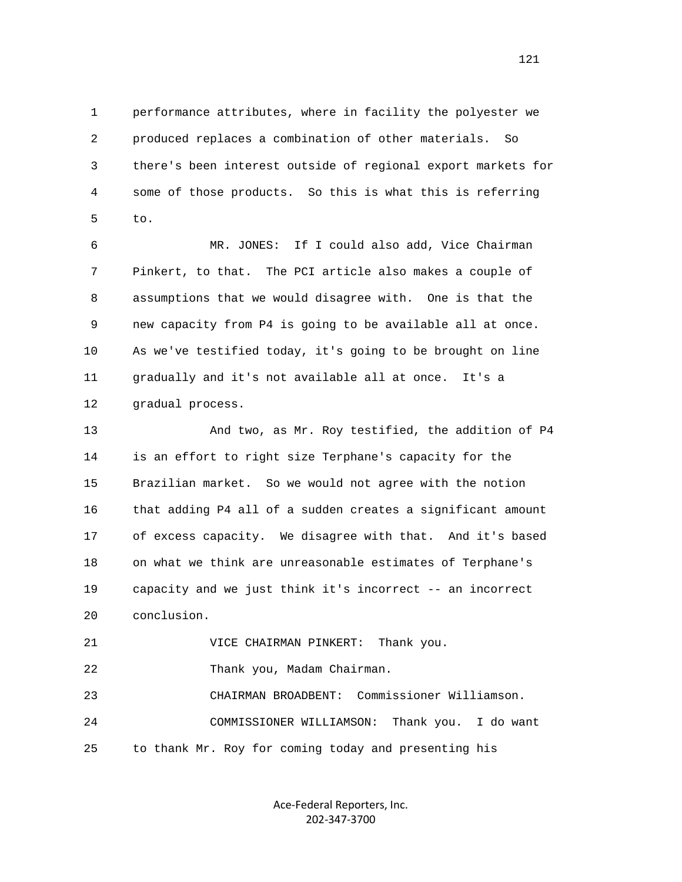1 performance attributes, where in facility the polyester we 2 produced replaces a combination of other materials. So 3 there's been interest outside of regional export markets for 4 some of those products. So this is what this is referring 5 to.

 6 MR. JONES: If I could also add, Vice Chairman 7 Pinkert, to that. The PCI article also makes a couple of 8 assumptions that we would disagree with. One is that the 9 new capacity from P4 is going to be available all at once. 10 As we've testified today, it's going to be brought on line 11 gradually and it's not available all at once. It's a 12 gradual process.

 13 And two, as Mr. Roy testified, the addition of P4 14 is an effort to right size Terphane's capacity for the 15 Brazilian market. So we would not agree with the notion 16 that adding P4 all of a sudden creates a significant amount 17 of excess capacity. We disagree with that. And it's based 18 on what we think are unreasonable estimates of Terphane's 19 capacity and we just think it's incorrect -- an incorrect 20 conclusion.

21 VICE CHAIRMAN PINKERT: Thank you.

22 Thank you, Madam Chairman.

 23 CHAIRMAN BROADBENT: Commissioner Williamson. 24 COMMISSIONER WILLIAMSON: Thank you. I do want 25 to thank Mr. Roy for coming today and presenting his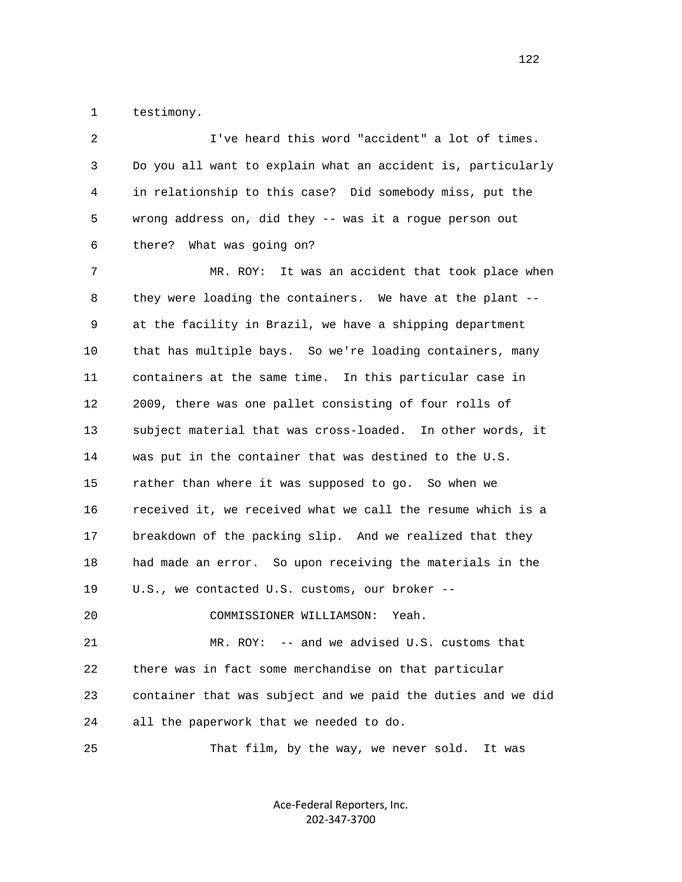1 testimony.

| 2  | I've heard this word "accident" a lot of times.              |
|----|--------------------------------------------------------------|
| 3  | Do you all want to explain what an accident is, particularly |
| 4  | in relationship to this case? Did somebody miss, put the     |
| 5  | wrong address on, did they -- was it a rogue person out      |
| 6  | What was going on?<br>there?                                 |
| 7  | MR. ROY: It was an accident that took place when             |
| 8  | they were loading the containers. We have at the plant --    |
| 9  | at the facility in Brazil, we have a shipping department     |
| 10 | that has multiple bays. So we're loading containers, many    |
| 11 | containers at the same time. In this particular case in      |
| 12 | 2009, there was one pallet consisting of four rolls of       |
| 13 | subject material that was cross-loaded. In other words, it   |
| 14 | was put in the container that was destined to the U.S.       |
| 15 | rather than where it was supposed to go. So when we          |
| 16 | received it, we received what we call the resume which is a  |
| 17 | breakdown of the packing slip. And we realized that they     |
| 18 | had made an error. So upon receiving the materials in the    |
| 19 | U.S., we contacted U.S. customs, our broker --               |
| 20 | COMMISSIONER WILLIAMSON:<br>Yeah.                            |
| 21 | -- and we advised U.S. customs that<br>MR. ROY:              |
| 22 | there was in fact some merchandise on that particular        |
| 23 | container that was subject and we paid the duties and we did |
| 24 | all the paperwork that we needed to do.                      |

25 That film, by the way, we never sold. It was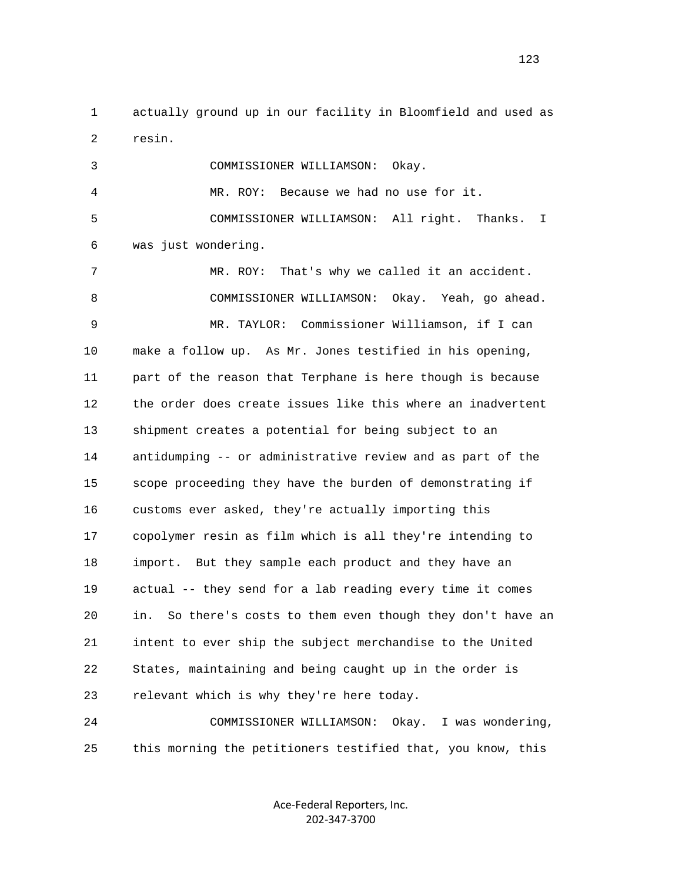1 actually ground up in our facility in Bloomfield and used as 2 resin.

 3 COMMISSIONER WILLIAMSON: Okay. 4 MR. ROY: Because we had no use for it. 5 COMMISSIONER WILLIAMSON: All right. Thanks. I 6 was just wondering. 7 MR. ROY: That's why we called it an accident. 8 COMMISSIONER WILLIAMSON: Okay. Yeah, go ahead. 9 MR. TAYLOR: Commissioner Williamson, if I can 10 make a follow up. As Mr. Jones testified in his opening, 11 part of the reason that Terphane is here though is because 12 the order does create issues like this where an inadvertent 13 shipment creates a potential for being subject to an 14 antidumping -- or administrative review and as part of the 15 scope proceeding they have the burden of demonstrating if 16 customs ever asked, they're actually importing this 17 copolymer resin as film which is all they're intending to 18 import. But they sample each product and they have an 19 actual -- they send for a lab reading every time it comes 20 in. So there's costs to them even though they don't have an 21 intent to ever ship the subject merchandise to the United 22 States, maintaining and being caught up in the order is 23 relevant which is why they're here today.

 24 COMMISSIONER WILLIAMSON: Okay. I was wondering, 25 this morning the petitioners testified that, you know, this

> Ace‐Federal Reporters, Inc. 202‐347‐3700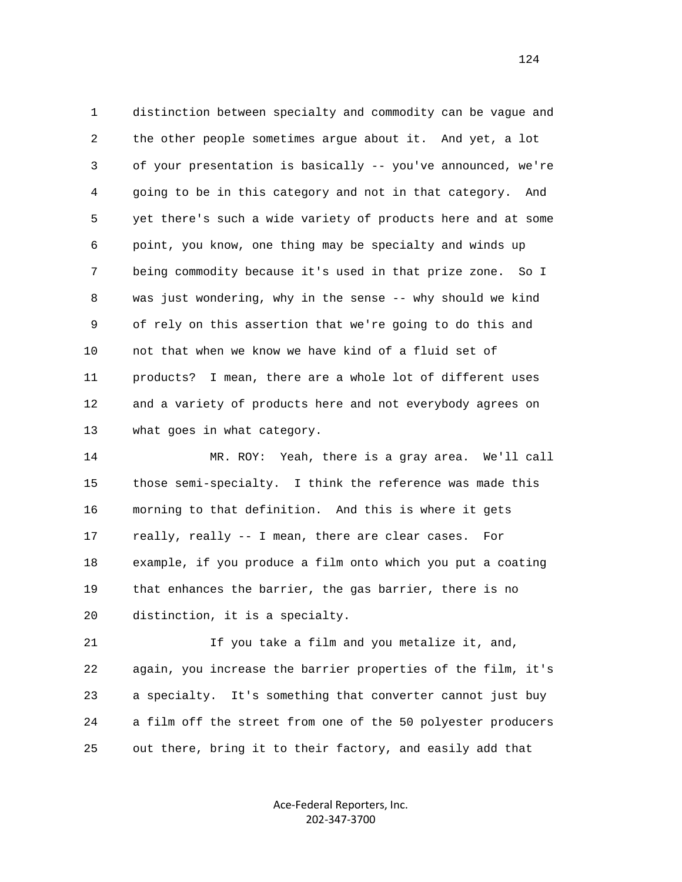1 distinction between specialty and commodity can be vague and 2 the other people sometimes argue about it. And yet, a lot 3 of your presentation is basically -- you've announced, we're 4 going to be in this category and not in that category. And 5 yet there's such a wide variety of products here and at some 6 point, you know, one thing may be specialty and winds up 7 being commodity because it's used in that prize zone. So I 8 was just wondering, why in the sense -- why should we kind 9 of rely on this assertion that we're going to do this and 10 not that when we know we have kind of a fluid set of 11 products? I mean, there are a whole lot of different uses 12 and a variety of products here and not everybody agrees on 13 what goes in what category.

 14 MR. ROY: Yeah, there is a gray area. We'll call 15 those semi-specialty. I think the reference was made this 16 morning to that definition. And this is where it gets 17 really, really -- I mean, there are clear cases. For 18 example, if you produce a film onto which you put a coating 19 that enhances the barrier, the gas barrier, there is no 20 distinction, it is a specialty.

 21 If you take a film and you metalize it, and, 22 again, you increase the barrier properties of the film, it's 23 a specialty. It's something that converter cannot just buy 24 a film off the street from one of the 50 polyester producers 25 out there, bring it to their factory, and easily add that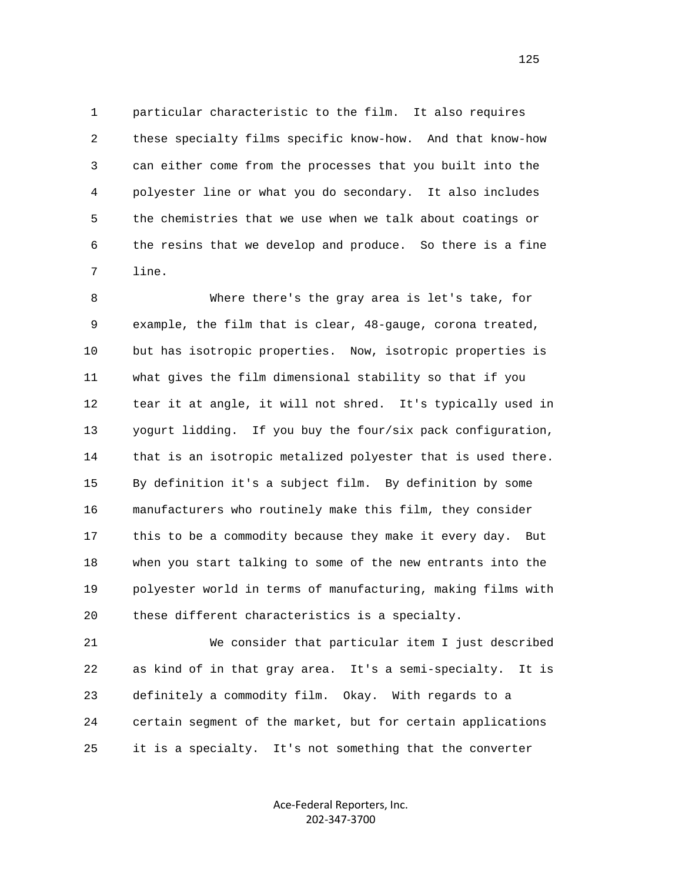1 particular characteristic to the film. It also requires 2 these specialty films specific know-how. And that know-how 3 can either come from the processes that you built into the 4 polyester line or what you do secondary. It also includes 5 the chemistries that we use when we talk about coatings or 6 the resins that we develop and produce. So there is a fine 7 line.

 8 Where there's the gray area is let's take, for 9 example, the film that is clear, 48-gauge, corona treated, 10 but has isotropic properties. Now, isotropic properties is 11 what gives the film dimensional stability so that if you 12 tear it at angle, it will not shred. It's typically used in 13 yogurt lidding. If you buy the four/six pack configuration, 14 that is an isotropic metalized polyester that is used there. 15 By definition it's a subject film. By definition by some 16 manufacturers who routinely make this film, they consider 17 this to be a commodity because they make it every day. But 18 when you start talking to some of the new entrants into the 19 polyester world in terms of manufacturing, making films with 20 these different characteristics is a specialty.

 21 We consider that particular item I just described 22 as kind of in that gray area. It's a semi-specialty. It is 23 definitely a commodity film. Okay. With regards to a 24 certain segment of the market, but for certain applications 25 it is a specialty. It's not something that the converter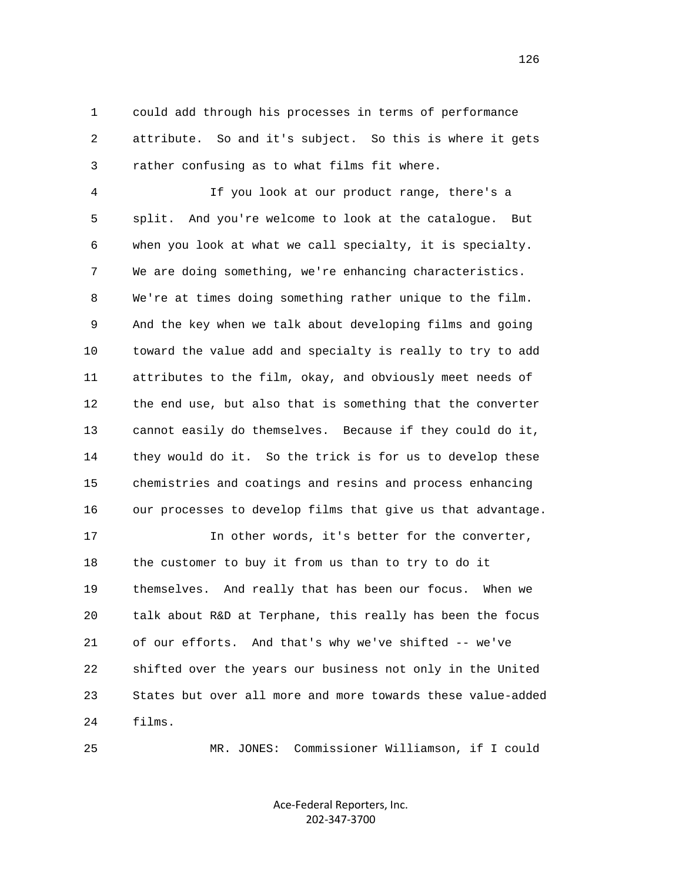1 could add through his processes in terms of performance 2 attribute. So and it's subject. So this is where it gets 3 rather confusing as to what films fit where.

 4 If you look at our product range, there's a 5 split. And you're welcome to look at the catalogue. But 6 when you look at what we call specialty, it is specialty. 7 We are doing something, we're enhancing characteristics. 8 We're at times doing something rather unique to the film. 9 And the key when we talk about developing films and going 10 toward the value add and specialty is really to try to add 11 attributes to the film, okay, and obviously meet needs of 12 the end use, but also that is something that the converter 13 cannot easily do themselves. Because if they could do it, 14 they would do it. So the trick is for us to develop these 15 chemistries and coatings and resins and process enhancing 16 our processes to develop films that give us that advantage.

 17 In other words, it's better for the converter, 18 the customer to buy it from us than to try to do it 19 themselves. And really that has been our focus. When we 20 talk about R&D at Terphane, this really has been the focus 21 of our efforts. And that's why we've shifted -- we've 22 shifted over the years our business not only in the United 23 States but over all more and more towards these value-added 24 films.

25 MR. JONES: Commissioner Williamson, if I could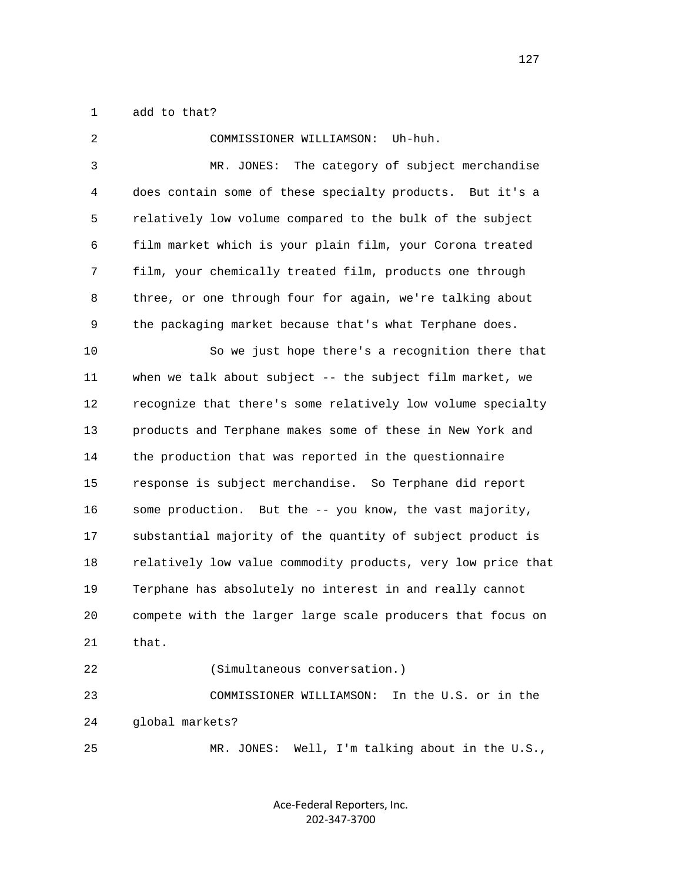1 add to that?

| 2  | COMMISSIONER WILLIAMSON:<br>Uh-huh.                          |
|----|--------------------------------------------------------------|
| 3  | The category of subject merchandise<br>MR. JONES:            |
| 4  | does contain some of these specialty products. But it's a    |
| 5  | relatively low volume compared to the bulk of the subject    |
| 6  | film market which is your plain film, your Corona treated    |
| 7  | film, your chemically treated film, products one through     |
| 8  | three, or one through four for again, we're talking about    |
| 9  | the packaging market because that's what Terphane does.      |
| 10 | So we just hope there's a recognition there that             |
| 11 | when we talk about subject -- the subject film market, we    |
| 12 | recognize that there's some relatively low volume specialty  |
| 13 | products and Terphane makes some of these in New York and    |
| 14 | the production that was reported in the questionnaire        |
| 15 | response is subject merchandise. So Terphane did report      |
| 16 | some production. But the -- you know, the vast majority,     |
| 17 | substantial majority of the quantity of subject product is   |
| 18 | relatively low value commodity products, very low price that |
| 19 | Terphane has absolutely no interest in and really cannot     |
| 20 | compete with the larger large scale producers that focus on  |
| 21 | that.                                                        |
| 22 | (Simultaneous conversation.)                                 |
| 23 | In the U.S. or in the<br>COMMISSIONER WILLIAMSON:            |
| 24 | global markets?                                              |
| 25 | Well, I'm talking about in the U.S.,<br>MR. JONES:           |
|    |                                                              |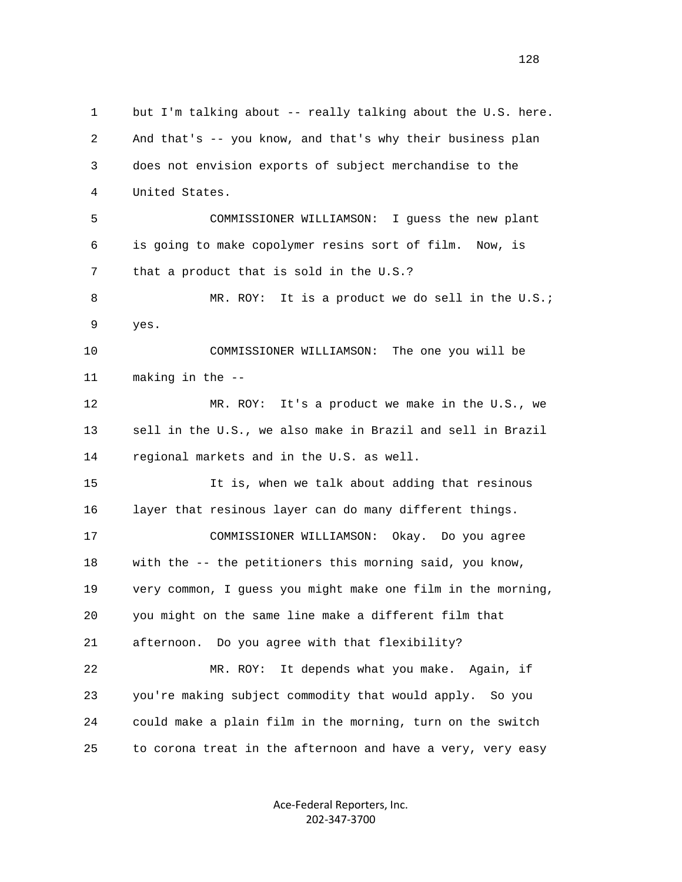1 but I'm talking about -- really talking about the U.S. here. 2 And that's -- you know, and that's why their business plan 3 does not envision exports of subject merchandise to the 4 United States. 5 COMMISSIONER WILLIAMSON: I guess the new plant 6 is going to make copolymer resins sort of film. Now, is 7 that a product that is sold in the U.S.? 8 MR. ROY: It is a product we do sell in the U.S.; 9 yes. 10 COMMISSIONER WILLIAMSON: The one you will be 11 making in the -- 12 MR. ROY: It's a product we make in the U.S., we 13 sell in the U.S., we also make in Brazil and sell in Brazil 14 regional markets and in the U.S. as well. 15 It is, when we talk about adding that resinous 16 layer that resinous layer can do many different things. 17 COMMISSIONER WILLIAMSON: Okay. Do you agree 18 with the -- the petitioners this morning said, you know, 19 very common, I guess you might make one film in the morning, 20 you might on the same line make a different film that 21 afternoon. Do you agree with that flexibility? 22 MR. ROY: It depends what you make. Again, if 23 you're making subject commodity that would apply. So you 24 could make a plain film in the morning, turn on the switch 25 to corona treat in the afternoon and have a very, very easy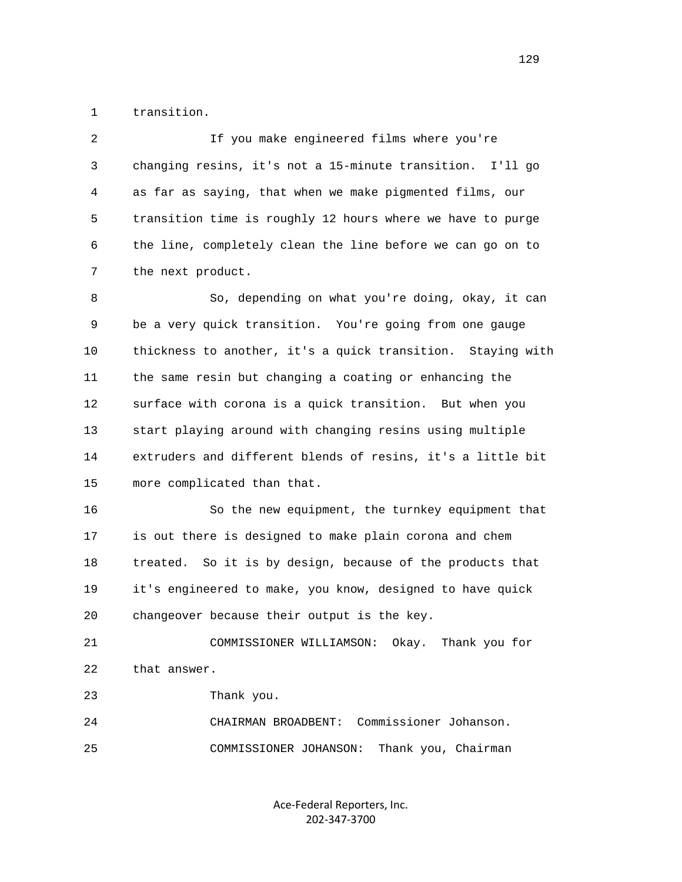1 transition.

 2 If you make engineered films where you're 3 changing resins, it's not a 15-minute transition. I'll go 4 as far as saying, that when we make pigmented films, our 5 transition time is roughly 12 hours where we have to purge 6 the line, completely clean the line before we can go on to 7 the next product.

 8 So, depending on what you're doing, okay, it can 9 be a very quick transition. You're going from one gauge 10 thickness to another, it's a quick transition. Staying with 11 the same resin but changing a coating or enhancing the 12 surface with corona is a quick transition. But when you 13 start playing around with changing resins using multiple 14 extruders and different blends of resins, it's a little bit 15 more complicated than that.

 16 So the new equipment, the turnkey equipment that 17 is out there is designed to make plain corona and chem 18 treated. So it is by design, because of the products that 19 it's engineered to make, you know, designed to have quick 20 changeover because their output is the key.

 21 COMMISSIONER WILLIAMSON: Okay. Thank you for 22 that answer.

23 Thank you.

 24 CHAIRMAN BROADBENT: Commissioner Johanson. 25 COMMISSIONER JOHANSON: Thank you, Chairman

> Ace‐Federal Reporters, Inc. 202‐347‐3700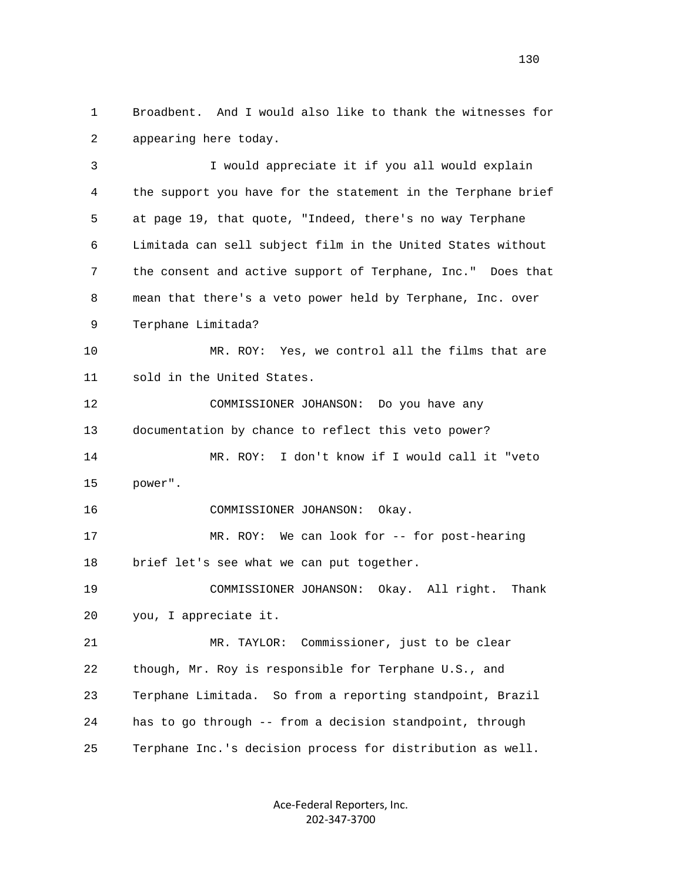1 Broadbent. And I would also like to thank the witnesses for 2 appearing here today.

 3 I would appreciate it if you all would explain 4 the support you have for the statement in the Terphane brief 5 at page 19, that quote, "Indeed, there's no way Terphane 6 Limitada can sell subject film in the United States without 7 the consent and active support of Terphane, Inc." Does that 8 mean that there's a veto power held by Terphane, Inc. over 9 Terphane Limitada? 10 MR. ROY: Yes, we control all the films that are 11 sold in the United States. 12 COMMISSIONER JOHANSON: Do you have any 13 documentation by chance to reflect this veto power? 14 MR. ROY: I don't know if I would call it "veto 15 power". 16 COMMISSIONER JOHANSON: Okay. 17 MR. ROY: We can look for -- for post-hearing 18 brief let's see what we can put together. 19 COMMISSIONER JOHANSON: Okay. All right. Thank 20 you, I appreciate it. 21 MR. TAYLOR: Commissioner, just to be clear 22 though, Mr. Roy is responsible for Terphane U.S., and 23 Terphane Limitada. So from a reporting standpoint, Brazil 24 has to go through -- from a decision standpoint, through 25 Terphane Inc.'s decision process for distribution as well.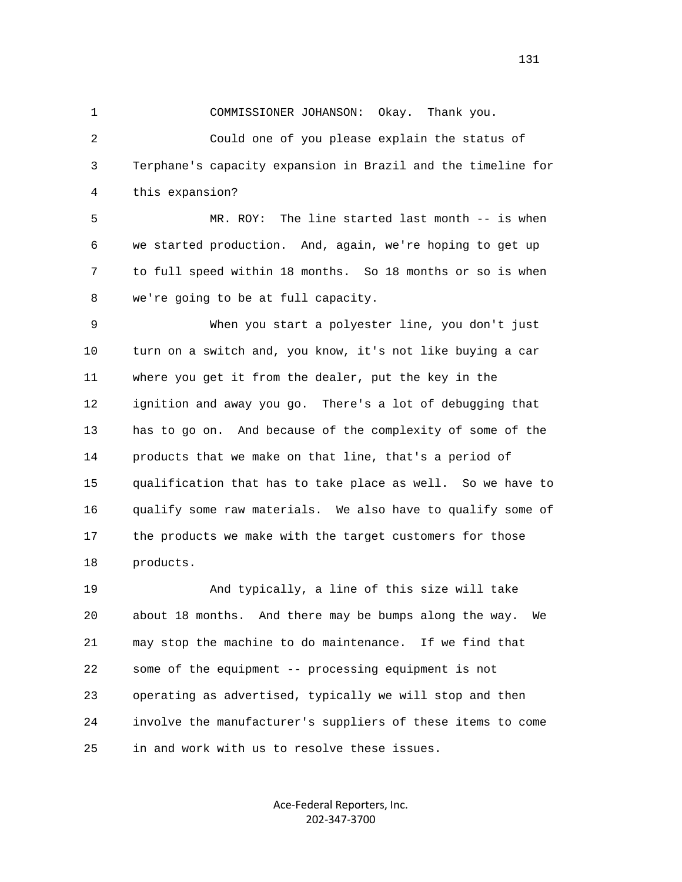1 COMMISSIONER JOHANSON: Okay. Thank you. 2 Could one of you please explain the status of 3 Terphane's capacity expansion in Brazil and the timeline for 4 this expansion?

 5 MR. ROY: The line started last month -- is when 6 we started production. And, again, we're hoping to get up 7 to full speed within 18 months. So 18 months or so is when 8 we're going to be at full capacity.

 9 When you start a polyester line, you don't just 10 turn on a switch and, you know, it's not like buying a car 11 where you get it from the dealer, put the key in the 12 ignition and away you go. There's a lot of debugging that 13 has to go on. And because of the complexity of some of the 14 products that we make on that line, that's a period of 15 qualification that has to take place as well. So we have to 16 qualify some raw materials. We also have to qualify some of 17 the products we make with the target customers for those 18 products.

 19 And typically, a line of this size will take 20 about 18 months. And there may be bumps along the way. We 21 may stop the machine to do maintenance. If we find that 22 some of the equipment -- processing equipment is not 23 operating as advertised, typically we will stop and then 24 involve the manufacturer's suppliers of these items to come 25 in and work with us to resolve these issues.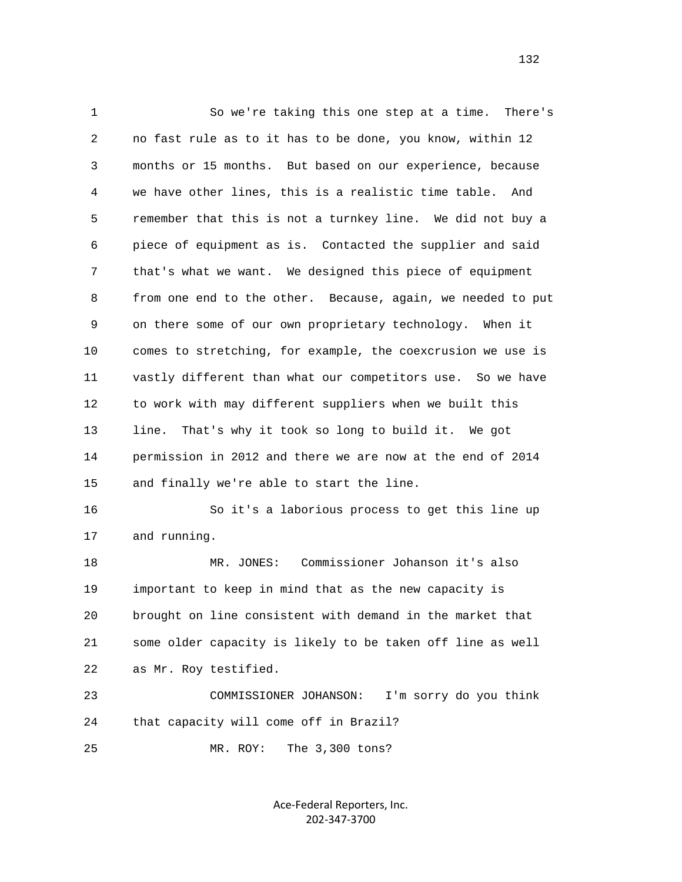1 So we're taking this one step at a time. There's 2 no fast rule as to it has to be done, you know, within 12 3 months or 15 months. But based on our experience, because 4 we have other lines, this is a realistic time table. And 5 remember that this is not a turnkey line. We did not buy a 6 piece of equipment as is. Contacted the supplier and said 7 that's what we want. We designed this piece of equipment 8 from one end to the other. Because, again, we needed to put 9 on there some of our own proprietary technology. When it 10 comes to stretching, for example, the coexcrusion we use is 11 vastly different than what our competitors use. So we have 12 to work with may different suppliers when we built this 13 line. That's why it took so long to build it. We got 14 permission in 2012 and there we are now at the end of 2014 15 and finally we're able to start the line. 16 So it's a laborious process to get this line up 17 and running. 18 MR. JONES: Commissioner Johanson it's also 19 important to keep in mind that as the new capacity is 20 brought on line consistent with demand in the market that 21 some older capacity is likely to be taken off line as well 22 as Mr. Roy testified. 23 COMMISSIONER JOHANSON: I'm sorry do you think 24 that capacity will come off in Brazil? 25 MR. ROY: The 3,300 tons?

> Ace‐Federal Reporters, Inc. 202‐347‐3700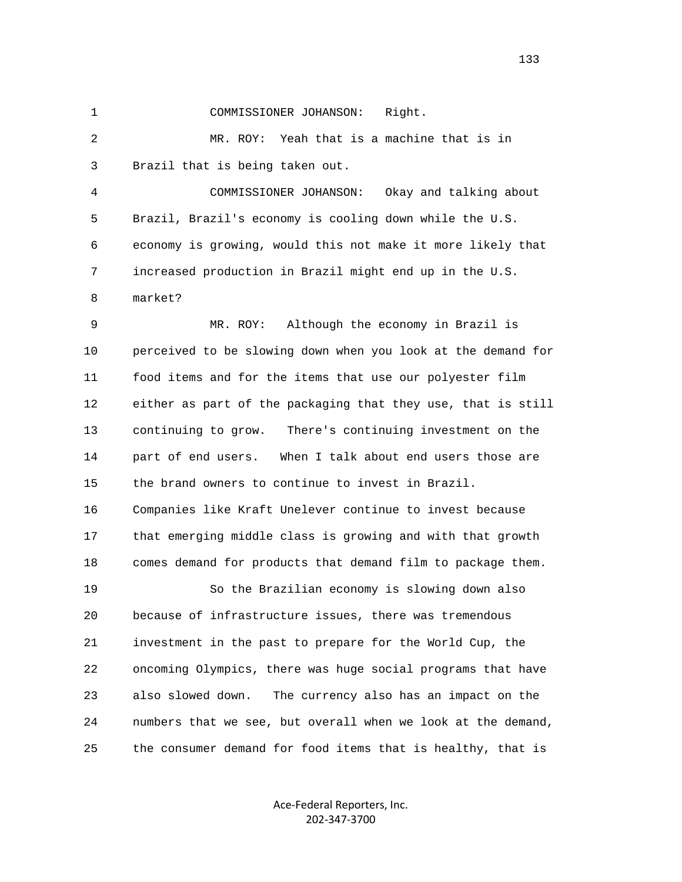1 COMMISSIONER JOHANSON: Right.

 2 MR. ROY: Yeah that is a machine that is in 3 Brazil that is being taken out.

 4 COMMISSIONER JOHANSON: Okay and talking about 5 Brazil, Brazil's economy is cooling down while the U.S. 6 economy is growing, would this not make it more likely that 7 increased production in Brazil might end up in the U.S. 8 market?

 9 MR. ROY: Although the economy in Brazil is 10 perceived to be slowing down when you look at the demand for 11 food items and for the items that use our polyester film 12 either as part of the packaging that they use, that is still 13 continuing to grow. There's continuing investment on the 14 part of end users. When I talk about end users those are 15 the brand owners to continue to invest in Brazil. 16 Companies like Kraft Unelever continue to invest because 17 that emerging middle class is growing and with that growth 18 comes demand for products that demand film to package them. 19 So the Brazilian economy is slowing down also 20 because of infrastructure issues, there was tremendous 21 investment in the past to prepare for the World Cup, the 22 oncoming Olympics, there was huge social programs that have 23 also slowed down. The currency also has an impact on the 24 numbers that we see, but overall when we look at the demand, 25 the consumer demand for food items that is healthy, that is

> Ace‐Federal Reporters, Inc. 202‐347‐3700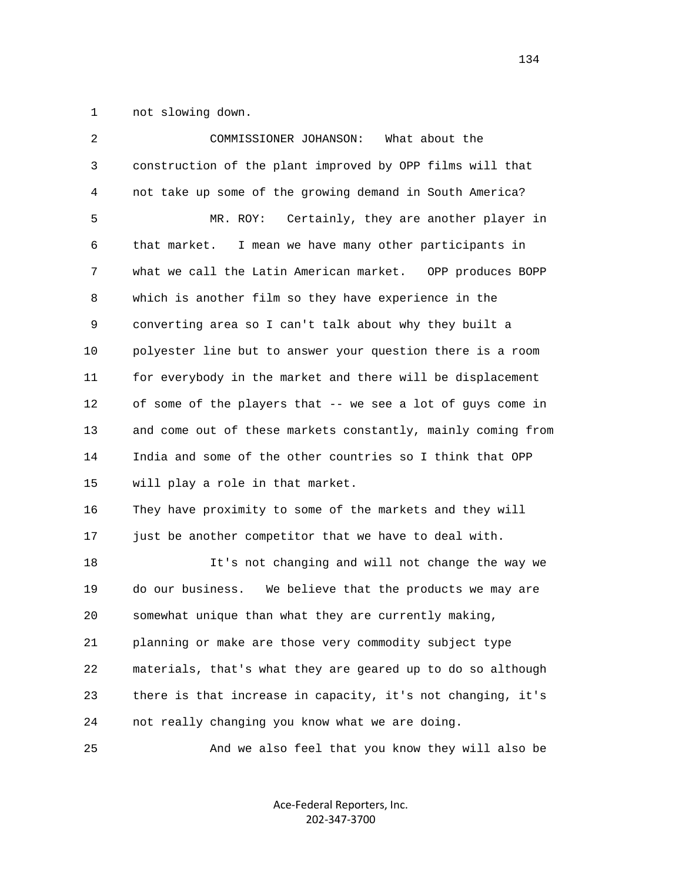1 not slowing down.

| 2  | What about the<br>COMMISSIONER JOHANSON:                     |
|----|--------------------------------------------------------------|
| 3  | construction of the plant improved by OPP films will that    |
| 4  | not take up some of the growing demand in South America?     |
| 5  | Certainly, they are another player in<br>MR. ROY:            |
| 6  | I mean we have many other participants in<br>that market.    |
| 7  | what we call the Latin American market. OPP produces BOPP    |
| 8  | which is another film so they have experience in the         |
| 9  | converting area so I can't talk about why they built a       |
| 10 | polyester line but to answer your question there is a room   |
| 11 | for everybody in the market and there will be displacement   |
| 12 | of some of the players that -- we see a lot of guys come in  |
| 13 | and come out of these markets constantly, mainly coming from |
| 14 | India and some of the other countries so I think that OPP    |
| 15 | will play a role in that market.                             |
| 16 | They have proximity to some of the markets and they will     |
| 17 | just be another competitor that we have to deal with.        |
| 18 | It's not changing and will not change the way we             |
| 19 | do our business. We believe that the products we may are     |
| 20 | somewhat unique than what they are currently making,         |
| 21 | planning or make are those very commodity subject type       |
| 22 | materials, that's what they are geared up to do so although  |
| 23 | there is that increase in capacity, it's not changing, it's  |
| 24 | not really changing you know what we are doing.              |
| 25 | And we also feel that you know they will also be             |

Ace‐Federal Reporters, Inc. 202‐347‐3700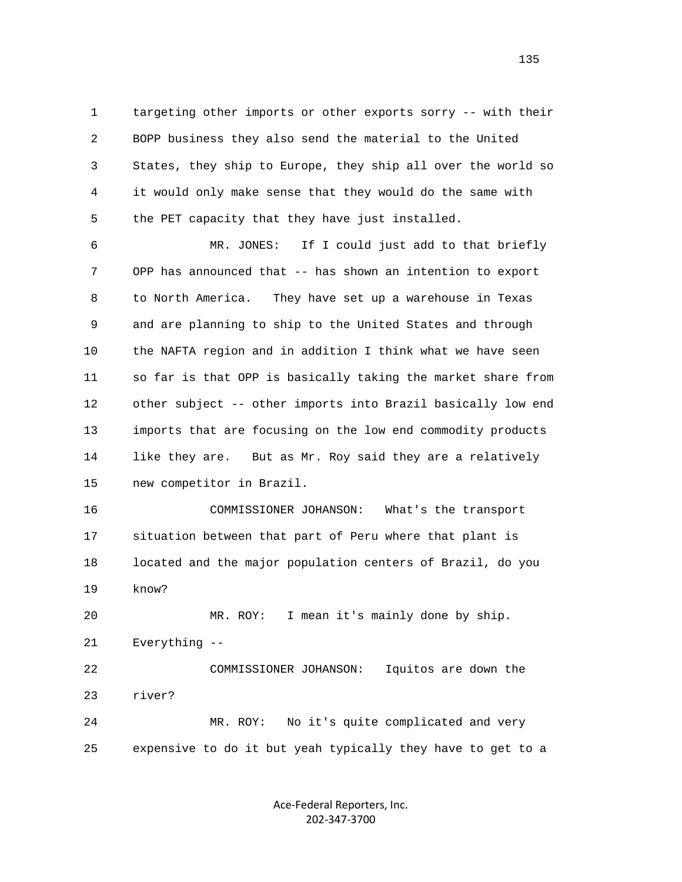1 targeting other imports or other exports sorry -- with their 2 BOPP business they also send the material to the United 3 States, they ship to Europe, they ship all over the world so 4 it would only make sense that they would do the same with 5 the PET capacity that they have just installed.

 6 MR. JONES: If I could just add to that briefly 7 OPP has announced that -- has shown an intention to export 8 to North America. They have set up a warehouse in Texas 9 and are planning to ship to the United States and through 10 the NAFTA region and in addition I think what we have seen 11 so far is that OPP is basically taking the market share from 12 other subject -- other imports into Brazil basically low end 13 imports that are focusing on the low end commodity products 14 like they are. But as Mr. Roy said they are a relatively 15 new competitor in Brazil.

 16 COMMISSIONER JOHANSON: What's the transport 17 situation between that part of Peru where that plant is 18 located and the major population centers of Brazil, do you 19 know?

 20 MR. ROY: I mean it's mainly done by ship. 21 Everything -- 22 COMMISSIONER JOHANSON: Iquitos are down the 23 river?

 24 MR. ROY: No it's quite complicated and very 25 expensive to do it but yeah typically they have to get to a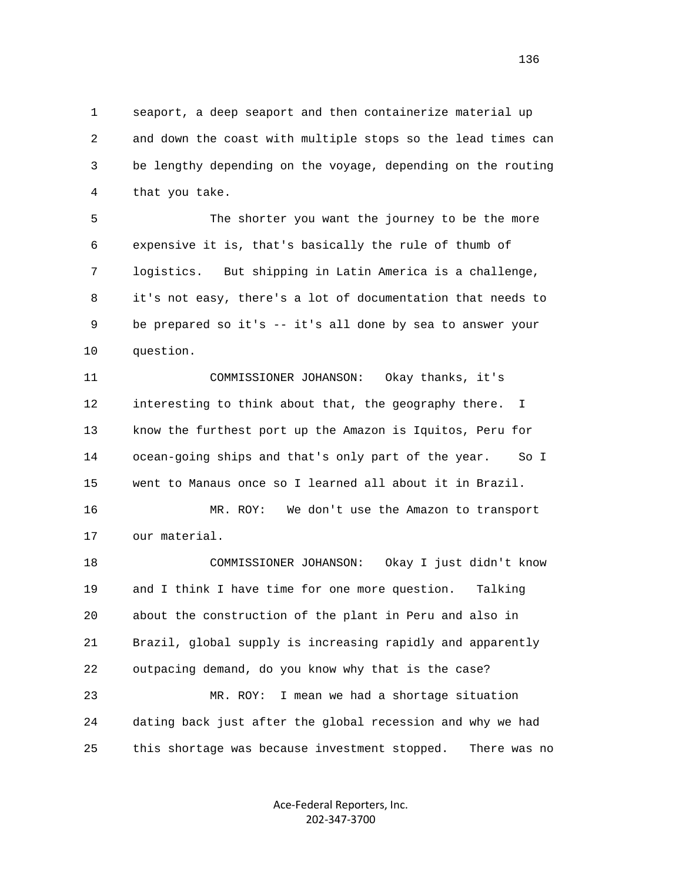1 seaport, a deep seaport and then containerize material up 2 and down the coast with multiple stops so the lead times can 3 be lengthy depending on the voyage, depending on the routing 4 that you take.

 5 The shorter you want the journey to be the more 6 expensive it is, that's basically the rule of thumb of 7 logistics. But shipping in Latin America is a challenge, 8 it's not easy, there's a lot of documentation that needs to 9 be prepared so it's -- it's all done by sea to answer your 10 question.

 11 COMMISSIONER JOHANSON: Okay thanks, it's 12 interesting to think about that, the geography there. I 13 know the furthest port up the Amazon is Iquitos, Peru for 14 ocean-going ships and that's only part of the year. So I 15 went to Manaus once so I learned all about it in Brazil.

 16 MR. ROY: We don't use the Amazon to transport 17 our material.

 18 COMMISSIONER JOHANSON: Okay I just didn't know 19 and I think I have time for one more question. Talking 20 about the construction of the plant in Peru and also in 21 Brazil, global supply is increasing rapidly and apparently 22 outpacing demand, do you know why that is the case? 23 MR. ROY: I mean we had a shortage situation 24 dating back just after the global recession and why we had 25 this shortage was because investment stopped. There was no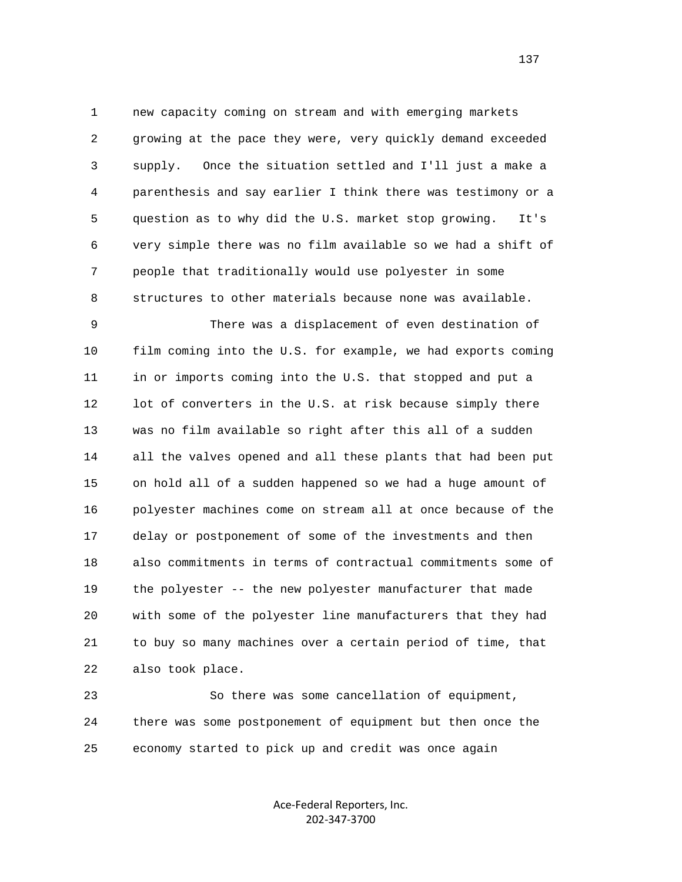1 new capacity coming on stream and with emerging markets 2 growing at the pace they were, very quickly demand exceeded 3 supply. Once the situation settled and I'll just a make a 4 parenthesis and say earlier I think there was testimony or a 5 question as to why did the U.S. market stop growing. It's 6 very simple there was no film available so we had a shift of 7 people that traditionally would use polyester in some 8 structures to other materials because none was available.

 9 There was a displacement of even destination of 10 film coming into the U.S. for example, we had exports coming 11 in or imports coming into the U.S. that stopped and put a 12 lot of converters in the U.S. at risk because simply there 13 was no film available so right after this all of a sudden 14 all the valves opened and all these plants that had been put 15 on hold all of a sudden happened so we had a huge amount of 16 polyester machines come on stream all at once because of the 17 delay or postponement of some of the investments and then 18 also commitments in terms of contractual commitments some of 19 the polyester -- the new polyester manufacturer that made 20 with some of the polyester line manufacturers that they had 21 to buy so many machines over a certain period of time, that 22 also took place.

 23 So there was some cancellation of equipment, 24 there was some postponement of equipment but then once the 25 economy started to pick up and credit was once again

> Ace‐Federal Reporters, Inc. 202‐347‐3700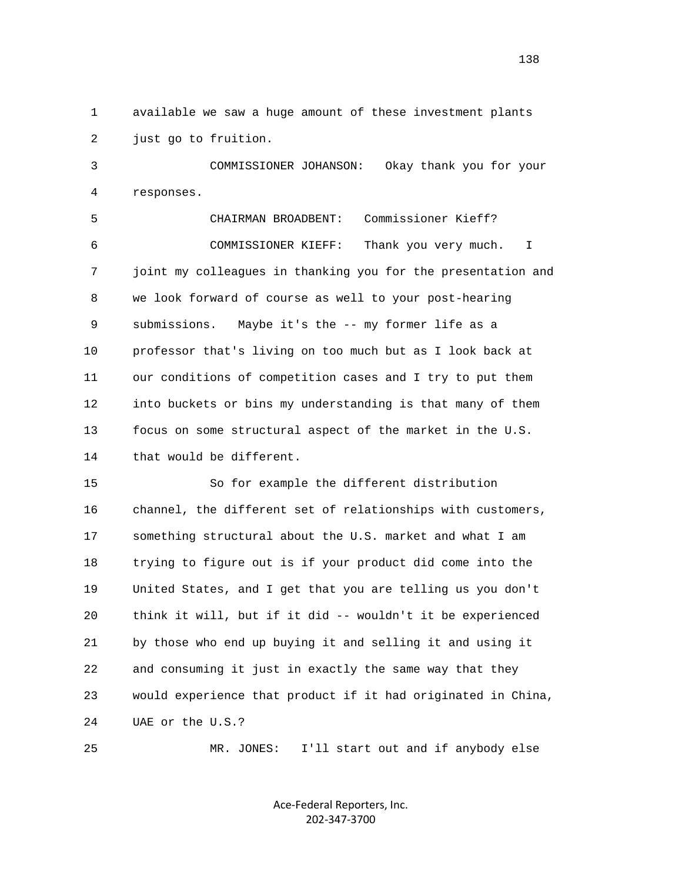1 available we saw a huge amount of these investment plants 2 just go to fruition.

 3 COMMISSIONER JOHANSON: Okay thank you for your 4 responses.

 5 CHAIRMAN BROADBENT: Commissioner Kieff? 6 COMMISSIONER KIEFF: Thank you very much. I 7 joint my colleagues in thanking you for the presentation and 8 we look forward of course as well to your post-hearing 9 submissions. Maybe it's the -- my former life as a 10 professor that's living on too much but as I look back at 11 our conditions of competition cases and I try to put them 12 into buckets or bins my understanding is that many of them 13 focus on some structural aspect of the market in the U.S. 14 that would be different.

 15 So for example the different distribution 16 channel, the different set of relationships with customers, 17 something structural about the U.S. market and what I am 18 trying to figure out is if your product did come into the 19 United States, and I get that you are telling us you don't 20 think it will, but if it did -- wouldn't it be experienced 21 by those who end up buying it and selling it and using it 22 and consuming it just in exactly the same way that they 23 would experience that product if it had originated in China, 24 UAE or the U.S.?

25 MR. JONES: I'll start out and if anybody else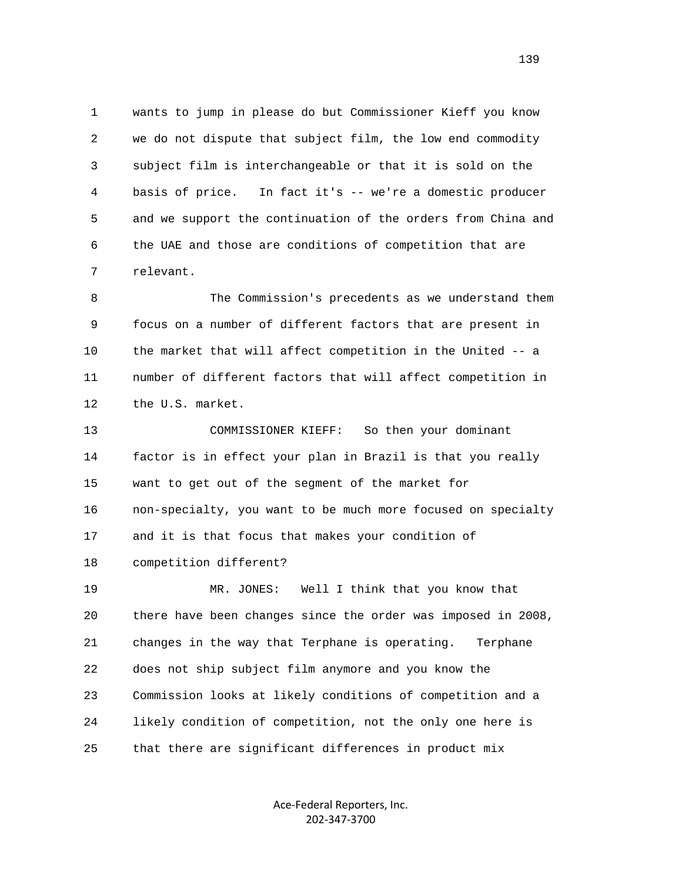1 wants to jump in please do but Commissioner Kieff you know 2 we do not dispute that subject film, the low end commodity 3 subject film is interchangeable or that it is sold on the 4 basis of price. In fact it's -- we're a domestic producer 5 and we support the continuation of the orders from China and 6 the UAE and those are conditions of competition that are 7 relevant.

 8 The Commission's precedents as we understand them 9 focus on a number of different factors that are present in 10 the market that will affect competition in the United -- a 11 number of different factors that will affect competition in 12 the U.S. market.

 13 COMMISSIONER KIEFF: So then your dominant 14 factor is in effect your plan in Brazil is that you really 15 want to get out of the segment of the market for 16 non-specialty, you want to be much more focused on specialty 17 and it is that focus that makes your condition of 18 competition different?

 19 MR. JONES: Well I think that you know that 20 there have been changes since the order was imposed in 2008, 21 changes in the way that Terphane is operating. Terphane 22 does not ship subject film anymore and you know the 23 Commission looks at likely conditions of competition and a 24 likely condition of competition, not the only one here is 25 that there are significant differences in product mix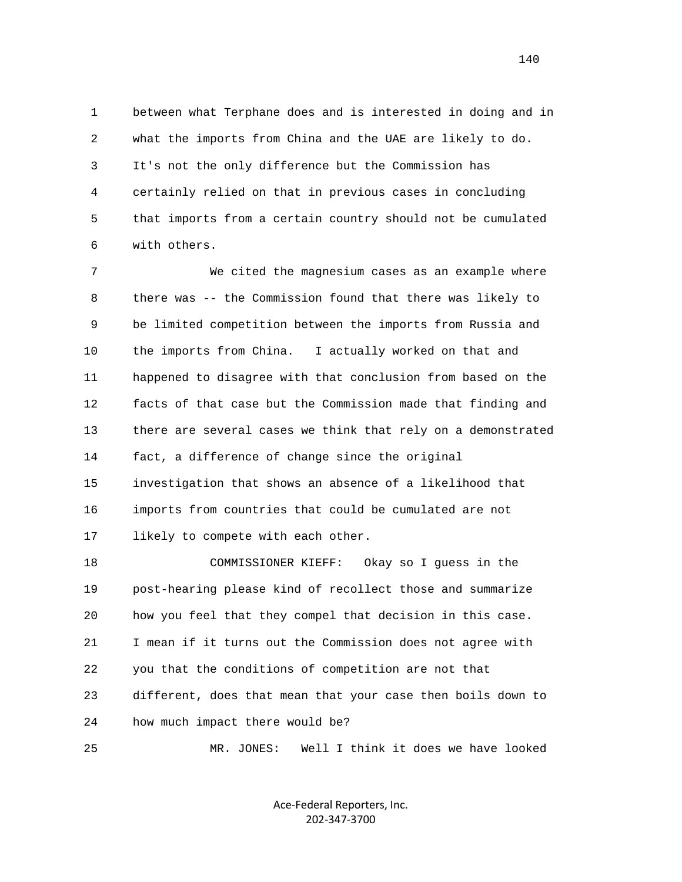1 between what Terphane does and is interested in doing and in 2 what the imports from China and the UAE are likely to do. 3 It's not the only difference but the Commission has 4 certainly relied on that in previous cases in concluding 5 that imports from a certain country should not be cumulated 6 with others.

 7 We cited the magnesium cases as an example where 8 there was -- the Commission found that there was likely to 9 be limited competition between the imports from Russia and 10 the imports from China. I actually worked on that and 11 happened to disagree with that conclusion from based on the 12 facts of that case but the Commission made that finding and 13 there are several cases we think that rely on a demonstrated 14 fact, a difference of change since the original 15 investigation that shows an absence of a likelihood that 16 imports from countries that could be cumulated are not 17 likely to compete with each other.

 18 COMMISSIONER KIEFF: Okay so I guess in the 19 post-hearing please kind of recollect those and summarize 20 how you feel that they compel that decision in this case. 21 I mean if it turns out the Commission does not agree with 22 you that the conditions of competition are not that 23 different, does that mean that your case then boils down to 24 how much impact there would be?

25 MR. JONES: Well I think it does we have looked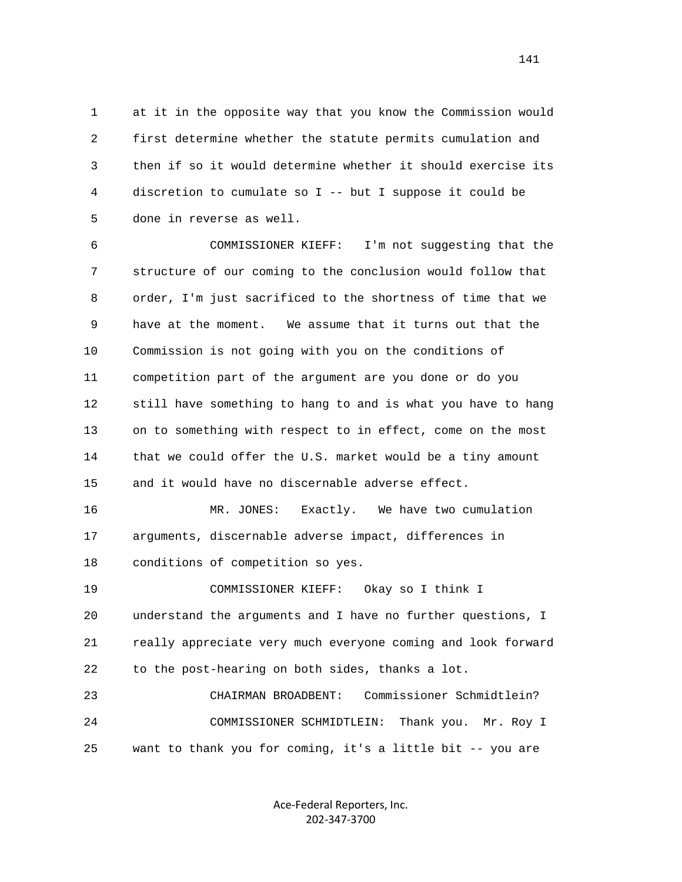1 at it in the opposite way that you know the Commission would 2 first determine whether the statute permits cumulation and 3 then if so it would determine whether it should exercise its 4 discretion to cumulate so I -- but I suppose it could be 5 done in reverse as well.

 6 COMMISSIONER KIEFF: I'm not suggesting that the 7 structure of our coming to the conclusion would follow that 8 order, I'm just sacrificed to the shortness of time that we 9 have at the moment. We assume that it turns out that the 10 Commission is not going with you on the conditions of 11 competition part of the argument are you done or do you 12 still have something to hang to and is what you have to hang 13 on to something with respect to in effect, come on the most 14 that we could offer the U.S. market would be a tiny amount 15 and it would have no discernable adverse effect.

 16 MR. JONES: Exactly. We have two cumulation 17 arguments, discernable adverse impact, differences in 18 conditions of competition so yes.

 19 COMMISSIONER KIEFF: Okay so I think I 20 understand the arguments and I have no further questions, I 21 really appreciate very much everyone coming and look forward 22 to the post-hearing on both sides, thanks a lot.

 23 CHAIRMAN BROADBENT: Commissioner Schmidtlein? 24 COMMISSIONER SCHMIDTLEIN: Thank you. Mr. Roy I 25 want to thank you for coming, it's a little bit -- you are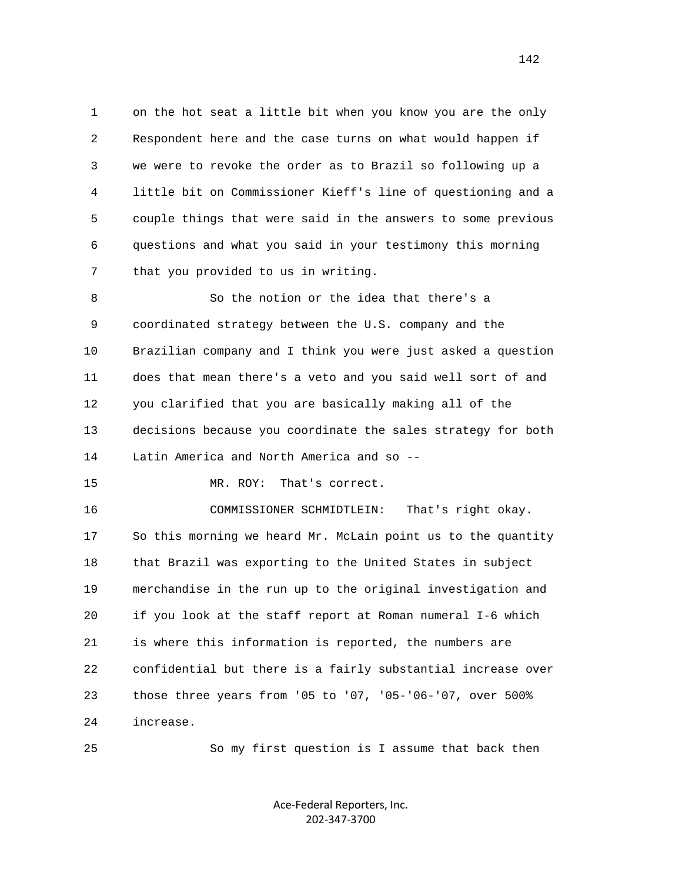1 on the hot seat a little bit when you know you are the only 2 Respondent here and the case turns on what would happen if 3 we were to revoke the order as to Brazil so following up a 4 little bit on Commissioner Kieff's line of questioning and a 5 couple things that were said in the answers to some previous 6 questions and what you said in your testimony this morning 7 that you provided to us in writing.

 8 So the notion or the idea that there's a 9 coordinated strategy between the U.S. company and the 10 Brazilian company and I think you were just asked a question 11 does that mean there's a veto and you said well sort of and 12 you clarified that you are basically making all of the 13 decisions because you coordinate the sales strategy for both 14 Latin America and North America and so --

```
 15 MR. ROY: That's correct.
```
 16 COMMISSIONER SCHMIDTLEIN: That's right okay. 17 So this morning we heard Mr. McLain point us to the quantity 18 that Brazil was exporting to the United States in subject 19 merchandise in the run up to the original investigation and 20 if you look at the staff report at Roman numeral I-6 which 21 is where this information is reported, the numbers are 22 confidential but there is a fairly substantial increase over 23 those three years from '05 to '07, '05-'06-'07, over 500% 24 increase.

25 So my first question is I assume that back then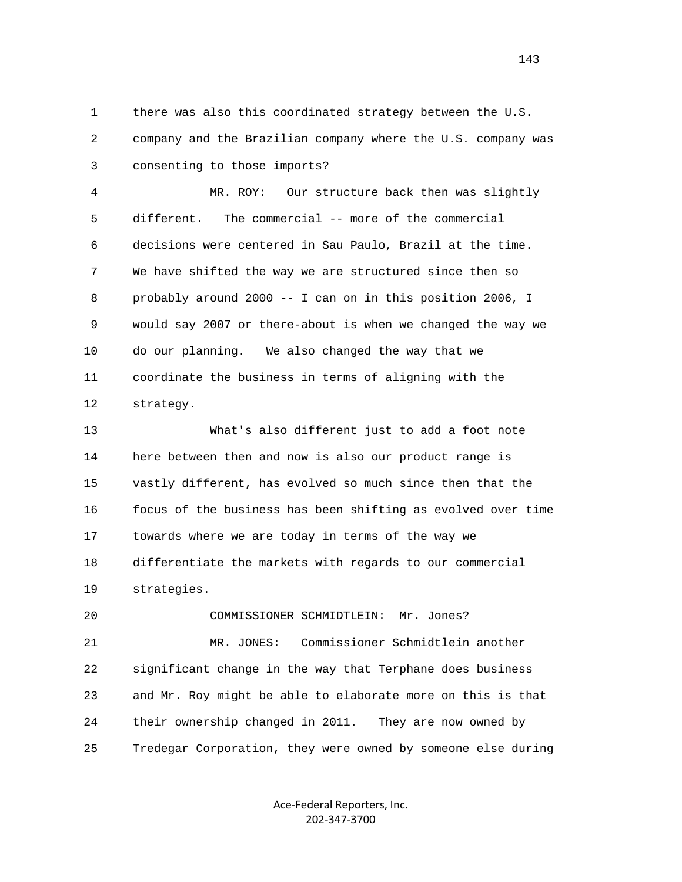1 there was also this coordinated strategy between the U.S. 2 company and the Brazilian company where the U.S. company was 3 consenting to those imports?

 4 MR. ROY: Our structure back then was slightly 5 different. The commercial -- more of the commercial 6 decisions were centered in Sau Paulo, Brazil at the time. 7 We have shifted the way we are structured since then so 8 probably around 2000 -- I can on in this position 2006, I 9 would say 2007 or there-about is when we changed the way we 10 do our planning. We also changed the way that we 11 coordinate the business in terms of aligning with the 12 strategy.

 13 What's also different just to add a foot note 14 here between then and now is also our product range is 15 vastly different, has evolved so much since then that the 16 focus of the business has been shifting as evolved over time 17 towards where we are today in terms of the way we 18 differentiate the markets with regards to our commercial 19 strategies.

 20 COMMISSIONER SCHMIDTLEIN: Mr. Jones? 21 MR. JONES: Commissioner Schmidtlein another 22 significant change in the way that Terphane does business 23 and Mr. Roy might be able to elaborate more on this is that 24 their ownership changed in 2011. They are now owned by 25 Tredegar Corporation, they were owned by someone else during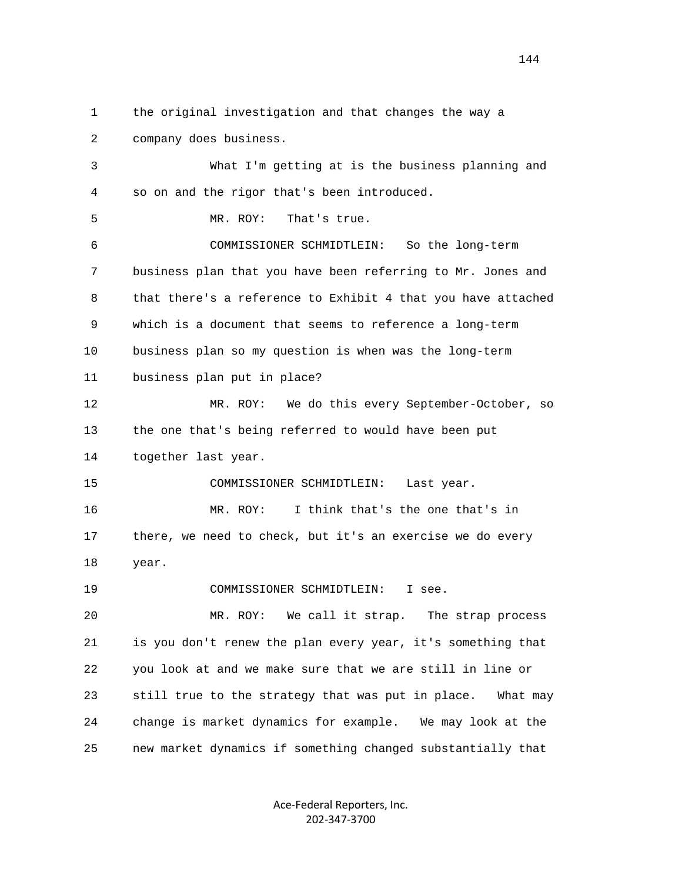1 the original investigation and that changes the way a 2 company does business. 3 What I'm getting at is the business planning and 4 so on and the rigor that's been introduced. 5 MR. ROY: That's true. 6 COMMISSIONER SCHMIDTLEIN: So the long-term 7 business plan that you have been referring to Mr. Jones and 8 that there's a reference to Exhibit 4 that you have attached 9 which is a document that seems to reference a long-term 10 business plan so my question is when was the long-term 11 business plan put in place? 12 MR. ROY: We do this every September-October, so 13 the one that's being referred to would have been put 14 together last year. 15 COMMISSIONER SCHMIDTLEIN: Last year. 16 MR. ROY: I think that's the one that's in 17 there, we need to check, but it's an exercise we do every 18 year. 19 COMMISSIONER SCHMIDTLEIN: I see. 20 MR. ROY: We call it strap. The strap process 21 is you don't renew the plan every year, it's something that 22 you look at and we make sure that we are still in line or 23 still true to the strategy that was put in place. What may 24 change is market dynamics for example. We may look at the 25 new market dynamics if something changed substantially that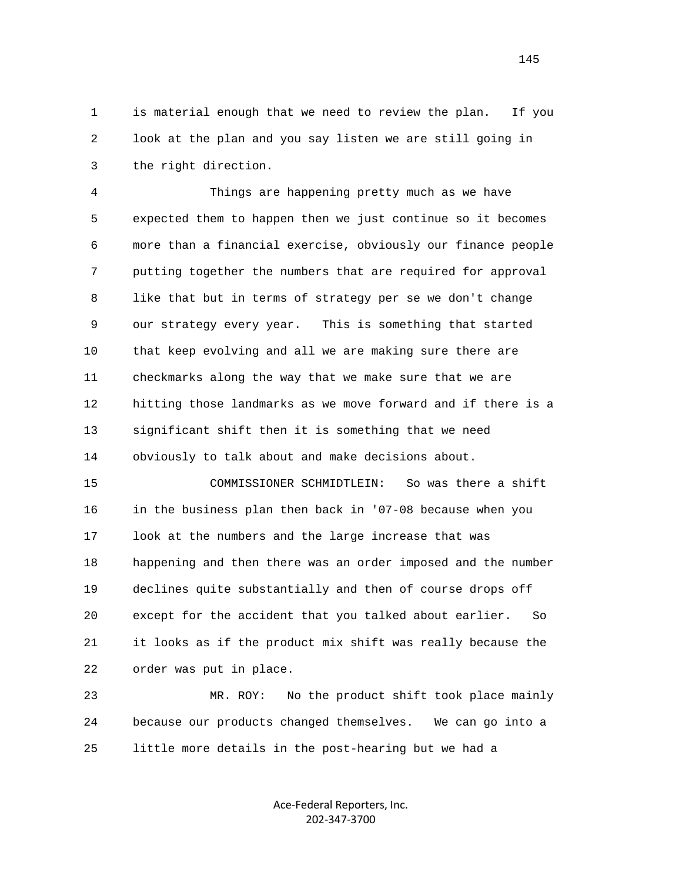1 is material enough that we need to review the plan. If you 2 look at the plan and you say listen we are still going in 3 the right direction.

 4 Things are happening pretty much as we have 5 expected them to happen then we just continue so it becomes 6 more than a financial exercise, obviously our finance people 7 putting together the numbers that are required for approval 8 like that but in terms of strategy per se we don't change 9 our strategy every year. This is something that started 10 that keep evolving and all we are making sure there are 11 checkmarks along the way that we make sure that we are 12 hitting those landmarks as we move forward and if there is a 13 significant shift then it is something that we need 14 obviously to talk about and make decisions about.

 15 COMMISSIONER SCHMIDTLEIN: So was there a shift 16 in the business plan then back in '07-08 because when you 17 look at the numbers and the large increase that was 18 happening and then there was an order imposed and the number 19 declines quite substantially and then of course drops off 20 except for the accident that you talked about earlier. So 21 it looks as if the product mix shift was really because the 22 order was put in place.

 23 MR. ROY: No the product shift took place mainly 24 because our products changed themselves. We can go into a 25 little more details in the post-hearing but we had a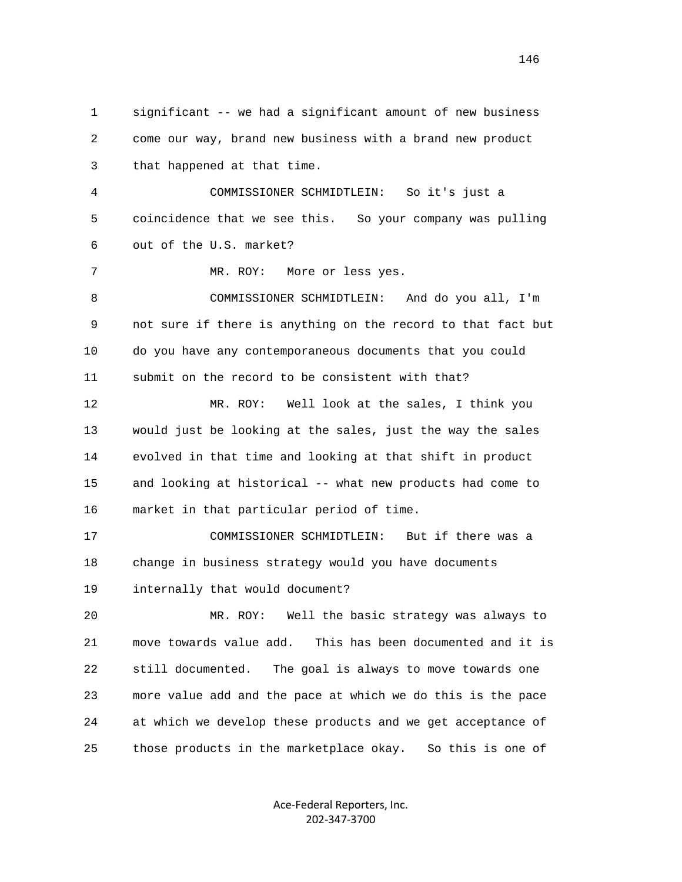1 significant -- we had a significant amount of new business 2 come our way, brand new business with a brand new product 3 that happened at that time. 4 COMMISSIONER SCHMIDTLEIN: So it's just a 5 coincidence that we see this. So your company was pulling 6 out of the U.S. market? 7 MR. ROY: More or less yes. 8 COMMISSIONER SCHMIDTLEIN: And do you all, I'm 9 not sure if there is anything on the record to that fact but 10 do you have any contemporaneous documents that you could 11 submit on the record to be consistent with that? 12 MR. ROY: Well look at the sales, I think you 13 would just be looking at the sales, just the way the sales 14 evolved in that time and looking at that shift in product 15 and looking at historical -- what new products had come to 16 market in that particular period of time. 17 COMMISSIONER SCHMIDTLEIN: But if there was a 18 change in business strategy would you have documents 19 internally that would document? 20 MR. ROY: Well the basic strategy was always to 21 move towards value add. This has been documented and it is 22 still documented. The goal is always to move towards one 23 more value add and the pace at which we do this is the pace 24 at which we develop these products and we get acceptance of 25 those products in the marketplace okay. So this is one of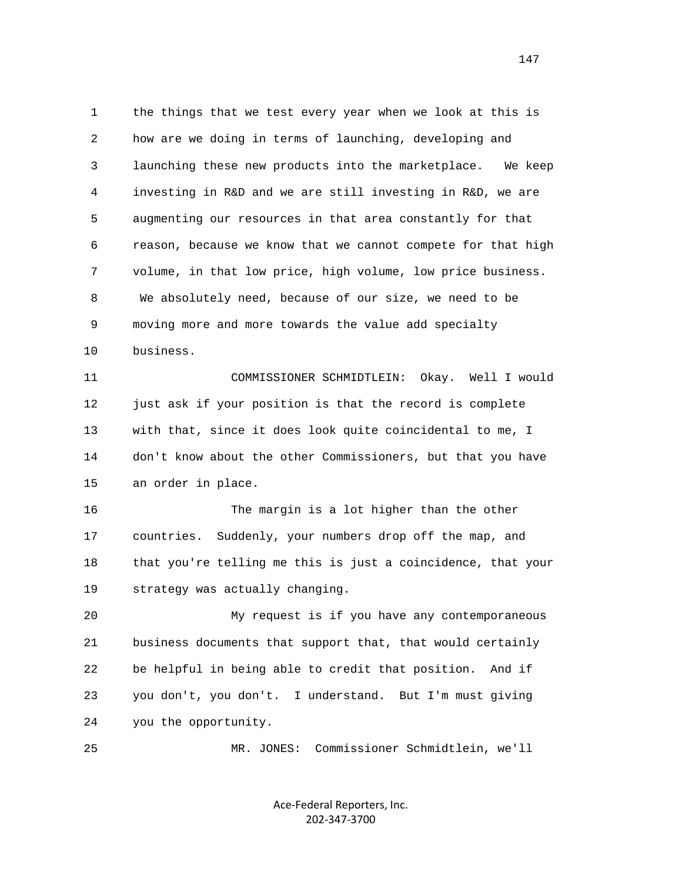1 the things that we test every year when we look at this is 2 how are we doing in terms of launching, developing and 3 launching these new products into the marketplace. We keep 4 investing in R&D and we are still investing in R&D, we are 5 augmenting our resources in that area constantly for that 6 reason, because we know that we cannot compete for that high 7 volume, in that low price, high volume, low price business. 8 We absolutely need, because of our size, we need to be 9 moving more and more towards the value add specialty 10 business. 11 COMMISSIONER SCHMIDTLEIN: Okay. Well I would 12 just ask if your position is that the record is complete 13 with that, since it does look quite coincidental to me, I 14 don't know about the other Commissioners, but that you have 15 an order in place. 16 The margin is a lot higher than the other 17 countries. Suddenly, your numbers drop off the map, and

 18 that you're telling me this is just a coincidence, that your 19 strategy was actually changing.

 20 My request is if you have any contemporaneous 21 business documents that support that, that would certainly 22 be helpful in being able to credit that position. And if 23 you don't, you don't. I understand. But I'm must giving 24 you the opportunity.

25 MR. JONES: Commissioner Schmidtlein, we'll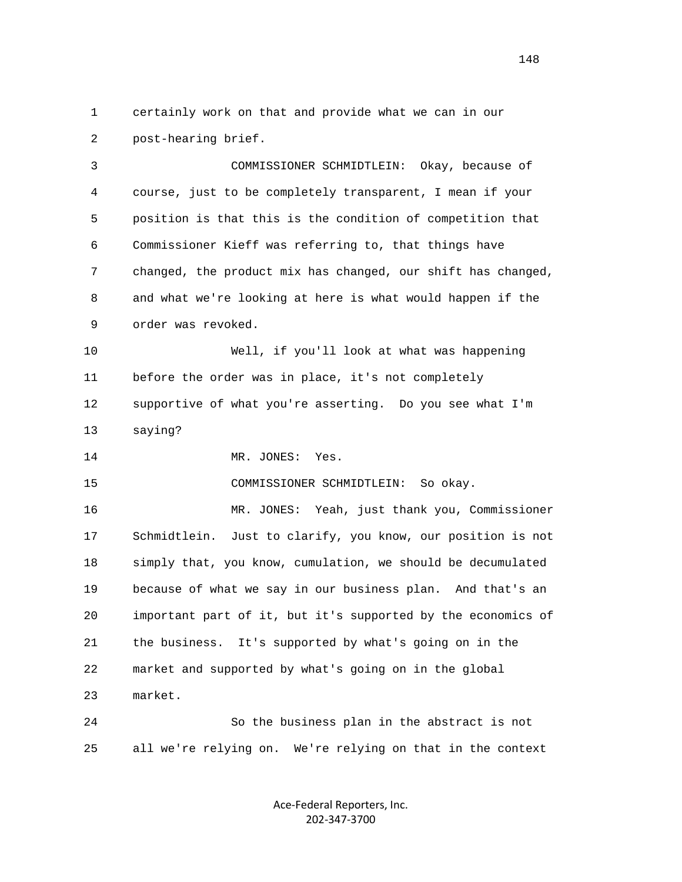1 certainly work on that and provide what we can in our 2 post-hearing brief.

 3 COMMISSIONER SCHMIDTLEIN: Okay, because of 4 course, just to be completely transparent, I mean if your 5 position is that this is the condition of competition that 6 Commissioner Kieff was referring to, that things have 7 changed, the product mix has changed, our shift has changed, 8 and what we're looking at here is what would happen if the 9 order was revoked.

 10 Well, if you'll look at what was happening 11 before the order was in place, it's not completely 12 supportive of what you're asserting. Do you see what I'm 13 saying?

14 MR. JONES: Yes.

15 COMMISSIONER SCHMIDTLEIN: So okay.

 16 MR. JONES: Yeah, just thank you, Commissioner 17 Schmidtlein. Just to clarify, you know, our position is not 18 simply that, you know, cumulation, we should be decumulated 19 because of what we say in our business plan. And that's an 20 important part of it, but it's supported by the economics of 21 the business. It's supported by what's going on in the 22 market and supported by what's going on in the global 23 market.

 24 So the business plan in the abstract is not 25 all we're relying on. We're relying on that in the context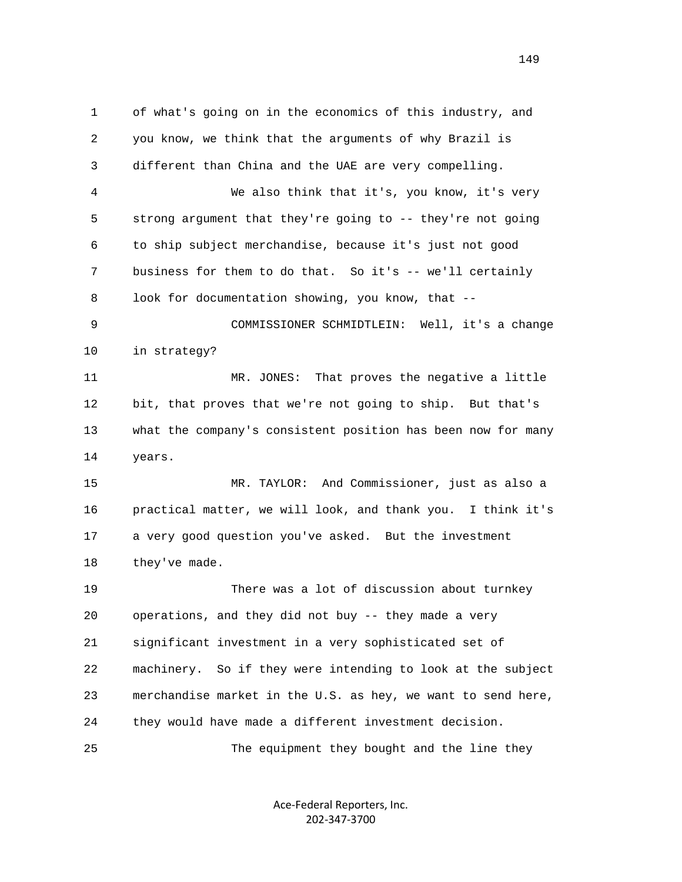1 of what's going on in the economics of this industry, and 2 you know, we think that the arguments of why Brazil is 3 different than China and the UAE are very compelling. 4 We also think that it's, you know, it's very 5 strong argument that they're going to -- they're not going 6 to ship subject merchandise, because it's just not good 7 business for them to do that. So it's -- we'll certainly 8 look for documentation showing, you know, that -- 9 COMMISSIONER SCHMIDTLEIN: Well, it's a change 10 in strategy? 11 MR. JONES: That proves the negative a little 12 bit, that proves that we're not going to ship. But that's 13 what the company's consistent position has been now for many 14 years. 15 MR. TAYLOR: And Commissioner, just as also a 16 practical matter, we will look, and thank you. I think it's 17 a very good question you've asked. But the investment 18 they've made. 19 There was a lot of discussion about turnkey 20 operations, and they did not buy -- they made a very 21 significant investment in a very sophisticated set of 22 machinery. So if they were intending to look at the subject 23 merchandise market in the U.S. as hey, we want to send here, 24 they would have made a different investment decision. 25 The equipment they bought and the line they

> Ace‐Federal Reporters, Inc. 202‐347‐3700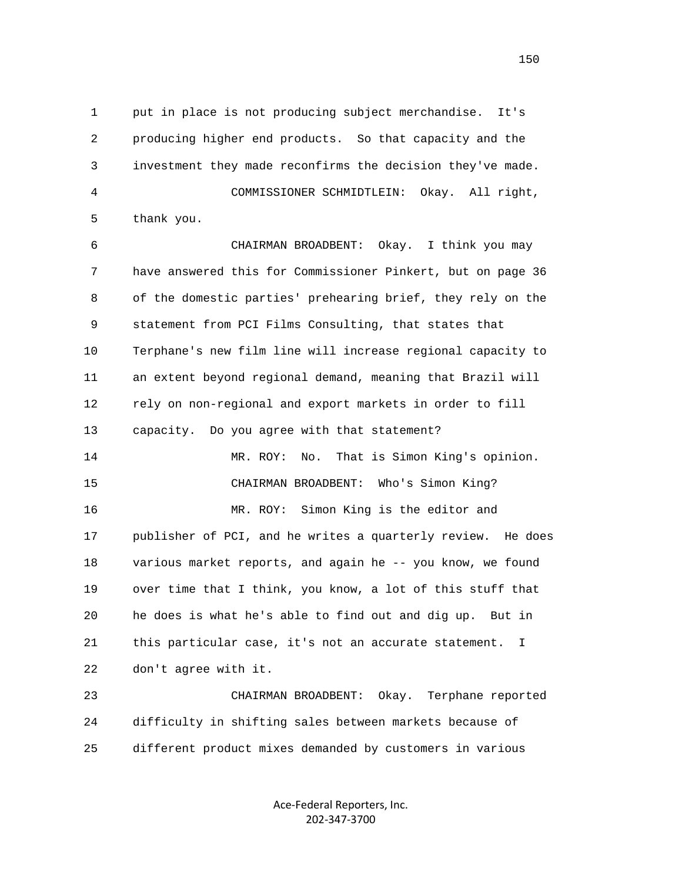1 put in place is not producing subject merchandise. It's 2 producing higher end products. So that capacity and the 3 investment they made reconfirms the decision they've made. 4 COMMISSIONER SCHMIDTLEIN: Okay. All right, 5 thank you.

 6 CHAIRMAN BROADBENT: Okay. I think you may 7 have answered this for Commissioner Pinkert, but on page 36 8 of the domestic parties' prehearing brief, they rely on the 9 statement from PCI Films Consulting, that states that 10 Terphane's new film line will increase regional capacity to 11 an extent beyond regional demand, meaning that Brazil will 12 rely on non-regional and export markets in order to fill 13 capacity. Do you agree with that statement? 14 MR. ROY: No. That is Simon King's opinion. 15 CHAIRMAN BROADBENT: Who's Simon King? 16 MR. ROY: Simon King is the editor and 17 publisher of PCI, and he writes a quarterly review. He does 18 various market reports, and again he -- you know, we found 19 over time that I think, you know, a lot of this stuff that 20 he does is what he's able to find out and dig up. But in 21 this particular case, it's not an accurate statement. I 22 don't agree with it.

 23 CHAIRMAN BROADBENT: Okay. Terphane reported 24 difficulty in shifting sales between markets because of 25 different product mixes demanded by customers in various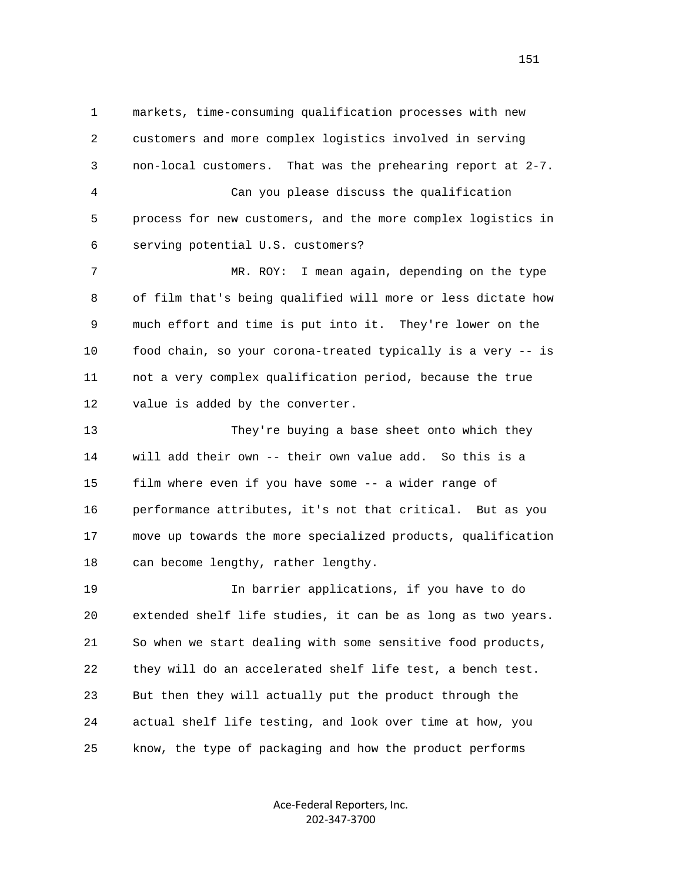1 markets, time-consuming qualification processes with new 2 customers and more complex logistics involved in serving 3 non-local customers. That was the prehearing report at 2-7. 4 Can you please discuss the qualification 5 process for new customers, and the more complex logistics in 6 serving potential U.S. customers? 7 MR. ROY: I mean again, depending on the type 8 of film that's being qualified will more or less dictate how 9 much effort and time is put into it. They're lower on the 10 food chain, so your corona-treated typically is a very -- is 11 not a very complex qualification period, because the true 12 value is added by the converter. 13 They're buying a base sheet onto which they 14 will add their own -- their own value add. So this is a 15 film where even if you have some -- a wider range of 16 performance attributes, it's not that critical. But as you 17 move up towards the more specialized products, qualification 18 can become lengthy, rather lengthy. 19 In barrier applications, if you have to do 20 extended shelf life studies, it can be as long as two years. 21 So when we start dealing with some sensitive food products, 22 they will do an accelerated shelf life test, a bench test. 23 But then they will actually put the product through the 24 actual shelf life testing, and look over time at how, you 25 know, the type of packaging and how the product performs

> Ace‐Federal Reporters, Inc. 202‐347‐3700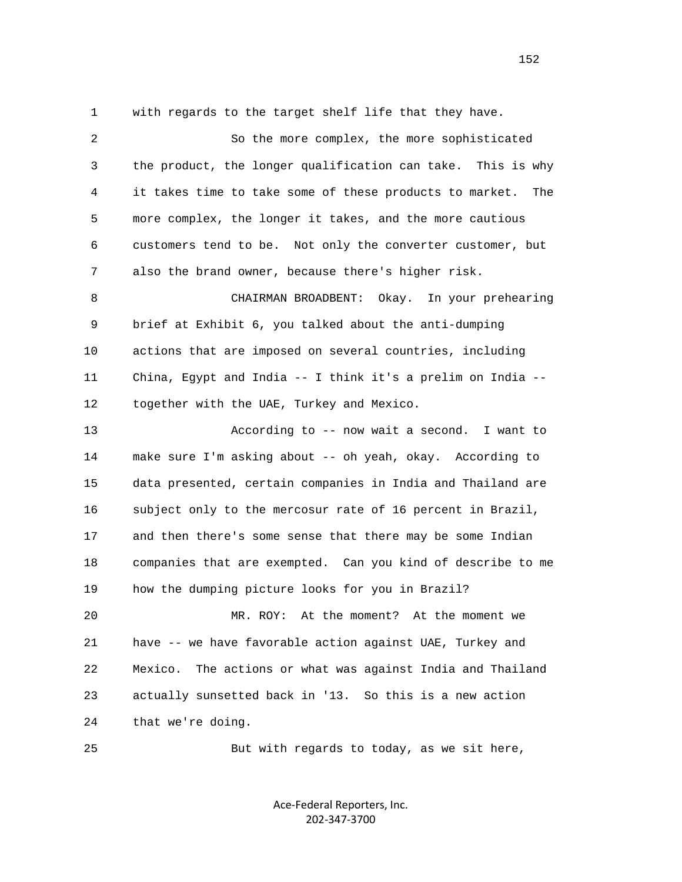1 with regards to the target shelf life that they have.

| $\overline{2}$ | So the more complex, the more sophisticated                    |
|----------------|----------------------------------------------------------------|
| 3              | the product, the longer qualification can take. This is why    |
| 4              | it takes time to take some of these products to market.<br>The |
| 5              | more complex, the longer it takes, and the more cautious       |
| 6              | customers tend to be. Not only the converter customer, but     |
| 7              | also the brand owner, because there's higher risk.             |
| 8              | CHAIRMAN BROADBENT:<br>Okay. In your prehearing                |
| 9              | brief at Exhibit 6, you talked about the anti-dumping          |
| 10             | actions that are imposed on several countries, including       |
| 11             | China, Egypt and India -- I think it's a prelim on India --    |
| 12             | together with the UAE, Turkey and Mexico.                      |
| 13             | According to -- now wait a second. I want to                   |
| 14             | make sure I'm asking about -- oh yeah, okay. According to      |
| 15             | data presented, certain companies in India and Thailand are    |
| 16             | subject only to the mercosur rate of 16 percent in Brazil,     |
| 17             | and then there's some sense that there may be some Indian      |
| 18             | companies that are exempted. Can you kind of describe to me    |
| 19             | how the dumping picture looks for you in Brazil?               |
| 20             | At the moment? At the moment we<br>MR. ROY:                    |
| 21             | have -- we have favorable action against UAE, Turkey and       |
| 22             | The actions or what was against India and Thailand<br>Mexico.  |
| 23             | actually sunsetted back in '13. So this is a new action        |
| 24             | that we're doing.                                              |
| 25             | But with regards to today, as we sit here,                     |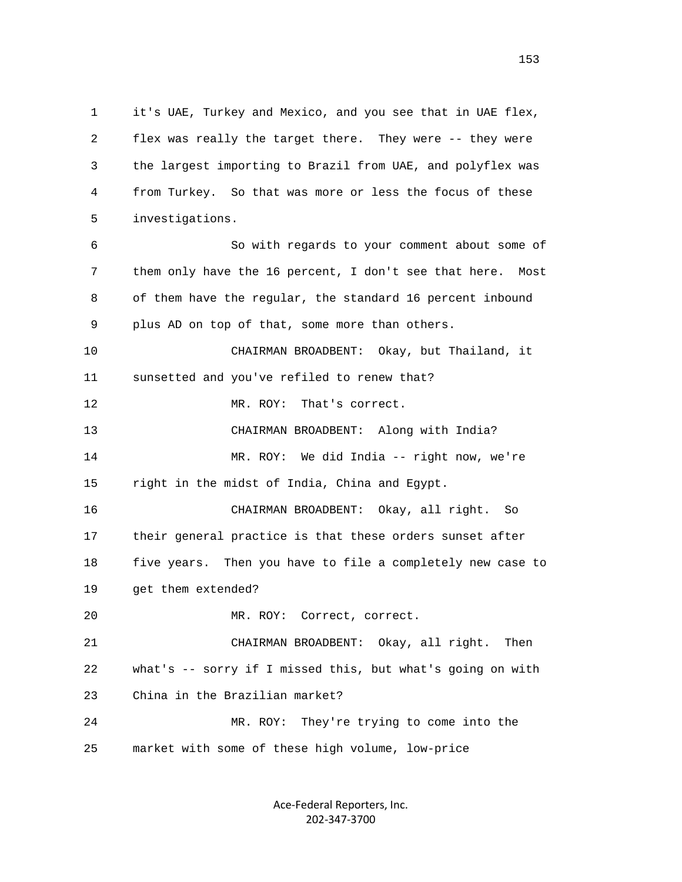1 it's UAE, Turkey and Mexico, and you see that in UAE flex, 2 flex was really the target there. They were -- they were 3 the largest importing to Brazil from UAE, and polyflex was 4 from Turkey. So that was more or less the focus of these 5 investigations. 6 So with regards to your comment about some of 7 them only have the 16 percent, I don't see that here. Most 8 of them have the regular, the standard 16 percent inbound 9 plus AD on top of that, some more than others. 10 CHAIRMAN BROADBENT: Okay, but Thailand, it 11 sunsetted and you've refiled to renew that? 12 MR. ROY: That's correct. 13 CHAIRMAN BROADBENT: Along with India? 14 MR. ROY: We did India -- right now, we're 15 right in the midst of India, China and Egypt. 16 CHAIRMAN BROADBENT: Okay, all right. So 17 their general practice is that these orders sunset after 18 five years. Then you have to file a completely new case to 19 get them extended? 20 MR. ROY: Correct, correct. 21 CHAIRMAN BROADBENT: Okay, all right. Then 22 what's -- sorry if I missed this, but what's going on with 23 China in the Brazilian market? 24 MR. ROY: They're trying to come into the 25 market with some of these high volume, low-price

> Ace‐Federal Reporters, Inc. 202‐347‐3700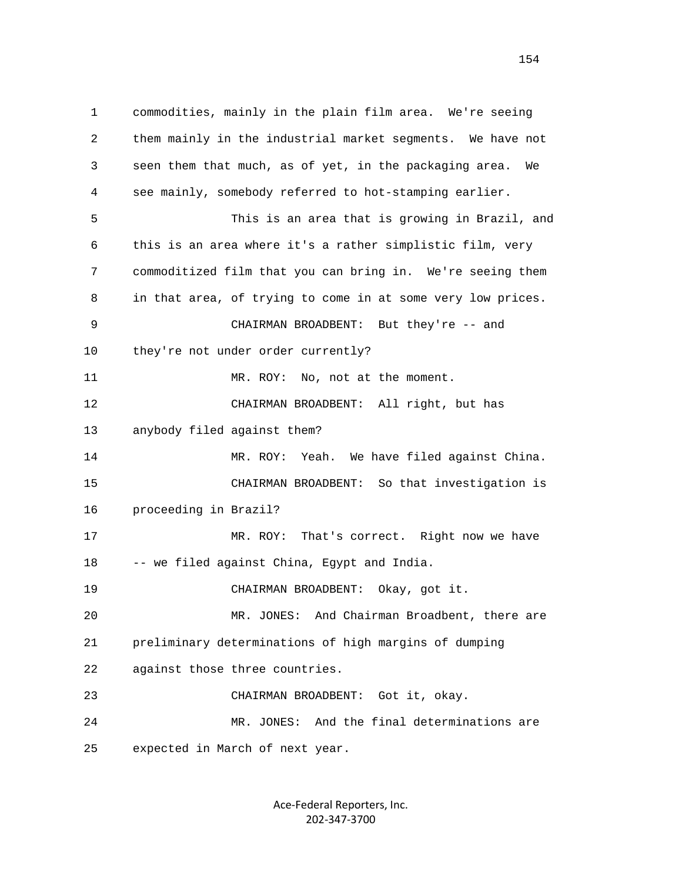1 commodities, mainly in the plain film area. We're seeing 2 them mainly in the industrial market segments. We have not 3 seen them that much, as of yet, in the packaging area. We 4 see mainly, somebody referred to hot-stamping earlier. 5 This is an area that is growing in Brazil, and 6 this is an area where it's a rather simplistic film, very 7 commoditized film that you can bring in. We're seeing them 8 in that area, of trying to come in at some very low prices. 9 CHAIRMAN BROADBENT: But they're -- and 10 they're not under order currently? 11 MR. ROY: No, not at the moment. 12 CHAIRMAN BROADBENT: All right, but has 13 anybody filed against them? 14 MR. ROY: Yeah. We have filed against China. 15 CHAIRMAN BROADBENT: So that investigation is 16 proceeding in Brazil? 17 MR. ROY: That's correct. Right now we have 18 -- we filed against China, Egypt and India. 19 CHAIRMAN BROADBENT: Okay, got it. 20 MR. JONES: And Chairman Broadbent, there are 21 preliminary determinations of high margins of dumping 22 against those three countries. 23 CHAIRMAN BROADBENT: Got it, okay. 24 MR. JONES: And the final determinations are 25 expected in March of next year.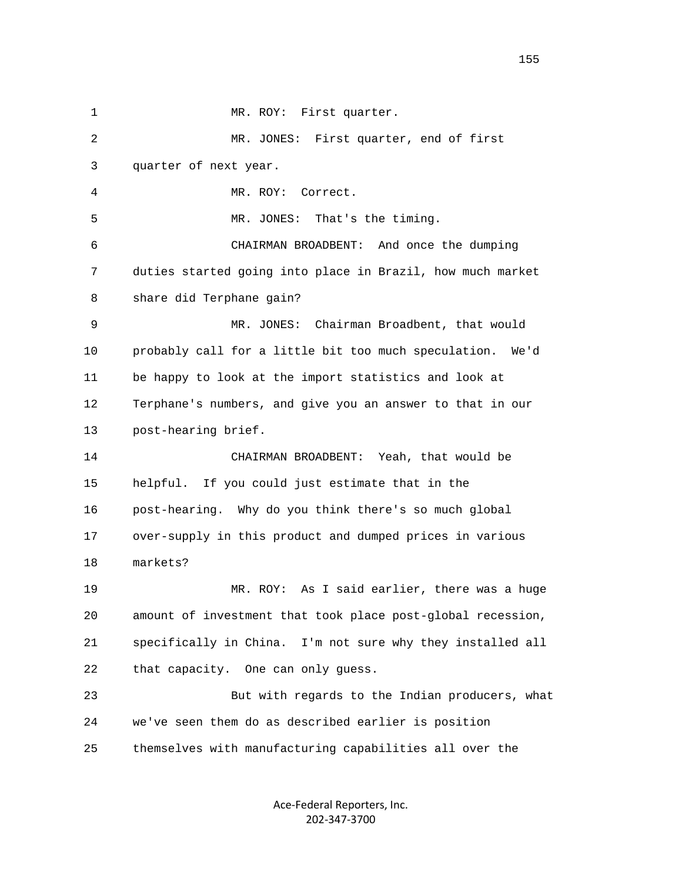1 MR. ROY: First quarter. 2 MR. JONES: First quarter, end of first 3 quarter of next year. 4 MR. ROY: Correct. 5 MR. JONES: That's the timing. 6 CHAIRMAN BROADBENT: And once the dumping 7 duties started going into place in Brazil, how much market 8 share did Terphane gain? 9 MR. JONES: Chairman Broadbent, that would 10 probably call for a little bit too much speculation. We'd 11 be happy to look at the import statistics and look at 12 Terphane's numbers, and give you an answer to that in our 13 post-hearing brief. 14 CHAIRMAN BROADBENT: Yeah, that would be 15 helpful. If you could just estimate that in the 16 post-hearing. Why do you think there's so much global 17 over-supply in this product and dumped prices in various 18 markets? 19 MR. ROY: As I said earlier, there was a huge 20 amount of investment that took place post-global recession, 21 specifically in China. I'm not sure why they installed all 22 that capacity. One can only quess. 23 But with regards to the Indian producers, what 24 we've seen them do as described earlier is position 25 themselves with manufacturing capabilities all over the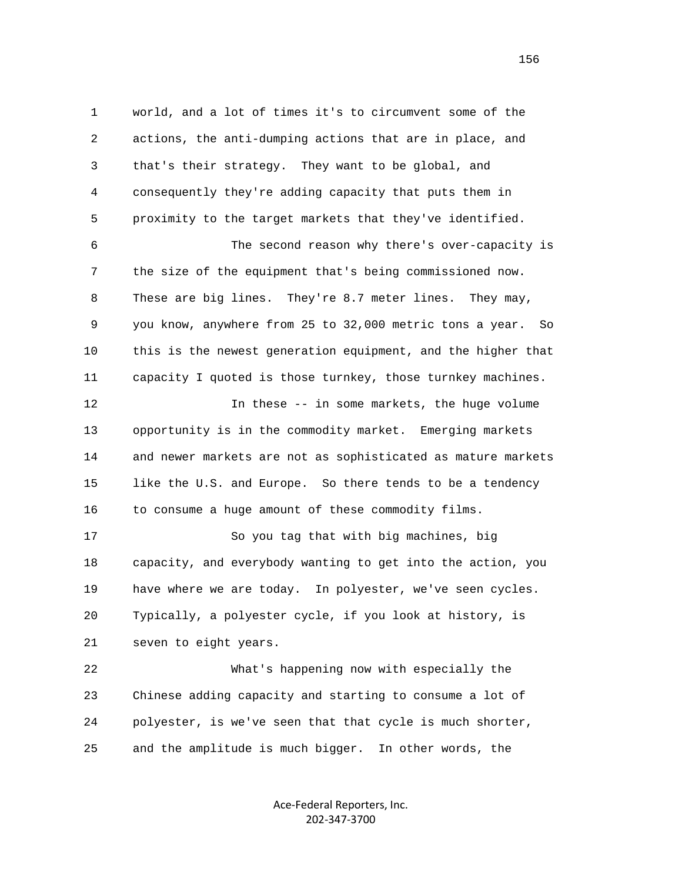1 world, and a lot of times it's to circumvent some of the 2 actions, the anti-dumping actions that are in place, and 3 that's their strategy. They want to be global, and 4 consequently they're adding capacity that puts them in 5 proximity to the target markets that they've identified. 6 The second reason why there's over-capacity is 7 the size of the equipment that's being commissioned now. 8 These are big lines. They're 8.7 meter lines. They may, 9 you know, anywhere from 25 to 32,000 metric tons a year. So 10 this is the newest generation equipment, and the higher that 11 capacity I quoted is those turnkey, those turnkey machines. 12 In these -- in some markets, the huge volume 13 opportunity is in the commodity market. Emerging markets 14 and newer markets are not as sophisticated as mature markets 15 like the U.S. and Europe. So there tends to be a tendency 16 to consume a huge amount of these commodity films. 17 So you tag that with big machines, big 18 capacity, and everybody wanting to get into the action, you 19 have where we are today. In polyester, we've seen cycles. 20 Typically, a polyester cycle, if you look at history, is 21 seven to eight years. 22 What's happening now with especially the 23 Chinese adding capacity and starting to consume a lot of 24 polyester, is we've seen that that cycle is much shorter, 25 and the amplitude is much bigger. In other words, the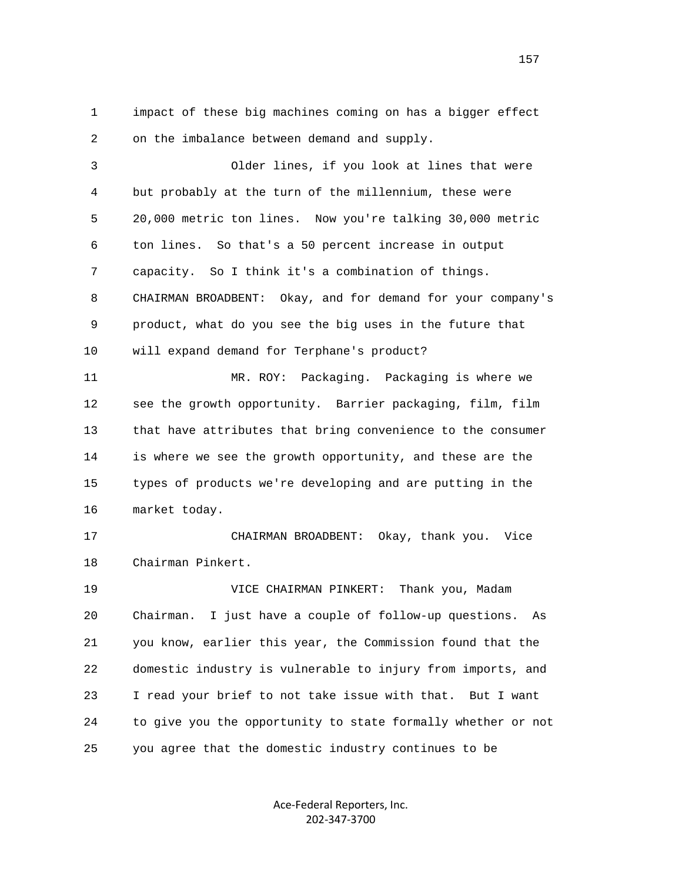1 impact of these big machines coming on has a bigger effect 2 on the imbalance between demand and supply.

 3 Older lines, if you look at lines that were 4 but probably at the turn of the millennium, these were 5 20,000 metric ton lines. Now you're talking 30,000 metric 6 ton lines. So that's a 50 percent increase in output 7 capacity. So I think it's a combination of things. 8 CHAIRMAN BROADBENT: Okay, and for demand for your company's 9 product, what do you see the big uses in the future that 10 will expand demand for Terphane's product? 11 MR. ROY: Packaging. Packaging is where we 12 see the growth opportunity. Barrier packaging, film, film 13 that have attributes that bring convenience to the consumer 14 is where we see the growth opportunity, and these are the 15 types of products we're developing and are putting in the 16 market today. 17 CHAIRMAN BROADBENT: Okay, thank you. Vice 18 Chairman Pinkert.

 19 VICE CHAIRMAN PINKERT: Thank you, Madam 20 Chairman. I just have a couple of follow-up questions. As 21 you know, earlier this year, the Commission found that the 22 domestic industry is vulnerable to injury from imports, and 23 I read your brief to not take issue with that. But I want 24 to give you the opportunity to state formally whether or not 25 you agree that the domestic industry continues to be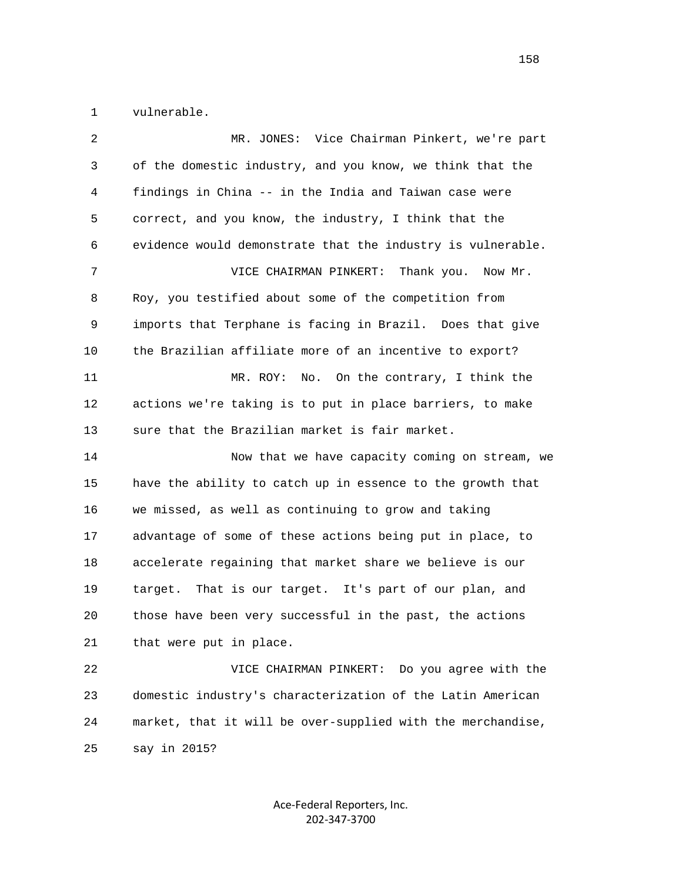1 vulnerable.

| 2  | MR. JONES: Vice Chairman Pinkert, we're part                |
|----|-------------------------------------------------------------|
| 3  | of the domestic industry, and you know, we think that the   |
| 4  | findings in China -- in the India and Taiwan case were      |
| 5  | correct, and you know, the industry, I think that the       |
| 6  | evidence would demonstrate that the industry is vulnerable. |
| 7  | VICE CHAIRMAN PINKERT:<br>Thank you.<br>Now Mr.             |
| 8  | Roy, you testified about some of the competition from       |
| 9  | imports that Terphane is facing in Brazil. Does that give   |
| 10 | the Brazilian affiliate more of an incentive to export?     |
| 11 | MR. ROY:<br>No. On the contrary, I think the                |
| 12 | actions we're taking is to put in place barriers, to make   |
| 13 | sure that the Brazilian market is fair market.              |
| 14 | Now that we have capacity coming on stream, we              |
| 15 | have the ability to catch up in essence to the growth that  |
| 16 | we missed, as well as continuing to grow and taking         |
| 17 | advantage of some of these actions being put in place, to   |
| 18 | accelerate regaining that market share we believe is our    |
| 19 | That is our target. It's part of our plan, and<br>target.   |
| 20 | those have been very successful in the past, the actions    |
| 21 | that were put in place.                                     |
| 22 | Do you agree with the<br>VICE CHAIRMAN PINKERT:             |
| 23 | domestic industry's characterization of the Latin American  |
| 24 | market, that it will be over-supplied with the merchandise, |
| 25 | say in 2015?                                                |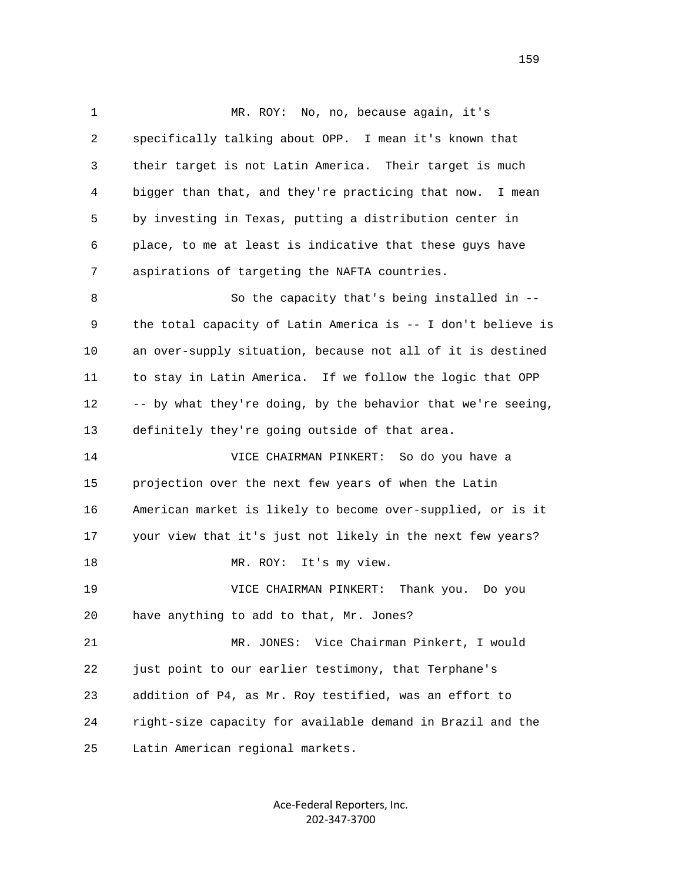1 MR. ROY: No, no, because again, it's 2 specifically talking about OPP. I mean it's known that 3 their target is not Latin America. Their target is much 4 bigger than that, and they're practicing that now. I mean 5 by investing in Texas, putting a distribution center in 6 place, to me at least is indicative that these guys have 7 aspirations of targeting the NAFTA countries. 8 So the capacity that's being installed in -- 9 the total capacity of Latin America is -- I don't believe is 10 an over-supply situation, because not all of it is destined 11 to stay in Latin America. If we follow the logic that OPP 12 -- by what they're doing, by the behavior that we're seeing, 13 definitely they're going outside of that area. 14 VICE CHAIRMAN PINKERT: So do you have a 15 projection over the next few years of when the Latin 16 American market is likely to become over-supplied, or is it 17 your view that it's just not likely in the next few years? 18 MR. ROY: It's my view. 19 VICE CHAIRMAN PINKERT: Thank you. Do you 20 have anything to add to that, Mr. Jones? 21 MR. JONES: Vice Chairman Pinkert, I would 22 just point to our earlier testimony, that Terphane's 23 addition of P4, as Mr. Roy testified, was an effort to 24 right-size capacity for available demand in Brazil and the 25 Latin American regional markets.

> Ace‐Federal Reporters, Inc. 202‐347‐3700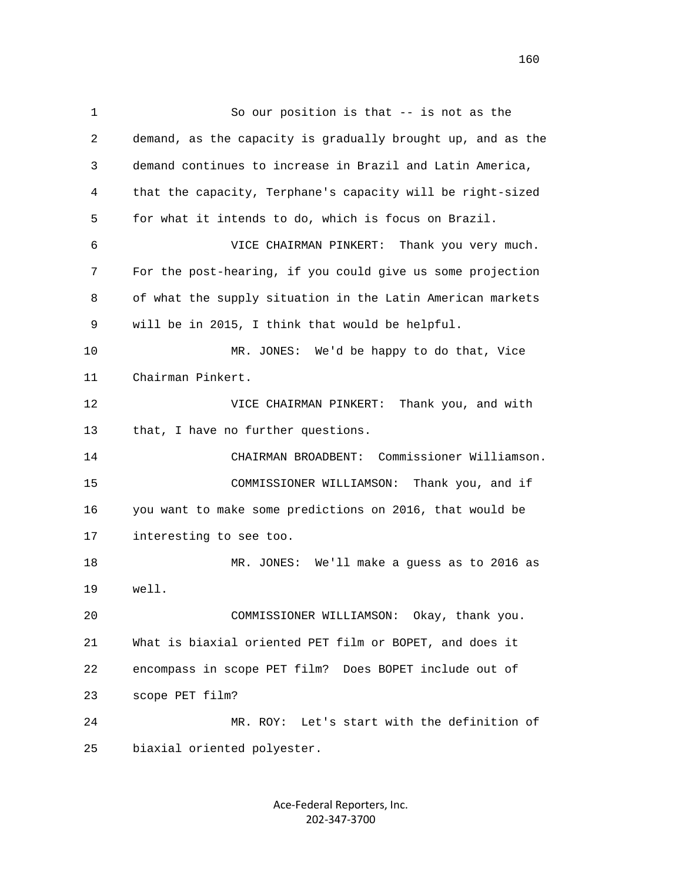1 So our position is that -- is not as the 2 demand, as the capacity is gradually brought up, and as the 3 demand continues to increase in Brazil and Latin America, 4 that the capacity, Terphane's capacity will be right-sized 5 for what it intends to do, which is focus on Brazil. 6 VICE CHAIRMAN PINKERT: Thank you very much. 7 For the post-hearing, if you could give us some projection 8 of what the supply situation in the Latin American markets 9 will be in 2015, I think that would be helpful. 10 MR. JONES: We'd be happy to do that, Vice 11 Chairman Pinkert. 12 VICE CHAIRMAN PINKERT: Thank you, and with 13 that, I have no further questions. 14 CHAIRMAN BROADBENT: Commissioner Williamson. 15 COMMISSIONER WILLIAMSON: Thank you, and if 16 you want to make some predictions on 2016, that would be 17 interesting to see too. 18 MR. JONES: We'll make a guess as to 2016 as 19 well. 20 COMMISSIONER WILLIAMSON: Okay, thank you. 21 What is biaxial oriented PET film or BOPET, and does it 22 encompass in scope PET film? Does BOPET include out of 23 scope PET film? 24 MR. ROY: Let's start with the definition of 25 biaxial oriented polyester.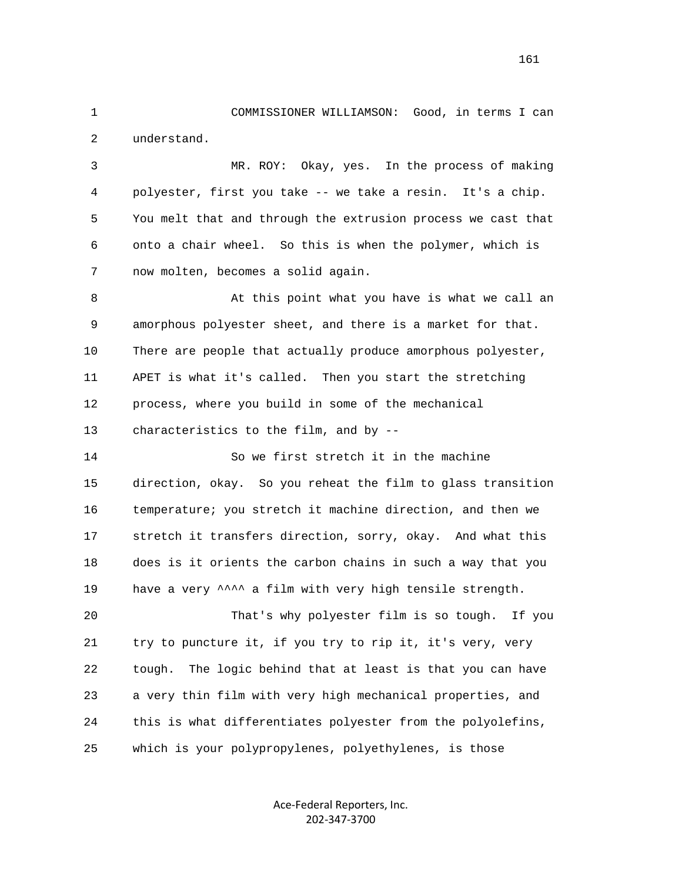1 COMMISSIONER WILLIAMSON: Good, in terms I can 2 understand. 3 MR. ROY: Okay, yes. In the process of making 4 polyester, first you take -- we take a resin. It's a chip.

 5 You melt that and through the extrusion process we cast that 6 onto a chair wheel. So this is when the polymer, which is 7 now molten, becomes a solid again.

 8 At this point what you have is what we call an 9 amorphous polyester sheet, and there is a market for that. 10 There are people that actually produce amorphous polyester, 11 APET is what it's called. Then you start the stretching 12 process, where you build in some of the mechanical 13 characteristics to the film, and by --

 14 So we first stretch it in the machine 15 direction, okay. So you reheat the film to glass transition 16 temperature; you stretch it machine direction, and then we 17 stretch it transfers direction, sorry, okay. And what this 18 does is it orients the carbon chains in such a way that you 19 have a very  $\wedge \wedge \wedge$  a film with very high tensile strength.

 20 That's why polyester film is so tough. If you 21 try to puncture it, if you try to rip it, it's very, very 22 tough. The logic behind that at least is that you can have 23 a very thin film with very high mechanical properties, and 24 this is what differentiates polyester from the polyolefins, 25 which is your polypropylenes, polyethylenes, is those

> Ace‐Federal Reporters, Inc. 202‐347‐3700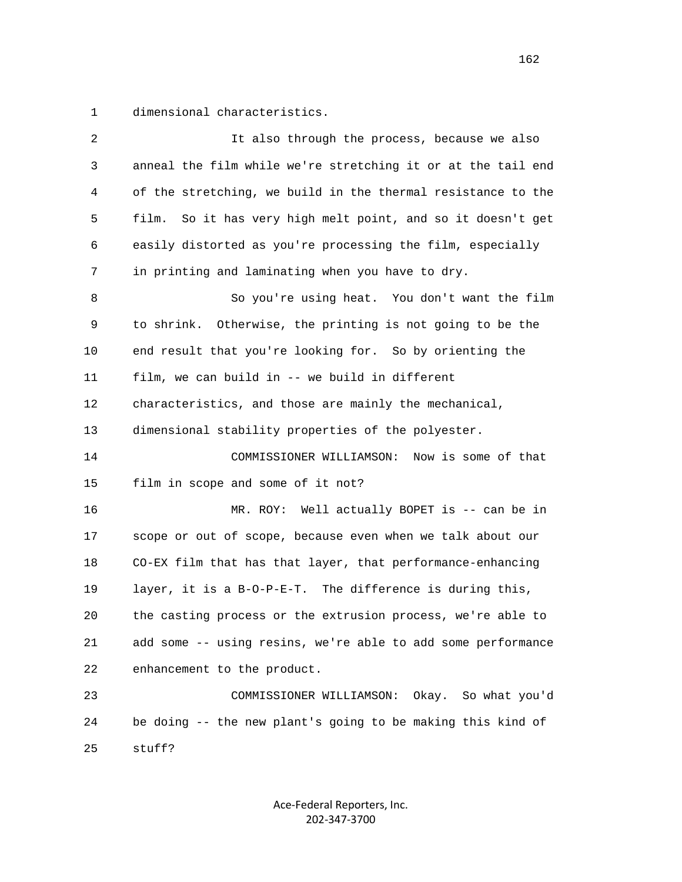1 dimensional characteristics.

| $\sqrt{2}$ | It also through the process, because we also                   |
|------------|----------------------------------------------------------------|
| 3          | anneal the film while we're stretching it or at the tail end   |
| 4          | of the stretching, we build in the thermal resistance to the   |
| 5          | So it has very high melt point, and so it doesn't get<br>film. |
| 6          | easily distorted as you're processing the film, especially     |
| 7          | in printing and laminating when you have to dry.               |
| 8          | So you're using heat. You don't want the film                  |
| 9          | to shrink.<br>Otherwise, the printing is not going to be the   |
| 10         | end result that you're looking for. So by orienting the        |
| 11         | film, we can build in -- we build in different                 |
| 12         | characteristics, and those are mainly the mechanical,          |
| 13         | dimensional stability properties of the polyester.             |
| 14         | COMMISSIONER WILLIAMSON:<br>Now is some of that                |
| 15         | film in scope and some of it not?                              |
| 16         | MR. ROY: Well actually BOPET is -- can be in                   |
| 17         | scope or out of scope, because even when we talk about our     |
| 18         | CO-EX film that has that layer, that performance-enhancing     |
| 19         | layer, it is a B-O-P-E-T. The difference is during this,       |
| 20         | the casting process or the extrusion process, we're able to    |
| 21         | add some -- using resins, we're able to add some performance   |
| 22         | enhancement to the product.                                    |
| 23         | COMMISSIONER WILLIAMSON: Okay. So what you'd                   |
| 24         | be doing -- the new plant's going to be making this kind of    |
| 25         | stuff?                                                         |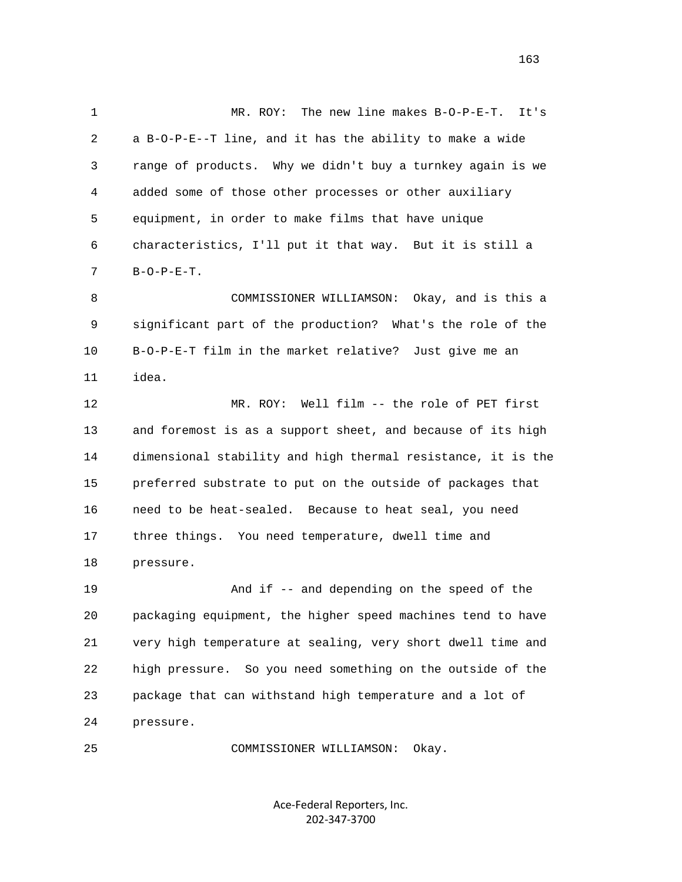1 MR. ROY: The new line makes B-O-P-E-T. It's 2 a B-O-P-E--T line, and it has the ability to make a wide 3 range of products. Why we didn't buy a turnkey again is we 4 added some of those other processes or other auxiliary 5 equipment, in order to make films that have unique 6 characteristics, I'll put it that way. But it is still a 7 B-O-P-E-T. 8 COMMISSIONER WILLIAMSON: Okay, and is this a 9 significant part of the production? What's the role of the 10 B-O-P-E-T film in the market relative? Just give me an 11 idea. 12 MR. ROY: Well film -- the role of PET first 13 and foremost is as a support sheet, and because of its high 14 dimensional stability and high thermal resistance, it is the 15 preferred substrate to put on the outside of packages that 16 need to be heat-sealed. Because to heat seal, you need 17 three things. You need temperature, dwell time and 18 pressure. 19 And if -- and depending on the speed of the 20 packaging equipment, the higher speed machines tend to have 21 very high temperature at sealing, very short dwell time and 22 high pressure. So you need something on the outside of the 23 package that can withstand high temperature and a lot of 24 pressure. 25 COMMISSIONER WILLIAMSON: Okay.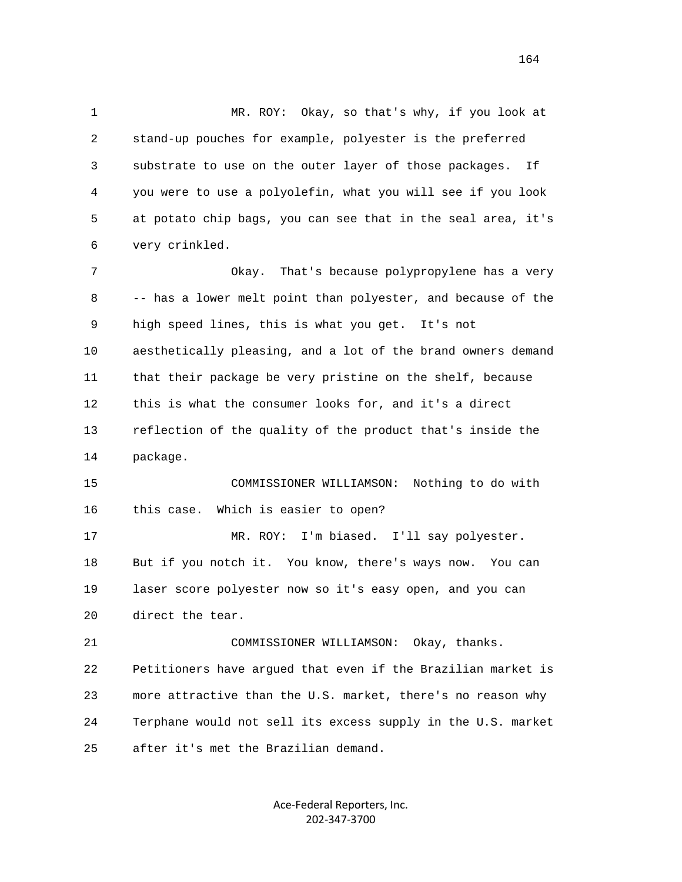1 MR. ROY: Okay, so that's why, if you look at 2 stand-up pouches for example, polyester is the preferred 3 substrate to use on the outer layer of those packages. If 4 you were to use a polyolefin, what you will see if you look 5 at potato chip bags, you can see that in the seal area, it's 6 very crinkled. 7 Okay. That's because polypropylene has a very 8 -- has a lower melt point than polyester, and because of the 9 high speed lines, this is what you get. It's not 10 aesthetically pleasing, and a lot of the brand owners demand 11 that their package be very pristine on the shelf, because 12 this is what the consumer looks for, and it's a direct 13 reflection of the quality of the product that's inside the 14 package. 15 COMMISSIONER WILLIAMSON: Nothing to do with 16 this case. Which is easier to open? 17 MR. ROY: I'm biased. I'll say polyester. 18 But if you notch it. You know, there's ways now. You can 19 laser score polyester now so it's easy open, and you can 20 direct the tear. 21 COMMISSIONER WILLIAMSON: Okay, thanks. 22 Petitioners have argued that even if the Brazilian market is 23 more attractive than the U.S. market, there's no reason why 24 Terphane would not sell its excess supply in the U.S. market 25 after it's met the Brazilian demand.

> Ace‐Federal Reporters, Inc. 202‐347‐3700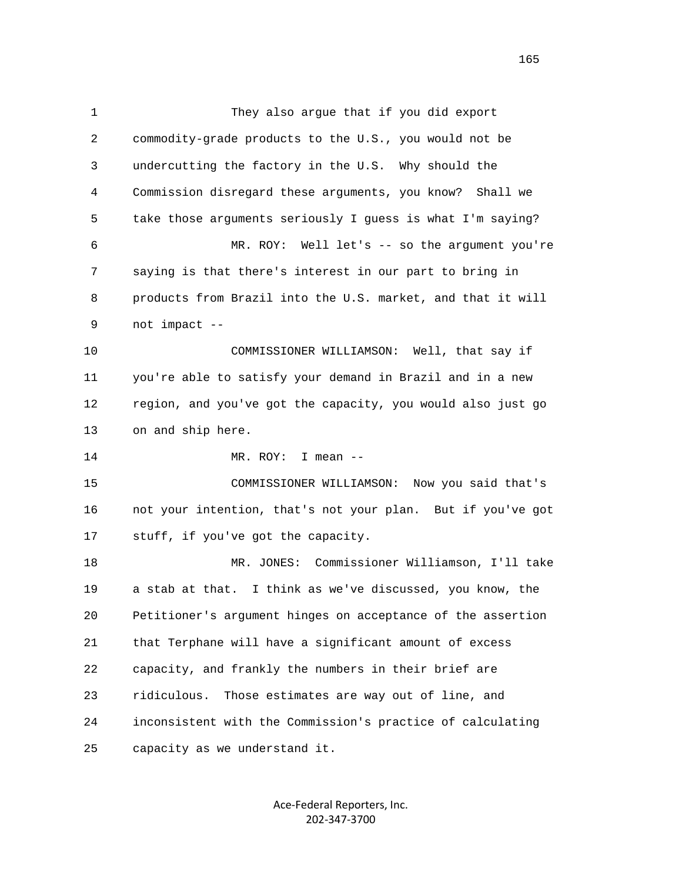1 They also argue that if you did export 2 commodity-grade products to the U.S., you would not be 3 undercutting the factory in the U.S. Why should the 4 Commission disregard these arguments, you know? Shall we 5 take those arguments seriously I guess is what I'm saying? 6 MR. ROY: Well let's -- so the argument you're 7 saying is that there's interest in our part to bring in 8 products from Brazil into the U.S. market, and that it will 9 not impact -- 10 COMMISSIONER WILLIAMSON: Well, that say if 11 you're able to satisfy your demand in Brazil and in a new 12 region, and you've got the capacity, you would also just go 13 on and ship here. 14 MR. ROY: I mean -- 15 COMMISSIONER WILLIAMSON: Now you said that's 16 not your intention, that's not your plan. But if you've got 17 stuff, if you've got the capacity. 18 MR. JONES: Commissioner Williamson, I'll take 19 a stab at that. I think as we've discussed, you know, the 20 Petitioner's argument hinges on acceptance of the assertion 21 that Terphane will have a significant amount of excess 22 capacity, and frankly the numbers in their brief are 23 ridiculous. Those estimates are way out of line, and 24 inconsistent with the Commission's practice of calculating 25 capacity as we understand it.

> Ace‐Federal Reporters, Inc. 202‐347‐3700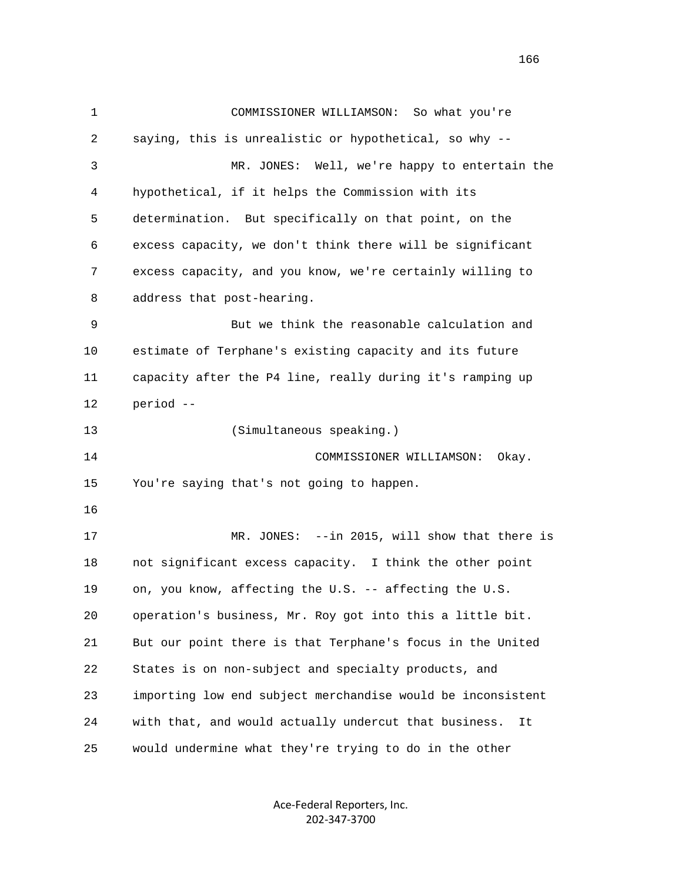1 COMMISSIONER WILLIAMSON: So what you're 2 saying, this is unrealistic or hypothetical, so why -- 3 MR. JONES: Well, we're happy to entertain the 4 hypothetical, if it helps the Commission with its 5 determination. But specifically on that point, on the 6 excess capacity, we don't think there will be significant 7 excess capacity, and you know, we're certainly willing to 8 address that post-hearing. 9 But we think the reasonable calculation and 10 estimate of Terphane's existing capacity and its future 11 capacity after the P4 line, really during it's ramping up 12 period -- 13 (Simultaneous speaking.) 14 COMMISSIONER WILLIAMSON: Okay. 15 You're saying that's not going to happen. 16 17 MR. JONES: --in 2015, will show that there is 18 not significant excess capacity. I think the other point 19 on, you know, affecting the U.S. -- affecting the U.S. 20 operation's business, Mr. Roy got into this a little bit. 21 But our point there is that Terphane's focus in the United 22 States is on non-subject and specialty products, and 23 importing low end subject merchandise would be inconsistent 24 with that, and would actually undercut that business. It 25 would undermine what they're trying to do in the other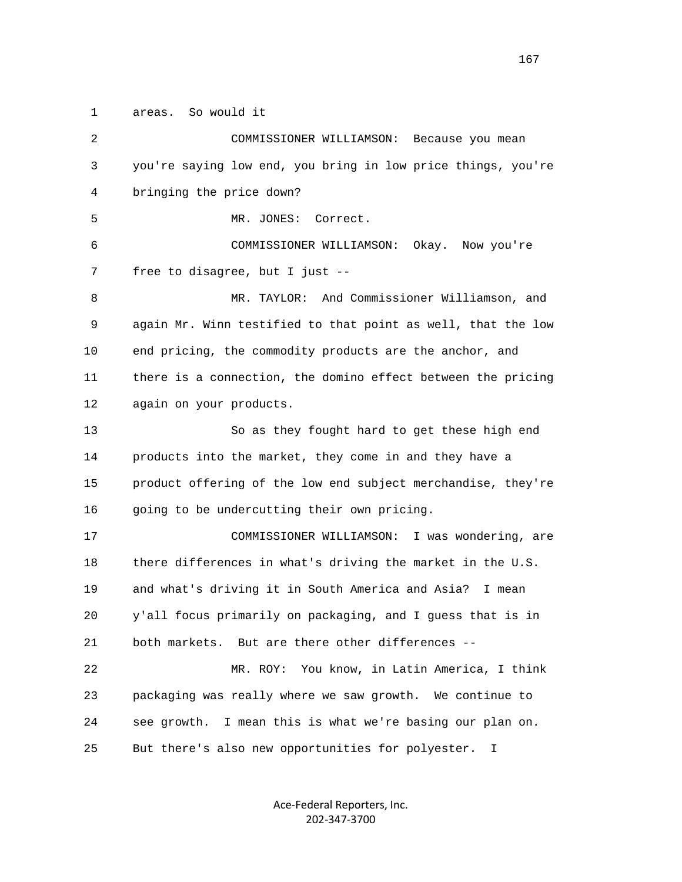1 areas. So would it 2 COMMISSIONER WILLIAMSON: Because you mean 3 you're saying low end, you bring in low price things, you're 4 bringing the price down? 5 MR. JONES: Correct. 6 COMMISSIONER WILLIAMSON: Okay. Now you're 7 free to disagree, but I just -- 8 MR. TAYLOR: And Commissioner Williamson, and 9 again Mr. Winn testified to that point as well, that the low 10 end pricing, the commodity products are the anchor, and 11 there is a connection, the domino effect between the pricing 12 again on your products. 13 So as they fought hard to get these high end 14 products into the market, they come in and they have a 15 product offering of the low end subject merchandise, they're 16 going to be undercutting their own pricing. 17 COMMISSIONER WILLIAMSON: I was wondering, are 18 there differences in what's driving the market in the U.S. 19 and what's driving it in South America and Asia? I mean 20 y'all focus primarily on packaging, and I guess that is in 21 both markets. But are there other differences -- 22 MR. ROY: You know, in Latin America, I think 23 packaging was really where we saw growth. We continue to 24 see growth. I mean this is what we're basing our plan on. 25 But there's also new opportunities for polyester. I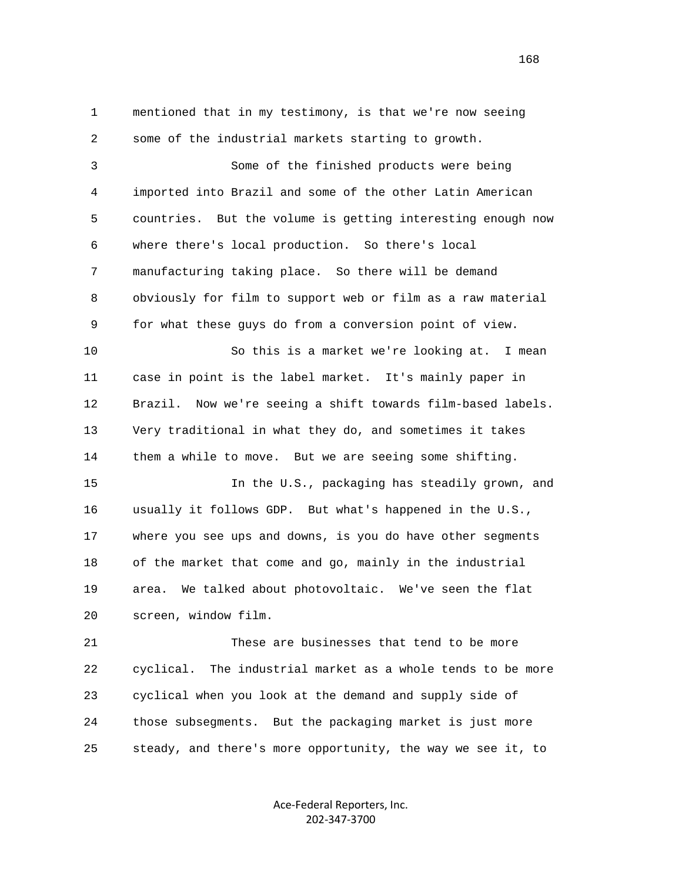1 mentioned that in my testimony, is that we're now seeing 2 some of the industrial markets starting to growth. 3 Some of the finished products were being 4 imported into Brazil and some of the other Latin American 5 countries. But the volume is getting interesting enough now 6 where there's local production. So there's local 7 manufacturing taking place. So there will be demand 8 obviously for film to support web or film as a raw material 9 for what these guys do from a conversion point of view. 10 So this is a market we're looking at. I mean 11 case in point is the label market. It's mainly paper in 12 Brazil. Now we're seeing a shift towards film-based labels. 13 Very traditional in what they do, and sometimes it takes 14 them a while to move. But we are seeing some shifting. 15 In the U.S., packaging has steadily grown, and 16 usually it follows GDP. But what's happened in the U.S., 17 where you see ups and downs, is you do have other segments 18 of the market that come and go, mainly in the industrial 19 area. We talked about photovoltaic. We've seen the flat 20 screen, window film. 21 These are businesses that tend to be more 22 cyclical. The industrial market as a whole tends to be more 23 cyclical when you look at the demand and supply side of 24 those subsegments. But the packaging market is just more 25 steady, and there's more opportunity, the way we see it, to

> Ace‐Federal Reporters, Inc. 202‐347‐3700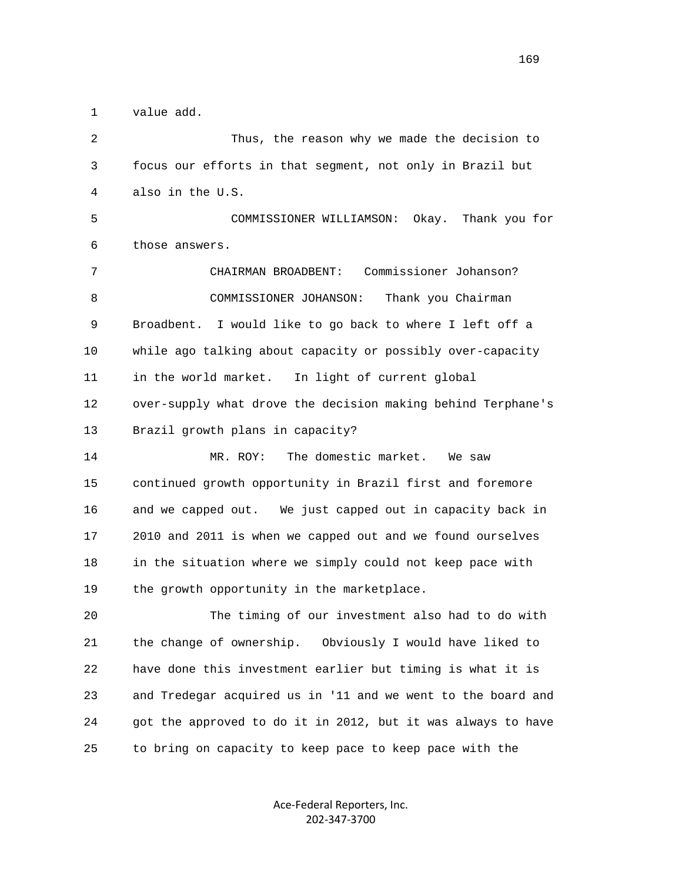1 value add.

 2 Thus, the reason why we made the decision to 3 focus our efforts in that segment, not only in Brazil but 4 also in the U.S. 5 COMMISSIONER WILLIAMSON: Okay. Thank you for 6 those answers. 7 CHAIRMAN BROADBENT: Commissioner Johanson? 8 COMMISSIONER JOHANSON: Thank you Chairman 9 Broadbent. I would like to go back to where I left off a 10 while ago talking about capacity or possibly over-capacity 11 in the world market. In light of current global 12 over-supply what drove the decision making behind Terphane's 13 Brazil growth plans in capacity? 14 MR. ROY: The domestic market. We saw 15 continued growth opportunity in Brazil first and foremore 16 and we capped out. We just capped out in capacity back in 17 2010 and 2011 is when we capped out and we found ourselves 18 in the situation where we simply could not keep pace with 19 the growth opportunity in the marketplace. 20 The timing of our investment also had to do with 21 the change of ownership. Obviously I would have liked to 22 have done this investment earlier but timing is what it is 23 and Tredegar acquired us in '11 and we went to the board and 24 got the approved to do it in 2012, but it was always to have 25 to bring on capacity to keep pace to keep pace with the

> Ace‐Federal Reporters, Inc. 202‐347‐3700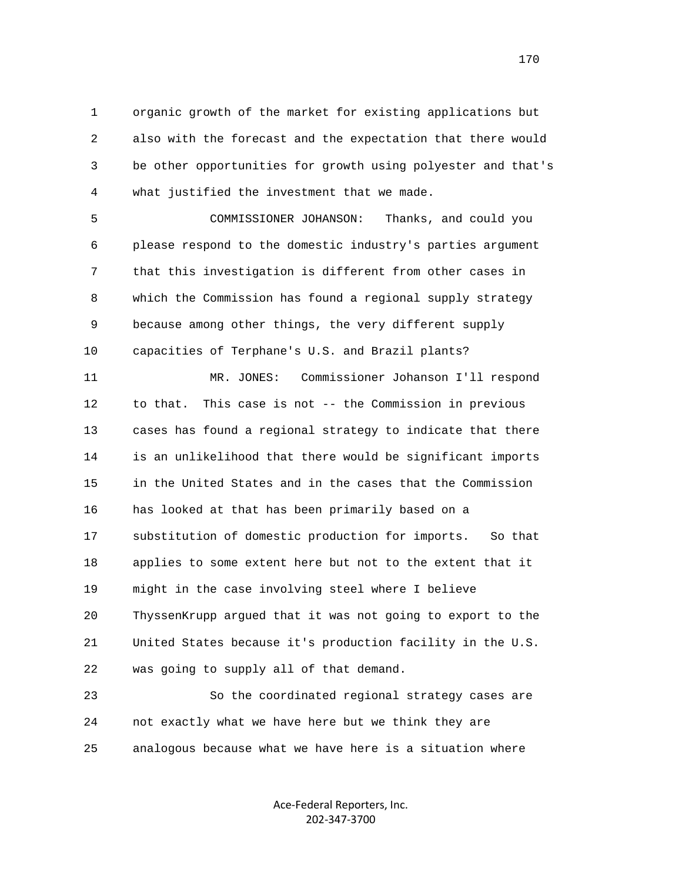1 organic growth of the market for existing applications but 2 also with the forecast and the expectation that there would 3 be other opportunities for growth using polyester and that's 4 what justified the investment that we made.

 5 COMMISSIONER JOHANSON: Thanks, and could you 6 please respond to the domestic industry's parties argument 7 that this investigation is different from other cases in 8 which the Commission has found a regional supply strategy 9 because among other things, the very different supply 10 capacities of Terphane's U.S. and Brazil plants?

 11 MR. JONES: Commissioner Johanson I'll respond 12 to that. This case is not -- the Commission in previous 13 cases has found a regional strategy to indicate that there 14 is an unlikelihood that there would be significant imports 15 in the United States and in the cases that the Commission 16 has looked at that has been primarily based on a 17 substitution of domestic production for imports. So that 18 applies to some extent here but not to the extent that it 19 might in the case involving steel where I believe 20 ThyssenKrupp argued that it was not going to export to the 21 United States because it's production facility in the U.S. 22 was going to supply all of that demand.

 23 So the coordinated regional strategy cases are 24 not exactly what we have here but we think they are 25 analogous because what we have here is a situation where

> Ace‐Federal Reporters, Inc. 202‐347‐3700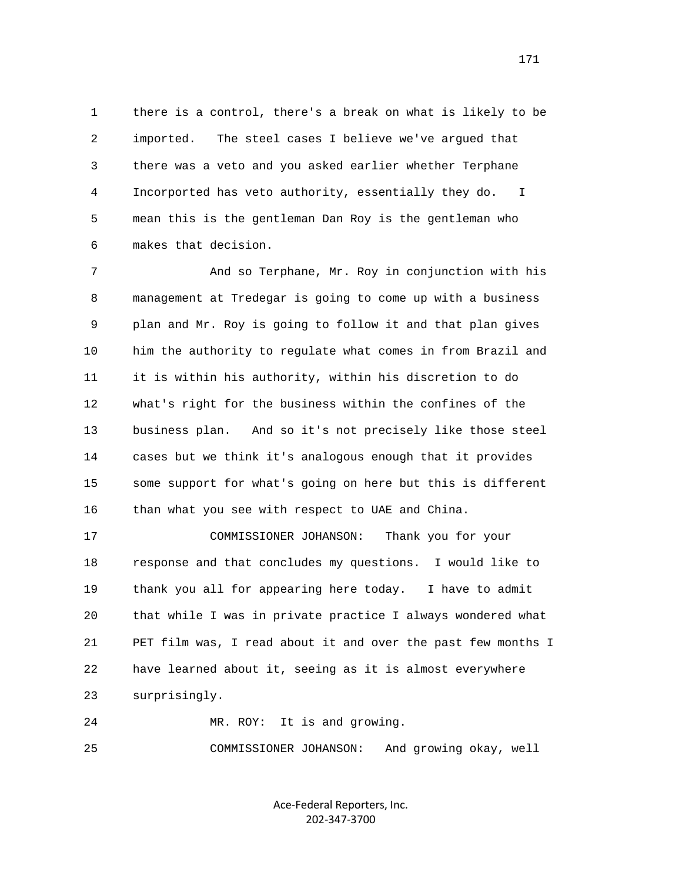1 there is a control, there's a break on what is likely to be 2 imported. The steel cases I believe we've argued that 3 there was a veto and you asked earlier whether Terphane 4 Incorported has veto authority, essentially they do. I 5 mean this is the gentleman Dan Roy is the gentleman who 6 makes that decision.

 7 And so Terphane, Mr. Roy in conjunction with his 8 management at Tredegar is going to come up with a business 9 plan and Mr. Roy is going to follow it and that plan gives 10 him the authority to regulate what comes in from Brazil and 11 it is within his authority, within his discretion to do 12 what's right for the business within the confines of the 13 business plan. And so it's not precisely like those steel 14 cases but we think it's analogous enough that it provides 15 some support for what's going on here but this is different 16 than what you see with respect to UAE and China.

 17 COMMISSIONER JOHANSON: Thank you for your 18 response and that concludes my questions. I would like to 19 thank you all for appearing here today. I have to admit 20 that while I was in private practice I always wondered what 21 PET film was, I read about it and over the past few months I 22 have learned about it, seeing as it is almost everywhere 23 surprisingly.

24 MR. ROY: It is and growing.

25 COMMISSIONER JOHANSON: And growing okay, well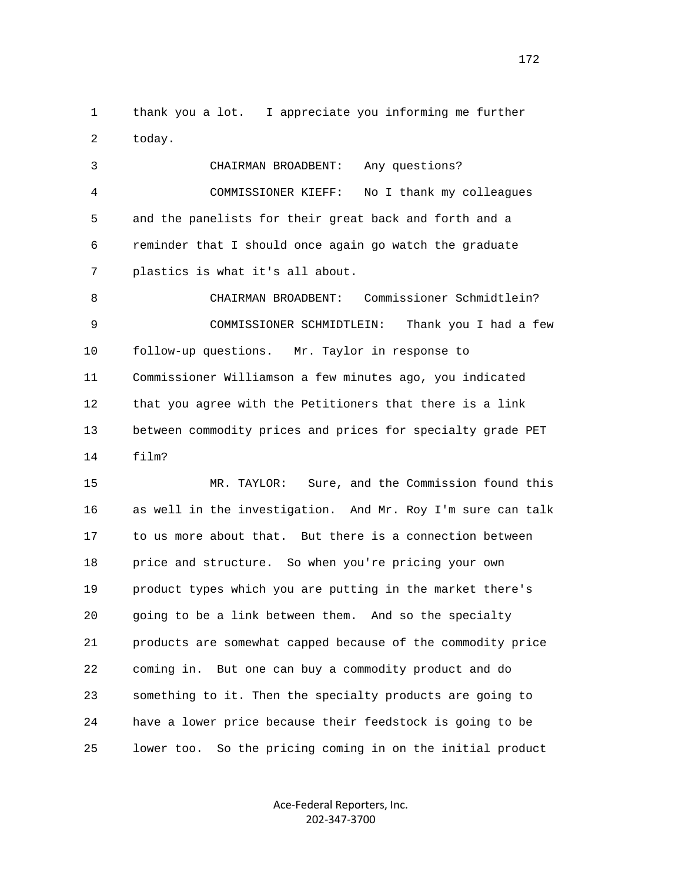1 thank you a lot. I appreciate you informing me further 2 today.

 3 CHAIRMAN BROADBENT: Any questions? 4 COMMISSIONER KIEFF: No I thank my colleagues 5 and the panelists for their great back and forth and a 6 reminder that I should once again go watch the graduate 7 plastics is what it's all about.

 8 CHAIRMAN BROADBENT: Commissioner Schmidtlein? 9 COMMISSIONER SCHMIDTLEIN: Thank you I had a few 10 follow-up questions. Mr. Taylor in response to 11 Commissioner Williamson a few minutes ago, you indicated 12 that you agree with the Petitioners that there is a link 13 between commodity prices and prices for specialty grade PET 14 film?

 15 MR. TAYLOR: Sure, and the Commission found this 16 as well in the investigation. And Mr. Roy I'm sure can talk 17 to us more about that. But there is a connection between 18 price and structure. So when you're pricing your own 19 product types which you are putting in the market there's 20 going to be a link between them. And so the specialty 21 products are somewhat capped because of the commodity price 22 coming in. But one can buy a commodity product and do 23 something to it. Then the specialty products are going to 24 have a lower price because their feedstock is going to be 25 lower too. So the pricing coming in on the initial product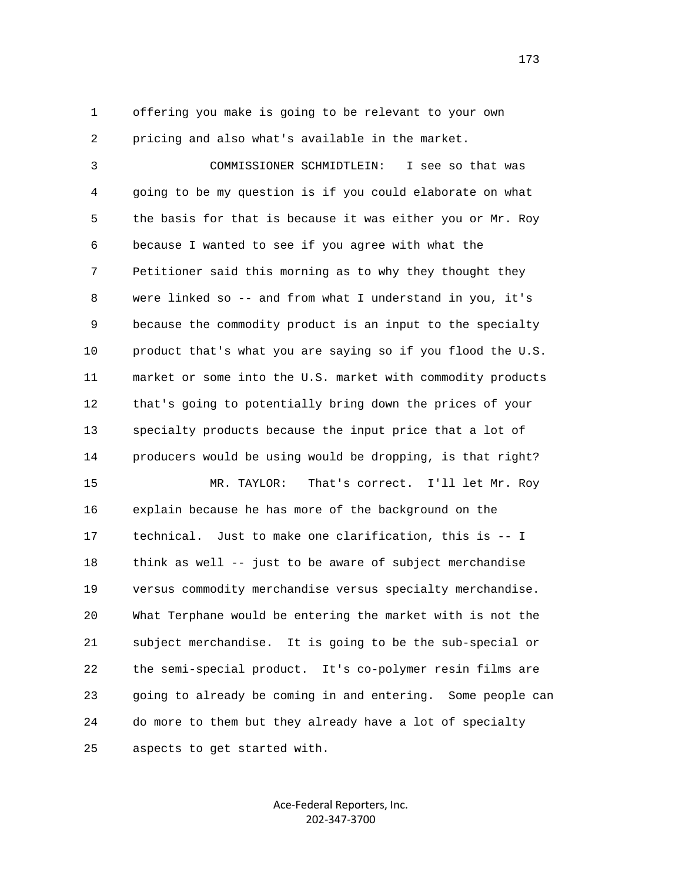1 offering you make is going to be relevant to your own 2 pricing and also what's available in the market.

 3 COMMISSIONER SCHMIDTLEIN: I see so that was 4 going to be my question is if you could elaborate on what 5 the basis for that is because it was either you or Mr. Roy 6 because I wanted to see if you agree with what the 7 Petitioner said this morning as to why they thought they 8 were linked so -- and from what I understand in you, it's 9 because the commodity product is an input to the specialty 10 product that's what you are saying so if you flood the U.S. 11 market or some into the U.S. market with commodity products 12 that's going to potentially bring down the prices of your 13 specialty products because the input price that a lot of 14 producers would be using would be dropping, is that right? 15 MR. TAYLOR: That's correct. I'll let Mr. Roy 16 explain because he has more of the background on the 17 technical. Just to make one clarification, this is -- I 18 think as well -- just to be aware of subject merchandise 19 versus commodity merchandise versus specialty merchandise. 20 What Terphane would be entering the market with is not the 21 subject merchandise. It is going to be the sub-special or 22 the semi-special product. It's co-polymer resin films are 23 going to already be coming in and entering. Some people can

25 aspects to get started with.

Ace‐Federal Reporters, Inc. 202‐347‐3700

24 do more to them but they already have a lot of specialty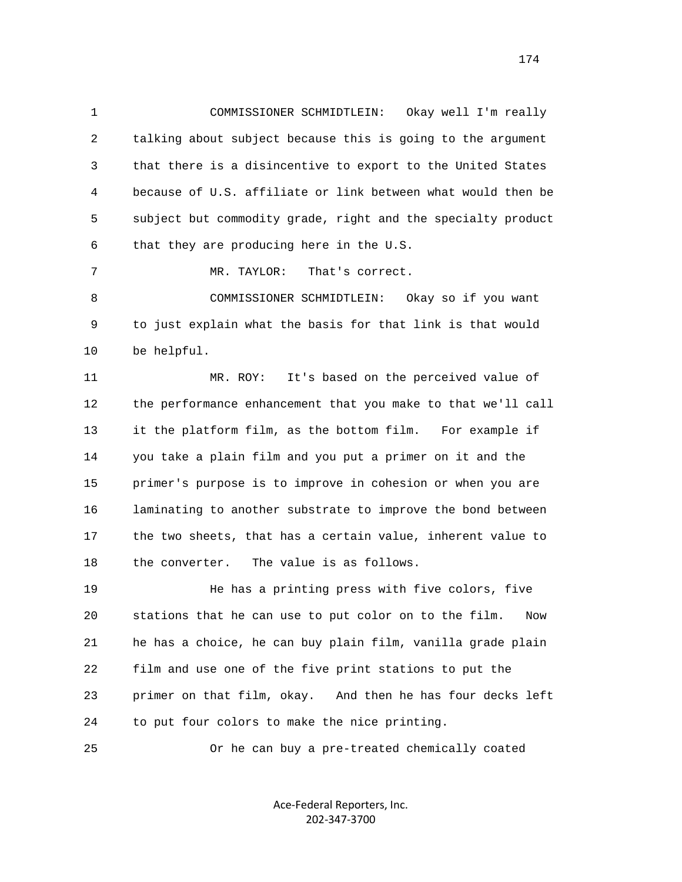1 COMMISSIONER SCHMIDTLEIN: Okay well I'm really 2 talking about subject because this is going to the argument 3 that there is a disincentive to export to the United States 4 because of U.S. affiliate or link between what would then be 5 subject but commodity grade, right and the specialty product 6 that they are producing here in the U.S.

 8 COMMISSIONER SCHMIDTLEIN: Okay so if you want 9 to just explain what the basis for that link is that would 10 be helpful.

7 MR. TAYLOR: That's correct.

 11 MR. ROY: It's based on the perceived value of 12 the performance enhancement that you make to that we'll call 13 it the platform film, as the bottom film. For example if 14 you take a plain film and you put a primer on it and the 15 primer's purpose is to improve in cohesion or when you are 16 laminating to another substrate to improve the bond between 17 the two sheets, that has a certain value, inherent value to 18 the converter. The value is as follows.

 19 He has a printing press with five colors, five 20 stations that he can use to put color on to the film. Now 21 he has a choice, he can buy plain film, vanilla grade plain 22 film and use one of the five print stations to put the 23 primer on that film, okay. And then he has four decks left 24 to put four colors to make the nice printing.

25 Or he can buy a pre-treated chemically coated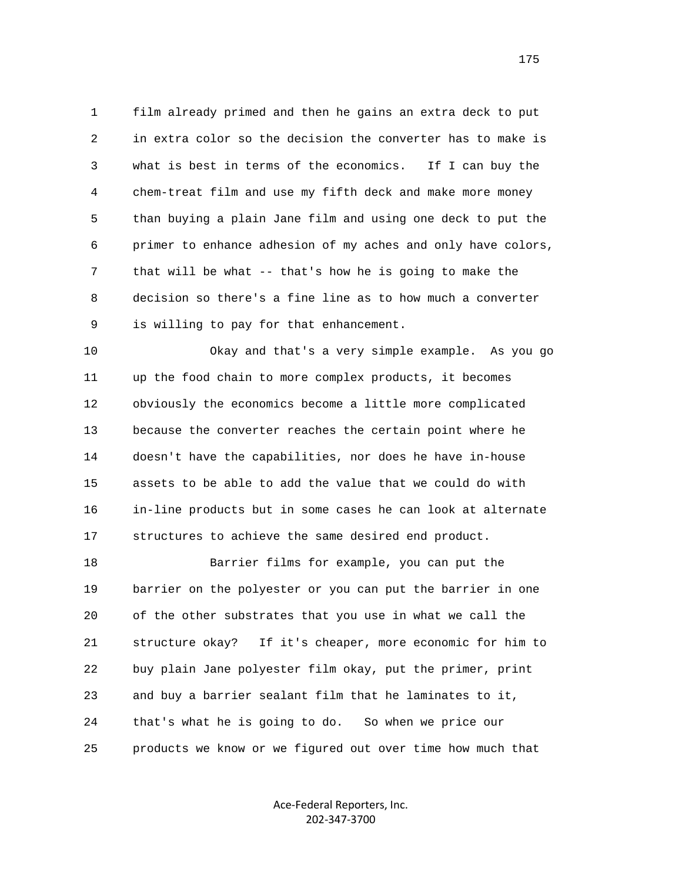1 film already primed and then he gains an extra deck to put 2 in extra color so the decision the converter has to make is 3 what is best in terms of the economics. If I can buy the 4 chem-treat film and use my fifth deck and make more money 5 than buying a plain Jane film and using one deck to put the 6 primer to enhance adhesion of my aches and only have colors, 7 that will be what -- that's how he is going to make the 8 decision so there's a fine line as to how much a converter 9 is willing to pay for that enhancement.

 10 Okay and that's a very simple example. As you go 11 up the food chain to more complex products, it becomes 12 obviously the economics become a little more complicated 13 because the converter reaches the certain point where he 14 doesn't have the capabilities, nor does he have in-house 15 assets to be able to add the value that we could do with 16 in-line products but in some cases he can look at alternate 17 structures to achieve the same desired end product.

 18 Barrier films for example, you can put the 19 barrier on the polyester or you can put the barrier in one 20 of the other substrates that you use in what we call the 21 structure okay? If it's cheaper, more economic for him to 22 buy plain Jane polyester film okay, put the primer, print 23 and buy a barrier sealant film that he laminates to it, 24 that's what he is going to do. So when we price our 25 products we know or we figured out over time how much that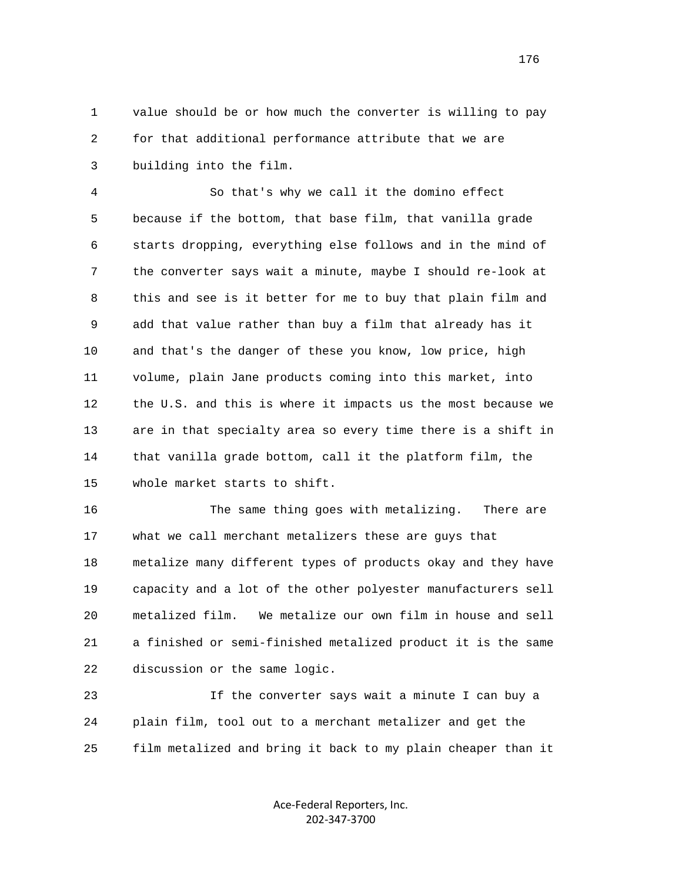1 value should be or how much the converter is willing to pay 2 for that additional performance attribute that we are 3 building into the film.

 4 So that's why we call it the domino effect 5 because if the bottom, that base film, that vanilla grade 6 starts dropping, everything else follows and in the mind of 7 the converter says wait a minute, maybe I should re-look at 8 this and see is it better for me to buy that plain film and 9 add that value rather than buy a film that already has it 10 and that's the danger of these you know, low price, high 11 volume, plain Jane products coming into this market, into 12 the U.S. and this is where it impacts us the most because we 13 are in that specialty area so every time there is a shift in 14 that vanilla grade bottom, call it the platform film, the 15 whole market starts to shift.

 16 The same thing goes with metalizing. There are 17 what we call merchant metalizers these are guys that 18 metalize many different types of products okay and they have 19 capacity and a lot of the other polyester manufacturers sell 20 metalized film. We metalize our own film in house and sell 21 a finished or semi-finished metalized product it is the same 22 discussion or the same logic.

 23 If the converter says wait a minute I can buy a 24 plain film, tool out to a merchant metalizer and get the 25 film metalized and bring it back to my plain cheaper than it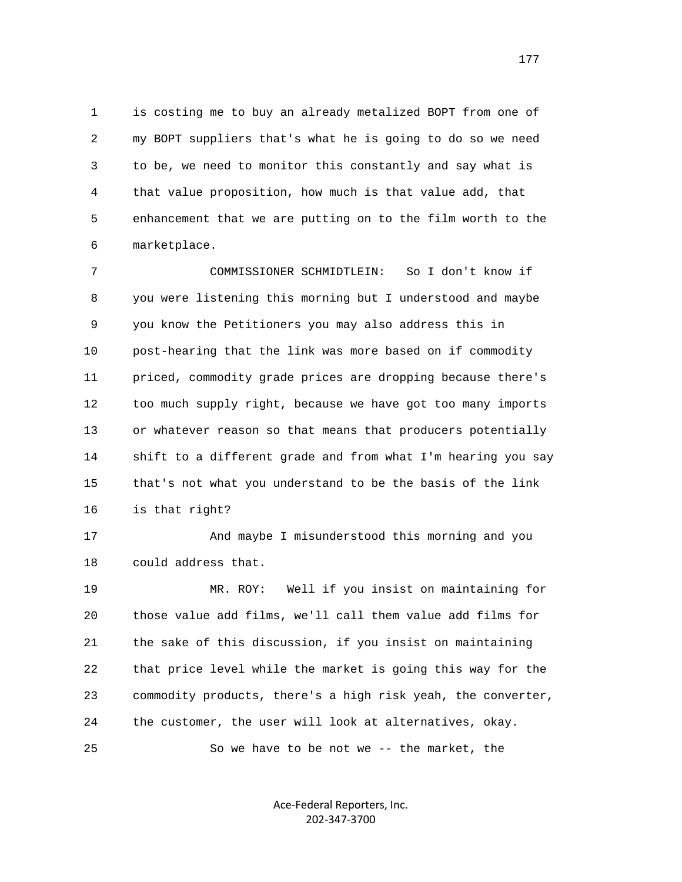1 is costing me to buy an already metalized BOPT from one of 2 my BOPT suppliers that's what he is going to do so we need 3 to be, we need to monitor this constantly and say what is 4 that value proposition, how much is that value add, that 5 enhancement that we are putting on to the film worth to the 6 marketplace.

 7 COMMISSIONER SCHMIDTLEIN: So I don't know if 8 you were listening this morning but I understood and maybe 9 you know the Petitioners you may also address this in 10 post-hearing that the link was more based on if commodity 11 priced, commodity grade prices are dropping because there's 12 too much supply right, because we have got too many imports 13 or whatever reason so that means that producers potentially 14 shift to a different grade and from what I'm hearing you say 15 that's not what you understand to be the basis of the link 16 is that right?

 17 And maybe I misunderstood this morning and you 18 could address that.

 19 MR. ROY: Well if you insist on maintaining for 20 those value add films, we'll call them value add films for 21 the sake of this discussion, if you insist on maintaining 22 that price level while the market is going this way for the 23 commodity products, there's a high risk yeah, the converter, 24 the customer, the user will look at alternatives, okay. 25 So we have to be not we -- the market, the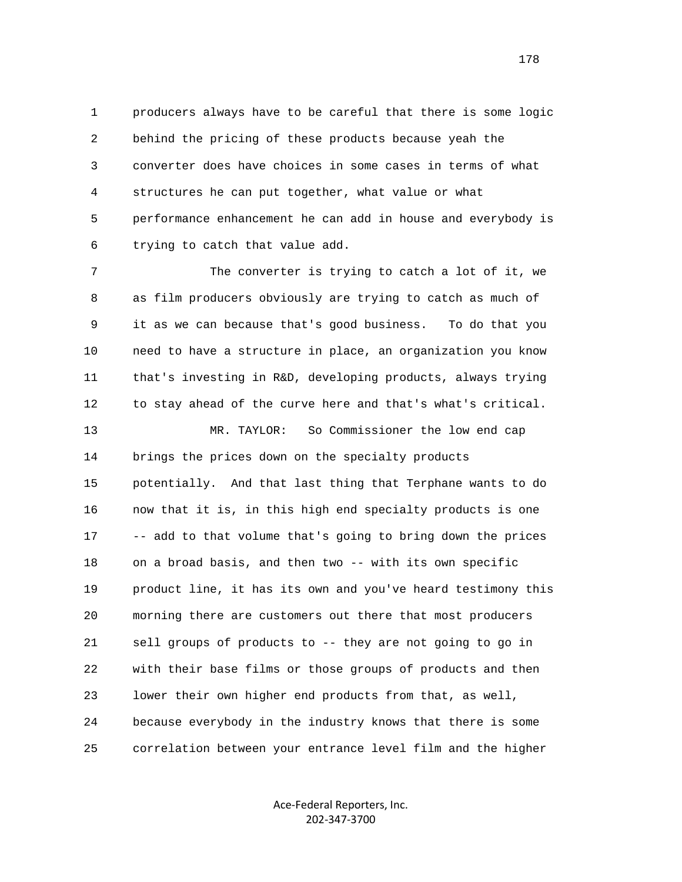1 producers always have to be careful that there is some logic 2 behind the pricing of these products because yeah the 3 converter does have choices in some cases in terms of what 4 structures he can put together, what value or what 5 performance enhancement he can add in house and everybody is 6 trying to catch that value add.

 7 The converter is trying to catch a lot of it, we 8 as film producers obviously are trying to catch as much of 9 it as we can because that's good business. To do that you 10 need to have a structure in place, an organization you know 11 that's investing in R&D, developing products, always trying 12 to stay ahead of the curve here and that's what's critical.

 13 MR. TAYLOR: So Commissioner the low end cap 14 brings the prices down on the specialty products 15 potentially. And that last thing that Terphane wants to do 16 now that it is, in this high end specialty products is one 17 -- add to that volume that's going to bring down the prices 18 on a broad basis, and then two -- with its own specific 19 product line, it has its own and you've heard testimony this 20 morning there are customers out there that most producers 21 sell groups of products to -- they are not going to go in 22 with their base films or those groups of products and then 23 lower their own higher end products from that, as well, 24 because everybody in the industry knows that there is some 25 correlation between your entrance level film and the higher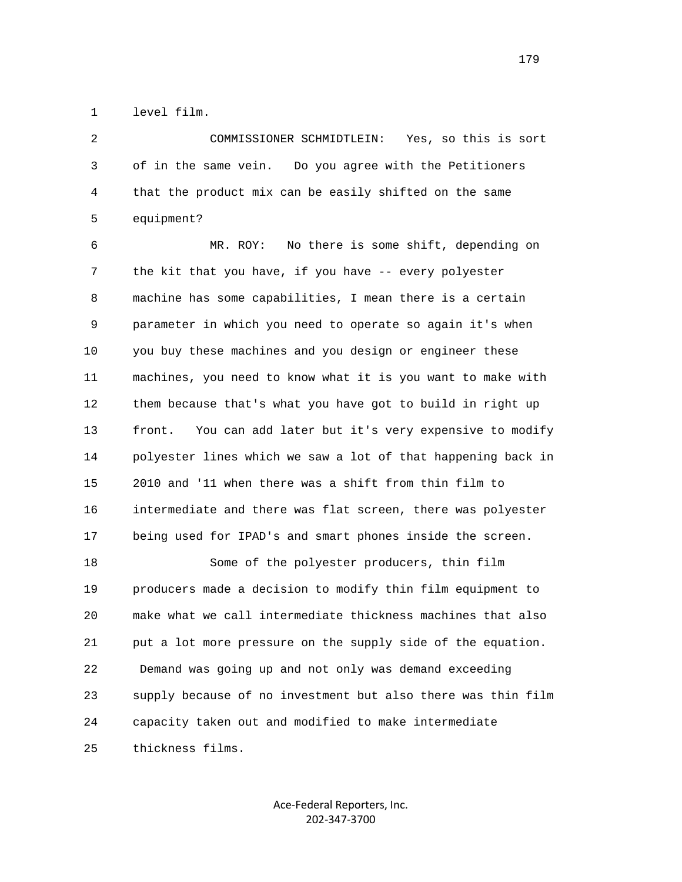1 level film.

 2 COMMISSIONER SCHMIDTLEIN: Yes, so this is sort 3 of in the same vein. Do you agree with the Petitioners 4 that the product mix can be easily shifted on the same 5 equipment?

 6 MR. ROY: No there is some shift, depending on 7 the kit that you have, if you have -- every polyester 8 machine has some capabilities, I mean there is a certain 9 parameter in which you need to operate so again it's when 10 you buy these machines and you design or engineer these 11 machines, you need to know what it is you want to make with 12 them because that's what you have got to build in right up 13 front. You can add later but it's very expensive to modify 14 polyester lines which we saw a lot of that happening back in 15 2010 and '11 when there was a shift from thin film to 16 intermediate and there was flat screen, there was polyester 17 being used for IPAD's and smart phones inside the screen.

 18 Some of the polyester producers, thin film 19 producers made a decision to modify thin film equipment to 20 make what we call intermediate thickness machines that also 21 put a lot more pressure on the supply side of the equation. 22 Demand was going up and not only was demand exceeding 23 supply because of no investment but also there was thin film 24 capacity taken out and modified to make intermediate 25 thickness films.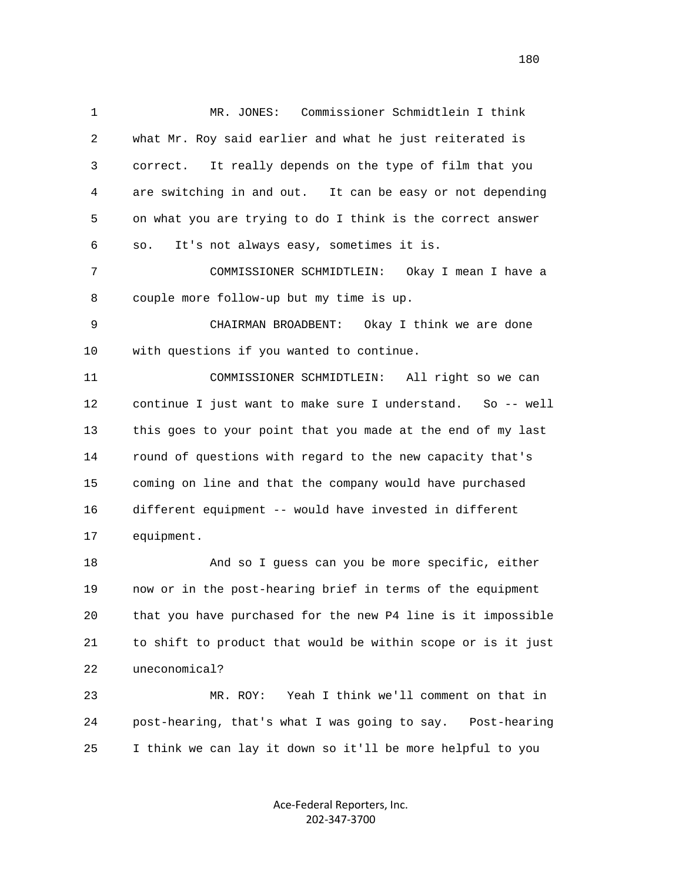1 MR. JONES: Commissioner Schmidtlein I think 2 what Mr. Roy said earlier and what he just reiterated is 3 correct. It really depends on the type of film that you 4 are switching in and out. It can be easy or not depending 5 on what you are trying to do I think is the correct answer 6 so. It's not always easy, sometimes it is. 7 COMMISSIONER SCHMIDTLEIN: Okay I mean I have a 8 couple more follow-up but my time is up. 9 CHAIRMAN BROADBENT: Okay I think we are done 10 with questions if you wanted to continue. 11 COMMISSIONER SCHMIDTLEIN: All right so we can 12 continue I just want to make sure I understand. So -- well 13 this goes to your point that you made at the end of my last 14 round of questions with regard to the new capacity that's 15 coming on line and that the company would have purchased 16 different equipment -- would have invested in different 17 equipment.

 18 And so I guess can you be more specific, either 19 now or in the post-hearing brief in terms of the equipment 20 that you have purchased for the new P4 line is it impossible 21 to shift to product that would be within scope or is it just 22 uneconomical?

 23 MR. ROY: Yeah I think we'll comment on that in 24 post-hearing, that's what I was going to say. Post-hearing 25 I think we can lay it down so it'll be more helpful to you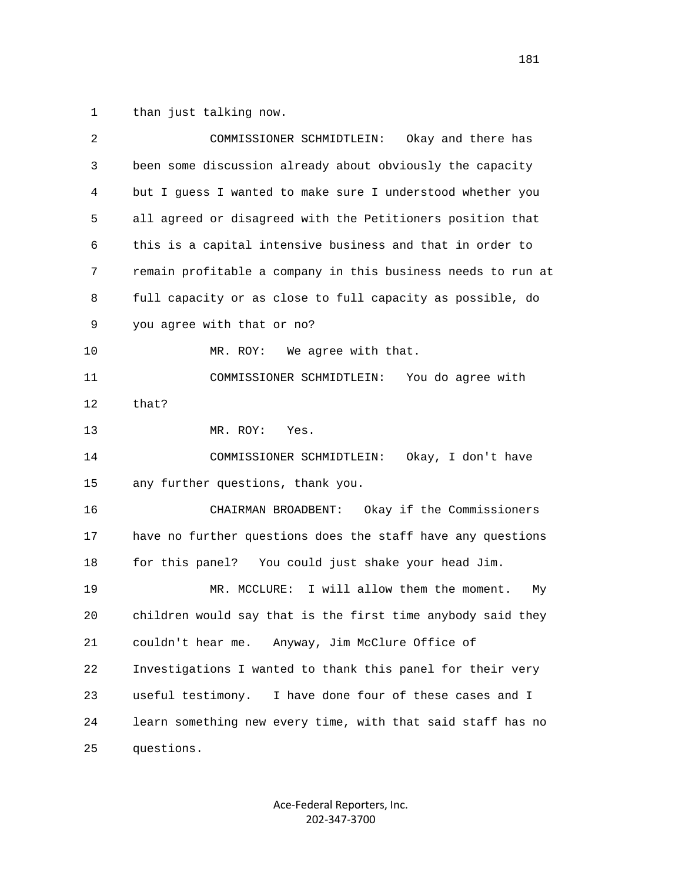1 than just talking now.

| 2  | COMMISSIONER SCHMIDTLEIN:<br>Okay and there has              |
|----|--------------------------------------------------------------|
| 3  | been some discussion already about obviously the capacity    |
| 4  | but I guess I wanted to make sure I understood whether you   |
| 5  | all agreed or disagreed with the Petitioners position that   |
| 6  | this is a capital intensive business and that in order to    |
| 7  | remain profitable a company in this business needs to run at |
| 8  | full capacity or as close to full capacity as possible, do   |
| 9  | you agree with that or no?                                   |
| 10 | MR. ROY:<br>We agree with that.                              |
| 11 | COMMISSIONER SCHMIDTLEIN:<br>You do agree with               |
| 12 | that?                                                        |
| 13 | MR. ROY:<br>Yes.                                             |
| 14 | COMMISSIONER SCHMIDTLEIN:<br>Okay, I don't have              |
| 15 | any further questions, thank you.                            |
| 16 | Okay if the Commissioners<br>CHAIRMAN BROADBENT:             |
| 17 | have no further questions does the staff have any questions  |
| 18 | for this panel? You could just shake your head Jim.          |
| 19 | MR. MCCLURE: I will allow them the moment.<br>Мy             |
| 20 | children would say that is the first time anybody said they  |
| 21 | Anyway, Jim McClure Office of<br>couldn't hear me.           |
| 22 | Investigations I wanted to thank this panel for their very   |
| 23 | I have done four of these cases and I<br>useful testimony.   |
| 24 | learn something new every time, with that said staff has no  |
| 25 | questions.                                                   |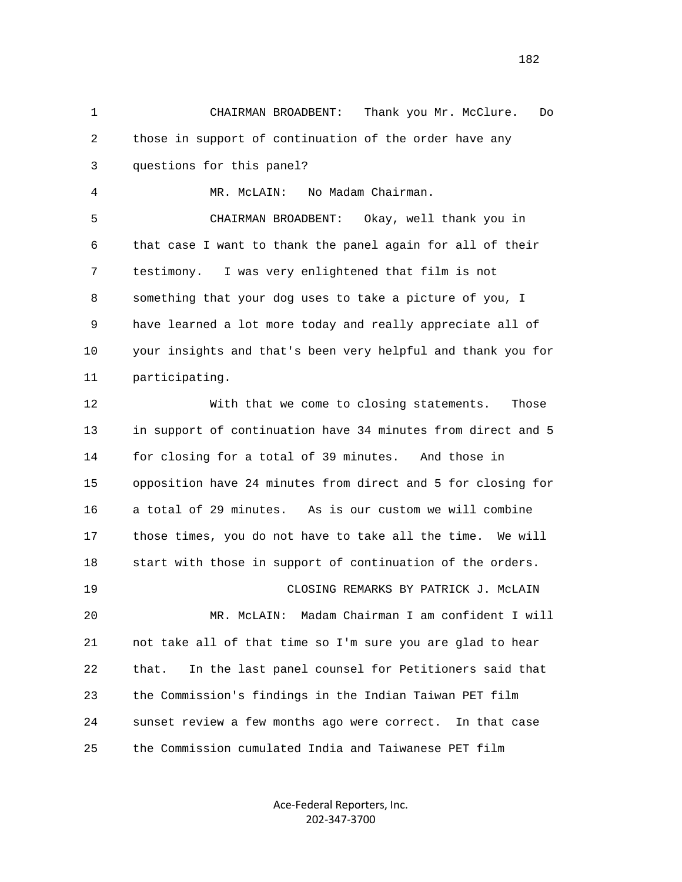1 CHAIRMAN BROADBENT: Thank you Mr. McClure. Do 2 those in support of continuation of the order have any 3 questions for this panel? 4 MR. McLAIN: No Madam Chairman. 5 CHAIRMAN BROADBENT: Okay, well thank you in 6 that case I want to thank the panel again for all of their 7 testimony. I was very enlightened that film is not 8 something that your dog uses to take a picture of you, I 9 have learned a lot more today and really appreciate all of 10 your insights and that's been very helpful and thank you for 11 participating. 12 With that we come to closing statements. Those 13 in support of continuation have 34 minutes from direct and 5 14 for closing for a total of 39 minutes. And those in 15 opposition have 24 minutes from direct and 5 for closing for 16 a total of 29 minutes. As is our custom we will combine 17 those times, you do not have to take all the time. We will 18 start with those in support of continuation of the orders. 19 CLOSING REMARKS BY PATRICK J. McLAIN 20 MR. McLAIN: Madam Chairman I am confident I will 21 not take all of that time so I'm sure you are glad to hear 22 that. In the last panel counsel for Petitioners said that 23 the Commission's findings in the Indian Taiwan PET film 24 sunset review a few months ago were correct. In that case 25 the Commission cumulated India and Taiwanese PET film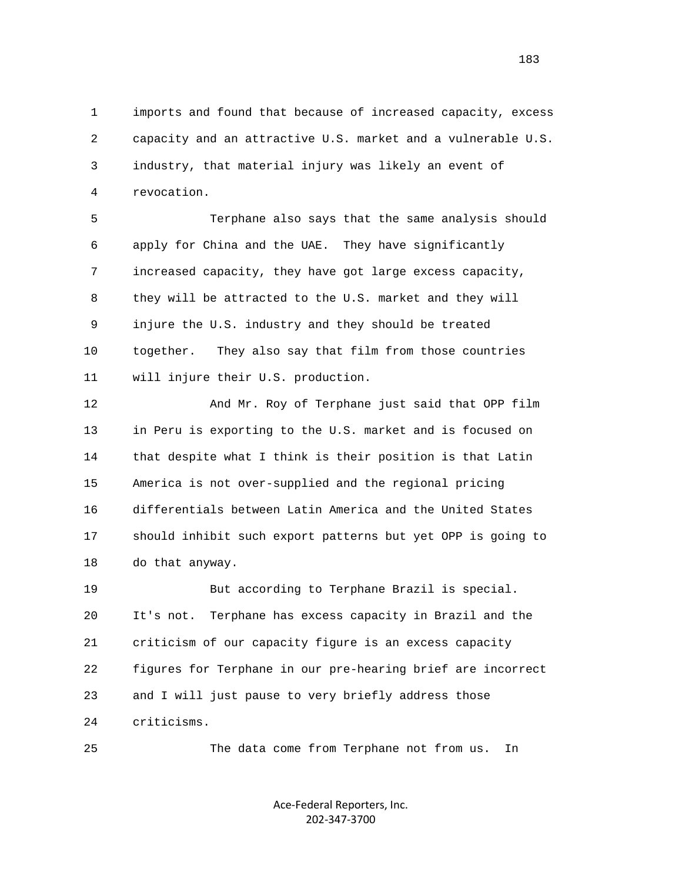1 imports and found that because of increased capacity, excess 2 capacity and an attractive U.S. market and a vulnerable U.S. 3 industry, that material injury was likely an event of 4 revocation.

 5 Terphane also says that the same analysis should 6 apply for China and the UAE. They have significantly 7 increased capacity, they have got large excess capacity, 8 they will be attracted to the U.S. market and they will 9 injure the U.S. industry and they should be treated 10 together. They also say that film from those countries 11 will injure their U.S. production.

 12 And Mr. Roy of Terphane just said that OPP film 13 in Peru is exporting to the U.S. market and is focused on 14 that despite what I think is their position is that Latin 15 America is not over-supplied and the regional pricing 16 differentials between Latin America and the United States 17 should inhibit such export patterns but yet OPP is going to 18 do that anyway.

 19 But according to Terphane Brazil is special. 20 It's not. Terphane has excess capacity in Brazil and the 21 criticism of our capacity figure is an excess capacity 22 figures for Terphane in our pre-hearing brief are incorrect 23 and I will just pause to very briefly address those 24 criticisms.

25 The data come from Terphane not from us. In

Ace‐Federal Reporters, Inc. 202‐347‐3700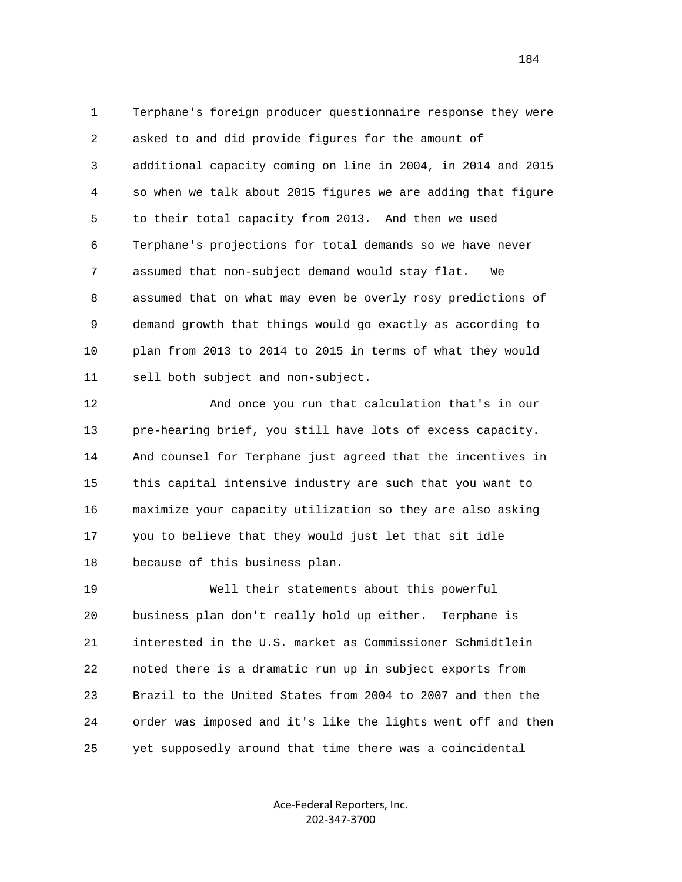1 Terphane's foreign producer questionnaire response they were 2 asked to and did provide figures for the amount of 3 additional capacity coming on line in 2004, in 2014 and 2015 4 so when we talk about 2015 figures we are adding that figure 5 to their total capacity from 2013. And then we used 6 Terphane's projections for total demands so we have never 7 assumed that non-subject demand would stay flat. We 8 assumed that on what may even be overly rosy predictions of 9 demand growth that things would go exactly as according to 10 plan from 2013 to 2014 to 2015 in terms of what they would 11 sell both subject and non-subject.

 12 And once you run that calculation that's in our 13 pre-hearing brief, you still have lots of excess capacity. 14 And counsel for Terphane just agreed that the incentives in 15 this capital intensive industry are such that you want to 16 maximize your capacity utilization so they are also asking 17 you to believe that they would just let that sit idle 18 because of this business plan.

 19 Well their statements about this powerful 20 business plan don't really hold up either. Terphane is 21 interested in the U.S. market as Commissioner Schmidtlein 22 noted there is a dramatic run up in subject exports from 23 Brazil to the United States from 2004 to 2007 and then the 24 order was imposed and it's like the lights went off and then 25 yet supposedly around that time there was a coincidental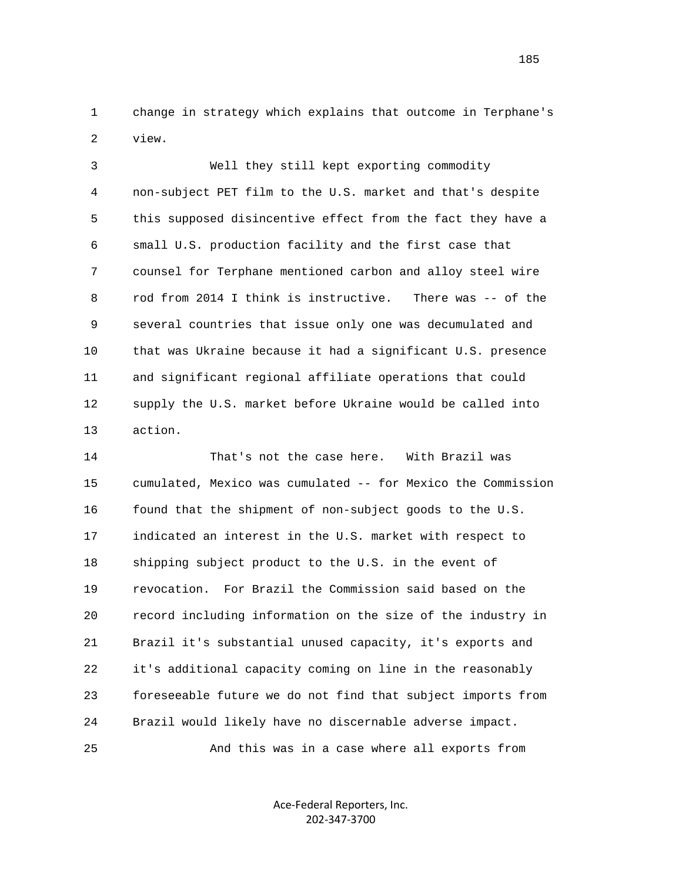1 change in strategy which explains that outcome in Terphane's 2 view.

 3 Well they still kept exporting commodity 4 non-subject PET film to the U.S. market and that's despite 5 this supposed disincentive effect from the fact they have a 6 small U.S. production facility and the first case that 7 counsel for Terphane mentioned carbon and alloy steel wire 8 rod from 2014 I think is instructive. There was -- of the 9 several countries that issue only one was decumulated and 10 that was Ukraine because it had a significant U.S. presence 11 and significant regional affiliate operations that could 12 supply the U.S. market before Ukraine would be called into 13 action.

 14 That's not the case here. With Brazil was 15 cumulated, Mexico was cumulated -- for Mexico the Commission 16 found that the shipment of non-subject goods to the U.S. 17 indicated an interest in the U.S. market with respect to 18 shipping subject product to the U.S. in the event of 19 revocation. For Brazil the Commission said based on the 20 record including information on the size of the industry in 21 Brazil it's substantial unused capacity, it's exports and 22 it's additional capacity coming on line in the reasonably 23 foreseeable future we do not find that subject imports from 24 Brazil would likely have no discernable adverse impact. 25 And this was in a case where all exports from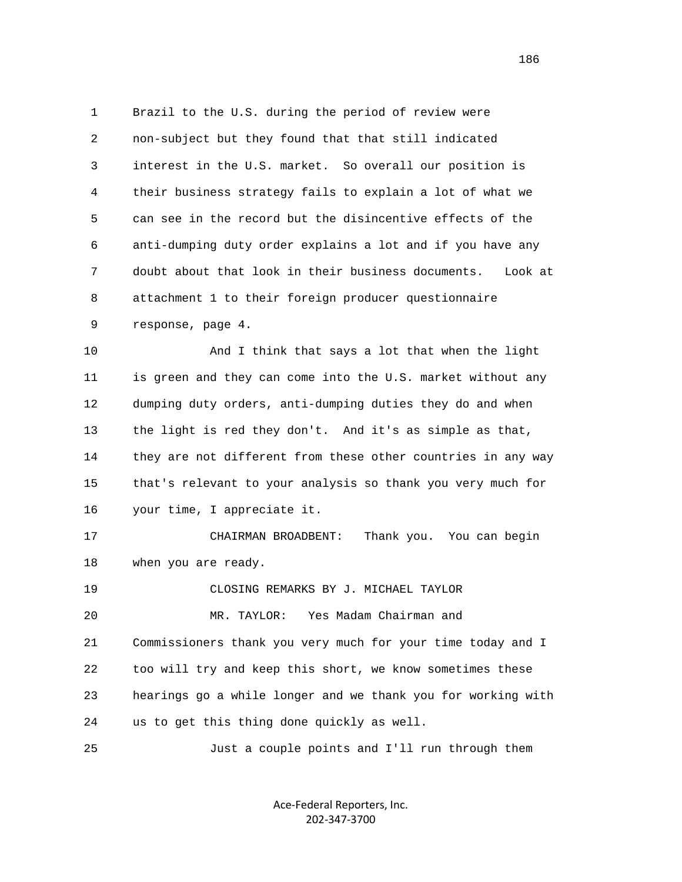1 Brazil to the U.S. during the period of review were 2 non-subject but they found that that still indicated 3 interest in the U.S. market. So overall our position is 4 their business strategy fails to explain a lot of what we 5 can see in the record but the disincentive effects of the 6 anti-dumping duty order explains a lot and if you have any 7 doubt about that look in their business documents. Look at 8 attachment 1 to their foreign producer questionnaire 9 response, page 4.

 10 And I think that says a lot that when the light 11 is green and they can come into the U.S. market without any 12 dumping duty orders, anti-dumping duties they do and when 13 the light is red they don't. And it's as simple as that, 14 they are not different from these other countries in any way 15 that's relevant to your analysis so thank you very much for 16 your time, I appreciate it.

 17 CHAIRMAN BROADBENT: Thank you. You can begin 18 when you are ready.

19 CLOSING REMARKS BY J. MICHAEL TAYLOR

 20 MR. TAYLOR: Yes Madam Chairman and 21 Commissioners thank you very much for your time today and I 22 too will try and keep this short, we know sometimes these 23 hearings go a while longer and we thank you for working with 24 us to get this thing done quickly as well.

25 Just a couple points and I'll run through them

Ace‐Federal Reporters, Inc. 202‐347‐3700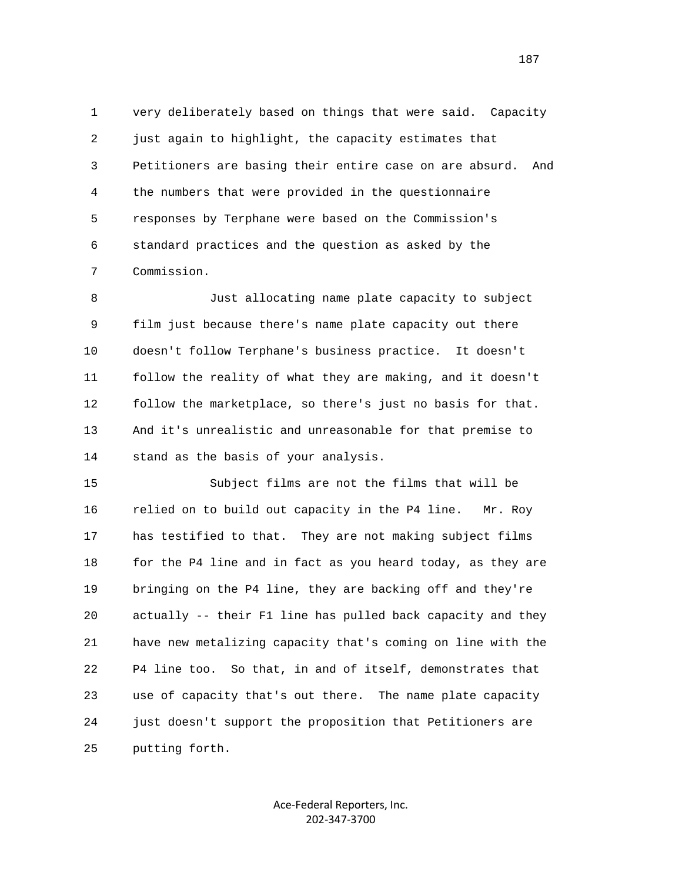1 very deliberately based on things that were said. Capacity 2 just again to highlight, the capacity estimates that 3 Petitioners are basing their entire case on are absurd. And 4 the numbers that were provided in the questionnaire 5 responses by Terphane were based on the Commission's 6 standard practices and the question as asked by the 7 Commission.

 8 Just allocating name plate capacity to subject 9 film just because there's name plate capacity out there 10 doesn't follow Terphane's business practice. It doesn't 11 follow the reality of what they are making, and it doesn't 12 follow the marketplace, so there's just no basis for that. 13 And it's unrealistic and unreasonable for that premise to 14 stand as the basis of your analysis.

 15 Subject films are not the films that will be 16 relied on to build out capacity in the P4 line. Mr. Roy 17 has testified to that. They are not making subject films 18 for the P4 line and in fact as you heard today, as they are 19 bringing on the P4 line, they are backing off and they're 20 actually -- their F1 line has pulled back capacity and they 21 have new metalizing capacity that's coming on line with the 22 P4 line too. So that, in and of itself, demonstrates that 23 use of capacity that's out there. The name plate capacity 24 just doesn't support the proposition that Petitioners are 25 putting forth.

> Ace‐Federal Reporters, Inc. 202‐347‐3700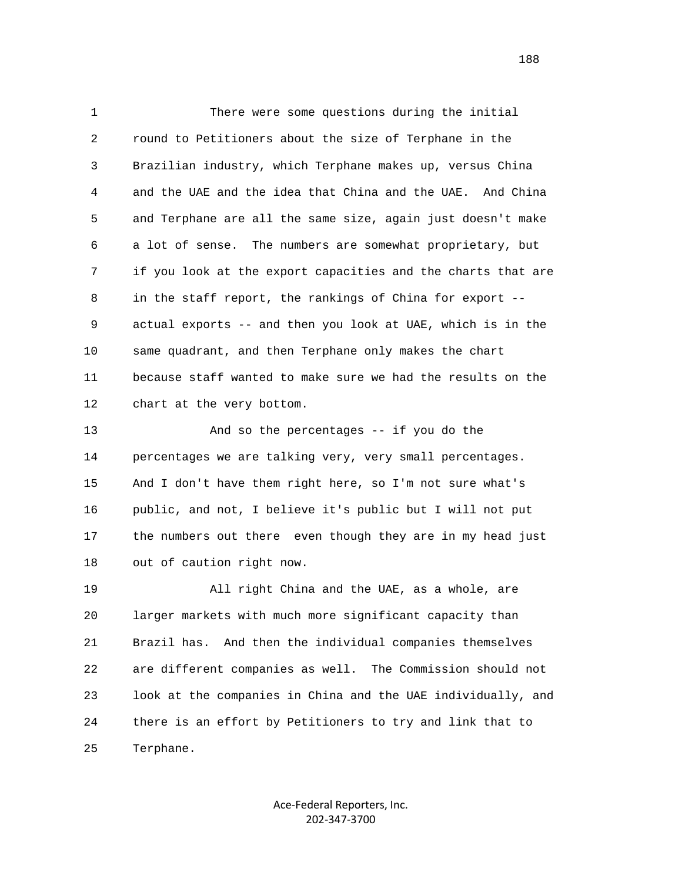1 There were some questions during the initial 2 round to Petitioners about the size of Terphane in the 3 Brazilian industry, which Terphane makes up, versus China 4 and the UAE and the idea that China and the UAE. And China 5 and Terphane are all the same size, again just doesn't make 6 a lot of sense. The numbers are somewhat proprietary, but 7 if you look at the export capacities and the charts that are 8 in the staff report, the rankings of China for export -- 9 actual exports -- and then you look at UAE, which is in the 10 same quadrant, and then Terphane only makes the chart 11 because staff wanted to make sure we had the results on the 12 chart at the very bottom.

 13 And so the percentages -- if you do the 14 percentages we are talking very, very small percentages. 15 And I don't have them right here, so I'm not sure what's 16 public, and not, I believe it's public but I will not put 17 the numbers out there even though they are in my head just 18 out of caution right now.

 19 All right China and the UAE, as a whole, are 20 larger markets with much more significant capacity than 21 Brazil has. And then the individual companies themselves 22 are different companies as well. The Commission should not 23 look at the companies in China and the UAE individually, and 24 there is an effort by Petitioners to try and link that to 25 Terphane.

> Ace‐Federal Reporters, Inc. 202‐347‐3700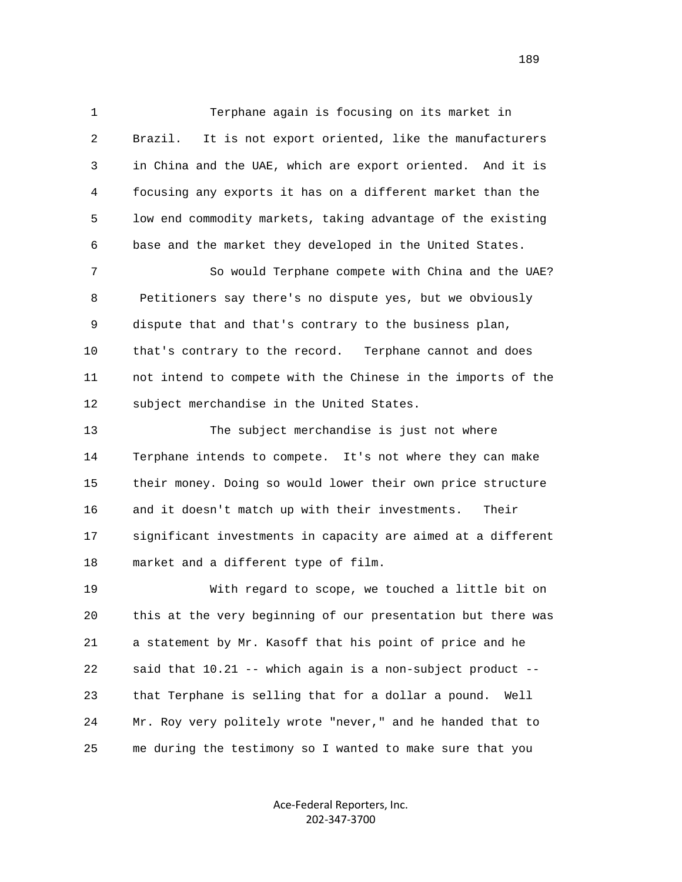1 Terphane again is focusing on its market in 2 Brazil. It is not export oriented, like the manufacturers 3 in China and the UAE, which are export oriented. And it is 4 focusing any exports it has on a different market than the 5 low end commodity markets, taking advantage of the existing 6 base and the market they developed in the United States.

 7 So would Terphane compete with China and the UAE? 8 Petitioners say there's no dispute yes, but we obviously 9 dispute that and that's contrary to the business plan, 10 that's contrary to the record. Terphane cannot and does 11 not intend to compete with the Chinese in the imports of the 12 subject merchandise in the United States.

 13 The subject merchandise is just not where 14 Terphane intends to compete. It's not where they can make 15 their money. Doing so would lower their own price structure 16 and it doesn't match up with their investments. Their 17 significant investments in capacity are aimed at a different 18 market and a different type of film.

 19 With regard to scope, we touched a little bit on 20 this at the very beginning of our presentation but there was 21 a statement by Mr. Kasoff that his point of price and he 22 said that 10.21 -- which again is a non-subject product -- 23 that Terphane is selling that for a dollar a pound. Well 24 Mr. Roy very politely wrote "never," and he handed that to 25 me during the testimony so I wanted to make sure that you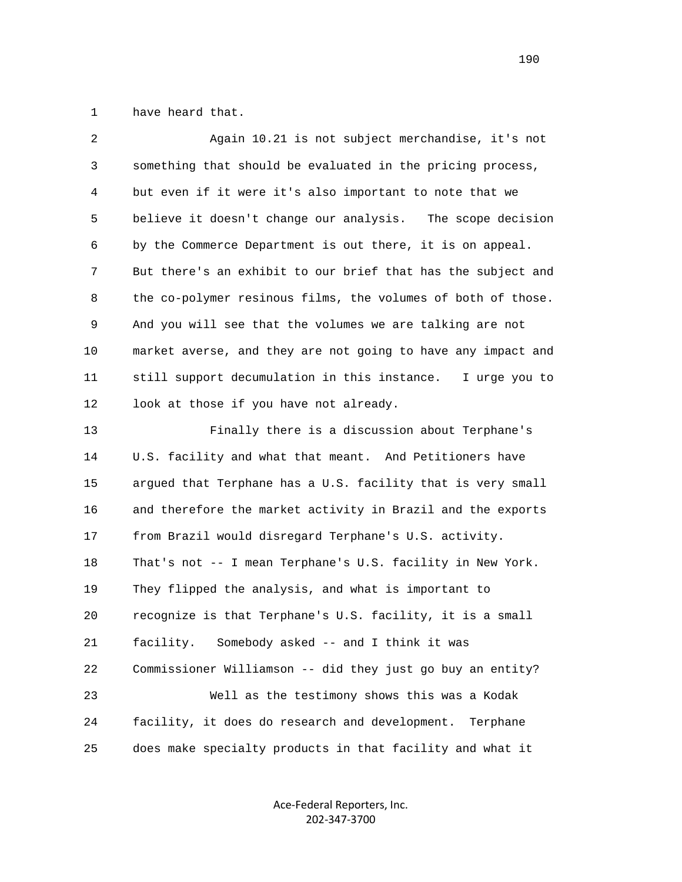1 have heard that.

| 2  | Again 10.21 is not subject merchandise, it's not              |
|----|---------------------------------------------------------------|
| 3  | something that should be evaluated in the pricing process,    |
| 4  | but even if it were it's also important to note that we       |
| 5  | believe it doesn't change our analysis.<br>The scope decision |
| 6  | by the Commerce Department is out there, it is on appeal.     |
| 7  | But there's an exhibit to our brief that has the subject and  |
| 8  | the co-polymer resinous films, the volumes of both of those.  |
| 9  | And you will see that the volumes we are talking are not      |
| 10 | market averse, and they are not going to have any impact and  |
| 11 | still support decumulation in this instance.<br>I urge you to |
| 12 | look at those if you have not already.                        |
| 13 | Finally there is a discussion about Terphane's                |
| 14 | U.S. facility and what that meant. And Petitioners have       |
| 15 | argued that Terphane has a U.S. facility that is very small   |
| 16 | and therefore the market activity in Brazil and the exports   |
| 17 | from Brazil would disregard Terphane's U.S. activity.         |
| 18 | That's not -- I mean Terphane's U.S. facility in New York.    |
| 19 | They flipped the analysis, and what is important to           |
| 20 | recognize is that Terphane's U.S. facility, it is a small     |
| 21 | facility.<br>Somebody asked -- and I think it was             |
| 22 | Commissioner Williamson -- did they just go buy an entity?    |
| 23 | Well as the testimony shows this was a Kodak                  |
| 24 | facility, it does do research and development.<br>Terphane    |
| 25 | does make specialty products in that facility and what it     |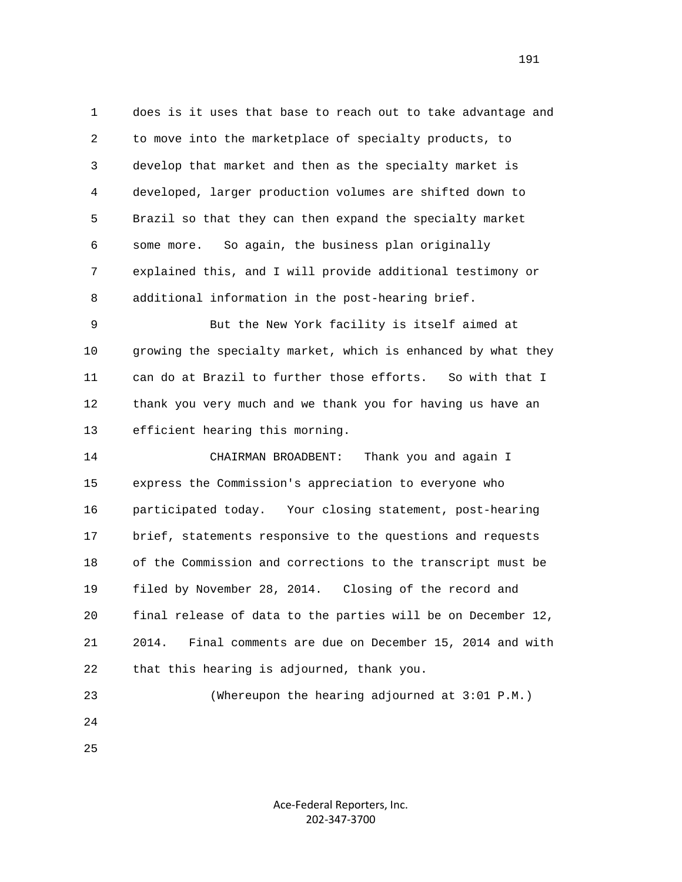1 does is it uses that base to reach out to take advantage and 2 to move into the marketplace of specialty products, to 3 develop that market and then as the specialty market is 4 developed, larger production volumes are shifted down to 5 Brazil so that they can then expand the specialty market 6 some more. So again, the business plan originally 7 explained this, and I will provide additional testimony or 8 additional information in the post-hearing brief.

 9 But the New York facility is itself aimed at 10 growing the specialty market, which is enhanced by what they 11 can do at Brazil to further those efforts. So with that I 12 thank you very much and we thank you for having us have an 13 efficient hearing this morning.

 14 CHAIRMAN BROADBENT: Thank you and again I 15 express the Commission's appreciation to everyone who 16 participated today. Your closing statement, post-hearing 17 brief, statements responsive to the questions and requests 18 of the Commission and corrections to the transcript must be 19 filed by November 28, 2014. Closing of the record and 20 final release of data to the parties will be on December 12, 21 2014. Final comments are due on December 15, 2014 and with 22 that this hearing is adjourned, thank you.

 23 (Whereupon the hearing adjourned at 3:01 P.M.) 24

25